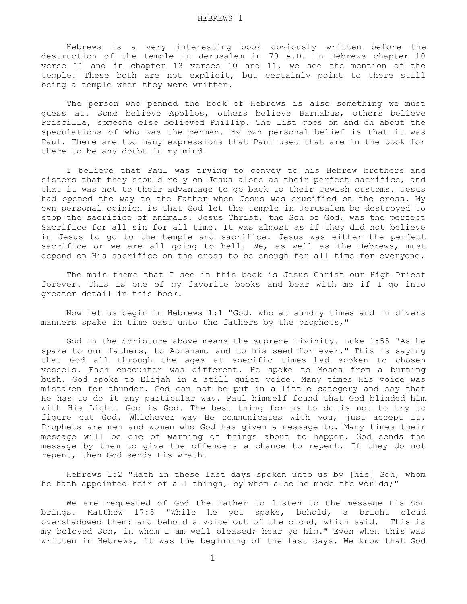Hebrews is a very interesting book obviously written before the destruction of the temple in Jerusalem in 70 A.D. In Hebrews chapter 10 verse 11 and in chapter 13 verses 10 and 11, we see the mention of the temple. These both are not explicit, but certainly point to there still being a temple when they were written.

 The person who penned the book of Hebrews is also something we must guess at. Some believe Apollos, others believe Barnabus, others believe Priscilla, someone else believed Phillip. The list goes on and on about the speculations of who was the penman. My own personal belief is that it was Paul. There are too many expressions that Paul used that are in the book for there to be any doubt in my mind.

 I believe that Paul was trying to convey to his Hebrew brothers and sisters that they should rely on Jesus alone as their perfect sacrifice, and that it was not to their advantage to go back to their Jewish customs. Jesus had opened the way to the Father when Jesus was crucified on the cross. My own personal opinion is that God let the temple in Jerusalem be destroyed to stop the sacrifice of animals. Jesus Christ, the Son of God, was the perfect Sacrifice for all sin for all time. It was almost as if they did not believe in Jesus to go to the temple and sacrifice. Jesus was either the perfect sacrifice or we are all going to hell. We, as well as the Hebrews, must depend on His sacrifice on the cross to be enough for all time for everyone.

 The main theme that I see in this book is Jesus Christ our High Priest forever. This is one of my favorite books and bear with me if I go into greater detail in this book.

 Now let us begin in Hebrews 1:1 "God, who at sundry times and in divers manners spake in time past unto the fathers by the prophets,"

 God in the Scripture above means the supreme Divinity. Luke 1:55 "As he spake to our fathers, to Abraham, and to his seed for ever." This is saying that God all through the ages at specific times had spoken to chosen vessels. Each encounter was different. He spoke to Moses from a burning bush. God spoke to Elijah in a still quiet voice. Many times His voice was mistaken for thunder. God can not be put in a little category and say that He has to do it any particular way. Paul himself found that God blinded him with His Light. God is God. The best thing for us to do is not to try to figure out God. Whichever way He communicates with you, just accept it. Prophets are men and women who God has given a message to. Many times their message will be one of warning of things about to happen. God sends the message by them to give the offenders a chance to repent. If they do not repent, then God sends His wrath.

 Hebrews 1:2 "Hath in these last days spoken unto us by [his] Son, whom he hath appointed heir of all things, by whom also he made the worlds;"

 We are requested of God the Father to listen to the message His Son brings. Matthew 17:5 "While he yet spake, behold, a bright cloud overshadowed them: and behold a voice out of the cloud, which said, This is my beloved Son, in whom I am well pleased; hear ye him." Even when this was written in Hebrews, it was the beginning of the last days. We know that God

1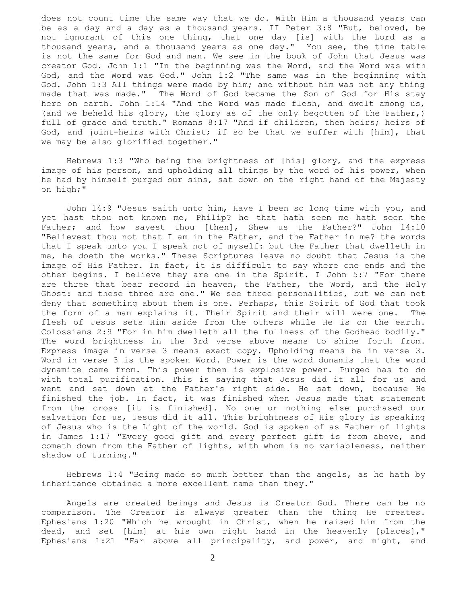does not count time the same way that we do. With Him a thousand years can be as a day and a day as a thousand years. II Peter 3:8 "But, beloved, be not ignorant of this one thing, that one day [is] with the Lord as a thousand years, and a thousand years as one day." You see, the time table is not the same for God and man. We see in the book of John that Jesus was creator God. John 1:1 "In the beginning was the Word, and the Word was with God, and the Word was God." John 1:2 "The same was in the beginning with God. John 1:3 All things were made by him; and without him was not any thing made that was made." The Word of God became the Son of God for His stay here on earth. John 1:14 "And the Word was made flesh, and dwelt among us, (and we beheld his glory, the glory as of the only begotten of the Father,) full of grace and truth." Romans 8:17 "And if children, then heirs; heirs of God, and joint-heirs with Christ; if so be that we suffer with [him], that we may be also glorified together."

 Hebrews 1:3 "Who being the brightness of [his] glory, and the express image of his person, and upholding all things by the word of his power, when he had by himself purged our sins, sat down on the right hand of the Majesty on high;"

 John 14:9 "Jesus saith unto him, Have I been so long time with you, and yet hast thou not known me, Philip? he that hath seen me hath seen the Father; and how sayest thou [then], Shew us the Father?" John 14:10 "Believest thou not that I am in the Father, and the Father in me? the words that I speak unto you I speak not of myself: but the Father that dwelleth in me, he doeth the works." These Scriptures leave no doubt that Jesus is the image of His Father. In fact, it is difficult to say where one ends and the other begins. I believe they are one in the Spirit. I John 5:7 "For there are three that bear record in heaven, the Father, the Word, and the Holy Ghost: and these three are one." We see three personalities, but we can not deny that something about them is one. Perhaps, this Spirit of God that took the form of a man explains it. Their Spirit and their will were one. The flesh of Jesus sets Him aside from the others while He is on the earth. Colossians 2:9 "For in him dwelleth all the fullness of the Godhead bodily." The word brightness in the 3rd verse above means to shine forth from. Express image in verse 3 means exact copy. Upholding means be in verse 3. Word in verse 3 is the spoken Word. Power is the word dunamis that the word dynamite came from. This power then is explosive power. Purged has to do with total purification. This is saying that Jesus did it all for us and went and sat down at the Father's right side. He sat down, because He finished the job. In fact, it was finished when Jesus made that statement from the cross [it is finished]. No one or nothing else purchased our salvation for us, Jesus did it all. This brightness of His glory is speaking of Jesus who is the Light of the world. God is spoken of as Father of lights in James 1:17 "Every good gift and every perfect gift is from above, and cometh down from the Father of lights, with whom is no variableness, neither shadow of turning."

 Hebrews 1:4 "Being made so much better than the angels, as he hath by inheritance obtained a more excellent name than they."

 Angels are created beings and Jesus is Creator God. There can be no comparison. The Creator is always greater than the thing He creates. Ephesians 1:20 "Which he wrought in Christ, when he raised him from the dead, and set [him] at his own right hand in the heavenly [places]," Ephesians 1:21 "Far above all principality, and power, and might, and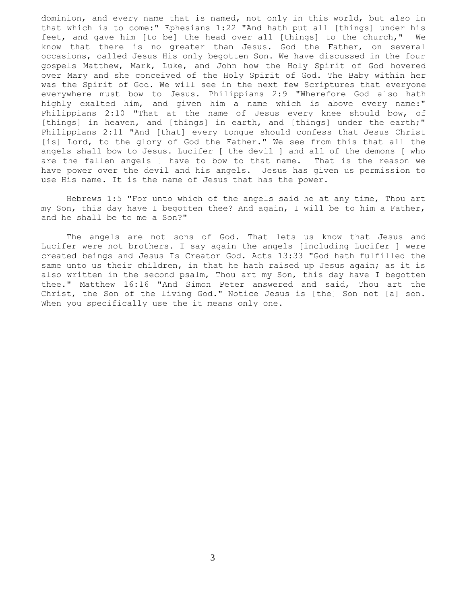dominion, and every name that is named, not only in this world, but also in that which is to come:" Ephesians 1:22 "And hath put all [things] under his feet, and gave him [to be] the head over all [things] to the church," We know that there is no greater than Jesus. God the Father, on several occasions, called Jesus His only begotten Son. We have discussed in the four gospels Matthew, Mark, Luke, and John how the Holy Spirit of God hovered over Mary and she conceived of the Holy Spirit of God. The Baby within her was the Spirit of God. We will see in the next few Scriptures that everyone everywhere must bow to Jesus. Philippians 2:9 "Wherefore God also hath highly exalted him, and given him a name which is above every name:" Philippians 2:10 "That at the name of Jesus every knee should bow, of [things] in heaven, and [things] in earth, and [things] under the earth;" Philippians 2:11 "And [that] every tongue should confess that Jesus Christ [is] Lord, to the glory of God the Father." We see from this that all the angels shall bow to Jesus. Lucifer [ the devil ] and all of the demons [ who are the fallen angels ] have to bow to that name. That is the reason we have power over the devil and his angels. Jesus has given us permission to use His name. It is the name of Jesus that has the power.

 Hebrews 1:5 "For unto which of the angels said he at any time, Thou art my Son, this day have I begotten thee? And again, I will be to him a Father, and he shall be to me a Son?"

 The angels are not sons of God. That lets us know that Jesus and Lucifer were not brothers. I say again the angels [including Lucifer ] were created beings and Jesus Is Creator God. Acts 13:33 "God hath fulfilled the same unto us their children, in that he hath raised up Jesus again; as it is also written in the second psalm, Thou art my Son, this day have I begotten thee." Matthew 16:16 "And Simon Peter answered and said, Thou art the Christ, the Son of the living God." Notice Jesus is [the] Son not [a] son. When you specifically use the it means only one.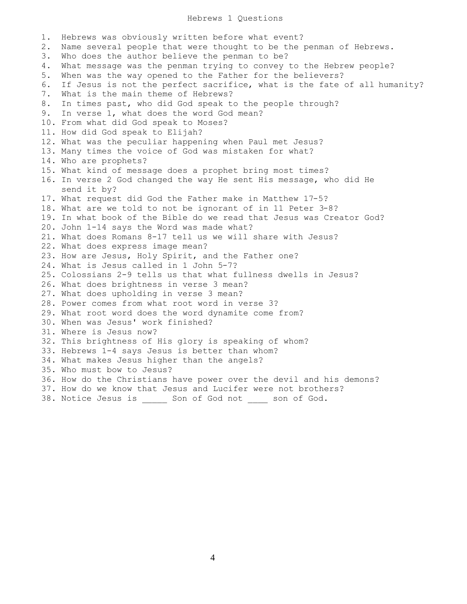## Hebrews 1 Questions

1. Hebrews was obviously written before what event? 2. Name several people that were thought to be the penman of Hebrews. 3. Who does the author believe the penman to be? 4. What message was the penman trying to convey to the Hebrew people? 5. When was the way opened to the Father for the believers? 6. If Jesus is not the perfect sacrifice, what is the fate of all humanity? 7. What is the main theme of Hebrews? 8. In times past, who did God speak to the people through? 9. In verse 1, what does the word God mean? 10. From what did God speak to Moses? 11. How did God speak to Elijah? 12. What was the peculiar happening when Paul met Jesus? 13. Many times the voice of God was mistaken for what? 14. Who are prophets? 15. What kind of message does a prophet bring most times? 16. In verse 2 God changed the way He sent His message, who did He send it by? 17. What request did God the Father make in Matthew 17-5? 18. What are we told to not be ignorant of in 11 Peter 3-8? 19. In what book of the Bible do we read that Jesus was Creator God? 20. John 1-14 says the Word was made what? 21. What does Romans 8-17 tell us we will share with Jesus? 22. What does express image mean? 23. How are Jesus, Holy Spirit, and the Father one? 24. What is Jesus called in 1 John 5-7? 25. Colossians 2-9 tells us that what fullness dwells in Jesus? 26. What does brightness in verse 3 mean? 27. What does upholding in verse 3 mean? 28. Power comes from what root word in verse 3? 29. What root word does the word dynamite come from? 30. When was Jesus' work finished? 31. Where is Jesus now? 32. This brightness of His glory is speaking of whom? 33. Hebrews 1-4 says Jesus is better than whom? 34. What makes Jesus higher than the angels? 35. Who must bow to Jesus? 36. How do the Christians have power over the devil and his demons? 37. How do we know that Jesus and Lucifer were not brothers? 38. Notice Jesus is \_\_\_\_\_ Son of God not \_\_\_\_ son of God.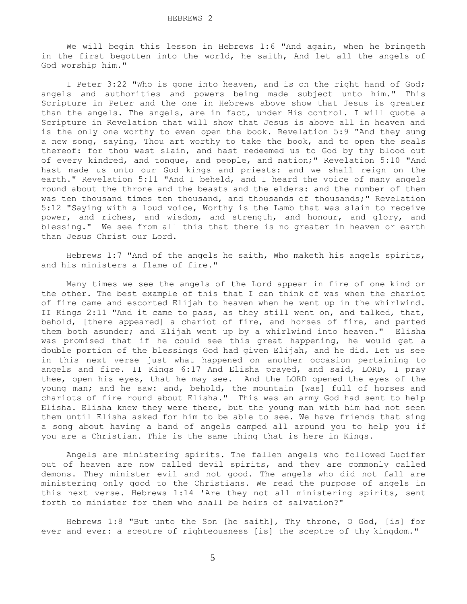We will begin this lesson in Hebrews 1:6 "And again, when he bringeth in the first begotten into the world, he saith, And let all the angels of God worship him."

 I Peter 3:22 "Who is gone into heaven, and is on the right hand of God; angels and authorities and powers being made subject unto him." This Scripture in Peter and the one in Hebrews above show that Jesus is greater than the angels. The angels, are in fact, under His control. I will quote a Scripture in Revelation that will show that Jesus is above all in heaven and is the only one worthy to even open the book. Revelation 5:9 "And they sung a new song, saying, Thou art worthy to take the book, and to open the seals thereof: for thou wast slain, and hast redeemed us to God by thy blood out of every kindred, and tongue, and people, and nation;" Revelation 5:10 "And hast made us unto our God kings and priests: and we shall reign on the earth." Revelation 5:11 "And I beheld, and I heard the voice of many angels round about the throne and the beasts and the elders: and the number of them was ten thousand times ten thousand, and thousands of thousands;" Revelation 5:12 "Saying with a loud voice, Worthy is the Lamb that was slain to receive power, and riches, and wisdom, and strength, and honour, and glory, and blessing." We see from all this that there is no greater in heaven or earth than Jesus Christ our Lord.

 Hebrews 1:7 "And of the angels he saith, Who maketh his angels spirits, and his ministers a flame of fire."

 Many times we see the angels of the Lord appear in fire of one kind or the other. The best example of this that I can think of was when the chariot of fire came and escorted Elijah to heaven when he went up in the whirlwind. II Kings 2:11 "And it came to pass, as they still went on, and talked, that, behold, [there appeared] a chariot of fire, and horses of fire, and parted them both asunder; and Elijah went up by a whirlwind into heaven." Elisha was promised that if he could see this great happening, he would get a double portion of the blessings God had given Elijah, and he did. Let us see in this next verse just what happened on another occasion pertaining to angels and fire. II Kings 6:17 And Elisha prayed, and said, LORD, I pray thee, open his eyes, that he may see. And the LORD opened the eyes of the young man; and he saw: and, behold, the mountain [was] full of horses and chariots of fire round about Elisha." This was an army God had sent to help Elisha. Elisha knew they were there, but the young man with him had not seen them until Elisha asked for him to be able to see. We have friends that sing a song about having a band of angels camped all around you to help you if you are a Christian. This is the same thing that is here in Kings.

 Angels are ministering spirits. The fallen angels who followed Lucifer out of heaven are now called devil spirits, and they are commonly called demons. They minister evil and not good. The angels who did not fall are ministering only good to the Christians. We read the purpose of angels in this next verse. Hebrews 1:14 'Are they not all ministering spirits, sent forth to minister for them who shall be heirs of salvation?"

 Hebrews 1:8 "But unto the Son [he saith], Thy throne, O God, [is] for ever and ever: a sceptre of righteousness [is] the sceptre of thy kingdom."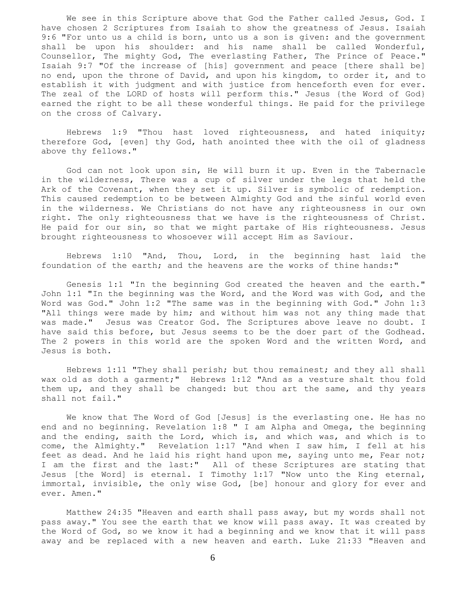We see in this Scripture above that God the Father called Jesus, God. I have chosen 2 Scriptures from Isaiah to show the greatness of Jesus. Isaiah 9:6 "For unto us a child is born, unto us a son is given: and the government shall be upon his shoulder: and his name shall be called Wonderful, Counsellor, The mighty God, The everlasting Father, The Prince of Peace." Isaiah 9:7 "Of the increase of [his] government and peace [there shall be] no end, upon the throne of David, and upon his kingdom, to order it, and to establish it with judgment and with justice from henceforth even for ever. The zeal of the LORD of hosts will perform this." Jesus {the Word of God} earned the right to be all these wonderful things. He paid for the privilege on the cross of Calvary.

 Hebrews 1:9 "Thou hast loved righteousness, and hated iniquity; therefore God, [even] thy God, hath anointed thee with the oil of gladness above thy fellows."

 God can not look upon sin, He will burn it up. Even in the Tabernacle in the wilderness, There was a cup of silver under the legs that held the Ark of the Covenant, when they set it up. Silver is symbolic of redemption. This caused redemption to be between Almighty God and the sinful world even in the wilderness. We Christians do not have any righteousness in our own right. The only righteousness that we have is the righteousness of Christ. He paid for our sin, so that we might partake of His righteousness. Jesus brought righteousness to whosoever will accept Him as Saviour.

 Hebrews 1:10 "And, Thou, Lord, in the beginning hast laid the foundation of the earth; and the heavens are the works of thine hands:"

 Genesis 1:1 "In the beginning God created the heaven and the earth." John 1:1 "In the beginning was the Word, and the Word was with God, and the Word was God." John 1:2 "The same was in the beginning with God." John 1:3 "All things were made by him; and without him was not any thing made that was made." Jesus was Creator God. The Scriptures above leave no doubt. I have said this before, but Jesus seems to be the doer part of the Godhead. The 2 powers in this world are the spoken Word and the written Word, and Jesus is both.

 Hebrews 1:11 "They shall perish; but thou remainest; and they all shall wax old as doth a garment;" Hebrews 1:12 "And as a vesture shalt thou fold them up, and they shall be changed: but thou art the same, and thy years shall not fail."

 We know that The Word of God [Jesus] is the everlasting one. He has no end and no beginning. Revelation 1:8 " I am Alpha and Omega, the beginning and the ending, saith the Lord, which is, and which was, and which is to come, the Almighty." Revelation 1:17 "And when I saw him, I fell at his feet as dead. And he laid his right hand upon me, saying unto me, Fear not; I am the first and the last:" All of these Scriptures are stating that Jesus [the Word] is eternal. I Timothy 1:17 "Now unto the King eternal, immortal, invisible, the only wise God, [be] honour and glory for ever and ever. Amen."

 Matthew 24:35 "Heaven and earth shall pass away, but my words shall not pass away." You see the earth that we know will pass away. It was created by the Word of God, so we know it had a beginning and we know that it will pass away and be replaced with a new heaven and earth. Luke 21:33 "Heaven and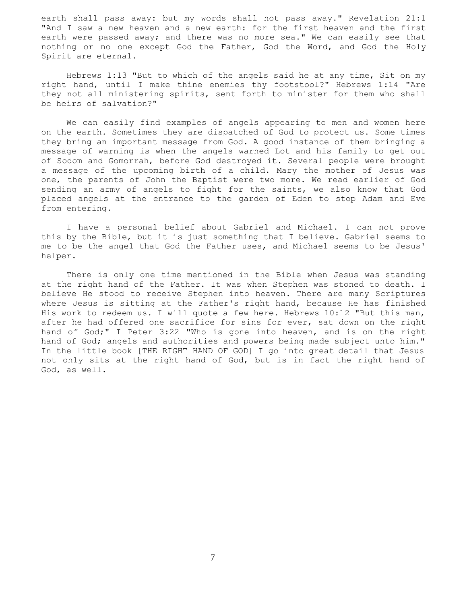earth shall pass away: but my words shall not pass away." Revelation 21:1 "And I saw a new heaven and a new earth: for the first heaven and the first earth were passed away; and there was no more sea." We can easily see that nothing or no one except God the Father, God the Word, and God the Holy Spirit are eternal.

 Hebrews 1:13 "But to which of the angels said he at any time, Sit on my right hand, until I make thine enemies thy footstool?" Hebrews 1:14 "Are they not all ministering spirits, sent forth to minister for them who shall be heirs of salvation?"

 We can easily find examples of angels appearing to men and women here on the earth. Sometimes they are dispatched of God to protect us. Some times they bring an important message from God. A good instance of them bringing a message of warning is when the angels warned Lot and his family to get out of Sodom and Gomorrah, before God destroyed it. Several people were brought a message of the upcoming birth of a child. Mary the mother of Jesus was one, the parents of John the Baptist were two more. We read earlier of God sending an army of angels to fight for the saints, we also know that God placed angels at the entrance to the garden of Eden to stop Adam and Eve from entering.

 I have a personal belief about Gabriel and Michael. I can not prove this by the Bible, but it is just something that I believe. Gabriel seems to me to be the angel that God the Father uses, and Michael seems to be Jesus' helper.

 There is only one time mentioned in the Bible when Jesus was standing at the right hand of the Father. It was when Stephen was stoned to death. I believe He stood to receive Stephen into heaven. There are many Scriptures where Jesus is sitting at the Father's right hand, because He has finished His work to redeem us. I will quote a few here. Hebrews 10:12 "But this man, after he had offered one sacrifice for sins for ever, sat down on the right hand of God;" I Peter 3:22 "Who is gone into heaven, and is on the right hand of God; angels and authorities and powers being made subject unto him." In the little book [THE RIGHT HAND OF GOD] I go into great detail that Jesus not only sits at the right hand of God, but is in fact the right hand of God, as well.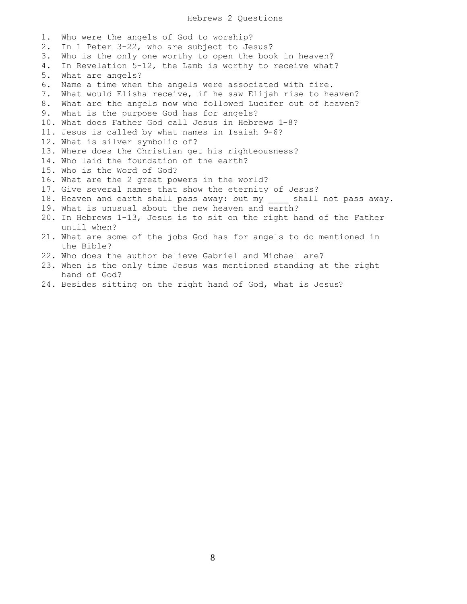1. Who were the angels of God to worship? 2. In 1 Peter 3-22, who are subject to Jesus? 3. Who is the only one worthy to open the book in heaven? 4. In Revelation 5-12, the Lamb is worthy to receive what? 5. What are angels? 6. Name a time when the angels were associated with fire. 7. What would Elisha receive, if he saw Elijah rise to heaven? 8. What are the angels now who followed Lucifer out of heaven? 9. What is the purpose God has for angels? 10. What does Father God call Jesus in Hebrews 1-8? 11. Jesus is called by what names in Isaiah 9-6? 12. What is silver symbolic of? 13. Where does the Christian get his righteousness? 14. Who laid the foundation of the earth? 15. Who is the Word of God? 16. What are the 2 great powers in the world? 17. Give several names that show the eternity of Jesus? 18. Heaven and earth shall pass away: but my shall not pass away. 19. What is unusual about the new heaven and earth? 20. In Hebrews 1-13, Jesus is to sit on the right hand of the Father until when? 21. What are some of the jobs God has for angels to do mentioned in the Bible? 22. Who does the author believe Gabriel and Michael are? 23. When is the only time Jesus was mentioned standing at the right hand of God? 24. Besides sitting on the right hand of God, what is Jesus?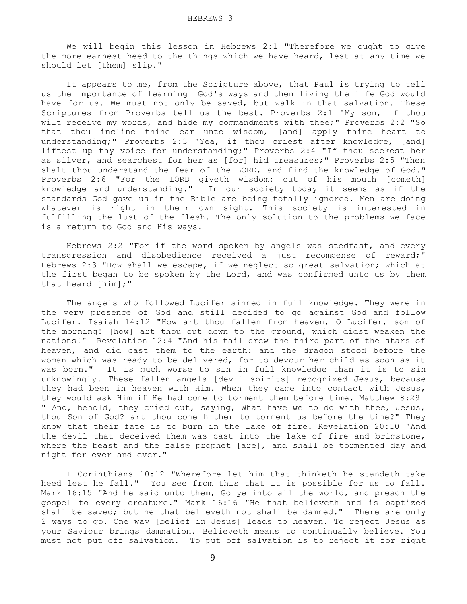We will begin this lesson in Hebrews 2:1 "Therefore we ought to give the more earnest heed to the things which we have heard, lest at any time we should let [them] slip."

 It appears to me, from the Scripture above, that Paul is trying to tell us the importance of learning God's ways and then living the life God would have for us. We must not only be saved, but walk in that salvation. These Scriptures from Proverbs tell us the best. Proverbs 2:1 "My son, if thou wilt receive my words, and hide my commandments with thee;" Proverbs 2:2 "So that thou incline thine ear unto wisdom, [and] apply thine heart to understanding;" Proverbs 2:3 "Yea, if thou criest after knowledge, [and] liftest up thy voice for understanding;" Proverbs 2:4 "If thou seekest her as silver, and searchest for her as [for] hid treasures;" Proverbs 2:5 "Then shalt thou understand the fear of the LORD, and find the knowledge of God." Proverbs 2:6 "For the LORD giveth wisdom: out of his mouth [cometh] knowledge and understanding." In our society today it seems as if the standards God gave us in the Bible are being totally ignored. Men are doing whatever is right in their own sight. This society is interested in fulfilling the lust of the flesh. The only solution to the problems we face is a return to God and His ways.

 Hebrews 2:2 "For if the word spoken by angels was stedfast, and every transgression and disobedience received a just recompense of reward;" Hebrews 2:3 "How shall we escape, if we neglect so great salvation; which at the first began to be spoken by the Lord, and was confirmed unto us by them that heard [him];"

 The angels who followed Lucifer sinned in full knowledge. They were in the very presence of God and still decided to go against God and follow Lucifer. Isaiah 14:12 "How art thou fallen from heaven, O Lucifer, son of the morning! [how] art thou cut down to the ground, which didst weaken the nations!" Revelation 12:4 "And his tail drew the third part of the stars of heaven, and did cast them to the earth: and the dragon stood before the woman which was ready to be delivered, for to devour her child as soon as it was born." It is much worse to sin in full knowledge than it is to sin unknowingly. These fallen angels [devil spirits] recognized Jesus, because they had been in heaven with Him. When they came into contact with Jesus, they would ask Him if He had come to torment them before time. Matthew 8:29 " And, behold, they cried out, saying, What have we to do with thee, Jesus, thou Son of God? art thou come hither to torment us before the time?" They know that their fate is to burn in the lake of fire. Revelation 20:10 "And the devil that deceived them was cast into the lake of fire and brimstone, where the beast and the false prophet [are], and shall be tormented day and night for ever and ever."

 I Corinthians 10:12 "Wherefore let him that thinketh he standeth take heed lest he fall." You see from this that it is possible for us to fall. Mark 16:15 "And he said unto them, Go ye into all the world, and preach the gospel to every creature." Mark 16:16 "He that believeth and is baptized shall be saved; but he that believeth not shall be damned." There are only 2 ways to go. One way [belief in Jesus] leads to heaven. To reject Jesus as your Saviour brings damnation. Believeth means to continually believe. You must not put off salvation. To put off salvation is to reject it for right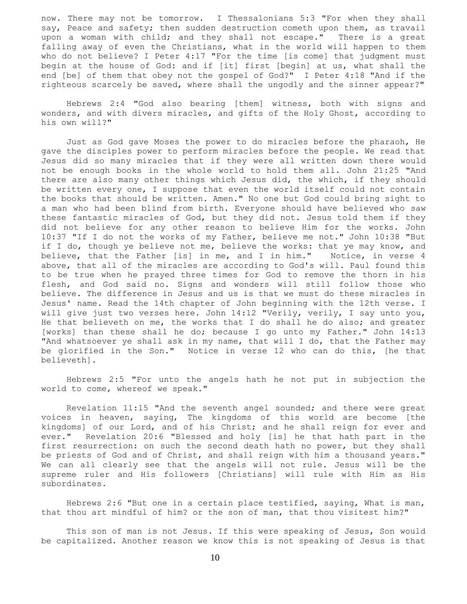now. There may not be tomorrow. I Thessalonians 5:3 "For when they shall say, Peace and safety; then sudden destruction cometh upon them, as travail upon a woman with child; and they shall not escape." There is a great falling away of even the Christians, what in the world will happen to them who do not believe? I Peter 4:17 "For the time [is come] that judgment must begin at the house of God: and if [it] first [begin] at us, what shall the end [be] of them that obey not the gospel of God?" I Peter 4:18 "And if the righteous scarcely be saved, where shall the ungodly and the sinner appear?"

 Hebrews 2:4 "God also bearing [them] witness, both with signs and wonders, and with divers miracles, and gifts of the Holy Ghost, according to his own will?"

 Just as God gave Moses the power to do miracles before the pharaoh, He gave the disciples power to perform miracles before the people. We read that Jesus did so many miracles that if they were all written down there would not be enough books in the whole world to hold them all. John 21:25 "And there are also many other things which Jesus did, the which, if they should be written every one, I suppose that even the world itself could not contain the books that should be written. Amen." No one but God could bring sight to a man who had been blind from birth. Everyone should have believed who saw these fantastic miracles of God, but they did not. Jesus told them if they did not believe for any other reason to believe Him for the works. John 10:37 "If I do not the works of my Father, believe me not." John 10:38 "But if I do, though ye believe not me, believe the works: that ye may know, and believe, that the Father [is] in me, and I in him." Notice, in verse 4 above, that all of the miracles are according to God's will. Paul found this to be true when he prayed three times for God to remove the thorn in his flesh, and God said no. Signs and wonders will still follow those who believe. The difference in Jesus and us is that we must do these miracles in Jesus' name. Read the 14th chapter of John beginning with the 12th verse. I will give just two verses here. John 14:12 "Verily, verily, I say unto you, He that believeth on me, the works that I do shall he do also; and greater [works] than these shall he do; because I go unto my Father." John 14:13 "And whatsoever ye shall ask in my name, that will I do, that the Father may be glorified in the Son." Notice in verse 12 who can do this, [he that believeth].

 Hebrews 2:5 "For unto the angels hath he not put in subjection the world to come, whereof we speak."

 Revelation 11:15 "And the seventh angel sounded; and there were great voices in heaven, saying, The kingdoms of this world are become [the kingdoms] of our Lord, and of his Christ; and he shall reign for ever and ever." Revelation 20:6 "Blessed and holy [is] he that hath part in the first resurrection: on such the second death hath no power, but they shall be priests of God and of Christ, and shall reign with him a thousand years." We can all clearly see that the angels will not rule. Jesus will be the supreme ruler and His followers [Christians] will rule with Him as His subordinates.

 Hebrews 2:6 "But one in a certain place testified, saying, What is man, that thou art mindful of him? or the son of man, that thou visitest him?"

 This son of man is not Jesus. If this were speaking of Jesus, Son would be capitalized. Another reason we know this is not speaking of Jesus is that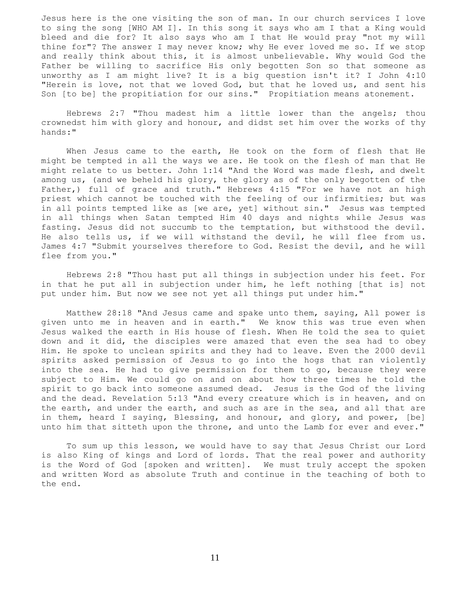Jesus here is the one visiting the son of man. In our church services I love to sing the song [WHO AM I]. In this song it says who am I that a King would bleed and die for? It also says who am I that He would pray "not my will thine for"? The answer I may never know; why He ever loved me so. If we stop and really think about this, it is almost unbelievable. Why would God the Father be willing to sacrifice His only begotten Son so that someone as unworthy as I am might live? It is a big question isn't it? I John 4:10 "Herein is love, not that we loved God, but that he loved us, and sent his Son [to be] the propitiation for our sins." Propitiation means atonement.

 Hebrews 2:7 "Thou madest him a little lower than the angels; thou crownedst him with glory and honour, and didst set him over the works of thy hands:"

 When Jesus came to the earth, He took on the form of flesh that He might be tempted in all the ways we are. He took on the flesh of man that He might relate to us better. John 1:14 "And the Word was made flesh, and dwelt among us, (and we beheld his glory, the glory as of the only begotten of the Father,) full of grace and truth." Hebrews 4:15 "For we have not an high priest which cannot be touched with the feeling of our infirmities; but was in all points tempted like as [we are, yet] without sin." Jesus was tempted in all things when Satan tempted Him 40 days and nights while Jesus was fasting. Jesus did not succumb to the temptation, but withstood the devil. He also tells us, if we will withstand the devil, he will flee from us. James 4:7 "Submit yourselves therefore to God. Resist the devil, and he will flee from you."

 Hebrews 2:8 "Thou hast put all things in subjection under his feet. For in that he put all in subjection under him, he left nothing [that is] not put under him. But now we see not yet all things put under him."

 Matthew 28:18 "And Jesus came and spake unto them, saying, All power is given unto me in heaven and in earth." We know this was true even when Jesus walked the earth in His house of flesh. When He told the sea to quiet down and it did, the disciples were amazed that even the sea had to obey Him. He spoke to unclean spirits and they had to leave. Even the 2000 devil spirits asked permission of Jesus to go into the hogs that ran violently into the sea. He had to give permission for them to go, because they were subject to Him. We could go on and on about how three times he told the spirit to go back into someone assumed dead. Jesus is the God of the living and the dead. Revelation 5:13 "And every creature which is in heaven, and on the earth, and under the earth, and such as are in the sea, and all that are in them, heard I saying, Blessing, and honour, and glory, and power, [be] unto him that sitteth upon the throne, and unto the Lamb for ever and ever."

 To sum up this lesson, we would have to say that Jesus Christ our Lord is also King of kings and Lord of lords. That the real power and authority is the Word of God [spoken and written]. We must truly accept the spoken and written Word as absolute Truth and continue in the teaching of both to the end.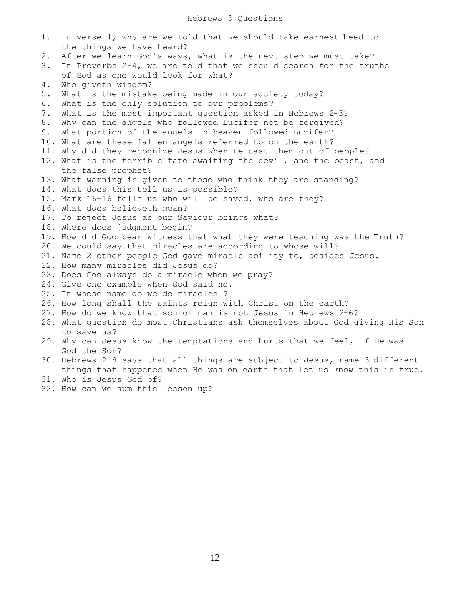| 1. | In verse 1, why are we told that we should take earnest heed to              |
|----|------------------------------------------------------------------------------|
|    | the things we have heard?                                                    |
| 2. | After we learn God's ways, what is the next step we must take?               |
| 3. | In Proverbs $2-4$ , we are told that we should search for the truths         |
|    | of God as one would look for what?                                           |
| 4. | Who giveth wisdom?                                                           |
| 5. | What is the mistake being made in our society today?                         |
| 6. | What is the only solution to our problems?                                   |
| 7. | What is the most important question asked in Hebrews 2-3?                    |
| 8. | Why can the angels who followed Lucifer not be forgiven?                     |
| 9. | What portion of the angels in heaven followed Lucifer?                       |
|    | 10. What are these fallen angels referred to on the earth?                   |
|    | 11. Why did they recognize Jesus when He cast them out of people?            |
|    | 12. What is the terrible fate awaiting the devil, and the beast, and         |
|    | the false prophet?                                                           |
|    | 13. What warning is given to those who think they are standing?              |
|    | 14. What does this tell us is possible?                                      |
|    | 15. Mark 16-16 tells us who will be saved, who are they?                     |
|    | 16. What does believeth mean?                                                |
|    | 17. To reject Jesus as our Saviour brings what?                              |
|    | 18. Where does judgment begin?                                               |
|    | 19. How did God bear witness that what they were teaching was the Truth?     |
|    | 20. We could say that miracles are according to whose will?                  |
|    | 21. Name 2 other people God gave miracle ability to, besides Jesus.          |
|    | 22. How many miracles did Jesus do?                                          |
|    | 23. Does God always do a miracle when we pray?                               |
|    | 24. Give one example when God said no.                                       |
|    | 25. In whose name do we do miracles ?                                        |
|    | 26. How long shall the saints reign with Christ on the earth?                |
|    | 27. How do we know that son of man is not Jesus in Hebrews 2-6?              |
|    | 28. What question do most Christians ask themselves about God giving His Son |
|    | to save us?                                                                  |
|    | 29. Why can Jesus know the temptations and hurts that we feel, if He was     |
|    | God the Son?                                                                 |
|    | 30. Hebrews 2-8 says that all things are subject to Jesus, name 3 different  |
|    | things that happened when He was on earth that let us know this is true.     |
|    | 31. Who is Jesus God of?                                                     |
|    | $22$ House and $\mu$ sum this logger un?                                     |

32. How can we sum this lesson up?

12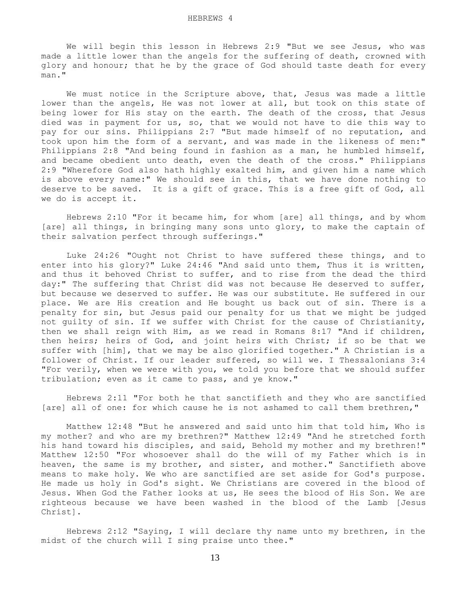We will begin this lesson in Hebrews 2:9 "But we see Jesus, who was made a little lower than the angels for the suffering of death, crowned with glory and honour; that he by the grace of God should taste death for every man."

 We must notice in the Scripture above, that, Jesus was made a little lower than the angels, He was not lower at all, but took on this state of being lower for His stay on the earth. The death of the cross, that Jesus died was in payment for us, so, that we would not have to die this way to pay for our sins. Philippians 2:7 "But made himself of no reputation, and took upon him the form of a servant, and was made in the likeness of men:" Philippians 2:8 "And being found in fashion as a man, he humbled himself, and became obedient unto death, even the death of the cross." Philippians 2:9 "Wherefore God also hath highly exalted him, and given him a name which is above every name:" We should see in this, that we have done nothing to deserve to be saved. It is a gift of grace. This is a free gift of God, all we do is accept it.

 Hebrews 2:10 "For it became him, for whom [are] all things, and by whom [are] all things, in bringing many sons unto glory, to make the captain of their salvation perfect through sufferings."

 Luke 24:26 "Ought not Christ to have suffered these things, and to enter into his glory?" Luke 24:46 "And said unto them, Thus it is written, and thus it behoved Christ to suffer, and to rise from the dead the third day:" The suffering that Christ did was not because He deserved to suffer, but because we deserved to suffer. He was our substitute. He suffered in our place. We are His creation and He bought us back out of sin. There is a penalty for sin, but Jesus paid our penalty for us that we might be judged not guilty of sin. If we suffer with Christ for the cause of Christianity, then we shall reign with Him, as we read in Romans 8:17 "And if children, then heirs; heirs of God, and joint heirs with Christ; if so be that we suffer with [him], that we may be also glorified together." A Christian is a follower of Christ. If our leader suffered, so will we. I Thessalonians 3:4 "For verily, when we were with you, we told you before that we should suffer tribulation; even as it came to pass, and ye know."

 Hebrews 2:11 "For both he that sanctifieth and they who are sanctified [are] all of one: for which cause he is not ashamed to call them brethren,"

 Matthew 12:48 "But he answered and said unto him that told him, Who is my mother? and who are my brethren?" Matthew 12:49 "And he stretched forth his hand toward his disciples, and said, Behold my mother and my brethren!" Matthew 12:50 "For whosoever shall do the will of my Father which is in heaven, the same is my brother, and sister, and mother." Sanctifieth above means to make holy. We who are sanctified are set aside for God's purpose. He made us holy in God's sight. We Christians are covered in the blood of Jesus. When God the Father looks at us, He sees the blood of His Son. We are righteous because we have been washed in the blood of the Lamb [Jesus Christ].

 Hebrews 2:12 "Saying, I will declare thy name unto my brethren, in the midst of the church will I sing praise unto thee."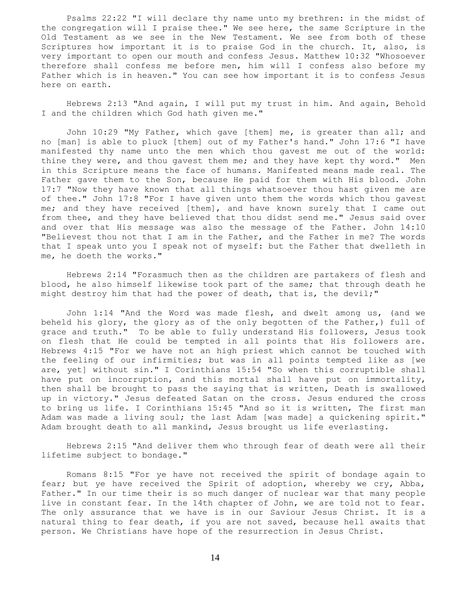Psalms 22:22 "I will declare thy name unto my brethren: in the midst of the congregation will I praise thee." We see here, the same Scripture in the Old Testament as we see in the New Testament. We see from both of these Scriptures how important it is to praise God in the church. It, also, is very important to open our mouth and confess Jesus. Matthew 10:32 "Whosoever therefore shall confess me before men, him will I confess also before my Father which is in heaven." You can see how important it is to confess Jesus here on earth.

 Hebrews 2:13 "And again, I will put my trust in him. And again, Behold I and the children which God hath given me."

John 10:29 "My Father, which gave [them] me, is greater than all; and no [man] is able to pluck [them] out of my Father's hand." John 17:6 "I have manifested thy name unto the men which thou gavest me out of the world: thine they were, and thou gavest them me; and they have kept thy word." Men in this Scripture means the face of humans. Manifested means made real. The Father gave them to the Son, because He paid for them with His blood. John 17:7 "Now they have known that all things whatsoever thou hast given me are of thee." John 17:8 "For I have given unto them the words which thou gavest me; and they have received [them], and have known surely that I came out from thee, and they have believed that thou didst send me." Jesus said over and over that His message was also the message of the Father. John 14:10 "Believest thou not that I am in the Father, and the Father in me? The words that I speak unto you I speak not of myself: but the Father that dwelleth in me, he doeth the works."

 Hebrews 2:14 "Forasmuch then as the children are partakers of flesh and blood, he also himself likewise took part of the same; that through death he might destroy him that had the power of death, that is, the devil;"

 John 1:14 "And the Word was made flesh, and dwelt among us, (and we beheld his glory, the glory as of the only begotten of the Father,) full of grace and truth." To be able to fully understand His followers, Jesus took on flesh that He could be tempted in all points that His followers are. Hebrews 4:15 "For we have not an high priest which cannot be touched with the feeling of our infirmities; but was in all points tempted like as [we are, yet] without sin." I Corinthians 15:54 "So when this corruptible shall have put on incorruption, and this mortal shall have put on immortality, then shall be brought to pass the saying that is written, Death is swallowed up in victory." Jesus defeated Satan on the cross. Jesus endured the cross to bring us life. I Corinthians 15:45 "And so it is written, The first man Adam was made a living soul; the last Adam [was made] a quickening spirit." Adam brought death to all mankind, Jesus brought us life everlasting.

 Hebrews 2:15 "And deliver them who through fear of death were all their lifetime subject to bondage."

 Romans 8:15 "For ye have not received the spirit of bondage again to fear; but ye have received the Spirit of adoption, whereby we cry, Abba, Father." In our time their is so much danger of nuclear war that many people live in constant fear. In the 14th chapter of John, we are told not to fear. The only assurance that we have is in our Saviour Jesus Christ. It is a natural thing to fear death, if you are not saved, because hell awaits that person. We Christians have hope of the resurrection in Jesus Christ.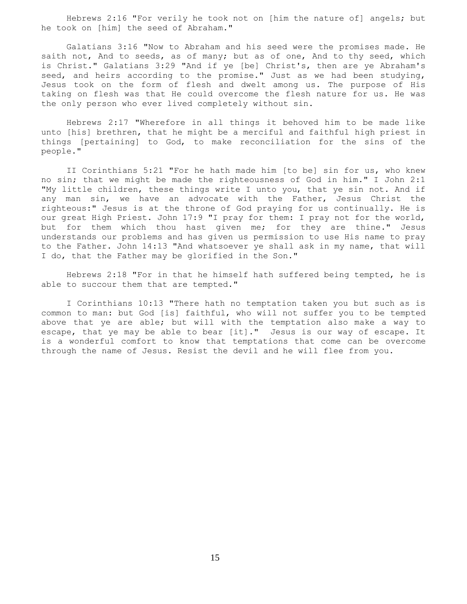Hebrews 2:16 "For verily he took not on [him the nature of] angels; but he took on [him] the seed of Abraham."

 Galatians 3:16 "Now to Abraham and his seed were the promises made. He saith not, And to seeds, as of many; but as of one, And to thy seed, which is Christ." Galatians 3:29 "And if ye [be] Christ's, then are ye Abraham's seed, and heirs according to the promise." Just as we had been studying, Jesus took on the form of flesh and dwelt among us. The purpose of His taking on flesh was that He could overcome the flesh nature for us. He was the only person who ever lived completely without sin.

 Hebrews 2:17 "Wherefore in all things it behoved him to be made like unto [his] brethren, that he might be a merciful and faithful high priest in things [pertaining] to God, to make reconciliation for the sins of the people."

 II Corinthians 5:21 "For he hath made him [to be] sin for us, who knew no sin; that we might be made the righteousness of God in him." I John 2:1 "My little children, these things write I unto you, that ye sin not. And if any man sin, we have an advocate with the Father, Jesus Christ the righteous:" Jesus is at the throne of God praying for us continually. He is our great High Priest. John 17:9 "I pray for them: I pray not for the world, but for them which thou hast given me; for they are thine." Jesus understands our problems and has given us permission to use His name to pray to the Father. John 14:13 "And whatsoever ye shall ask in my name, that will I do, that the Father may be glorified in the Son."

 Hebrews 2:18 "For in that he himself hath suffered being tempted, he is able to succour them that are tempted."

 I Corinthians 10:13 "There hath no temptation taken you but such as is common to man: but God [is] faithful, who will not suffer you to be tempted above that ye are able; but will with the temptation also make a way to escape, that ye may be able to bear [it]." Jesus is our way of escape. It is a wonderful comfort to know that temptations that come can be overcome through the name of Jesus. Resist the devil and he will flee from you.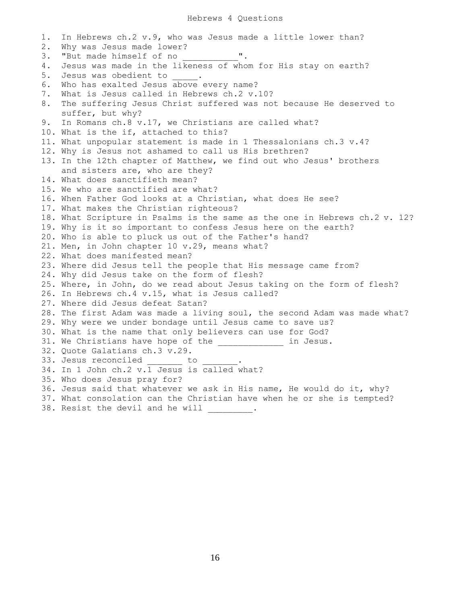1. In Hebrews ch.2 v.9, who was Jesus made a little lower than? 2. Why was Jesus made lower? 3. "But made himself of no  $''$ . 4. Jesus was made in the likeness of whom for His stay on earth? 5. Jesus was obedient to 1. 6. Who has exalted Jesus above every name? 7. What is Jesus called in Hebrews ch.2 v.10? 8. The suffering Jesus Christ suffered was not because He deserved to suffer, but why? 9. In Romans ch.8 v.17, we Christians are called what? 10. What is the if, attached to this? 11. What unpopular statement is made in 1 Thessalonians ch.3 v.4? 12. Why is Jesus not ashamed to call us His brethren? 13. In the 12th chapter of Matthew, we find out who Jesus' brothers and sisters are, who are they? 14. What does sanctifieth mean? 15. We who are sanctified are what? 16. When Father God looks at a Christian, what does He see? 17. What makes the Christian righteous? 18. What Scripture in Psalms is the same as the one in Hebrews ch.2 v. 12? 19. Why is it so important to confess Jesus here on the earth? 20. Who is able to pluck us out of the Father's hand? 21. Men, in John chapter 10 v.29, means what? 22. What does manifested mean? 23. Where did Jesus tell the people that His message came from? 24. Why did Jesus take on the form of flesh? 25. Where, in John, do we read about Jesus taking on the form of flesh? 26. In Hebrews ch.4 v.15, what is Jesus called? 27. Where did Jesus defeat Satan? 28. The first Adam was made a living soul, the second Adam was made what? 29. Why were we under bondage until Jesus came to save us? 30. What is the name that only believers can use for God? 31. We Christians have hope of the \_\_\_\_\_\_\_\_\_\_\_\_\_ in Jesus. 32. Quote Galatians ch.3 v.29. 33. Jesus reconciled \_\_\_\_\_\_\_ to 34. In 1 John ch.2 v.1 Jesus is called what? 35. Who does Jesus pray for? 36. Jesus said that whatever we ask in His name, He would do it, why? 37. What consolation can the Christian have when he or she is tempted? 38. Resist the devil and he will  $\qquad \qquad$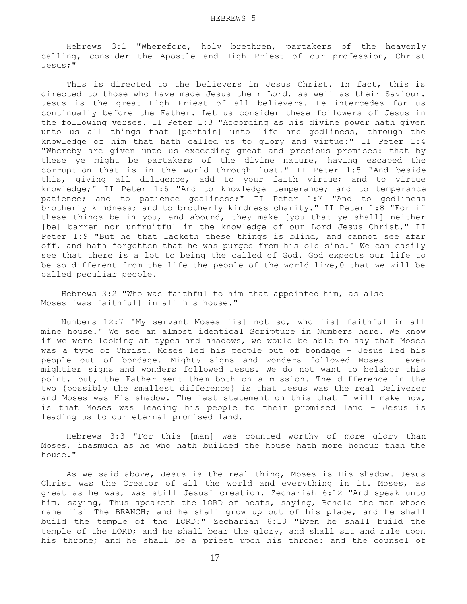Hebrews 3:1 "Wherefore, holy brethren, partakers of the heavenly calling, consider the Apostle and High Priest of our profession, Christ Jesus;"

This is directed to the believers in Jesus Christ. In fact, this is directed to those who have made Jesus their Lord, as well as their Saviour. Jesus is the great High Priest of all believers. He intercedes for us continually before the Father. Let us consider these followers of Jesus in the following verses. II Peter 1:3 "According as his divine power hath given unto us all things that [pertain] unto life and godliness, through the knowledge of him that hath called us to glory and virtue:" II Peter 1:4 "Whereby are given unto us exceeding great and precious promises: that by these ye might be partakers of the divine nature, having escaped the corruption that is in the world through lust." II Peter 1:5 "And beside this, giving all diligence, add to your faith virtue; and to virtue knowledge;" II Peter 1:6 "And to knowledge temperance; and to temperance patience; and to patience godliness;" II Peter 1:7 "And to godliness brotherly kindness; and to brotherly kindness charity." II Peter 1:8 "For if these things be in you, and abound, they make [you that ye shall] neither [be] barren nor unfruitful in the knowledge of our Lord Jesus Christ." II Peter 1:9 "But he that lacketh these things is blind, and cannot see afar off, and hath forgotten that he was purged from his old sins." We can easily see that there is a lot to being the called of God. God expects our life to be so different from the life the people of the world live,0 that we will be called peculiar people.

 Hebrews 3:2 "Who was faithful to him that appointed him, as also Moses [was faithful] in all his house."

 Numbers 12:7 "My servant Moses [is] not so, who [is] faithful in all mine house." We see an almost identical Scripture in Numbers here. We know if we were looking at types and shadows, we would be able to say that Moses was a type of Christ. Moses led his people out of bondage - Jesus led his people out of bondage. Mighty signs and wonders followed Moses - even mightier signs and wonders followed Jesus. We do not want to belabor this point, but, the Father sent them both on a mission. The difference in the two {possibly the smallest difference} is that Jesus was the real Deliverer and Moses was His shadow. The last statement on this that I will make now, is that Moses was leading his people to their promised land - Jesus is leading us to our eternal promised land.

 Hebrews 3:3 "For this [man] was counted worthy of more glory than Moses, inasmuch as he who hath builded the house hath more honour than the house."

 As we said above, Jesus is the real thing, Moses is His shadow. Jesus Christ was the Creator of all the world and everything in it. Moses, as great as he was, was still Jesus' creation. Zechariah 6:12 "And speak unto him, saying, Thus speaketh the LORD of hosts, saying, Behold the man whose name [is] The BRANCH; and he shall grow up out of his place, and he shall build the temple of the LORD:" Zechariah 6:13 "Even he shall build the temple of the LORD; and he shall bear the glory, and shall sit and rule upon his throne; and he shall be a priest upon his throne: and the counsel of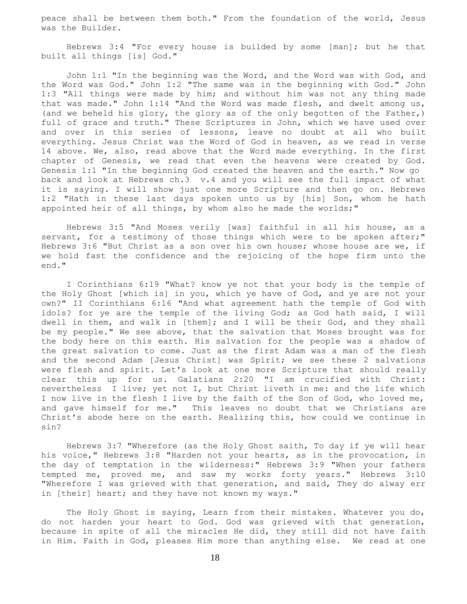peace shall be between them both." From the foundation of the world, Jesus was the Builder.

 Hebrews 3:4 "For every house is builded by some [man]; but he that built all things [is] God."

 John 1:1 "In the beginning was the Word, and the Word was with God, and the Word was God." John 1:2 "The same was in the beginning with God." John 1:3 "All things were made by him; and without him was not any thing made that was made." John 1:14 "And the Word was made flesh, and dwelt among us, (and we beheld his glory, the glory as of the only begotten of the Father,) full of grace and truth." These Scriptures in John, which we have used over and over in this series of lessons, leave no doubt at all who built everything. Jesus Christ was the Word of God in heaven, as we read in verse 14 above. We, also, read above that the Word made everything. In the first chapter of Genesis, we read that even the heavens were created by God. Genesis 1:1 "In the beginning God created the heaven and the earth." Now go back and look at Hebrews ch.3 v.4 and you will see the full impact of what it is saying. I will show just one more Scripture and then go on. Hebrews 1:2 "Hath in these last days spoken unto us by [his] Son, whom he hath appointed heir of all things, by whom also he made the worlds;"

 Hebrews 3:5 "And Moses verily [was] faithful in all his house, as a servant, for a testimony of those things which were to be spoken after;" Hebrews 3:6 "But Christ as a son over his own house; whose house are we, if we hold fast the confidence and the rejoicing of the hope firm unto the end."

 I Corinthians 6:19 "What? know ye not that your body is the temple of the Holy Ghost [which is] in you, which ye have of God, and ye are not your own?" II Corinthians 6:16 "And what agreement hath the temple of God with idols? for ye are the temple of the living God; as God hath said, I will dwell in them, and walk in [them]; and I will be their God, and they shall be my people." We see above, that the salvation that Moses brought was for the body here on this earth. His salvation for the people was a shadow of the great salvation to come. Just as the first Adam was a man of the flesh and the second Adam [Jesus Christ] was Spirit; we see these 2 salvations were flesh and spirit. Let's look at one more Scripture that should really clear this up for us. Galatians 2:20 "I am crucified with Christ: nevertheless I live; yet not I, but Christ liveth in me: and the life which I now live in the flesh I live by the faith of the Son of God, who loved me, and gave himself for me." This leaves no doubt that we Christians are Christ's abode here on the earth. Realizing this, how could we continue in sin?

 Hebrews 3:7 "Wherefore (as the Holy Ghost saith, To day if ye will hear his voice," Hebrews 3:8 "Harden not your hearts, as in the provocation, in the day of temptation in the wilderness:" Hebrews 3:9 "When your fathers tempted me, proved me, and saw my works forty years." Hebrews 3:10 "Wherefore I was grieved with that generation, and said, They do alway err in [their] heart; and they have not known my ways."

 The Holy Ghost is saying, Learn from their mistakes. Whatever you do, do not harden your heart to God. God was grieved with that generation, because in spite of all the miracles He did, they still did not have faith in Him. Faith in God, pleases Him more than anything else. We read at one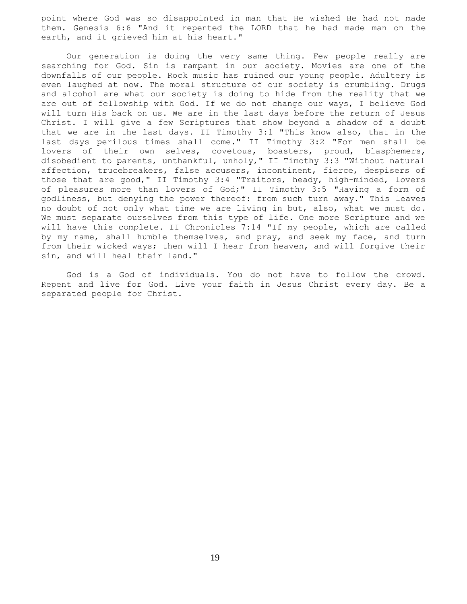point where God was so disappointed in man that He wished He had not made them. Genesis 6:6 "And it repented the LORD that he had made man on the earth, and it grieved him at his heart."

 Our generation is doing the very same thing. Few people really are searching for God. Sin is rampant in our society. Movies are one of the downfalls of our people. Rock music has ruined our young people. Adultery is even laughed at now. The moral structure of our society is crumbling. Drugs and alcohol are what our society is doing to hide from the reality that we are out of fellowship with God. If we do not change our ways, I believe God will turn His back on us. We are in the last days before the return of Jesus Christ. I will give a few Scriptures that show beyond a shadow of a doubt that we are in the last days. II Timothy 3:1 "This know also, that in the last days perilous times shall come." II Timothy 3:2 "For men shall be lovers of their own selves, covetous, boasters, proud, blasphemers, disobedient to parents, unthankful, unholy," II Timothy 3:3 "Without natural affection, trucebreakers, false accusers, incontinent, fierce, despisers of those that are good," II Timothy 3:4 "Traitors, heady, high-minded, lovers of pleasures more than lovers of God;" II Timothy 3:5 "Having a form of godliness, but denying the power thereof: from such turn away." This leaves no doubt of not only what time we are living in but, also, what we must do. We must separate ourselves from this type of life. One more Scripture and we will have this complete. II Chronicles 7:14 "If my people, which are called by my name, shall humble themselves, and pray, and seek my face, and turn from their wicked ways; then will I hear from heaven, and will forgive their sin, and will heal their land."

 God is a God of individuals. You do not have to follow the crowd. Repent and live for God. Live your faith in Jesus Christ every day. Be a separated people for Christ.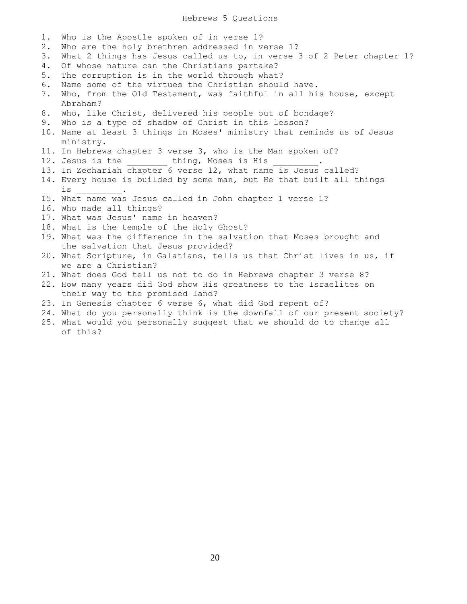## Hebrews 5 Questions

- 1. Who is the Apostle spoken of in verse 1?
- 2. Who are the holy brethren addressed in verse 1?
- 3. What 2 things has Jesus called us to, in verse 3 of 2 Peter chapter 1?
- 4. Of whose nature can the Christians partake?
- 5. The corruption is in the world through what?
- 6. Name some of the virtues the Christian should have.
- 7. Who, from the Old Testament, was faithful in all his house, except Abraham?
- 8. Who, like Christ, delivered his people out of bondage?
- 9. Who is a type of shadow of Christ in this lesson?
- 10. Name at least 3 things in Moses' ministry that reminds us of Jesus' ministry.
- 11. In Hebrews chapter 3 verse 3, who is the Man spoken of?
- 12. Jesus is the thing, Moses is His
- 13. In Zechariah chapter 6 verse 12, what name is Jesus called?
- 14. Every house is builded by some man, but He that built all things is \_\_\_\_\_\_\_\_\_.
- 15. What name was Jesus called in John chapter 1 verse 1?
- 16. Who made all things?
- 17. What was Jesus' name in heaven?
- 18. What is the temple of the Holy Ghost?
- 19. What was the difference in the salvation that Moses brought and the salvation that Jesus provided?
- 20. What Scripture, in Galatians, tells us that Christ lives in us, if we are a Christian?
- 21. What does God tell us not to do in Hebrews chapter 3 verse 8?
- 22. How many years did God show His greatness to the Israelites on their way to the promised land?
- 23. In Genesis chapter 6 verse 6, what did God repent of?
- 24. What do you personally think is the downfall of our present society?
- 25. What would you personally suggest that we should do to change all of this?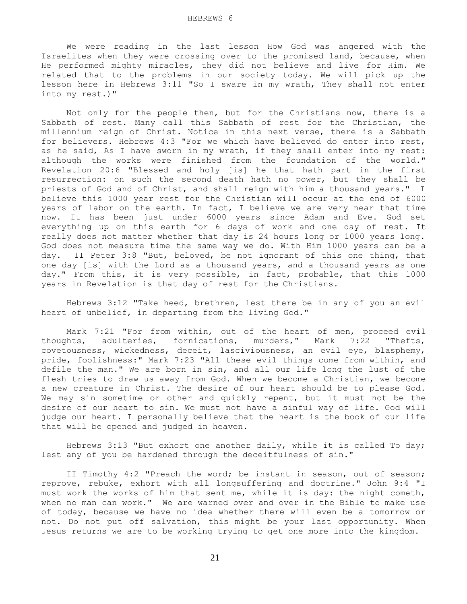We were reading in the last lesson How God was angered with the Israelites when they were crossing over to the promised land, because, when He performed mighty miracles, they did not believe and live for Him. We related that to the problems in our society today. We will pick up the lesson here in Hebrews 3:11 "So I sware in my wrath, They shall not enter into my rest.)"

 Not only for the people then, but for the Christians now, there is a Sabbath of rest. Many call this Sabbath of rest for the Christian, the millennium reign of Christ. Notice in this next verse, there is a Sabbath for believers. Hebrews 4:3 "For we which have believed do enter into rest, as he said, As I have sworn in my wrath, if they shall enter into my rest: although the works were finished from the foundation of the world." Revelation 20:6 "Blessed and holy [is] he that hath part in the first resurrection: on such the second death hath no power, but they shall be priests of God and of Christ, and shall reign with him a thousand years." I believe this 1000 year rest for the Christian will occur at the end of 6000 years of labor on the earth. In fact, I believe we are very near that time now. It has been just under 6000 years since Adam and Eve. God set everything up on this earth for 6 days of work and one day of rest. It really does not matter whether that day is 24 hours long or 1000 years long. God does not measure time the same way we do. With Him 1000 years can be a day. II Peter 3:8 "But, beloved, be not ignorant of this one thing, that one day [is] with the Lord as a thousand years, and a thousand years as one day." From this, it is very possible, in fact, probable, that this 1000 years in Revelation is that day of rest for the Christians.

 Hebrews 3:12 "Take heed, brethren, lest there be in any of you an evil heart of unbelief, in departing from the living God."

 Mark 7:21 "For from within, out of the heart of men, proceed evil thoughts, adulteries, fornications, murders," Mark 7:22 "Thefts, covetousness, wickedness, deceit, lasciviousness, an evil eye, blasphemy, pride, foolishness:" Mark 7:23 "All these evil things come from within, and defile the man." We are born in sin, and all our life long the lust of the flesh tries to draw us away from God. When we become a Christian, we become a new creature in Christ. The desire of our heart should be to please God. We may sin sometime or other and quickly repent, but it must not be the desire of our heart to sin. We must not have a sinful way of life. God will judge our heart. I personally believe that the heart is the book of our life that will be opened and judged in heaven.

 Hebrews 3:13 "But exhort one another daily, while it is called To day; lest any of you be hardened through the deceitfulness of sin."

II Timothy 4:2 "Preach the word; be instant in season, out of season; reprove, rebuke, exhort with all longsuffering and doctrine." John 9:4 "I must work the works of him that sent me, while it is day: the night cometh, when no man can work." We are warned over and over in the Bible to make use of today, because we have no idea whether there will even be a tomorrow or not. Do not put off salvation, this might be your last opportunity. When Jesus returns we are to be working trying to get one more into the kingdom.

21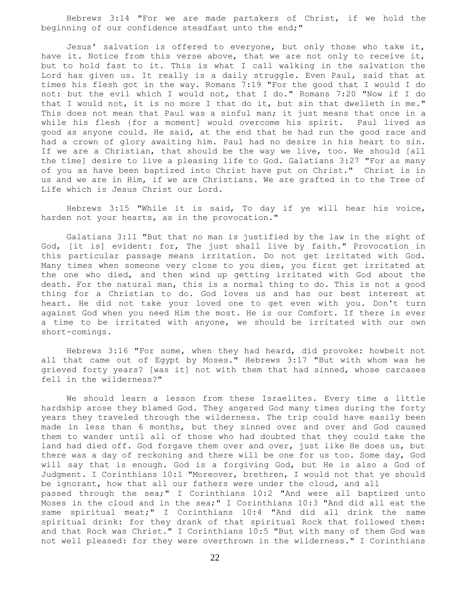Hebrews 3:14 "For we are made partakers of Christ, if we hold the beginning of our confidence steadfast unto the end;"

 Jesus' salvation is offered to everyone, but only those who take it, have it. Notice from this verse above, that we are not only to receive it, but to hold fast to it. This is what I call walking in the salvation the Lord has given us. It really is a daily struggle. Even Paul, said that at times his flesh got in the way. Romans 7:19 "For the good that I would I do not: but the evil which I would not, that I do." Romans 7:20 "Now if I do that I would not, it is no more I that do it, but sin that dwelleth in me." This does not mean that Paul was a sinful man; it just means that once in a while his flesh {for a moment] would overcome his spirit. Paul lived as good as anyone could. He said, at the end that he had run the good race and had a crown of glory awaiting him. Paul had no desire in his heart to sin. If we are a Christian, that should be the way we live, too. We should [all the time] desire to live a pleasing life to God. Galatians 3:27 "For as many of you as have been baptized into Christ have put on Christ." Christ is in us and we are in Him, if we are Christians. We are grafted in to the Tree of Life which is Jesus Christ our Lord.

 Hebrews 3:15 "While it is said, To day if ye will hear his voice, harden not your hearts, as in the provocation."

 Galatians 3:11 "But that no man is justified by the law in the sight of God, [it is] evident: for, The just shall live by faith." Provocation in this particular passage means irritation. Do not get irritated with God. Many times when someone very close to you dies, you first get irritated at the one who died, and then wind up getting irritated with God about the death. For the natural man, this is a normal thing to do. This is not a good thing for a Christian to do. God loves us and has our best interest at heart. He did not take your loved one to get even with you. Don't turn against God when you need Him the most. He is our Comfort. If there is ever a time to be irritated with anyone, we should be irritated with our own short-comings.

 Hebrews 3:16 "For some, when they had heard, did provoke: howbeit not all that came out of Egypt by Moses." Hebrews 3:17 "But with whom was he grieved forty years? [was it] not with them that had sinned, whose carcases fell in the wilderness?"

 We should learn a lesson from these Israelites. Every time a little hardship arose they blamed God. They angered God many times during the forty years they traveled through the wilderness. The trip could have easily been made in less than 6 months, but they sinned over and over and God caused them to wander until all of those who had doubted that they could take the land had died off. God forgave them over and over, just like He does us, but there was a day of reckoning and there will be one for us too. Some day, God will say that is enough. God is a forgiving God, but He is also a God of Judgment. I Corinthians 10:1 "Moreover, brethren, I would not that ye should be ignorant, how that all our fathers were under the cloud, and all passed through the sea;" I Corinthians 10:2 "And were all baptized unto Moses in the cloud and in the sea;" I Corinthians 10:3 "And did all eat the same spiritual meat;" I Corinthians 10:4 "And did all drink the same spiritual drink: for they drank of that spiritual Rock that followed them: and that Rock was Christ." I Corinthians 10:5 "But with many of them God was not well pleased: for they were overthrown in the wilderness." I Corinthians

22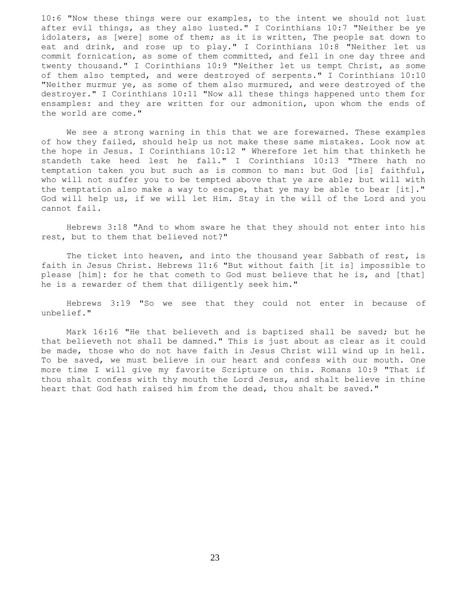10:6 "Now these things were our examples, to the intent we should not lust after evil things, as they also lusted." I Corinthians 10:7 "Neither be ye idolaters, as [were] some of them; as it is written, The people sat down to eat and drink, and rose up to play." I Corinthians 10:8 "Neither let us commit fornication, as some of them committed, and fell in one day three and twenty thousand." I Corinthians 10:9 "Neither let us tempt Christ, as some of them also tempted, and were destroyed of serpents." I Corinthians 10:10 "Neither murmur ye, as some of them also murmured, and were destroyed of the destroyer." I Corinthians 10:11 "Now all these things happened unto them for ensamples: and they are written for our admonition, upon whom the ends of the world are come."

 We see a strong warning in this that we are forewarned. These examples of how they failed, should help us not make these same mistakes. Look now at the hope in Jesus. I Corinthians 10:12 " Wherefore let him that thinketh he standeth take heed lest he fall." I Corinthians 10:13 "There hath no temptation taken you but such as is common to man: but God [is] faithful, who will not suffer you to be tempted above that ye are able; but will with the temptation also make a way to escape, that ye may be able to bear [it]." God will help us, if we will let Him. Stay in the will of the Lord and you cannot fail.

 Hebrews 3:18 "And to whom sware he that they should not enter into his rest, but to them that believed not?"

 The ticket into heaven, and into the thousand year Sabbath of rest, is faith in Jesus Christ. Hebrews 11:6 "But without faith [it is] impossible to please [him]: for he that cometh to God must believe that he is, and [that] he is a rewarder of them that diligently seek him."

 Hebrews 3:19 "So we see that they could not enter in because of unbelief."

 Mark 16:16 "He that believeth and is baptized shall be saved; but he that believeth not shall be damned." This is just about as clear as it could be made, those who do not have faith in Jesus Christ will wind up in hell. To be saved, we must believe in our heart and confess with our mouth. One more time I will give my favorite Scripture on this. Romans 10:9 "That if thou shalt confess with thy mouth the Lord Jesus, and shalt believe in thine heart that God hath raised him from the dead, thou shalt be saved."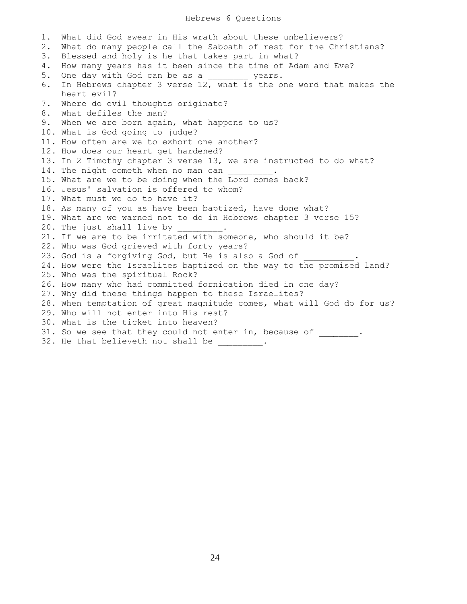## Hebrews 6 Questions

1. What did God swear in His wrath about these unbelievers? 2. What do many people call the Sabbath of rest for the Christians? 3. Blessed and holy is he that takes part in what? 4. How many years has it been since the time of Adam and Eve? 5. One day with God can be as a \_\_\_\_\_\_\_\_ years. 6. In Hebrews chapter 3 verse 12, what is the one word that makes the heart evil? 7. Where do evil thoughts originate? 8. What defiles the man? 9. When we are born again, what happens to us? 10. What is God going to judge? 11. How often are we to exhort one another? 12. How does our heart get hardened? 13. In 2 Timothy chapter 3 verse 13, we are instructed to do what? 14. The night cometh when no man can 15. What are we to be doing when the Lord comes back? 16. Jesus' salvation is offered to whom? 17. What must we do to have it? 18. As many of you as have been baptized, have done what? 19. What are we warned not to do in Hebrews chapter 3 verse 15? 20. The just shall live by 21. If we are to be irritated with someone, who should it be? 22. Who was God grieved with forty years? 23. God is a forgiving God, but He is also a God of 24. How were the Israelites baptized on the way to the promised land? 25. Who was the spiritual Rock? 26. How many who had committed fornication died in one day? 27. Why did these things happen to these Israelites? 28. When temptation of great magnitude comes, what will God do for us? 29. Who will not enter into His rest? 30. What is the ticket into heaven? 31. So we see that they could not enter in, because of \_\_\_\_\_\_\_. 32. He that believeth not shall be  $\qquad \qquad$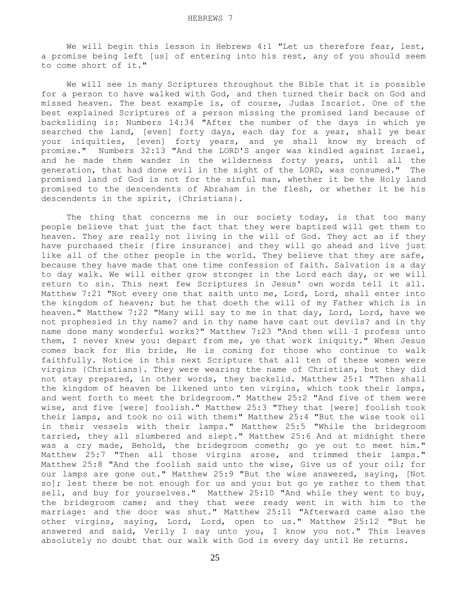We will begin this lesson in Hebrews 4:1 "Let us therefore fear, lest, a promise being left [us] of entering into his rest, any of you should seem to come short of it."

 We will see in many Scriptures throughout the Bible that it is possible for a person to have walked with God, and then turned their back on God and missed heaven. The best example is, of course, Judas Iscariot. One of the best explained Scriptures of a person missing the promised land because of backsliding is: Numbers 14:34 "After the number of the days in which ye searched the land, [even] forty days, each day for a year, shall ye bear your iniquities, [even] forty years, and ye shall know my breach of promise." Numbers 32:13 "And the LORD'S anger was kindled against Israel, and he made them wander in the wilderness forty years, until all the generation, that had done evil in the sight of the LORD, was consumed." The promised land of God is not for the sinful man, whether it be the Holy land promised to the descendents of Abraham in the flesh, or whether it be his descendents in the spirit, {Christians}.

The thing that concerns me in our society today, is that too many people believe that just the fact that they were baptized will get them to heaven. They are really not living in the will of God. They act as if they have purchased their {fire insurance} and they will go ahead and live just like all of the other people in the world. They believe that they are safe, because they have made that one time confession of faith. Salvation is a day to day walk. We will either grow stronger in the Lord each day, or we will return to sin. This next few Scriptures in Jesus' own words tell it all. Matthew 7:21 "Not every one that saith unto me, Lord, Lord, shall enter into the kingdom of heaven; but he that doeth the will of my Father which is in heaven." Matthew 7:22 "Many will say to me in that day, Lord, Lord, have we not prophesied in thy name? and in thy name have cast out devils? and in thy name done many wonderful works?" Matthew 7:23 "And then will I profess unto them, I never knew you: depart from me, ye that work iniquity." When Jesus comes back for His bride, He is coming for those who continue to walk faithfully. Notice in this next Scripture that all ten of these women were virgins {Christians}. They were wearing the name of Christian, but they did not stay prepared, in other words, they backslid. Matthew 25:1 "Then shall the kingdom of heaven be likened unto ten virgins, which took their lamps, and went forth to meet the bridegroom." Matthew 25:2 "And five of them were wise, and five [were] foolish." Matthew 25:3 "They that [were] foolish took their lamps, and took no oil with them:" Matthew 25:4 "But the wise took oil in their vessels with their lamps." Matthew 25:5 "While the bridegroom tarried, they all slumbered and slept." Matthew 25:6 And at midnight there was a cry made, Behold, the bridegroom cometh; go ye out to meet him." Matthew 25:7 "Then all those virgins arose, and trimmed their lamps." Matthew 25:8 "And the foolish said unto the wise, Give us of your oil; for our lamps are gone out." Matthew 25:9 "But the wise answered, saying, [Not so]; lest there be not enough for us and you: but go ye rather to them that sell, and buy for yourselves." Matthew 25:10 "And while they went to buy, the bridegroom came; and they that were ready went in with him to the marriage: and the door was shut." Matthew 25:11 "Afterward came also the other virgins, saying, Lord, Lord, open to us." Matthew 25:12 "But he answered and said, Verily I say unto you, I know you not." This leaves absolutely no doubt that our walk with God is every day until He returns.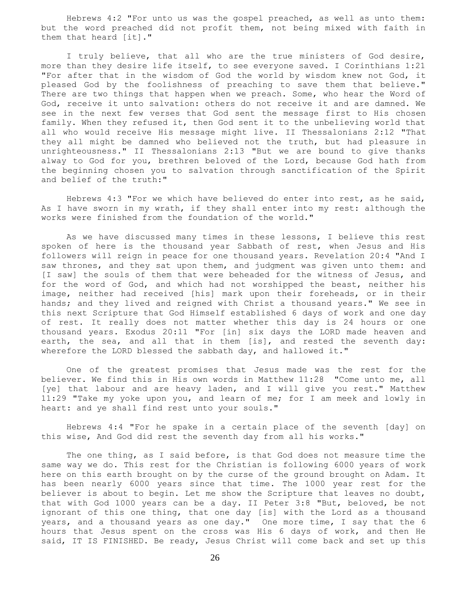Hebrews 4:2 "For unto us was the gospel preached, as well as unto them: but the word preached did not profit them, not being mixed with faith in them that heard [it]."

 I truly believe, that all who are the true ministers of God desire, more than they desire life itself, to see everyone saved. I Corinthians 1:21 "For after that in the wisdom of God the world by wisdom knew not God, it pleased God by the foolishness of preaching to save them that believe." There are two things that happen when we preach. Some, who hear the Word of God, receive it unto salvation: others do not receive it and are damned. We see in the next few verses that God sent the message first to His chosen family. When they refused it, then God sent it to the unbelieving world that all who would receive His message might live. II Thessalonians 2:12 "That they all might be damned who believed not the truth, but had pleasure in unrighteousness." II Thessalonians 2:13 "But we are bound to give thanks alway to God for you, brethren beloved of the Lord, because God hath from the beginning chosen you to salvation through sanctification of the Spirit and belief of the truth:"

 Hebrews 4:3 "For we which have believed do enter into rest, as he said, As I have sworn in my wrath, if they shall enter into my rest: although the works were finished from the foundation of the world."

 As we have discussed many times in these lessons, I believe this rest spoken of here is the thousand year Sabbath of rest, when Jesus and His followers will reign in peace for one thousand years. Revelation 20:4 "And I saw thrones, and they sat upon them, and judgment was given unto them: and [I saw] the souls of them that were beheaded for the witness of Jesus, and for the word of God, and which had not worshipped the beast, neither his image, neither had received [his] mark upon their foreheads, or in their hands; and they lived and reigned with Christ a thousand years." We see in this next Scripture that God Himself established 6 days of work and one day of rest. It really does not matter whether this day is 24 hours or one thousand years. Exodus 20:11 "For [in] six days the LORD made heaven and earth, the sea, and all that in them [is], and rested the seventh day: wherefore the LORD blessed the sabbath day, and hallowed it."

 One of the greatest promises that Jesus made was the rest for the believer. We find this in His own words in Matthew 11:28 "Come unto me, all [ye] that labour and are heavy laden, and I will give you rest." Matthew 11:29 "Take my yoke upon you, and learn of me; for I am meek and lowly in heart: and ye shall find rest unto your souls."

 Hebrews 4:4 "For he spake in a certain place of the seventh [day] on this wise, And God did rest the seventh day from all his works."

 The one thing, as I said before, is that God does not measure time the same way we do. This rest for the Christian is following 6000 years of work here on this earth brought on by the curse of the ground brought on Adam. It has been nearly 6000 years since that time. The 1000 year rest for the believer is about to begin. Let me show the Scripture that leaves no doubt, that with God 1000 years can be a day. II Peter 3:8 "But, beloved, be not ignorant of this one thing, that one day [is] with the Lord as a thousand years, and a thousand years as one day." One more time, I say that the 6 hours that Jesus spent on the cross was His 6 days of work, and then He said, IT IS FINISHED. Be ready, Jesus Christ will come back and set up this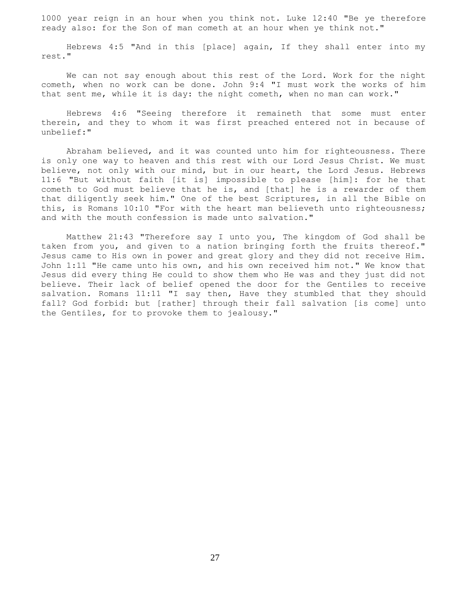1000 year reign in an hour when you think not. Luke 12:40 "Be ye therefore ready also: for the Son of man cometh at an hour when ye think not."

 Hebrews 4:5 "And in this [place] again, If they shall enter into my rest."

 We can not say enough about this rest of the Lord. Work for the night cometh, when no work can be done. John 9:4 "I must work the works of him that sent me, while it is day: the night cometh, when no man can work."

 Hebrews 4:6 "Seeing therefore it remaineth that some must enter therein, and they to whom it was first preached entered not in because of unbelief:"

 Abraham believed, and it was counted unto him for righteousness. There is only one way to heaven and this rest with our Lord Jesus Christ. We must believe, not only with our mind, but in our heart, the Lord Jesus. Hebrews 11:6 "But without faith [it is] impossible to please [him]: for he that cometh to God must believe that he is, and [that] he is a rewarder of them that diligently seek him." One of the best Scriptures, in all the Bible on this, is Romans 10:10 "For with the heart man believeth unto righteousness; and with the mouth confession is made unto salvation."

 Matthew 21:43 "Therefore say I unto you, The kingdom of God shall be taken from you, and given to a nation bringing forth the fruits thereof." Jesus came to His own in power and great glory and they did not receive Him. John 1:11 "He came unto his own, and his own received him not." We know that Jesus did every thing He could to show them who He was and they just did not believe. Their lack of belief opened the door for the Gentiles to receive salvation. Romans 11:11 "I say then, Have they stumbled that they should fall? God forbid: but [rather] through their fall salvation [is come] unto the Gentiles, for to provoke them to jealousy."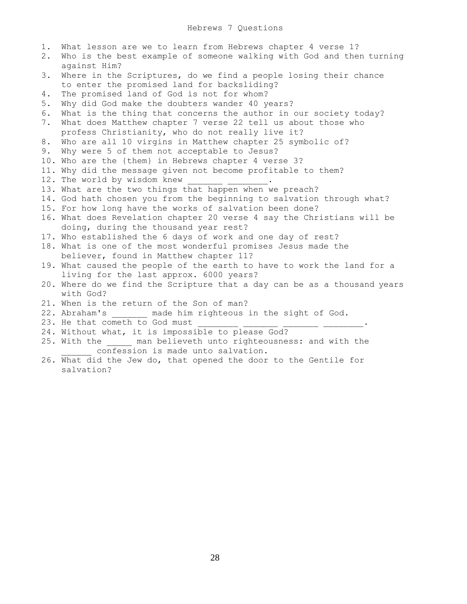1. What lesson are we to learn from Hebrews chapter 4 verse 1? 2. Who is the best example of someone walking with God and then turning against Him? 3. Where in the Scriptures, do we find a people losing their chance to enter the promised land for backsliding? 4. The promised land of God is not for whom? 5. Why did God make the doubters wander 40 years? 6. What is the thing that concerns the author in our society today? 7. What does Matthew chapter 7 verse 22 tell us about those who profess Christianity, who do not really live it? 8. Who are all 10 virgins in Matthew chapter 25 symbolic of? 9. Why were 5 of them not acceptable to Jesus? 10. Who are the {them} in Hebrews chapter 4 verse 3? 11. Why did the message given not become profitable to them? 12. The world by wisdom knew 13. What are the two things that happen when we preach? 14. God hath chosen you from the beginning to salvation through what? 15. For how long have the works of salvation been done? 16. What does Revelation chapter 20 verse 4 say the Christians will be doing, during the thousand year rest? 17. Who established the 6 days of work and one day of rest? 18. What is one of the most wonderful promises Jesus made the believer, found in Matthew chapter 11? 19. What caused the people of the earth to have to work the land for a living for the last approx. 6000 years? 20. Where do we find the Scripture that a day can be as a thousand years with God? 21. When is the return of the Son of man? 22. Abraham's \_\_\_\_\_\_\_ made him righteous in the sight of God. 23. He that cometh to God must 24. Without what, it is impossible to please God? 25. With the \_\_\_\_\_ man believeth unto righteousness: and with the confession is made unto salvation.

26. What did the Jew do, that opened the door to the Gentile for salvation?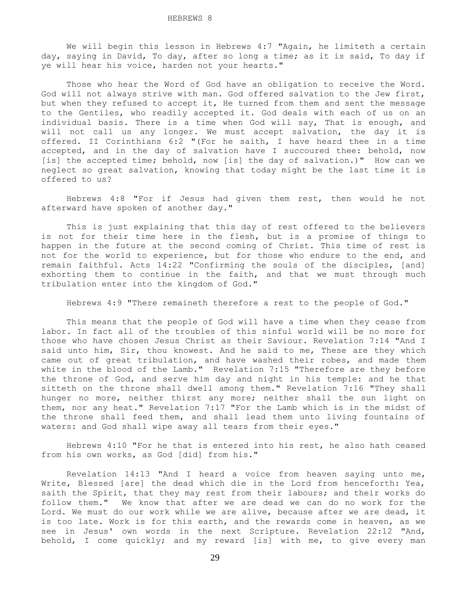We will begin this lesson in Hebrews 4:7 "Again, he limiteth a certain day, saying in David, To day, after so long a time; as it is said, To day if ye will hear his voice, harden not your hearts."

Those who hear the Word of God have an obligation to receive the Word. God will not always strive with man. God offered salvation to the Jew first, but when they refused to accept it, He turned from them and sent the message to the Gentiles, who readily accepted it. God deals with each of us on an individual basis. There is a time when God will say, That is enough, and will not call us any longer. We must accept salvation, the day it is offered. II Corinthians 6:2 "(For he saith, I have heard thee in a time accepted, and in the day of salvation have I succoured thee: behold, now [is] the accepted time; behold, now [is] the day of salvation.)" How can we neglect so great salvation, knowing that today might be the last time it is offered to us?

 Hebrews 4:8 "For if Jesus had given them rest, then would he not afterward have spoken of another day."

 This is just explaining that this day of rest offered to the believers is not for their time here in the flesh, but is a promise of things to happen in the future at the second coming of Christ. This time of rest is not for the world to experience, but for those who endure to the end, and remain faithful. Acts 14:22 "Confirming the souls of the disciples, [and] exhorting them to continue in the faith, and that we must through much tribulation enter into the kingdom of God."

Hebrews 4:9 "There remaineth therefore a rest to the people of God."

 This means that the people of God will have a time when they cease from labor. In fact all of the troubles of this sinful world will be no more for those who have chosen Jesus Christ as their Saviour. Revelation 7:14 "And I said unto him, Sir, thou knowest. And he said to me, These are they which came out of great tribulation, and have washed their robes, and made them white in the blood of the Lamb." Revelation 7:15 "Therefore are they before the throne of God, and serve him day and night in his temple: and he that sitteth on the throne shall dwell among them." Revelation 7:16 "They shall hunger no more, neither thirst any more; neither shall the sun light on them, nor any heat." Revelation 7:17 "For the Lamb which is in the midst of the throne shall feed them, and shall lead them unto living fountains of waters: and God shall wipe away all tears from their eyes."

 Hebrews 4:10 "For he that is entered into his rest, he also hath ceased from his own works, as God [did] from his."

 Revelation 14:13 "And I heard a voice from heaven saying unto me, Write, Blessed [are] the dead which die in the Lord from henceforth: Yea, saith the Spirit, that they may rest from their labours; and their works do follow them." We know that after we are dead we can do no work for the Lord. We must do our work while we are alive, because after we are dead, it is too late. Work is for this earth, and the rewards come in heaven, as we see in Jesus' own words in the next Scripture. Revelation 22:12 "And, behold, I come quickly; and my reward [is] with me, to give every man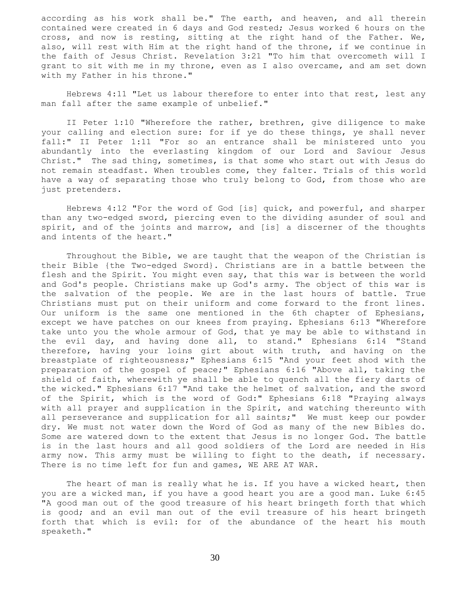according as his work shall be." The earth, and heaven, and all therein contained were created in 6 days and God rested; Jesus worked 6 hours on the cross, and now is resting, sitting at the right hand of the Father. We, also, will rest with Him at the right hand of the throne, if we continue in the faith of Jesus Christ. Revelation 3:21 "To him that overcometh will I grant to sit with me in my throne, even as I also overcame, and am set down with my Father in his throne."

 Hebrews 4:11 "Let us labour therefore to enter into that rest, lest any man fall after the same example of unbelief."

 II Peter 1:10 "Wherefore the rather, brethren, give diligence to make your calling and election sure: for if ye do these things, ye shall never fall:" II Peter 1:11 "For so an entrance shall be ministered unto you abundantly into the everlasting kingdom of our Lord and Saviour Jesus Christ." The sad thing, sometimes, is that some who start out with Jesus do not remain steadfast. When troubles come, they falter. Trials of this world have a way of separating those who truly belong to God, from those who are just pretenders.

 Hebrews 4:12 "For the word of God [is] quick, and powerful, and sharper than any two-edged sword, piercing even to the dividing asunder of soul and spirit, and of the joints and marrow, and [is] a discerner of the thoughts and intents of the heart."

 Throughout the Bible, we are taught that the weapon of the Christian is their Bible {the Two-edged Sword}. Christians are in a battle between the flesh and the Spirit. You might even say, that this war is between the world and God's people. Christians make up God's army. The object of this war is the salvation of the people. We are in the last hours of battle. True Christians must put on their uniform and come forward to the front lines. Our uniform is the same one mentioned in the 6th chapter of Ephesians, except we have patches on our knees from praying. Ephesians 6:13 "Wherefore take unto you the whole armour of God, that ye may be able to withstand in the evil day, and having done all, to stand." Ephesians 6:14 "Stand therefore, having your loins girt about with truth, and having on the breastplate of righteousness;" Ephesians 6:15 "And your feet shod with the preparation of the gospel of peace;" Ephesians 6:16 "Above all, taking the shield of faith, wherewith ye shall be able to quench all the fiery darts of the wicked." Ephesians 6:17 "And take the helmet of salvation, and the sword of the Spirit, which is the word of God:" Ephesians 6:18 "Praying always with all prayer and supplication in the Spirit, and watching thereunto with all perseverance and supplication for all saints;" We must keep our powder dry. We must not water down the Word of God as many of the new Bibles do. Some are watered down to the extent that Jesus is no longer God. The battle is in the last hours and all good soldiers of the Lord are needed in His army now. This army must be willing to fight to the death, if necessary. There is no time left for fun and games, WE ARE AT WAR.

The heart of man is really what he is. If you have a wicked heart, then you are a wicked man, if you have a good heart you are a good man. Luke 6:45 "A good man out of the good treasure of his heart bringeth forth that which is good; and an evil man out of the evil treasure of his heart bringeth forth that which is evil: for of the abundance of the heart his mouth speaketh."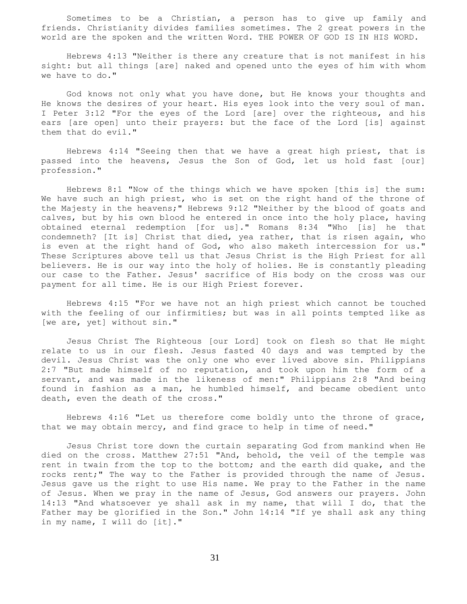Sometimes to be a Christian, a person has to give up family and friends. Christianity divides families sometimes. The 2 great powers in the world are the spoken and the written Word. THE POWER OF GOD IS IN HIS WORD.

 Hebrews 4:13 "Neither is there any creature that is not manifest in his sight: but all things [are] naked and opened unto the eyes of him with whom we have to do."

 God knows not only what you have done, but He knows your thoughts and He knows the desires of your heart. His eyes look into the very soul of man. I Peter 3:12 "For the eyes of the Lord [are] over the righteous, and his ears [are open] unto their prayers: but the face of the Lord [is] against them that do evil."

 Hebrews 4:14 "Seeing then that we have a great high priest, that is passed into the heavens, Jesus the Son of God, let us hold fast [our] profession."

 Hebrews 8:1 "Now of the things which we have spoken [this is] the sum: We have such an high priest, who is set on the right hand of the throne of the Majesty in the heavens;" Hebrews 9:12 "Neither by the blood of goats and calves, but by his own blood he entered in once into the holy place, having obtained eternal redemption [for us]." Romans 8:34 "Who [is] he that condemneth? [It is] Christ that died, yea rather, that is risen again, who is even at the right hand of God, who also maketh intercession for us." These Scriptures above tell us that Jesus Christ is the High Priest for all believers. He is our way into the holy of holies. He is constantly pleading our case to the Father. Jesus' sacrifice of His body on the cross was our payment for all time. He is our High Priest forever.

 Hebrews 4:15 "For we have not an high priest which cannot be touched with the feeling of our infirmities; but was in all points tempted like as [we are, yet] without sin."

 Jesus Christ The Righteous [our Lord] took on flesh so that He might relate to us in our flesh. Jesus fasted 40 days and was tempted by the devil. Jesus Christ was the only one who ever lived above sin. Philippians 2:7 "But made himself of no reputation, and took upon him the form of a servant, and was made in the likeness of men:" Philippians 2:8 "And being found in fashion as a man, he humbled himself, and became obedient unto death, even the death of the cross."

 Hebrews 4:16 "Let us therefore come boldly unto the throne of grace, that we may obtain mercy, and find grace to help in time of need."

 Jesus Christ tore down the curtain separating God from mankind when He died on the cross. Matthew 27:51 "And, behold, the veil of the temple was rent in twain from the top to the bottom; and the earth did quake, and the rocks rent;" The way to the Father is provided through the name of Jesus. Jesus gave us the right to use His name. We pray to the Father in the name of Jesus. When we pray in the name of Jesus, God answers our prayers. John 14:13 "And whatsoever ye shall ask in my name, that will I do, that the Father may be glorified in the Son." John 14:14 "If ye shall ask any thing in my name, I will do [it]."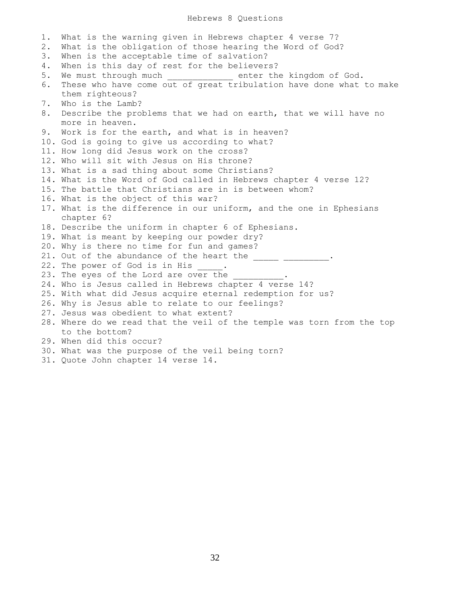## Hebrews 8 Questions

1. What is the warning given in Hebrews chapter 4 verse 7? 2. What is the obligation of those hearing the Word of God? 3. When is the acceptable time of salvation? 4. When is this day of rest for the believers? 5. We must through much enter the kingdom of God. 6. These who have come out of great tribulation have done what to make them righteous? 7. Who is the Lamb? 8. Describe the problems that we had on earth, that we will have no more in heaven. 9. Work is for the earth, and what is in heaven? 10. God is going to give us according to what? 11. How long did Jesus work on the cross? 12. Who will sit with Jesus on His throne? 13. What is a sad thing about some Christians? 14. What is the Word of God called in Hebrews chapter 4 verse 12? 15. The battle that Christians are in is between whom? 16. What is the object of this war? 17. What is the difference in our uniform, and the one in Ephesians chapter 6? 18. Describe the uniform in chapter 6 of Ephesians. 19. What is meant by keeping our powder dry? 20. Why is there no time for fun and games? 21. Out of the abundance of the heart the  $\frac{1}{\sqrt{2}}$   $\frac{1}{\sqrt{2}}$ 22. The power of God is in His 23. The eyes of the Lord are over the 24. Who is Jesus called in Hebrews chapter 4 verse 14? 25. With what did Jesus acquire eternal redemption for us? 26. Why is Jesus able to relate to our feelings? 27. Jesus was obedient to what extent? 28. Where do we read that the veil of the temple was torn from the top to the bottom? 29. When did this occur?

- 30. What was the purpose of the veil being torn?
- 31. Quote John chapter 14 verse 14.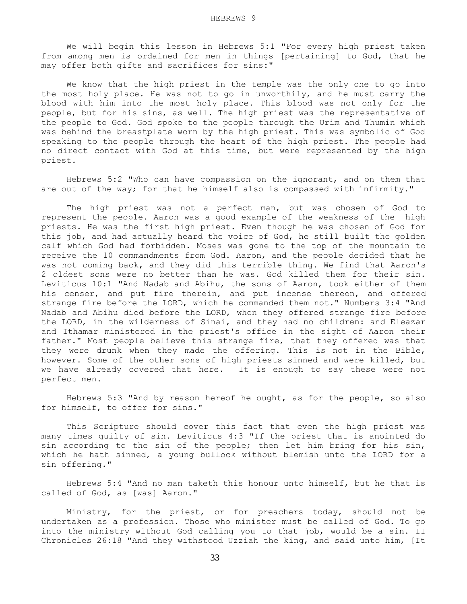We will begin this lesson in Hebrews 5:1 "For every high priest taken from among men is ordained for men in things [pertaining] to God, that he may offer both gifts and sacrifices for sins:"

 We know that the high priest in the temple was the only one to go into the most holy place. He was not to go in unworthily, and he must carry the blood with him into the most holy place. This blood was not only for the people, but for his sins, as well. The high priest was the representative of the people to God. God spoke to the people through the Urim and Thumin which was behind the breastplate worn by the high priest. This was symbolic of God speaking to the people through the heart of the high priest. The people had no direct contact with God at this time, but were represented by the high priest.

 Hebrews 5:2 "Who can have compassion on the ignorant, and on them that are out of the way; for that he himself also is compassed with infirmity."

 The high priest was not a perfect man, but was chosen of God to represent the people. Aaron was a good example of the weakness of the high priests. He was the first high priest. Even though he was chosen of God for this job, and had actually heard the voice of God, he still built the golden calf which God had forbidden. Moses was gone to the top of the mountain to receive the 10 commandments from God. Aaron, and the people decided that he was not coming back, and they did this terrible thing. We find that Aaron's 2 oldest sons were no better than he was. God killed them for their sin. Leviticus 10:1 "And Nadab and Abihu, the sons of Aaron, took either of them his censer, and put fire therein, and put incense thereon, and offered strange fire before the LORD, which he commanded them not." Numbers 3:4 "And Nadab and Abihu died before the LORD, when they offered strange fire before the LORD, in the wilderness of Sinai, and they had no children: and Eleazar and Ithamar ministered in the priest's office in the sight of Aaron their father." Most people believe this strange fire, that they offered was that they were drunk when they made the offering. This is not in the Bible, however. Some of the other sons of high priests sinned and were killed, but we have already covered that here. It is enough to say these were not perfect men.

 Hebrews 5:3 "And by reason hereof he ought, as for the people, so also for himself, to offer for sins."

 This Scripture should cover this fact that even the high priest was many times guilty of sin. Leviticus 4:3 "If the priest that is anointed do sin according to the sin of the people; then let him bring for his sin, which he hath sinned, a young bullock without blemish unto the LORD for a sin offering."

 Hebrews 5:4 "And no man taketh this honour unto himself, but he that is called of God, as [was] Aaron."

 Ministry, for the priest, or for preachers today, should not be undertaken as a profession. Those who minister must be called of God. To go into the ministry without God calling you to that job, would be a sin. II Chronicles 26:18 "And they withstood Uzziah the king, and said unto him, [It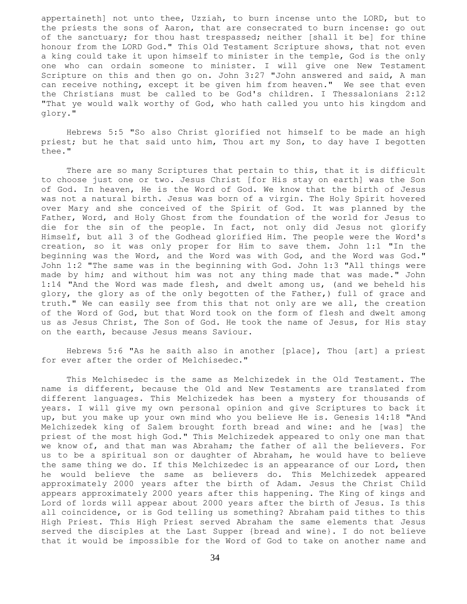appertaineth] not unto thee, Uzziah, to burn incense unto the LORD, but to the priests the sons of Aaron, that are consecrated to burn incense: go out of the sanctuary; for thou hast trespassed; neither [shall it be] for thine honour from the LORD God." This Old Testament Scripture shows, that not even a king could take it upon himself to minister in the temple, God is the only one who can ordain someone to minister. I will give one New Testament Scripture on this and then go on. John 3:27 "John answered and said, A man can receive nothing, except it be given him from heaven." We see that even the Christians must be called to be God's children. I Thessalonians 2:12 "That ye would walk worthy of God, who hath called you unto his kingdom and glory."

 Hebrews 5:5 "So also Christ glorified not himself to be made an high priest; but he that said unto him, Thou art my Son, to day have I begotten thee."

 There are so many Scriptures that pertain to this, that it is difficult to choose just one or two. Jesus Christ [for His stay on earth] was the Son of God. In heaven, He is the Word of God. We know that the birth of Jesus was not a natural birth. Jesus was born of a virgin. The Holy Spirit hovered over Mary and she conceived of the Spirit of God. It was planned by the Father, Word, and Holy Ghost from the foundation of the world for Jesus to die for the sin of the people. In fact, not only did Jesus not glorify Himself, but all 3 of the Godhead glorified Him. The people were the Word's creation, so it was only proper for Him to save them. John 1:1 "In the beginning was the Word, and the Word was with God, and the Word was God." John 1:2 "The same was in the beginning with God. John 1:3 "All things were made by him; and without him was not any thing made that was made." John 1:14 "And the Word was made flesh, and dwelt among us, (and we beheld his glory, the glory as of the only begotten of the Father,) full of grace and truth." We can easily see from this that not only are we all, the creation of the Word of God, but that Word took on the form of flesh and dwelt among us as Jesus Christ, The Son of God. He took the name of Jesus, for His stay on the earth, because Jesus means Saviour.

 Hebrews 5:6 "As he saith also in another [place], Thou [art] a priest for ever after the order of Melchisedec."

 This Melchisedec is the same as Melchizedek in the Old Testament. The name is different, because the Old and New Testaments are translated from different languages. This Melchizedek has been a mystery for thousands of years. I will give my own personal opinion and give Scriptures to back it up, but you make up your own mind who you believe He is. Genesis 14:18 "And Melchizedek king of Salem brought forth bread and wine: and he [was] the priest of the most high God." This Melchizedek appeared to only one man that we know of, and that man was Abraham; the father of all the believers. For us to be a spiritual son or daughter of Abraham, he would have to believe the same thing we do. If this Melchizedec is an appearance of our Lord, then he would believe the same as believers do. This Melchizedek appeared approximately 2000 years after the birth of Adam. Jesus the Christ Child appears approximately 2000 years after this happening. The King of kings and Lord of lords will appear about 2000 years after the birth of Jesus. Is this all coincidence, or is God telling us something? Abraham paid tithes to this High Priest. This High Priest served Abraham the same elements that Jesus served the disciples at the Last Supper {bread and wine}. I do not believe that it would be impossible for the Word of God to take on another name and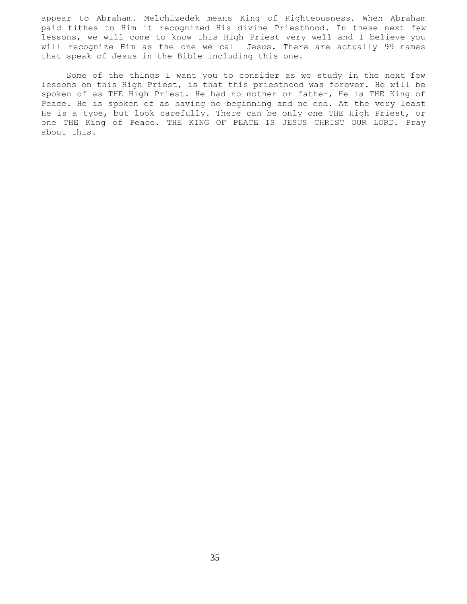appear to Abraham. Melchizedek means King of Righteousness. When Abraham paid tithes to Him it recognized His divine Priesthood. In these next few lessons, we will come to know this High Priest very well and I believe you will recognize Him as the one we call Jesus. There are actually 99 names that speak of Jesus in the Bible including this one.

 Some of the things I want you to consider as we study in the next few lessons on this High Priest, is that this priesthood was forever. He will be spoken of as THE High Priest. He had no mother or father, He is THE King of Peace. He is spoken of as having no beginning and no end. At the very least He is a type, but look carefully. There can be only one THE High Priest, or one THE King of Peace. THE KING OF PEACE IS JESUS CHRIST OUR LORD. Pray about this.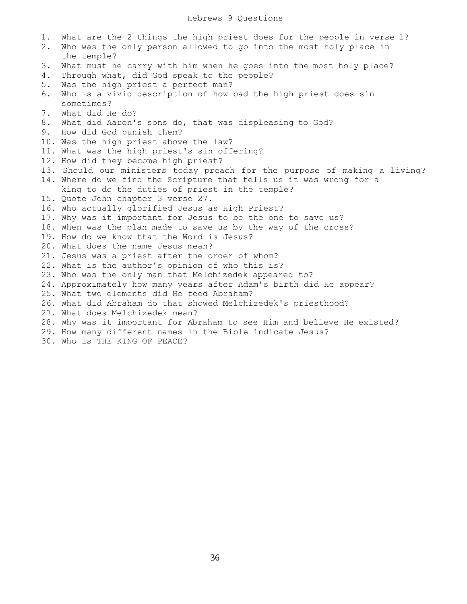| 1.<br>2. | What are the 2 things the high priest does for the people in verse 1?<br>Who was the only person allowed to go into the most holy place in<br>the temple? |
|----------|-----------------------------------------------------------------------------------------------------------------------------------------------------------|
| 3.       | What must he carry with him when he goes into the most holy place?                                                                                        |
| 4.       | Through what, did God speak to the people?                                                                                                                |
| 5.       | Was the high priest a perfect man?                                                                                                                        |
| 6.       | Who is a vivid description of how bad the high priest does sin                                                                                            |
|          | sometimes?                                                                                                                                                |
| 7.       | What did He do?                                                                                                                                           |
| 8.       | What did Aaron's sons do, that was displeasing to God?                                                                                                    |
| 9.       | How did God punish them?                                                                                                                                  |
|          | 10. Was the high priest above the law?                                                                                                                    |
|          | 11. What was the high priest's sin offering?                                                                                                              |
|          | 12. How did they become high priest?                                                                                                                      |
|          | 13. Should our ministers today preach for the purpose of making a living?                                                                                 |
|          | 14. Where do we find the Scripture that tells us it was wrong for a                                                                                       |
|          | king to do the duties of priest in the temple?                                                                                                            |
|          | 15. Quote John chapter 3 verse 27.                                                                                                                        |
|          | 16. Who actually glorified Jesus as High Priest?                                                                                                          |
|          | 17. Why was it important for Jesus to be the one to save us?                                                                                              |
|          | 18. When was the plan made to save us by the way of the cross?                                                                                            |
|          | 19. How do we know that the Word is Jesus?                                                                                                                |
|          | 20. What does the name Jesus mean?                                                                                                                        |
|          | 21. Jesus was a priest after the order of whom?                                                                                                           |
|          | 22. What is the author's opinion of who this is?                                                                                                          |
|          | 23. Who was the only man that Melchizedek appeared to?                                                                                                    |
|          | 24. Approximately how many years after Adam's birth did He appear?                                                                                        |
|          | 25. What two elements did He feed Abraham?                                                                                                                |
|          | 26. What did Abraham do that showed Melchizedek's priesthood?                                                                                             |
|          | 27. What does Melchizedek mean?                                                                                                                           |
|          | 28. Why was it important for Abraham to see Him and believe He existed?                                                                                   |
|          | 29. How many different names in the Bible indicate Jesus?                                                                                                 |
|          | 30. Who is THE KING OF PEACE?                                                                                                                             |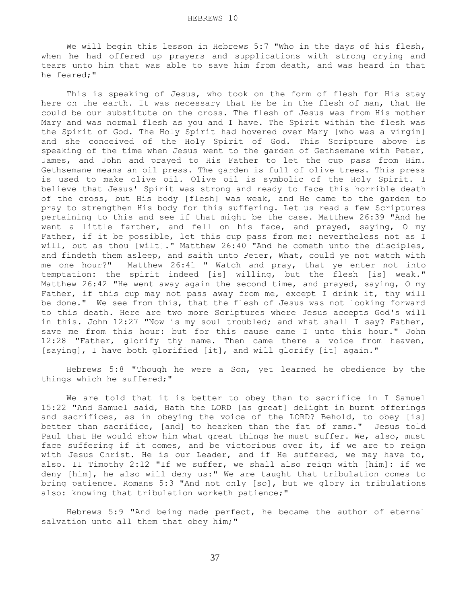We will begin this lesson in Hebrews 5:7 "Who in the days of his flesh, when he had offered up prayers and supplications with strong crying and tears unto him that was able to save him from death, and was heard in that he feared;"

 This is speaking of Jesus, who took on the form of flesh for His stay here on the earth. It was necessary that He be in the flesh of man, that He could be our substitute on the cross. The flesh of Jesus was from His mother Mary and was normal flesh as you and I have. The Spirit within the flesh was the Spirit of God. The Holy Spirit had hovered over Mary [who was a virgin] and she conceived of the Holy Spirit of God. This Scripture above is speaking of the time when Jesus went to the garden of Gethsemane with Peter, James, and John and prayed to His Father to let the cup pass from Him. Gethsemane means an oil press. The garden is full of olive trees. This press is used to make olive oil. Olive oil is symbolic of the Holy Spirit. I believe that Jesus' Spirit was strong and ready to face this horrible death of the cross, but His body [flesh] was weak, and He came to the garden to pray to strengthen His body for this suffering. Let us read a few Scriptures pertaining to this and see if that might be the case. Matthew 26:39 "And he went a little farther, and fell on his face, and prayed, saying, O my Father, if it be possible, let this cup pass from me: nevertheless not as I will, but as thou [wilt]." Matthew 26:40 "And he cometh unto the disciples, and findeth them asleep, and saith unto Peter, What, could ye not watch with me one hour?" Matthew 26:41 " Watch and pray, that ye enter not into temptation: the spirit indeed [is] willing, but the flesh [is] weak." Matthew 26:42 "He went away again the second time, and prayed, saying, O my Father, if this cup may not pass away from me, except I drink it, thy will be done." We see from this, that the flesh of Jesus was not looking forward to this death. Here are two more Scriptures where Jesus accepts God's will in this. John 12:27 "Now is my soul troubled; and what shall I say? Father, save me from this hour: but for this cause came I unto this hour." John 12:28 "Father, glorify thy name. Then came there a voice from heaven, [saying], I have both glorified [it], and will glorify [it] again."

 Hebrews 5:8 "Though he were a Son, yet learned he obedience by the things which he suffered;"

 We are told that it is better to obey than to sacrifice in I Samuel 15:22 "And Samuel said, Hath the LORD [as great] delight in burnt offerings and sacrifices, as in obeying the voice of the LORD? Behold, to obey [is] better than sacrifice, [and] to hearken than the fat of rams." Jesus told Paul that He would show him what great things he must suffer. We, also, must face suffering if it comes, and be victorious over it, if we are to reign with Jesus Christ. He is our Leader, and if He suffered, we may have to, also. II Timothy 2:12 "If we suffer, we shall also reign with [him]: if we deny [him], he also will deny us:" We are taught that tribulation comes to bring patience. Romans 5:3 "And not only [so], but we glory in tribulations also: knowing that tribulation worketh patience;"

 Hebrews 5:9 "And being made perfect, he became the author of eternal salvation unto all them that obey him;"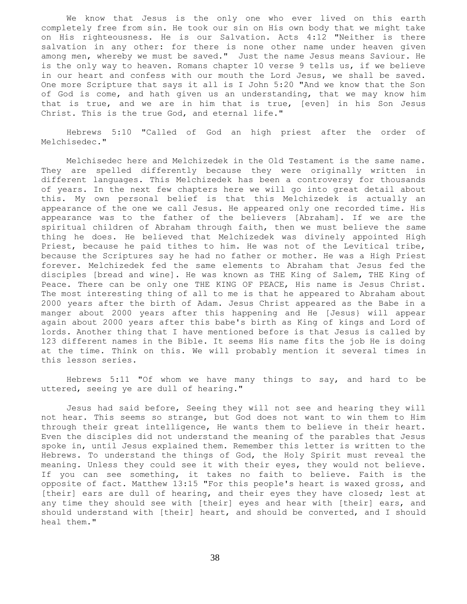We know that Jesus is the only one who ever lived on this earth completely free from sin. He took our sin on His own body that we might take on His righteousness. He is our Salvation. Acts 4:12 "Neither is there salvation in any other: for there is none other name under heaven given among men, whereby we must be saved." Just the name Jesus means Saviour. He is the only way to heaven. Romans chapter 10 verse 9 tells us, if we believe in our heart and confess with our mouth the Lord Jesus, we shall be saved. One more Scripture that says it all is I John 5:20 "And we know that the Son of God is come, and hath given us an understanding, that we may know him that is true, and we are in him that is true, [even] in his Son Jesus Christ. This is the true God, and eternal life."

 Hebrews 5:10 "Called of God an high priest after the order of Melchisedec."

 Melchisedec here and Melchizedek in the Old Testament is the same name. They are spelled differently because they were originally written in different languages. This Melchizedek has been a controversy for thousands of years. In the next few chapters here we will go into great detail about this. My own personal belief is that this Melchizedek is actually an appearance of the one we call Jesus. He appeared only one recorded time. His appearance was to the father of the believers [Abraham]. If we are the spiritual children of Abraham through faith, then we must believe the same thing he does. He believed that Melchizedek was divinely appointed High Priest, because he paid tithes to him. He was not of the Levitical tribe, because the Scriptures say he had no father or mother. He was a High Priest forever. Melchizedek fed the same elements to Abraham that Jesus fed the disciples [bread and wine]. He was known as THE King of Salem, THE King of Peace. There can be only one THE KING OF PEACE, His name is Jesus Christ. The most interesting thing of all to me is that he appeared to Abraham about 2000 years after the birth of Adam. Jesus Christ appeared as the Babe in a manger about 2000 years after this happening and He [Jesus} will appear again about 2000 years after this babe's birth as King of kings and Lord of lords. Another thing that I have mentioned before is that Jesus is called by 123 different names in the Bible. It seems His name fits the job He is doing at the time. Think on this. We will probably mention it several times in this lesson series.

 Hebrews 5:11 "Of whom we have many things to say, and hard to be uttered, seeing ye are dull of hearing."

 Jesus had said before, Seeing they will not see and hearing they will not hear. This seems so strange, but God does not want to win them to Him through their great intelligence, He wants them to believe in their heart. Even the disciples did not understand the meaning of the parables that Jesus spoke in, until Jesus explained them. Remember this letter is written to the Hebrews. To understand the things of God, the Holy Spirit must reveal the meaning. Unless they could see it with their eyes, they would not believe. If you can see something, it takes no faith to believe. Faith is the opposite of fact. Matthew 13:15 "For this people's heart is waxed gross, and [their] ears are dull of hearing, and their eyes they have closed; lest at any time they should see with [their] eyes and hear with [their] ears, and should understand with [their] heart, and should be converted, and I should heal them."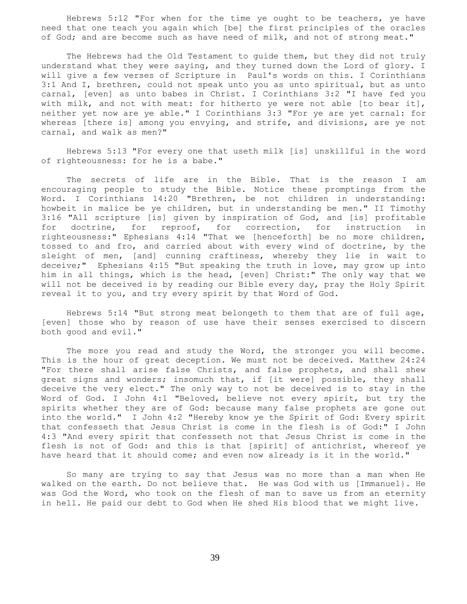Hebrews 5:12 "For when for the time ye ought to be teachers, ye have need that one teach you again which [be] the first principles of the oracles of God; and are become such as have need of milk, and not of strong meat."

 The Hebrews had the Old Testament to guide them, but they did not truly understand what they were saying, and they turned down the Lord of glory. I will give a few verses of Scripture in Paul's words on this. I Corinthians 3:1 And I, brethren, could not speak unto you as unto spiritual, but as unto carnal, [even] as unto babes in Christ. I Corinthians 3:2 "I have fed you with milk, and not with meat: for hitherto ye were not able [to bear it], neither yet now are ye able." I Corinthians 3:3 "For ye are yet carnal: for whereas [there is] among you envying, and strife, and divisions, are ye not carnal, and walk as men?"

 Hebrews 5:13 "For every one that useth milk [is] unskillful in the word of righteousness: for he is a babe."

 The secrets of life are in the Bible. That is the reason I am encouraging people to study the Bible. Notice these promptings from the Word. I Corinthians 14:20 "Brethren, be not children in understanding: howbeit in malice be ye children, but in understanding be men." II Timothy 3:16 "All scripture [is] given by inspiration of God, and [is] profitable for doctrine, for reproof, for correction, for instruction in righteousness:" Ephesians 4:14 "That we [henceforth] be no more children, tossed to and fro, and carried about with every wind of doctrine, by the sleight of men, [and] cunning craftiness, whereby they lie in wait to deceive;" Ephesians 4:15 "But speaking the truth in love, may grow up into him in all things, which is the head, [even] Christ:" The only way that we will not be deceived is by reading our Bible every day, pray the Holy Spirit reveal it to you, and try every spirit by that Word of God.

 Hebrews 5:14 "But strong meat belongeth to them that are of full age, [even] those who by reason of use have their senses exercised to discern both good and evil."

 The more you read and study the Word, the stronger you will become. This is the hour of great deception. We must not be deceived. Matthew 24:24 "For there shall arise false Christs, and false prophets, and shall shew great signs and wonders; insomuch that, if [it were] possible, they shall deceive the very elect." The only way to not be deceived is to stay in the Word of God. I John 4:1 "Beloved, believe not every spirit, but try the spirits whether they are of God: because many false prophets are gone out into the world." I John 4:2 "Hereby know ye the Spirit of God: Every spirit that confesseth that Jesus Christ is come in the flesh is of God:" I John 4:3 "And every spirit that confesseth not that Jesus Christ is come in the flesh is not of God: and this is that [spirit] of antichrist, whereof ye have heard that it should come; and even now already is it in the world."

 So many are trying to say that Jesus was no more than a man when He walked on the earth. Do not believe that. He was God with us [Immanuel}. He was God the Word, who took on the flesh of man to save us from an eternity in hell. He paid our debt to God when He shed His blood that we might live.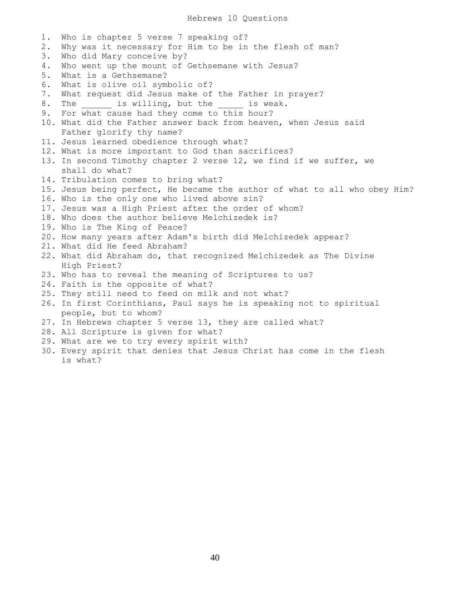1. Who is chapter 5 verse 7 speaking of? 2. Why was it necessary for Him to be in the flesh of man? 3. Who did Mary conceive by? 4. Who went up the mount of Gethsemane with Jesus? 5. What is a Gethsemane? 6. What is olive oil symbolic of? 7. What request did Jesus make of the Father in prayer? 8. The \_\_\_\_\_\_\_ is willing, but the \_\_\_\_\_\_ is weak. 9. For what cause had they come to this hour? 10. What did the Father answer back from heaven, when Jesus said Father glorify thy name? 11. Jesus learned obedience through what? 12. What is more important to God than sacrifices? 13. In second Timothy chapter 2 verse 12, we find if we suffer, we shall do what? 14. Tribulation comes to bring what? 15. Jesus being perfect, He became the author of what to all who obey Him? 16. Who is the only one who lived above sin? 17. Jesus was a High Priest after the order of whom? 18. Who does the author believe Melchizedek is? 19. Who is The King of Peace? 20. How many years after Adam's birth did Melchizedek appear? 21. What did He feed Abraham? 22. What did Abraham do, that recognized Melchizedek as The Divine High Priest? 23. Who has to reveal the meaning of Scriptures to us? 24. Faith is the opposite of what? 25. They still need to feed on milk and not what? 26. In first Corinthians, Paul says he is speaking not to spiritual people, but to whom? 27. In Hebrews chapter 5 verse 13, they are called what? 28. All Scripture is given for what? 29. What are we to try every spirit with? 30. Every spirit that denies that Jesus Christ has come in the flesh is what?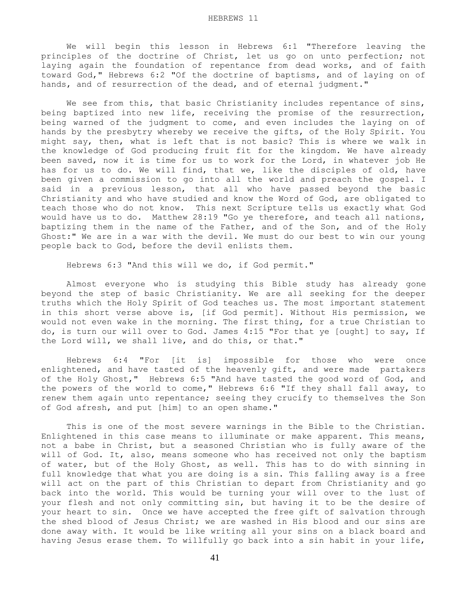We will begin this lesson in Hebrews 6:1 "Therefore leaving the principles of the doctrine of Christ, let us go on unto perfection; not laying again the foundation of repentance from dead works, and of faith toward God," Hebrews 6:2 "Of the doctrine of baptisms, and of laying on of hands, and of resurrection of the dead, and of eternal judgment."

We see from this, that basic Christianity includes repentance of sins, being baptized into new life, receiving the promise of the resurrection, being warned of the judgment to come, and even includes the laying on of hands by the presbytry whereby we receive the gifts, of the Holy Spirit. You might say, then, what is left that is not basic? This is where we walk in the knowledge of God producing fruit fit for the kingdom. We have already been saved, now it is time for us to work for the Lord, in whatever job He has for us to do. We will find, that we, like the disciples of old, have been given a commission to go into all the world and preach the gospel. I said in a previous lesson, that all who have passed beyond the basic Christianity and who have studied and know the Word of God, are obligated to teach those who do not know. This next Scripture tells us exactly what God would have us to do. Matthew 28:19 "Go ye therefore, and teach all nations, baptizing them in the name of the Father, and of the Son, and of the Holy Ghost:" We are in a war with the devil. We must do our best to win our young people back to God, before the devil enlists them.

Hebrews 6:3 "And this will we do, if God permit."

 Almost everyone who is studying this Bible study has already gone beyond the step of basic Christianity. We are all seeking for the deeper truths which the Holy Spirit of God teaches us. The most important statement in this short verse above is, [if God permit]. Without His permission, we would not even wake in the morning. The first thing, for a true Christian to do, is turn our will over to God. James 4:15 "For that ye [ought] to say, If the Lord will, we shall live, and do this, or that."

 Hebrews 6:4 "For [it is] impossible for those who were once enlightened, and have tasted of the heavenly gift, and were made partakers of the Holy Ghost," Hebrews 6:5 "And have tasted the good word of God, and the powers of the world to come," Hebrews 6:6 "If they shall fall away, to renew them again unto repentance; seeing they crucify to themselves the Son of God afresh, and put [him] to an open shame."

 This is one of the most severe warnings in the Bible to the Christian. Enlightened in this case means to illuminate or make apparent. This means, not a babe in Christ, but a seasoned Christian who is fully aware of the will of God. It, also, means someone who has received not only the baptism of water, but of the Holy Ghost, as well. This has to do with sinning in full knowledge that what you are doing is a sin. This falling away is a free will act on the part of this Christian to depart from Christianity and go back into the world. This would be turning your will over to the lust of your flesh and not only committing sin, but having it to be the desire of your heart to sin. Once we have accepted the free gift of salvation through the shed blood of Jesus Christ; we are washed in His blood and our sins are done away with. It would be like writing all your sins on a black board and having Jesus erase them. To willfully go back into a sin habit in your life,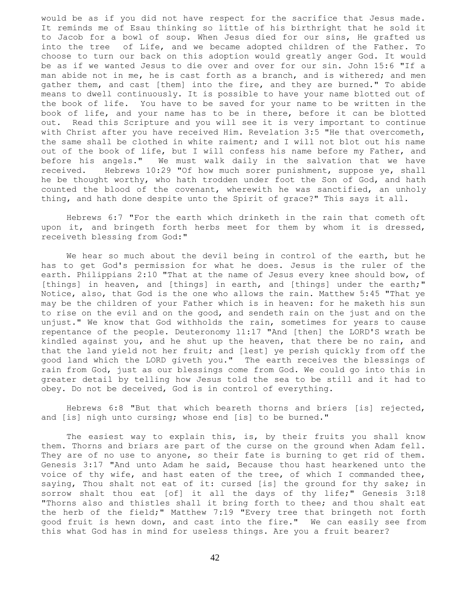would be as if you did not have respect for the sacrifice that Jesus made. It reminds me of Esau thinking so little of his birthright that he sold it to Jacob for a bowl of soup. When Jesus died for our sins, He grafted us into the tree of Life, and we became adopted children of the Father. To choose to turn our back on this adoption would greatly anger God. It would be as if we wanted Jesus to die over and over for our sin. John 15:6 "If a man abide not in me, he is cast forth as a branch, and is withered; and men gather them, and cast [them] into the fire, and they are burned." To abide means to dwell continuously. It is possible to have your name blotted out of the book of life. You have to be saved for your name to be written in the book of life, and your name has to be in there, before it can be blotted out. Read this Scripture and you will see it is very important to continue with Christ after you have received Him. Revelation 3:5 "He that overcometh, the same shall be clothed in white raiment; and I will not blot out his name out of the book of life, but I will confess his name before my Father, and before his angels." We must walk daily in the salvation that we have received. Hebrews 10:29 "Of how much sorer punishment, suppose ye, shall he be thought worthy, who hath trodden under foot the Son of God, and hath counted the blood of the covenant, wherewith he was sanctified, an unholy thing, and hath done despite unto the Spirit of grace?" This says it all.

 Hebrews 6:7 "For the earth which drinketh in the rain that cometh oft upon it, and bringeth forth herbs meet for them by whom it is dressed, receiveth blessing from God:"

 We hear so much about the devil being in control of the earth, but he has to get God's permission for what he does. Jesus is the ruler of the earth. Philippians 2:10 "That at the name of Jesus every knee should bow, of [things] in heaven, and [things] in earth, and [things] under the earth;" Notice, also, that God is the one who allows the rain. Matthew 5:45 "That ye may be the children of your Father which is in heaven: for he maketh his sun to rise on the evil and on the good, and sendeth rain on the just and on the unjust." We know that God withholds the rain, sometimes for years to cause repentance of the people. Deuteronomy 11:17 "And [then] the LORD'S wrath be kindled against you, and he shut up the heaven, that there be no rain, and that the land yield not her fruit; and [lest] ye perish quickly from off the good land which the LORD giveth you." The earth receives the blessings of rain from God, just as our blessings come from God. We could go into this in greater detail by telling how Jesus told the sea to be still and it had to obey. Do not be deceived, God is in control of everything.

 Hebrews 6:8 "But that which beareth thorns and briers [is] rejected, and [is] nigh unto cursing; whose end [is] to be burned."

The easiest way to explain this, is, by their fruits you shall know them. Thorns and briars are part of the curse on the ground when Adam fell. They are of no use to anyone, so their fate is burning to get rid of them. Genesis 3:17 "And unto Adam he said, Because thou hast hearkened unto the voice of thy wife, and hast eaten of the tree, of which I commanded thee, saying, Thou shalt not eat of it: cursed [is] the ground for thy sake; in sorrow shalt thou eat [of] it all the days of thy life;" Genesis 3:18 "Thorns also and thistles shall it bring forth to thee; and thou shalt eat the herb of the field;" Matthew 7:19 "Every tree that bringeth not forth good fruit is hewn down, and cast into the fire." We can easily see from this what God has in mind for useless things. Are you a fruit bearer?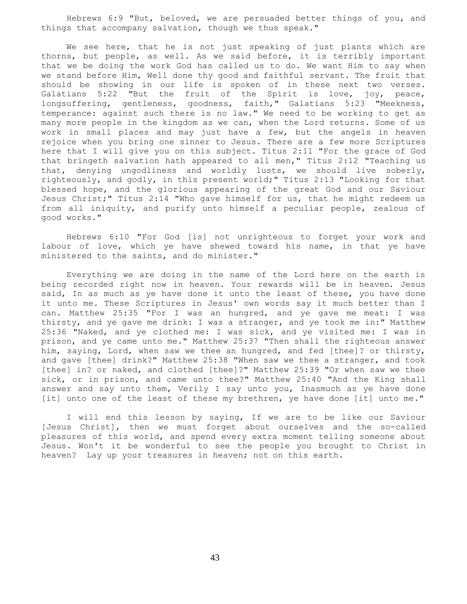Hebrews 6:9 "But, beloved, we are persuaded better things of you, and things that accompany salvation, though we thus speak."

We see here, that he is not just speaking of just plants which are thorns, but people, as well. As we said before, it is terribly important that we be doing the work God has called us to do. We want Him to say when we stand before Him, Well done thy good and faithful servant. The fruit that should be showing in our life is spoken of in these next two verses. Galatians 5:22 "But the fruit of the Spirit is love, joy, peace, longsuffering, gentleness, goodness, faith," Galatians 5:23 "Meekness, temperance: against such there is no law." We need to be working to get as many more people in the kingdom as we can, when the Lord returns. Some of us work in small places and may just have a few, but the angels in heaven rejoice when you bring one sinner to Jesus. There are a few more Scriptures here that I will give you on this subject. Titus 2:11 "For the grace of God that bringeth salvation hath appeared to all men," Titus 2:12 "Teaching us that, denying ungodliness and worldly lusts, we should live soberly, righteously, and godly, in this present world;" Titus 2:13 "Looking for that blessed hope, and the glorious appearing of the great God and our Saviour Jesus Christ;" Titus 2:14 "Who gave himself for us, that he might redeem us from all iniquity, and purify unto himself a peculiar people, zealous of good works."

 Hebrews 6:10 "For God [is] not unrighteous to forget your work and labour of love, which ye have shewed toward his name, in that ye have ministered to the saints, and do minister."

 Everything we are doing in the name of the Lord here on the earth is being recorded right now in heaven. Your rewards will be in heaven. Jesus said, In as much as ye have done it unto the least of these, you have done it unto me. These Scriptures in Jesus' own words say it much better than I can. Matthew 25:35 "For I was an hungred, and ye gave me meat: I was thirsty, and ye gave me drink: I was a stranger, and ye took me in:" Matthew 25:36 "Naked, and ye clothed me: I was sick, and ye visited me: I was in prison, and ye came unto me." Matthew 25:37 "Then shall the righteous answer him, saying, Lord, when saw we thee an hungred, and fed [thee]? or thirsty, and gave [thee] drink?" Matthew 25:38 "When saw we thee a stranger, and took [thee] in? or naked, and clothed [thee]?" Matthew 25:39 "Or when saw we thee sick, or in prison, and came unto thee?" Matthew 25:40 "And the King shall answer and say unto them, Verily I say unto you, Inasmuch as ye have done [it] unto one of the least of these my brethren, ye have done [it] unto me."

 I will end this lesson by saying, If we are to be like our Saviour [Jesus Christ], then we must forget about ourselves and the so-called pleasures of this world, and spend every extra moment telling someone about Jesus. Won't it be wonderful to see the people you brought to Christ in heaven? Lay up your treasures in heaven; not on this earth.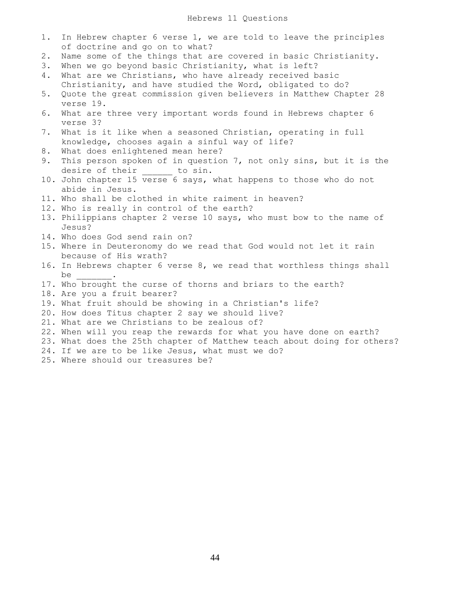## Hebrews 11 Questions

- 1. In Hebrew chapter 6 verse 1, we are told to leave the principles of doctrine and go on to what?
- 2. Name some of the things that are covered in basic Christianity.
- 3. When we go beyond basic Christianity, what is left?
- 4. What are we Christians, who have already received basic Christianity, and have studied the Word, obligated to do?
- 5. Quote the great commission given believers in Matthew Chapter 28 verse 19.
- 6. What are three very important words found in Hebrews chapter 6 verse 3?
- 7. What is it like when a seasoned Christian, operating in full knowledge, chooses again a sinful way of life?
- 8. What does enlightened mean here?
- 9. This person spoken of in question 7, not only sins, but it is the desire of their to sin.
- 10. John chapter 15 verse 6 says, what happens to those who do not abide in Jesus.
- 11. Who shall be clothed in white raiment in heaven?
- 12. Who is really in control of the earth?
- 13. Philippians chapter 2 verse 10 says, who must bow to the name of Jesus?
- 14. Who does God send rain on?
- 15. Where in Deuteronomy do we read that God would not let it rain because of His wrath?
- 16. In Hebrews chapter 6 verse 8, we read that worthless things shall be \_\_\_\_\_\_\_.
- 17. Who brought the curse of thorns and briars to the earth?
- 18. Are you a fruit bearer?
- 19. What fruit should be showing in a Christian's life?
- 20. How does Titus chapter 2 say we should live?
- 21. What are we Christians to be zealous of?
- 22. When will you reap the rewards for what you have done on earth?
- 23. What does the 25th chapter of Matthew teach about doing for others?
- 24. If we are to be like Jesus, what must we do?
- 25. Where should our treasures be?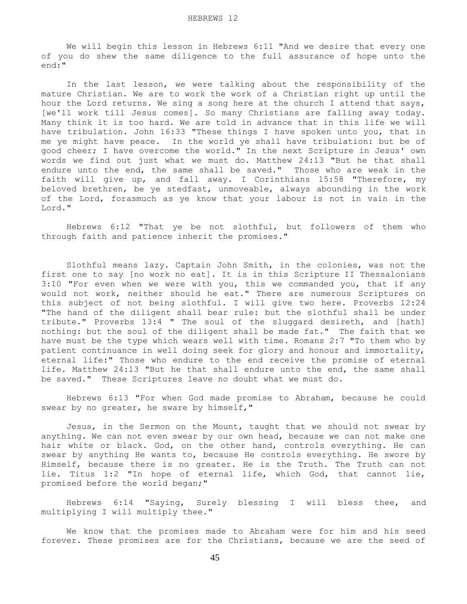We will begin this lesson in Hebrews 6:11 "And we desire that every one of you do shew the same diligence to the full assurance of hope unto the end:"

 In the last lesson, we were talking about the responsibility of the mature Christian. We are to work the work of a Christian right up until the hour the Lord returns. We sing a song here at the church I attend that says, [we'll work till Jesus comes]. So many Christians are falling away today. Many think it is too hard. We are told in advance that in this life we will have tribulation. John 16:33 "These things I have spoken unto you, that in me ye might have peace. In the world ye shall have tribulation: but be of good cheer; I have overcome the world." In the next Scripture in Jesus' own words we find out just what we must do. Matthew 24:13 "But he that shall endure unto the end, the same shall be saved." Those who are weak in the faith will give up, and fall away. I Corinthians 15:58 "Therefore, my beloved brethren, be ye stedfast, unmoveable, always abounding in the work of the Lord, forasmuch as ye know that your labour is not in vain in the Lord."

 Hebrews 6:12 "That ye be not slothful, but followers of them who through faith and patience inherit the promises."

 Slothful means lazy. Captain John Smith, in the colonies, was not the first one to say [no work no eat]. It is in this Scripture II Thessalonians 3:10 "For even when we were with you, this we commanded you, that if any would not work, neither should he eat." There are numerous Scriptures on this subject of not being slothful. I will give two here. Proverbs 12:24 "The hand of the diligent shall bear rule: but the slothful shall be under tribute." Proverbs 13:4 " The soul of the sluggard desireth, and [hath] nothing: but the soul of the diligent shall be made fat." The faith that we have must be the type which wears well with time. Romans 2:7 "To them who by patient continuance in well doing seek for glory and honour and immortality, eternal life:" Those who endure to the end receive the promise of eternal life. Matthew 24:13 "But he that shall endure unto the end, the same shall be saved." These Scriptures leave no doubt what we must do.

 Hebrews 6:13 "For when God made promise to Abraham, because he could swear by no greater, he sware by himself,"

 Jesus, in the Sermon on the Mount, taught that we should not swear by anything. We can not even swear by our own head, because we can not make one hair white or black. God, on the other hand, controls everything. He can swear by anything He wants to, because He controls everything. He swore by Himself, because there is no greater. He is the Truth. The Truth can not lie. Titus 1:2 "In hope of eternal life, which God, that cannot lie, promised before the world began;"

 Hebrews 6:14 "Saying, Surely blessing I will bless thee, and multiplying I will multiply thee."

 We know that the promises made to Abraham were for him and his seed forever. These promises are for the Christians, because we are the seed of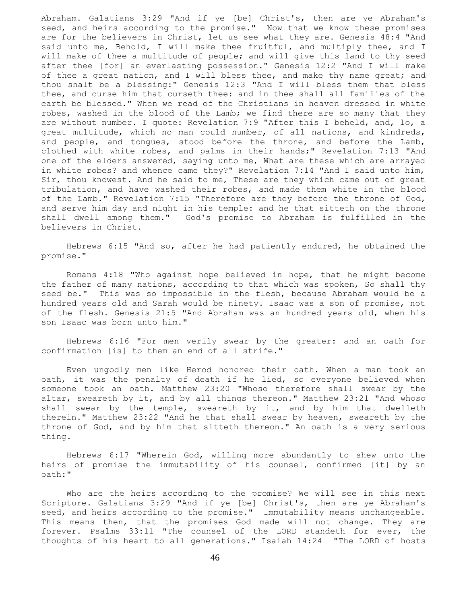Abraham. Galatians 3:29 "And if ye [be] Christ's, then are ye Abraham's seed, and heirs according to the promise." Now that we know these promises are for the believers in Christ, let us see what they are. Genesis 48:4 "And said unto me, Behold, I will make thee fruitful, and multiply thee, and I will make of thee a multitude of people; and will give this land to thy seed after thee [for] an everlasting possession." Genesis 12:2 "And I will make of thee a great nation, and I will bless thee, and make thy name great; and thou shalt be a blessing:" Genesis 12:3 "And I will bless them that bless thee, and curse him that curseth thee: and in thee shall all families of the earth be blessed." When we read of the Christians in heaven dressed in white robes, washed in the blood of the Lamb; we find there are so many that they are without number. I quote: Revelation 7:9 "After this I beheld, and, lo, a great multitude, which no man could number, of all nations, and kindreds, and people, and tongues, stood before the throne, and before the Lamb, clothed with white robes, and palms in their hands;" Revelation 7:13 "And one of the elders answered, saying unto me, What are these which are arrayed in white robes? and whence came they?" Revelation 7:14 "And I said unto him, Sir, thou knowest. And he said to me, These are they which came out of great tribulation, and have washed their robes, and made them white in the blood of the Lamb." Revelation 7:15 "Therefore are they before the throne of God, and serve him day and night in his temple: and he that sitteth on the throne shall dwell among them." God's promise to Abraham is fulfilled in the believers in Christ.

 Hebrews 6:15 "And so, after he had patiently endured, he obtained the promise."

 Romans 4:18 "Who against hope believed in hope, that he might become the father of many nations, according to that which was spoken, So shall thy seed be." This was so impossible in the flesh, because Abraham would be a hundred years old and Sarah would be ninety. Isaac was a son of promise, not of the flesh. Genesis 21:5 "And Abraham was an hundred years old, when his son Isaac was born unto him."

 Hebrews 6:16 "For men verily swear by the greater: and an oath for confirmation [is] to them an end of all strife."

 Even ungodly men like Herod honored their oath. When a man took an oath, it was the penalty of death if he lied, so everyone believed when someone took an oath. Matthew 23:20 "Whoso therefore shall swear by the altar, sweareth by it, and by all things thereon." Matthew 23:21 "And whoso shall swear by the temple, sweareth by it, and by him that dwelleth therein." Matthew 23:22 "And he that shall swear by heaven, sweareth by the throne of God, and by him that sitteth thereon." An oath is a very serious thing.

 Hebrews 6:17 "Wherein God, willing more abundantly to shew unto the heirs of promise the immutability of his counsel, confirmed [it] by an oath:"

 Who are the heirs according to the promise? We will see in this next Scripture. Galatians 3:29 "And if ye [be] Christ's, then are ye Abraham's seed, and heirs according to the promise." Immutability means unchangeable. This means then, that the promises God made will not change. They are forever. Psalms 33:11 "The counsel of the LORD standeth for ever, the thoughts of his heart to all generations." Isaiah 14:24 "The LORD of hosts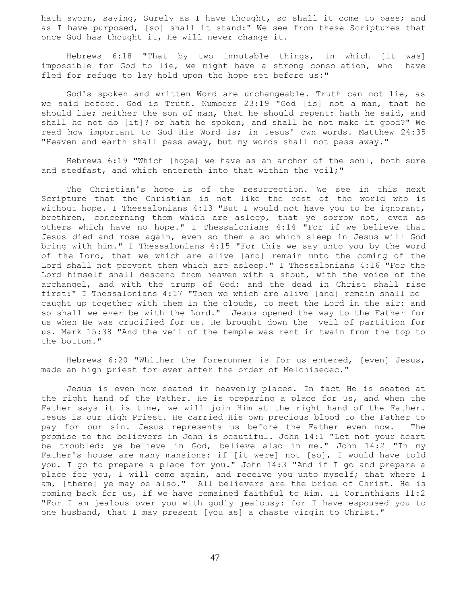hath sworn, saying, Surely as I have thought, so shall it come to pass; and as I have purposed, [so] shall it stand:" We see from these Scriptures that once God has thought it, He will never change it.

 Hebrews 6:18 "That by two immutable things, in which [it was] impossible for God to lie, we might have a strong consolation, who have fled for refuge to lay hold upon the hope set before us:"

 God's spoken and written Word are unchangeable. Truth can not lie, as we said before. God is Truth. Numbers 23:19 "God [is] not a man, that he should lie; neither the son of man, that he should repent: hath he said, and shall he not do [it]? or hath he spoken, and shall he not make it good?" We read how important to God His Word is; in Jesus' own words. Matthew 24:35 "Heaven and earth shall pass away, but my words shall not pass away."

 Hebrews 6:19 "Which [hope] we have as an anchor of the soul, both sure and stedfast, and which entereth into that within the veil;"

 The Christian's hope is of the resurrection. We see in this next Scripture that the Christian is not like the rest of the world who is without hope. I Thessalonians 4:13 "But I would not have you to be ignorant, brethren, concerning them which are asleep, that ye sorrow not, even as others which have no hope." I Thessalonians 4:14 "For if we believe that Jesus died and rose again, even so them also which sleep in Jesus will God bring with him." I Thessalonians 4:15 "For this we say unto you by the word of the Lord, that we which are alive [and] remain unto the coming of the Lord shall not prevent them which are asleep." I Thessalonians 4:16 "For the Lord himself shall descend from heaven with a shout, with the voice of the archangel, and with the trump of God: and the dead in Christ shall rise first:" I Thessalonians 4:17 "Then we which are alive [and] remain shall be caught up together with them in the clouds, to meet the Lord in the air: and so shall we ever be with the Lord." Jesus opened the way to the Father for us when He was crucified for us. He brought down the veil of partition for us. Mark 15:38 "And the veil of the temple was rent in twain from the top to the bottom."

 Hebrews 6:20 "Whither the forerunner is for us entered, [even] Jesus, made an high priest for ever after the order of Melchisedec."

 Jesus is even now seated in heavenly places. In fact He is seated at the right hand of the Father. He is preparing a place for us, and when the Father says it is time, we will join Him at the right hand of the Father. Jesus is our High Priest. He carried His own precious blood to the Father to pay for our sin. Jesus represents us before the Father even now. The promise to the believers in John is beautiful. John 14:1 "Let not your heart be troubled: ye believe in God, believe also in me." John 14:2 "In my Father's house are many mansions: if [it were] not [so], I would have told you. I go to prepare a place for you." John 14:3 "And if I go and prepare a place for you, I will come again, and receive you unto myself; that where I am, [there] ye may be also." All believers are the bride of Christ. He is coming back for us, if we have remained faithful to Him. II Corinthians 11:2 "For I am jealous over you with godly jealousy: for I have espoused you to one husband, that I may present [you as] a chaste virgin to Christ."

47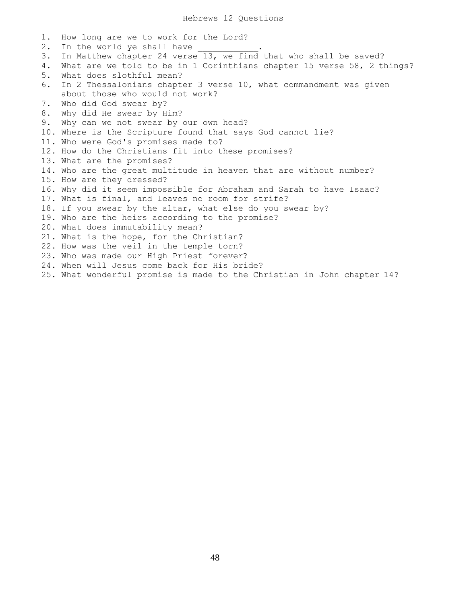1. How long are we to work for the Lord? 2. In the world ye shall have 3. In Matthew chapter 24 verse 13, we find that who shall be saved? 4. What are we told to be in 1 Corinthians chapter 15 verse 58, 2 things? 5. What does slothful mean? 6. In 2 Thessalonians chapter 3 verse 10, what commandment was given about those who would not work? 7. Who did God swear by? 8. Why did He swear by Him? 9. Why can we not swear by our own head? 10. Where is the Scripture found that says God cannot lie? 11. Who were God's promises made to? 12. How do the Christians fit into these promises? 13. What are the promises? 14. Who are the great multitude in heaven that are without number? 15. How are they dressed? 16. Why did it seem impossible for Abraham and Sarah to have Isaac? 17. What is final, and leaves no room for strife? 18. If you swear by the altar, what else do you swear by? 19. Who are the heirs according to the promise? 20. What does immutability mean? 21. What is the hope, for the Christian? 22. How was the veil in the temple torn? 23. Who was made our High Priest forever? 24. When will Jesus come back for His bride? 25. What wonderful promise is made to the Christian in John chapter 14?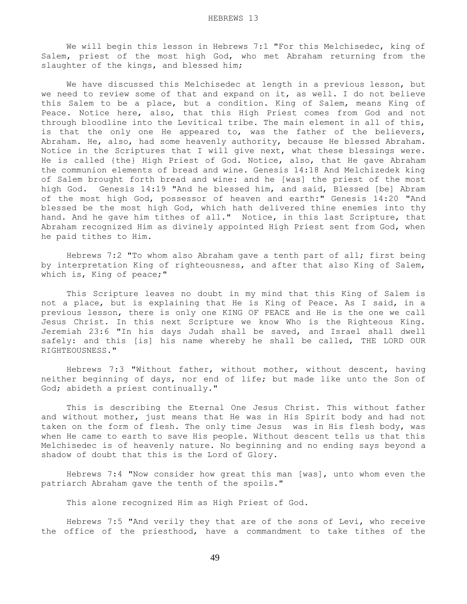We will begin this lesson in Hebrews 7:1 "For this Melchisedec, king of Salem, priest of the most high God, who met Abraham returning from the slaughter of the kings, and blessed him;

 We have discussed this Melchisedec at length in a previous lesson, but we need to review some of that and expand on it, as well. I do not believe this Salem to be a place, but a condition. King of Salem, means King of Peace. Notice here, also, that this High Priest comes from God and not through bloodline into the Levitical tribe. The main element in all of this, is that the only one He appeared to, was the father of the believers, Abraham. He, also, had some heavenly authority, because He blessed Abraham. Notice in the Scriptures that I will give next, what these blessings were. He is called {the} High Priest of God. Notice, also, that He gave Abraham the communion elements of bread and wine. Genesis 14:18 And Melchizedek king of Salem brought forth bread and wine: and he [was] the priest of the most high God. Genesis 14:19 "And he blessed him, and said, Blessed [be] Abram of the most high God, possessor of heaven and earth:" Genesis 14:20 "And blessed be the most high God, which hath delivered thine enemies into thy hand. And he gave him tithes of all." Notice, in this last Scripture, that Abraham recognized Him as divinely appointed High Priest sent from God, when he paid tithes to Him.

 Hebrews 7:2 "To whom also Abraham gave a tenth part of all; first being by interpretation King of righteousness, and after that also King of Salem, which is, King of peace;"

 This Scripture leaves no doubt in my mind that this King of Salem is not a place, but is explaining that He is King of Peace. As I said, in a previous lesson, there is only one KING OF PEACE and He is the one we call Jesus Christ. In this next Scripture we know Who is the Righteous King. Jeremiah 23:6 "In his days Judah shall be saved, and Israel shall dwell safely: and this [is] his name whereby he shall be called, THE LORD OUR RIGHTEOUSNESS."

 Hebrews 7:3 "Without father, without mother, without descent, having neither beginning of days, nor end of life; but made like unto the Son of God; abideth a priest continually."

 This is describing the Eternal One Jesus Christ. This without father and without mother, just means that He was in His Spirit body and had not taken on the form of flesh. The only time Jesus was in His flesh body, was when He came to earth to save His people. Without descent tells us that this Melchisedec is of heavenly nature. No beginning and no ending says beyond a shadow of doubt that this is the Lord of Glory.

 Hebrews 7:4 "Now consider how great this man [was], unto whom even the patriarch Abraham gave the tenth of the spoils."

This alone recognized Him as High Priest of God.

 Hebrews 7:5 "And verily they that are of the sons of Levi, who receive the office of the priesthood, have a commandment to take tithes of the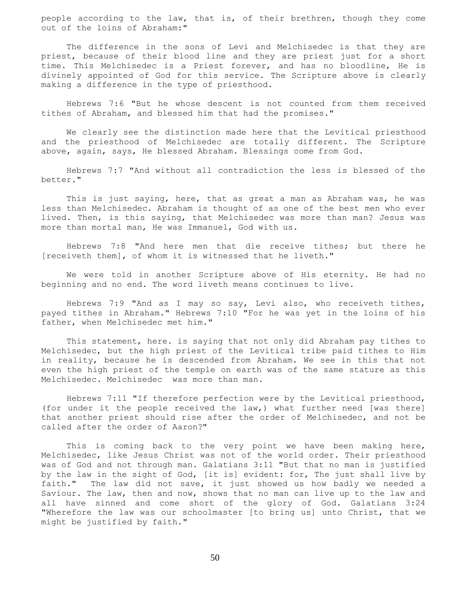people according to the law, that is, of their brethren, though they come out of the loins of Abraham:"

 The difference in the sons of Levi and Melchisedec is that they are priest, because of their blood line and they are priest just for a short time. This Melchisedec is a Priest forever, and has no bloodline, He is divinely appointed of God for this service. The Scripture above is clearly making a difference in the type of priesthood.

 Hebrews 7:6 "But he whose descent is not counted from them received tithes of Abraham, and blessed him that had the promises."

 We clearly see the distinction made here that the Levitical priesthood and the priesthood of Melchisedec are totally different. The Scripture above, again, says, He blessed Abraham. Blessings come from God.

 Hebrews 7:7 "And without all contradiction the less is blessed of the better."

 This is just saying, here, that as great a man as Abraham was, he was less than Melchisedec. Abraham is thought of as one of the best men who ever lived. Then, is this saying, that Melchisedec was more than man? Jesus was more than mortal man, He was Immanuel, God with us.

 Hebrews 7:8 "And here men that die receive tithes; but there he [receiveth them], of whom it is witnessed that he liveth."

 We were told in another Scripture above of His eternity. He had no beginning and no end. The word liveth means continues to live.

 Hebrews 7:9 "And as I may so say, Levi also, who receiveth tithes, payed tithes in Abraham." Hebrews 7:10 "For he was yet in the loins of his father, when Melchisedec met him."

 This statement, here. is saying that not only did Abraham pay tithes to Melchisedec, but the high priest of the Levitical tribe paid tithes to Him in reality, because he is descended from Abraham. We see in this that not even the high priest of the temple on earth was of the same stature as this Melchisedec. Melchisedec was more than man.

 Hebrews 7:11 "If therefore perfection were by the Levitical priesthood, (for under it the people received the law,) what further need [was there] that another priest should rise after the order of Melchisedec, and not be called after the order of Aaron?"

 This is coming back to the very point we have been making here, Melchisedec, like Jesus Christ was not of the world order. Their priesthood was of God and not through man. Galatians 3:11 "But that no man is justified by the law in the sight of God, [it is] evident: for, The just shall live by faith." The law did not save, it just showed us how badly we needed a Saviour. The law, then and now, shows that no man can live up to the law and all have sinned and come short of the glory of God. Galatians 3:24 "Wherefore the law was our schoolmaster [to bring us] unto Christ, that we might be justified by faith."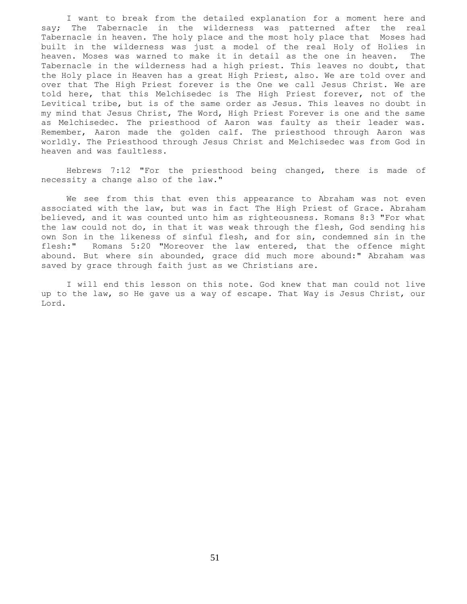I want to break from the detailed explanation for a moment here and say; The Tabernacle in the wilderness was patterned after the real Tabernacle in heaven. The holy place and the most holy place that Moses had built in the wilderness was just a model of the real Holy of Holies in heaven. Moses was warned to make it in detail as the one in heaven. The Tabernacle in the wilderness had a high priest. This leaves no doubt, that the Holy place in Heaven has a great High Priest, also. We are told over and over that The High Priest forever is the One we call Jesus Christ. We are told here, that this Melchisedec is The High Priest forever, not of the Levitical tribe, but is of the same order as Jesus. This leaves no doubt in my mind that Jesus Christ, The Word, High Priest Forever is one and the same as Melchisedec. The priesthood of Aaron was faulty as their leader was. Remember, Aaron made the golden calf. The priesthood through Aaron was worldly. The Priesthood through Jesus Christ and Melchisedec was from God in heaven and was faultless.

 Hebrews 7:12 "For the priesthood being changed, there is made of necessity a change also of the law."

 We see from this that even this appearance to Abraham was not even associated with the law, but was in fact The High Priest of Grace. Abraham believed, and it was counted unto him as righteousness. Romans 8:3 "For what the law could not do, in that it was weak through the flesh, God sending his own Son in the likeness of sinful flesh, and for sin, condemned sin in the flesh:" Romans 5:20 "Moreover the law entered, that the offence might abound. But where sin abounded, grace did much more abound:" Abraham was saved by grace through faith just as we Christians are.

 I will end this lesson on this note. God knew that man could not live up to the law, so He gave us a way of escape. That Way is Jesus Christ, our Lord.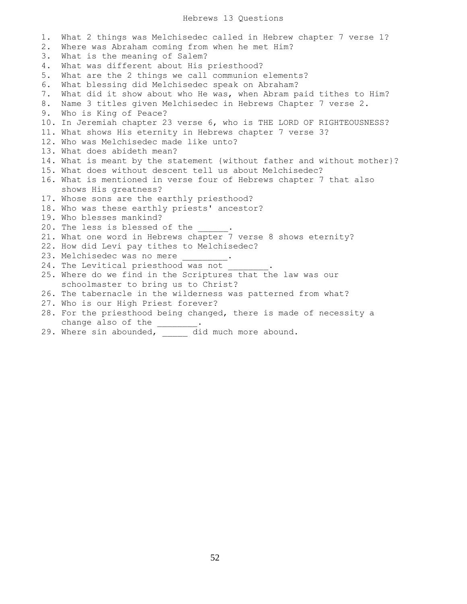## Hebrews 13 Questions

1. What 2 things was Melchisedec called in Hebrew chapter 7 verse 1? 2. Where was Abraham coming from when he met Him? 3. What is the meaning of Salem? 4. What was different about His priesthood? 5. What are the 2 things we call communion elements? 6. What blessing did Melchisedec speak on Abraham? 7. What did it show about who He was, when Abram paid tithes to Him? 8. Name 3 titles given Melchisedec in Hebrews Chapter 7 verse 2. 9. Who is King of Peace? 10. In Jeremiah chapter 23 verse 6, who is THE LORD OF RIGHTEOUSNESS? 11. What shows His eternity in Hebrews chapter 7 verse 3? 12. Who was Melchisedec made like unto? 13. What does abideth mean? 14. What is meant by the statement {without father and without mother}? 15. What does without descent tell us about Melchisedec? 16. What is mentioned in verse four of Hebrews chapter 7 that also shows His greatness? 17. Whose sons are the earthly priesthood? 18. Who was these earthly priests' ancestor? 19. Who blesses mankind? 20. The less is blessed of the 21. What one word in Hebrews chapter 7 verse 8 shows eternity? 22. How did Levi pay tithes to Melchisedec? 23. Melchisedec was no mere 24. The Levitical priesthood was not 25. Where do we find in the Scriptures that the law was our schoolmaster to bring us to Christ? 26. The tabernacle in the wilderness was patterned from what? 27. Who is our High Priest forever? 28. For the priesthood being changed, there is made of necessity a change also of the \_\_\_\_\_\_\_\_

29. Where sin abounded, and did much more abound.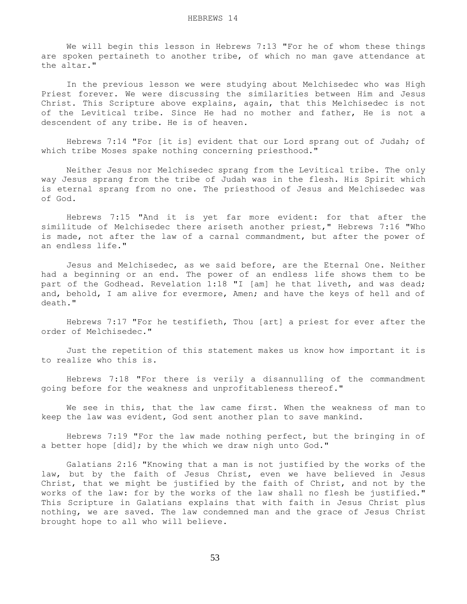We will begin this lesson in Hebrews 7:13 "For he of whom these things are spoken pertaineth to another tribe, of which no man gave attendance at the altar."

 In the previous lesson we were studying about Melchisedec who was High Priest forever. We were discussing the similarities between Him and Jesus Christ. This Scripture above explains, again, that this Melchisedec is not of the Levitical tribe. Since He had no mother and father, He is not a descendent of any tribe. He is of heaven.

 Hebrews 7:14 "For [it is] evident that our Lord sprang out of Judah; of which tribe Moses spake nothing concerning priesthood."

 Neither Jesus nor Melchisedec sprang from the Levitical tribe. The only way Jesus sprang from the tribe of Judah was in the flesh. His Spirit which is eternal sprang from no one. The priesthood of Jesus and Melchisedec was of God.

 Hebrews 7:15 "And it is yet far more evident: for that after the similitude of Melchisedec there ariseth another priest," Hebrews 7:16 "Who is made, not after the law of a carnal commandment, but after the power of an endless life."

 Jesus and Melchisedec, as we said before, are the Eternal One. Neither had a beginning or an end. The power of an endless life shows them to be part of the Godhead. Revelation 1:18 "I [am] he that liveth, and was dead; and, behold, I am alive for evermore, Amen; and have the keys of hell and of death."

 Hebrews 7:17 "For he testifieth, Thou [art] a priest for ever after the order of Melchisedec."

 Just the repetition of this statement makes us know how important it is to realize who this is.

 Hebrews 7:18 "For there is verily a disannulling of the commandment going before for the weakness and unprofitableness thereof."

 We see in this, that the law came first. When the weakness of man to keep the law was evident, God sent another plan to save mankind.

 Hebrews 7:19 "For the law made nothing perfect, but the bringing in of a better hope [did]; by the which we draw nigh unto God."

 Galatians 2:16 "Knowing that a man is not justified by the works of the law, but by the faith of Jesus Christ, even we have believed in Jesus Christ, that we might be justified by the faith of Christ, and not by the works of the law: for by the works of the law shall no flesh be justified." This Scripture in Galatians explains that with faith in Jesus Christ plus nothing, we are saved. The law condemned man and the grace of Jesus Christ brought hope to all who will believe.

53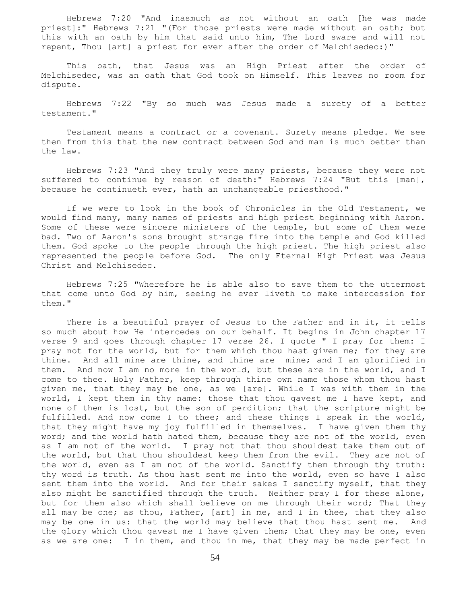Hebrews 7:20 "And inasmuch as not without an oath [he was made priest]:" Hebrews 7:21 "(For those priests were made without an oath; but this with an oath by him that said unto him, The Lord sware and will not repent, Thou [art] a priest for ever after the order of Melchisedec:)"

 This oath, that Jesus was an High Priest after the order of Melchisedec, was an oath that God took on Himself. This leaves no room for dispute.

 Hebrews 7:22 "By so much was Jesus made a surety of a better testament."

 Testament means a contract or a covenant. Surety means pledge. We see then from this that the new contract between God and man is much better than the law.

 Hebrews 7:23 "And they truly were many priests, because they were not suffered to continue by reason of death:" Hebrews 7:24 "But this [man], because he continueth ever, hath an unchangeable priesthood."

 If we were to look in the book of Chronicles in the Old Testament, we would find many, many names of priests and high priest beginning with Aaron. Some of these were sincere ministers of the temple, but some of them were bad. Two of Aaron's sons brought strange fire into the temple and God killed them. God spoke to the people through the high priest. The high priest also represented the people before God. The only Eternal High Priest was Jesus Christ and Melchisedec.

 Hebrews 7:25 "Wherefore he is able also to save them to the uttermost that come unto God by him, seeing he ever liveth to make intercession for them."

There is a beautiful prayer of Jesus to the Father and in it, it tells so much about how He intercedes on our behalf. It begins in John chapter 17 verse 9 and goes through chapter 17 verse 26. I quote " I pray for them: I pray not for the world, but for them which thou hast given me; for they are thine. And all mine are thine, and thine are mine; and I am glorified in them. And now I am no more in the world, but these are in the world, and I come to thee. Holy Father, keep through thine own name those whom thou hast given me, that they may be one, as we [are]. While I was with them in the world, I kept them in thy name: those that thou gavest me I have kept, and none of them is lost, but the son of perdition; that the scripture might be fulfilled. And now come I to thee; and these things I speak in the world, that they might have my joy fulfilled in themselves. I have given them thy word; and the world hath hated them, because they are not of the world, even as I am not of the world. I pray not that thou shouldest take them out of the world, but that thou shouldest keep them from the evil. They are not of the world, even as I am not of the world. Sanctify them through thy truth: thy word is truth. As thou hast sent me into the world, even so have I also sent them into the world. And for their sakes I sanctify myself, that they also might be sanctified through the truth. Neither pray I for these alone, but for them also which shall believe on me through their word; That they all may be one; as thou, Father, [art] in me, and I in thee, that they also may be one in us: that the world may believe that thou hast sent me. And the glory which thou gavest me I have given them; that they may be one, even as we are one: I in them, and thou in me, that they may be made perfect in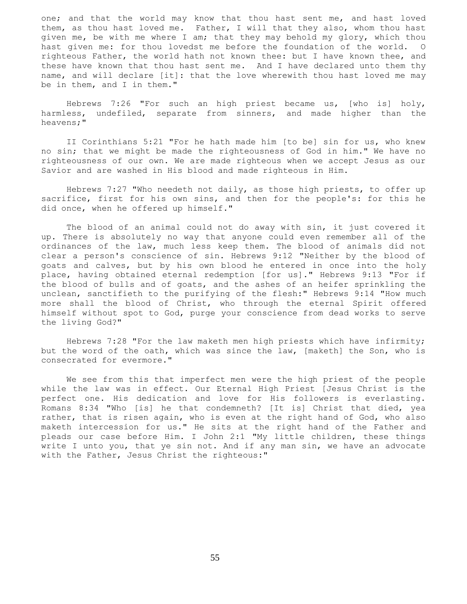one; and that the world may know that thou hast sent me, and hast loved them, as thou hast loved me. Father, I will that they also, whom thou hast given me, be with me where I am; that they may behold my glory, which thou hast given me: for thou lovedst me before the foundation of the world. O righteous Father, the world hath not known thee: but I have known thee, and these have known that thou hast sent me. And I have declared unto them thy name, and will declare [it]: that the love wherewith thou hast loved me may be in them, and I in them."

 Hebrews 7:26 "For such an high priest became us, [who is] holy, harmless, undefiled, separate from sinners, and made higher than the heavens;"

 II Corinthians 5:21 "For he hath made him [to be] sin for us, who knew no sin; that we might be made the righteousness of God in him." We have no righteousness of our own. We are made righteous when we accept Jesus as our Savior and are washed in His blood and made righteous in Him.

 Hebrews 7:27 "Who needeth not daily, as those high priests, to offer up sacrifice, first for his own sins, and then for the people's: for this he did once, when he offered up himself."

 The blood of an animal could not do away with sin, it just covered it up. There is absolutely no way that anyone could even remember all of the ordinances of the law, much less keep them. The blood of animals did not clear a person's conscience of sin. Hebrews 9:12 "Neither by the blood of goats and calves, but by his own blood he entered in once into the holy place, having obtained eternal redemption [for us]." Hebrews 9:13 "For if the blood of bulls and of goats, and the ashes of an heifer sprinkling the unclean, sanctifieth to the purifying of the flesh:" Hebrews 9:14 "How much more shall the blood of Christ, who through the eternal Spirit offered himself without spot to God, purge your conscience from dead works to serve the living God?"

 Hebrews 7:28 "For the law maketh men high priests which have infirmity; but the word of the oath, which was since the law, [maketh] the Son, who is consecrated for evermore."

 We see from this that imperfect men were the high priest of the people while the law was in effect. Our Eternal High Priest [Jesus Christ is the perfect one. His dedication and love for His followers is everlasting. Romans 8:34 "Who [is] he that condemneth? [It is] Christ that died, yea rather, that is risen again, who is even at the right hand of God, who also maketh intercession for us." He sits at the right hand of the Father and pleads our case before Him. I John 2:1 "My little children, these things write I unto you, that ye sin not. And if any man sin, we have an advocate with the Father, Jesus Christ the righteous:"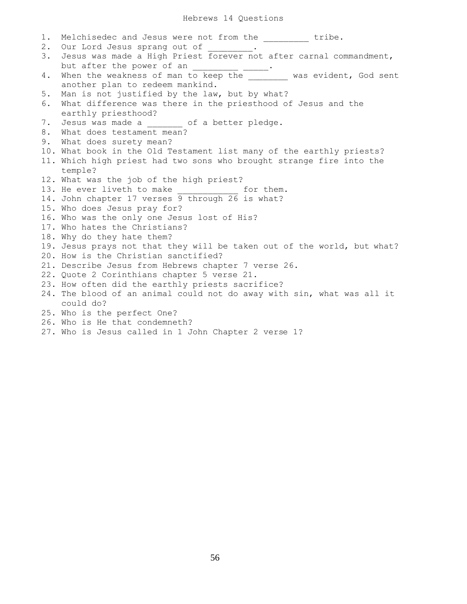## Hebrews 14 Questions

| 1. | Melchisedec and Jesus were not from the ________ tribe.                                                             |
|----|---------------------------------------------------------------------------------------------------------------------|
| 2. | Our Lord Jesus sprang out of ________.                                                                              |
| 3. | Jesus was made a High Priest forever not after carnal commandment,                                                  |
|    | but after the power of an _______________.<br>When the weakness of man to keep the __________ was evident, God sent |
| 4. |                                                                                                                     |
|    | another plan to redeem mankind.                                                                                     |
| 5. | Man is not justified by the law, but by what?                                                                       |
| 6. | What difference was there in the priesthood of Jesus and the                                                        |
|    | earthly priesthood?                                                                                                 |
| 7. | Jesus was made a ______ of a better pledge.                                                                         |
| 8. | What does testament mean?                                                                                           |
| 9. | What does surety mean?                                                                                              |
|    | 10. What book in the Old Testament list many of the earthly priests?                                                |
|    | 11. Which high priest had two sons who brought strange fire into the                                                |
|    | temple?                                                                                                             |
|    | 12. What was the job of the high priest?                                                                            |
|    | 13. He ever liveth to make ______________ for them.                                                                 |
|    | 14. John chapter 17 verses 9 through 26 is what?                                                                    |
|    | 15. Who does Jesus pray for?                                                                                        |
|    | 16. Who was the only one Jesus lost of His?                                                                         |
|    | 17. Who hates the Christians?                                                                                       |
|    | 18. Why do they hate them?                                                                                          |
|    | 19. Jesus prays not that they will be taken out of the world, but what?                                             |
|    | 20. How is the Christian sanctified?                                                                                |
|    | 21. Describe Jesus from Hebrews chapter 7 verse 26.                                                                 |
|    | 22. Quote 2 Corinthians chapter 5 verse 21.                                                                         |
|    | 23. How often did the earthly priests sacrifice?                                                                    |
|    | 24. The blood of an animal could not do away with sin, what was all it                                              |
|    | could do?                                                                                                           |
|    | 25. Who is the perfect One?                                                                                         |
|    | 26. Who is He that condemneth?                                                                                      |
|    | 27. Who is Jesus called in 1 John Chapter 2 verse 1?                                                                |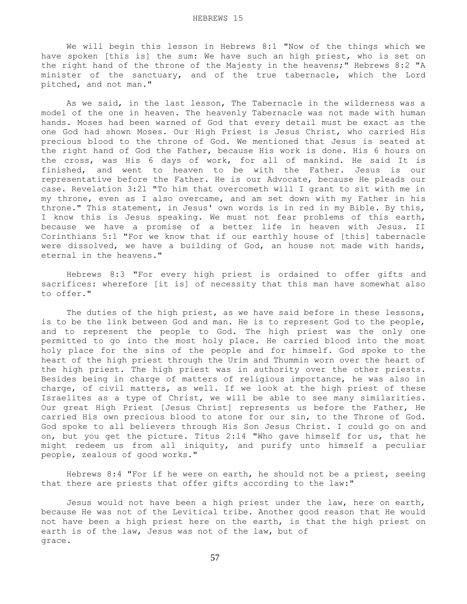We will begin this lesson in Hebrews 8:1 "Now of the things which we have spoken [this is] the sum: We have such an high priest, who is set on the right hand of the throne of the Majesty in the heavens;" Hebrews 8:2 "A minister of the sanctuary, and of the true tabernacle, which the Lord pitched, and not man."

 As we said, in the last lesson, The Tabernacle in the wilderness was a model of the one in heaven. The heavenly Tabernacle was not made with human hands. Moses had been warned of God that every detail must be exact as the one God had shown Moses. Our High Priest is Jesus Christ, who carried His precious blood to the throne of God. We mentioned that Jesus is seated at the right hand of God the Father, because His work is done. His 6 hours on the cross, was His 6 days of work, for all of mankind. He said It is finished, and went to heaven to be with the Father. Jesus is our representative before the Father. He is our Advocate, because He pleads our case. Revelation 3:21 "To him that overcometh will I grant to sit with me in my throne, even as I also overcame, and am set down with my Father in his throne." This statement, in Jesus' own words is in red in my Bible. By this, I know this is Jesus speaking. We must not fear problems of this earth, because we have a promise of a better life in heaven with Jesus. II Corinthians 5:1 "For we know that if our earthly house of [this] tabernacle were dissolved, we have a building of God, an house not made with hands, eternal in the heavens."

 Hebrews 8:3 "For every high priest is ordained to offer gifts and sacrifices: wherefore [it is] of necessity that this man have somewhat also to offer."

 The duties of the high priest, as we have said before in these lessons, is to be the link between God and man. He is to represent God to the people, and to represent the people to God. The high priest was the only one permitted to go into the most holy place. He carried blood into the most holy place for the sins of the people and for himself. God spoke to the heart of the high priest through the Urim and Thummin worn over the heart of the high priest. The high priest was in authority over the other priests. Besides being in charge of matters of religious importance, he was also in charge, of civil matters, as well. If we look at the high priest of these Israelites as a type of Christ, we will be able to see many similarities. Our great High Priest [Jesus Christ] represents us before the Father, He carried His own precious blood to atone for our sin, to the Throne of God. God spoke to all believers through His Son Jesus Christ. I could go on and on, but you get the picture. Titus 2:14 "Who gave himself for us, that he might redeem us from all iniquity, and purify unto himself a peculiar people, zealous of good works."

 Hebrews 8:4 "For if he were on earth, he should not be a priest, seeing that there are priests that offer gifts according to the law:"

 Jesus would not have been a high priest under the law, here on earth, because He was not of the Levitical tribe. Another good reason that He would not have been a high priest here on the earth, is that the high priest on earth is of the law, Jesus was not of the law, but of grace.

57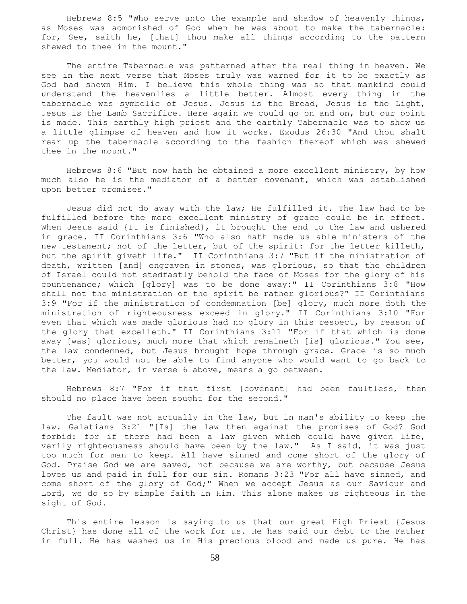Hebrews 8:5 "Who serve unto the example and shadow of heavenly things, as Moses was admonished of God when he was about to make the tabernacle: for, See, saith he, [that] thou make all things according to the pattern shewed to thee in the mount."

 The entire Tabernacle was patterned after the real thing in heaven. We see in the next verse that Moses truly was warned for it to be exactly as God had shown Him. I believe this whole thing was so that mankind could understand the heavenlies a little better. Almost every thing in the tabernacle was symbolic of Jesus. Jesus is the Bread, Jesus is the Light, Jesus is the Lamb Sacrifice. Here again we could go on and on, but our point is made. This earthly high priest and the earthly Tabernacle was to show us a little glimpse of heaven and how it works. Exodus 26:30 "And thou shalt rear up the tabernacle according to the fashion thereof which was shewed thee in the mount."

 Hebrews 8:6 "But now hath he obtained a more excellent ministry, by how much also he is the mediator of a better covenant, which was established upon better promises."

 Jesus did not do away with the law; He fulfilled it. The law had to be fulfilled before the more excellent ministry of grace could be in effect. When Jesus said {It is finished}, it brought the end to the law and ushered in grace. II Corinthians 3:6 "Who also hath made us able ministers of the new testament; not of the letter, but of the spirit: for the letter killeth, but the spirit giveth life." II Corinthians 3:7 "But if the ministration of death, written [and] engraven in stones, was glorious, so that the children of Israel could not stedfastly behold the face of Moses for the glory of his countenance; which [glory] was to be done away:" II Corinthians 3:8 "How shall not the ministration of the spirit be rather glorious?" II Corinthians 3:9 "For if the ministration of condemnation [be] glory, much more doth the ministration of righteousness exceed in glory." II Corinthians 3:10 "For even that which was made glorious had no glory in this respect, by reason of the glory that excelleth." II Corinthians 3:11 "For if that which is done away [was] glorious, much more that which remaineth [is] glorious." You see, the law condemned, but Jesus brought hope through grace. Grace is so much better, you would not be able to find anyone who would want to go back to the law. Mediator, in verse 6 above, means a go between.

 Hebrews 8:7 "For if that first [covenant] had been faultless, then should no place have been sought for the second."

 The fault was not actually in the law, but in man's ability to keep the law. Galatians 3:21 "[Is] the law then against the promises of God? God forbid: for if there had been a law given which could have given life, verily righteousness should have been by the law." As I said, it was just too much for man to keep. All have sinned and come short of the glory of God. Praise God we are saved, not because we are worthy, but because Jesus loves us and paid in full for our sin. Romans 3:23 "For all have sinned, and come short of the glory of God;" When we accept Jesus as our Saviour and Lord, we do so by simple faith in Him. This alone makes us righteous in the sight of God.

 This entire lesson is saying to us that our great High Priest {Jesus Christ} has done all of the work for us. He has paid our debt to the Father in full. He has washed us in His precious blood and made us pure. He has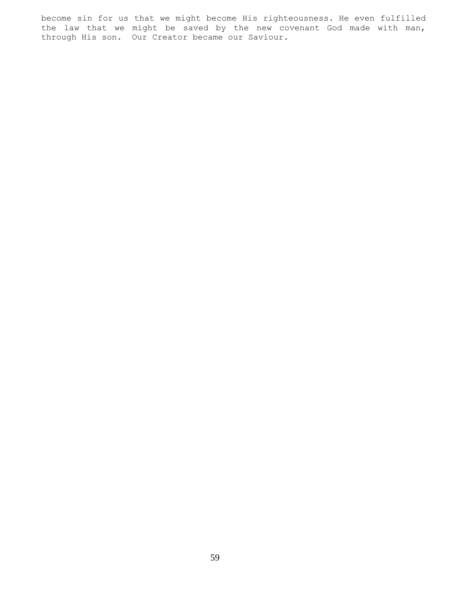become sin for us that we might become His righteousness. He even fulfilled the law that we might be saved by the new covenant God made with man, through His son. Our Creator became our Saviour.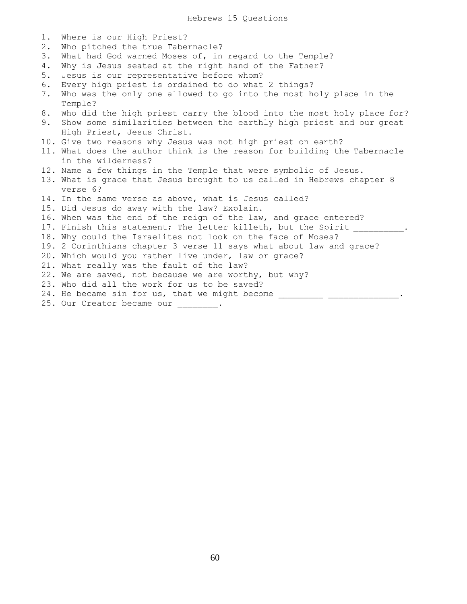Hebrews 15 Questions

| 1. | Where is our High Priest?                                                |
|----|--------------------------------------------------------------------------|
| 2. | Who pitched the true Tabernacle?                                         |
| 3. | What had God warned Moses of, in regard to the Temple?                   |
| 4. | Why is Jesus seated at the right hand of the Father?                     |
| 5. | Jesus is our representative before whom?                                 |
| 6. | Every high priest is ordained to do what 2 things?                       |
| 7. | Who was the only one allowed to go into the most holy place in the       |
|    | Temple?                                                                  |
| 8. | Who did the high priest carry the blood into the most holy place for?    |
| 9. | Show some similarities between the earthly high priest and our great     |
|    | High Priest, Jesus Christ.                                               |
|    | 10. Give two reasons why Jesus was not high priest on earth?             |
|    | 11. What does the author think is the reason for building the Tabernacle |
|    | in the wilderness?                                                       |
|    | 12. Name a few things in the Temple that were symbolic of Jesus.         |
|    | 13. What is grace that Jesus brought to us called in Hebrews chapter 8   |
|    | verse 6?                                                                 |
|    | 14. In the same verse as above, what is Jesus called?                    |
|    | 15. Did Jesus do away with the law? Explain.                             |
|    | 16. When was the end of the reign of the law, and grace entered?         |
|    | 17. Finish this statement; The letter killeth, but the Spirit            |
|    | 18. Why could the Israelites not look on the face of Moses?              |
|    | 19. 2 Corinthians chapter 3 verse 11 says what about law and grace?      |
|    | 20. Which would you rather live under, law or grace?                     |
|    | 21. What really was the fault of the law?                                |
|    | 22. We are saved, not because we are worthy, but why?                    |
|    | 23. Who did all the work for us to be saved?                             |
|    | 24. He became sin for us, that we might become                           |

25. Our Creator became our \_\_\_\_\_\_\_\_.

60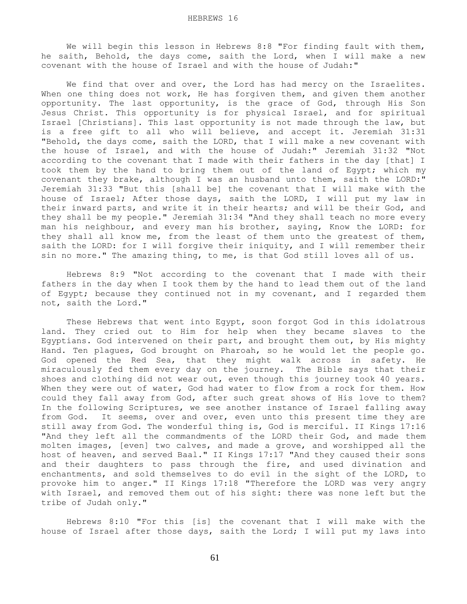We will begin this lesson in Hebrews 8:8 "For finding fault with them, he saith, Behold, the days come, saith the Lord, when I will make a new covenant with the house of Israel and with the house of Judah:"

We find that over and over, the Lord has had mercy on the Israelites. When one thing does not work, He has forgiven them, and given them another opportunity. The last opportunity, is the grace of God, through His Son Jesus Christ. This opportunity is for physical Israel, and for spiritual Israel [Christians]. This last opportunity is not made through the law, but is a free gift to all who will believe, and accept it. Jeremiah 31:31 "Behold, the days come, saith the LORD, that I will make a new covenant with the house of Israel, and with the house of Judah:" Jeremiah 31:32 "Not according to the covenant that I made with their fathers in the day [that] I took them by the hand to bring them out of the land of Egypt; which my covenant they brake, although I was an husband unto them, saith the LORD:" Jeremiah 31:33 "But this [shall be] the covenant that I will make with the house of Israel; After those days, saith the LORD, I will put my law in their inward parts, and write it in their hearts; and will be their God, and they shall be my people." Jeremiah 31:34 "And they shall teach no more every man his neighbour, and every man his brother, saying, Know the LORD: for they shall all know me, from the least of them unto the greatest of them, saith the LORD: for I will forgive their iniquity, and I will remember their sin no more." The amazing thing, to me, is that God still loves all of us.

 Hebrews 8:9 "Not according to the covenant that I made with their fathers in the day when I took them by the hand to lead them out of the land of Egypt; because they continued not in my covenant, and I regarded them not, saith the Lord."

 These Hebrews that went into Egypt, soon forgot God in this idolatrous land. They cried out to Him for help when they became slaves to the Egyptians. God intervened on their part, and brought them out, by His mighty Hand. Ten plagues, God brought on Pharoah, so he would let the people go. God opened the Red Sea, that they might walk across in safety. He miraculously fed them every day on the journey. The Bible says that their shoes and clothing did not wear out, even though this journey took 40 years. When they were out of water, God had water to flow from a rock for them. How could they fall away from God, after such great shows of His love to them? In the following Scriptures, we see another instance of Israel falling away from God. It seems, over and over, even unto this present time they are still away from God. The wonderful thing is, God is merciful. II Kings 17:16 "And they left all the commandments of the LORD their God, and made them molten images, [even] two calves, and made a grove, and worshipped all the host of heaven, and served Baal." II Kings 17:17 "And they caused their sons and their daughters to pass through the fire, and used divination and enchantments, and sold themselves to do evil in the sight of the LORD, to provoke him to anger." II Kings 17:18 "Therefore the LORD was very angry with Israel, and removed them out of his sight: there was none left but the tribe of Judah only."

 Hebrews 8:10 "For this [is] the covenant that I will make with the house of Israel after those days, saith the Lord; I will put my laws into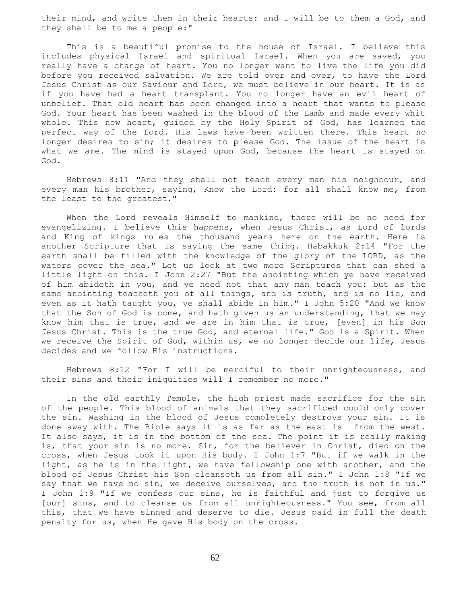their mind, and write them in their hearts: and I will be to them a God, and they shall be to me a people:"

 This is a beautiful promise to the house of Israel. I believe this includes physical Israel and spiritual Israel. When you are saved, you really have a change of heart. You no longer want to live the life you did before you received salvation. We are told over and over, to have the Lord Jesus Christ as our Saviour and Lord, we must believe in our heart. It is as if you have had a heart transplant. You no longer have an evil heart of unbelief. That old heart has been changed into a heart that wants to please God. Your heart has been washed in the blood of the Lamb and made every whit whole. This new heart, guided by the Holy Spirit of God, has learned the perfect way of the Lord. His laws have been written there. This heart no longer desires to sin; it desires to please God. The issue of the heart is what we are. The mind is stayed upon God, because the heart is stayed on God.

 Hebrews 8:11 "And they shall not teach every man his neighbour, and every man his brother, saying, Know the Lord: for all shall know me, from the least to the greatest."

 When the Lord reveals Himself to mankind, there will be no need for evangelizing. I believe this happens, when Jesus Christ, as Lord of lords and King of kings rules the thousand years here on the earth. Here is another Scripture that is saying the same thing. Habakkuk 2:14 "For the earth shall be filled with the knowledge of the glory of the LORD, as the waters cover the sea." Let us look at two more Scriptures that can shed a little light on this. I John 2:27 "But the anointing which ye have received of him abideth in you, and ye need not that any man teach you: but as the same anointing teacheth you of all things, and is truth, and is no lie, and even as it hath taught you, ye shall abide in him." I John 5:20 "And we know that the Son of God is come, and hath given us an understanding, that we may know him that is true, and we are in him that is true, [even] in his Son Jesus Christ. This is the true God, and eternal life." God is a Spirit. When we receive the Spirit of God, within us, we no longer decide our life, Jesus decides and we follow His instructions.

 Hebrews 8:12 "For I will be merciful to their unrighteousness, and their sins and their iniquities will I remember no more."

 In the old earthly Temple, the high priest made sacrifice for the sin of the people. This blood of animals that they sacrificed could only cover the sin. Washing in the blood of Jesus completely destroys your sin. It is done away with. The Bible says it is as far as the east is from the west. It also says, it is in the bottom of the sea. The point it is really making is, that your sin is no more. Sin, for the believer in Christ, died on the cross, when Jesus took it upon His body. I John 1:7 "But if we walk in the light, as he is in the light, we have fellowship one with another, and the blood of Jesus Christ his Son cleanseth us from all sin." I John 1:8 "If we say that we have no sin, we deceive ourselves, and the truth is not in us." I John 1:9 "If we confess our sins, he is faithful and just to forgive us [our] sins, and to cleanse us from all unrighteousness." You see, from all this, that we have sinned and deserve to die. Jesus paid in full the death penalty for us, when He gave His body on the cross.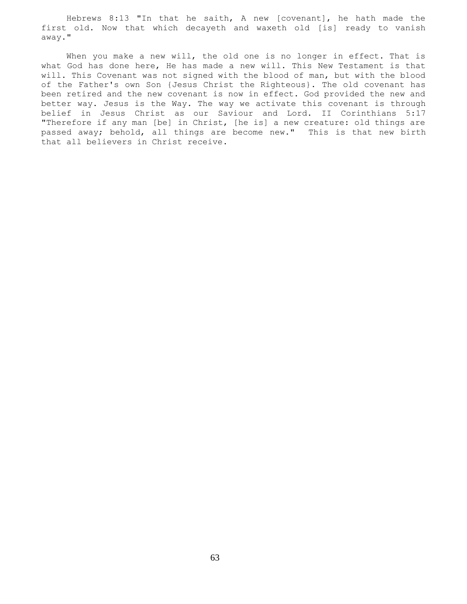Hebrews 8:13 "In that he saith, A new [covenant], he hath made the first old. Now that which decayeth and waxeth old [is] ready to vanish away."

When you make a new will, the old one is no longer in effect. That is what God has done here, He has made a new will. This New Testament is that will. This Covenant was not signed with the blood of man, but with the blood of the Father's own Son {Jesus Christ the Righteous}. The old covenant has been retired and the new covenant is now in effect. God provided the new and better way. Jesus is the Way. The way we activate this covenant is through belief in Jesus Christ as our Saviour and Lord. II Corinthians 5:17 "Therefore if any man [be] in Christ, [he is] a new creature: old things are passed away; behold, all things are become new." This is that new birth that all believers in Christ receive.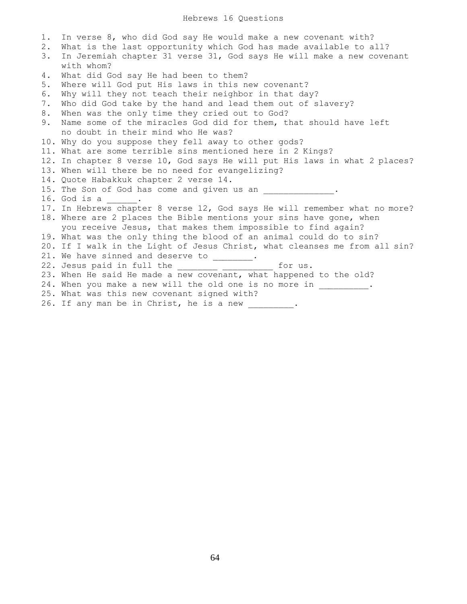1. In verse 8, who did God say He would make a new covenant with? 2. What is the last opportunity which God has made available to all? 3. In Jeremiah chapter 31 verse 31, God says He will make a new covenant with whom? 4. What did God say He had been to them? 5. Where will God put His laws in this new covenant? 6. Why will they not teach their neighbor in that day? 7. Who did God take by the hand and lead them out of slavery? 8. When was the only time they cried out to God? 9. Name some of the miracles God did for them, that should have left no doubt in their mind who He was? 10. Why do you suppose they fell away to other gods? 11. What are some terrible sins mentioned here in 2 Kings? 12. In chapter 8 verse 10, God says He will put His laws in what 2 places? 13. When will there be no need for evangelizing? 14. Quote Habakkuk chapter 2 verse 14. 15. The Son of God has come and given us an  $\blacksquare$ 16. God is a \_\_\_\_\_\_. 17. In Hebrews chapter 8 verse 12, God says He will remember what no more? 18. Where are 2 places the Bible mentions your sins have gone, when you receive Jesus, that makes them impossible to find again? 19. What was the only thing the blood of an animal could do to sin? 20. If I walk in the Light of Jesus Christ, what cleanses me from all sin? 21. We have sinned and deserve to  $\frac{\ }{\ }$ . 22. Jesus paid in full the \_\_\_\_\_\_\_\_ \_\_\_\_\_\_\_\_\_\_ for us. 23. When He said He made a new covenant, what happened to the old? 24. When you make a new will the old one is no more in \_\_\_\_\_\_\_\_. 25. What was this new covenant signed with? 26. If any man be in Christ, he is a new \_\_\_\_\_\_\_\_\_.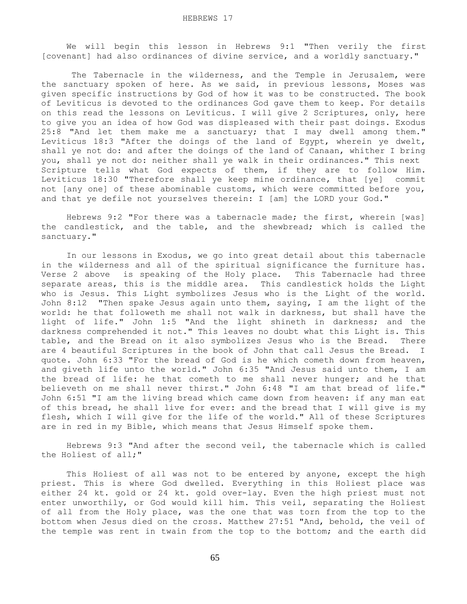We will begin this lesson in Hebrews 9:1 "Then verily the first [covenant] had also ordinances of divine service, and a worldly sanctuary."

 The Tabernacle in the wilderness, and the Temple in Jerusalem, were the sanctuary spoken of here. As we said, in previous lessons, Moses was given specific instructions by God of how it was to be constructed. The book of Leviticus is devoted to the ordinances God gave them to keep. For details on this read the lessons on Leviticus. I will give 2 Scriptures, only, here to give you an idea of how God was displeased with their past doings. Exodus 25:8 "And let them make me a sanctuary; that I may dwell among them." Leviticus 18:3 "After the doings of the land of Egypt, wherein ye dwelt, shall ye not do: and after the doings of the land of Canaan, whither I bring you, shall ye not do: neither shall ye walk in their ordinances." This next Scripture tells what God expects of them, if they are to follow Him. Leviticus 18:30 "Therefore shall ye keep mine ordinance, that [ye] commit not [any one] of these abominable customs, which were committed before you, and that ye defile not yourselves therein: I [am] the LORD your God."

 Hebrews 9:2 "For there was a tabernacle made; the first, wherein [was] the candlestick, and the table, and the shewbread; which is called the sanctuary."

 In our lessons in Exodus, we go into great detail about this tabernacle in the wilderness and all of the spiritual significance the furniture has. Verse 2 above is speaking of the Holy place. This Tabernacle had three separate areas, this is the middle area. This candlestick holds the Light who is Jesus. This Light symbolizes Jesus who is the Light of the world. John 8:12 "Then spake Jesus again unto them, saying, I am the light of the world: he that followeth me shall not walk in darkness, but shall have the light of life." John 1:5 "And the light shineth in darkness; and the darkness comprehended it not." This leaves no doubt what this Light is. This table, and the Bread on it also symbolizes Jesus who is the Bread. There are 4 beautiful Scriptures in the book of John that call Jesus the Bread. I quote. John 6:33 "For the bread of God is he which cometh down from heaven, and giveth life unto the world." John 6:35 "And Jesus said unto them, I am the bread of life: he that cometh to me shall never hunger; and he that believeth on me shall never thirst." John 6:48 "I am that bread of life." John 6:51 "I am the living bread which came down from heaven: if any man eat of this bread, he shall live for ever: and the bread that I will give is my flesh, which I will give for the life of the world." All of these Scriptures are in red in my Bible, which means that Jesus Himself spoke them.

 Hebrews 9:3 "And after the second veil, the tabernacle which is called the Holiest of all;"

This Holiest of all was not to be entered by anyone, except the high priest. This is where God dwelled. Everything in this Holiest place was either 24 kt. gold or 24 kt. gold over-lay. Even the high priest must not enter unworthily, or God would kill him. This veil, separating the Holiest of all from the Holy place, was the one that was torn from the top to the bottom when Jesus died on the cross. Matthew 27:51 "And, behold, the veil of the temple was rent in twain from the top to the bottom; and the earth did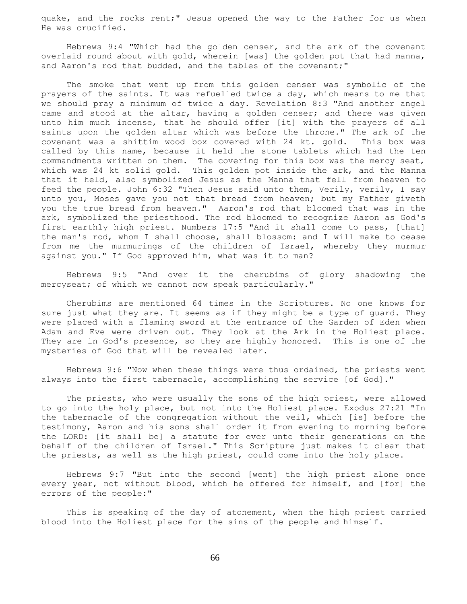quake, and the rocks rent;" Jesus opened the way to the Father for us when He was crucified.

 Hebrews 9:4 "Which had the golden censer, and the ark of the covenant overlaid round about with gold, wherein [was] the golden pot that had manna, and Aaron's rod that budded, and the tables of the covenant;"

 The smoke that went up from this golden censer was symbolic of the prayers of the saints. It was refuelled twice a day, which means to me that we should pray a minimum of twice a day. Revelation 8:3 "And another angel came and stood at the altar, having a golden censer; and there was given unto him much incense, that he should offer [it] with the prayers of all saints upon the golden altar which was before the throne." The ark of the covenant was a shittim wood box covered with 24 kt. gold. This box was called by this name, because it held the stone tablets which had the ten commandments written on them. The covering for this box was the mercy seat, which was 24 kt solid gold. This golden pot inside the ark, and the Manna that it held, also symbolized Jesus as the Manna that fell from heaven to feed the people. John 6:32 "Then Jesus said unto them, Verily, verily, I say unto you, Moses gave you not that bread from heaven; but my Father giveth you the true bread from heaven." Aaron's rod that bloomed that was in the ark, symbolized the priesthood. The rod bloomed to recognize Aaron as God's first earthly high priest. Numbers 17:5 "And it shall come to pass, [that] the man's rod, whom I shall choose, shall blossom: and I will make to cease from me the murmurings of the children of Israel, whereby they murmur against you." If God approved him, what was it to man?

 Hebrews 9:5 "And over it the cherubims of glory shadowing the mercyseat; of which we cannot now speak particularly."

 Cherubims are mentioned 64 times in the Scriptures. No one knows for sure just what they are. It seems as if they might be a type of guard. They were placed with a flaming sword at the entrance of the Garden of Eden when Adam and Eve were driven out. They look at the Ark in the Holiest place. They are in God's presence, so they are highly honored. This is one of the mysteries of God that will be revealed later.

 Hebrews 9:6 "Now when these things were thus ordained, the priests went always into the first tabernacle, accomplishing the service [of God]."

 The priests, who were usually the sons of the high priest, were allowed to go into the holy place, but not into the Holiest place. Exodus 27:21 "In the tabernacle of the congregation without the veil, which [is] before the testimony, Aaron and his sons shall order it from evening to morning before the LORD: [it shall be] a statute for ever unto their generations on the behalf of the children of Israel." This Scripture just makes it clear that the priests, as well as the high priest, could come into the holy place.

 Hebrews 9:7 "But into the second [went] the high priest alone once every year, not without blood, which he offered for himself, and [for] the errors of the people:"

 This is speaking of the day of atonement, when the high priest carried blood into the Holiest place for the sins of the people and himself.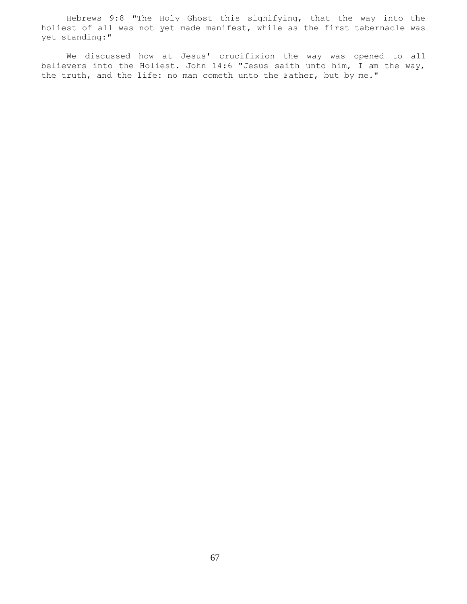Hebrews 9:8 "The Holy Ghost this signifying, that the way into the holiest of all was not yet made manifest, while as the first tabernacle was yet standing:"

 We discussed how at Jesus' crucifixion the way was opened to all believers into the Holiest. John 14:6 "Jesus saith unto him, I am the way, the truth, and the life: no man cometh unto the Father, but by me."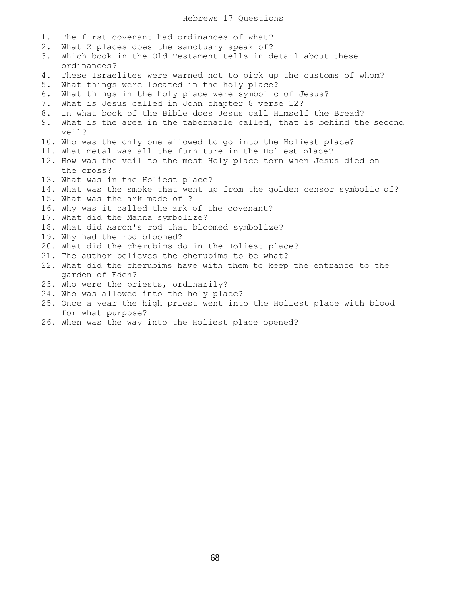- 1. The first covenant had ordinances of what?
- 2. What 2 places does the sanctuary speak of?
- 3. Which book in the Old Testament tells in detail about these ordinances?
- 4. These Israelites were warned not to pick up the customs of whom?
- 5. What things were located in the holy place?
- 6. What things in the holy place were symbolic of Jesus?
- 7. What is Jesus called in John chapter 8 verse 12?
- 8. In what book of the Bible does Jesus call Himself the Bread?
- 9. What is the area in the tabernacle called, that is behind the second veil?
- 10. Who was the only one allowed to go into the Holiest place?
- 11. What metal was all the furniture in the Holiest place?
- 12. How was the veil to the most Holy place torn when Jesus died on the cross?
- 13. What was in the Holiest place?
- 14. What was the smoke that went up from the golden censor symbolic of?
- 15. What was the ark made of ?
- 16. Why was it called the ark of the covenant?
- 17. What did the Manna symbolize?
- 18. What did Aaron's rod that bloomed symbolize?
- 19. Why had the rod bloomed?
- 20. What did the cherubims do in the Holiest place?
- 21. The author believes the cherubims to be what?
- 22. What did the cherubims have with them to keep the entrance to the garden of Eden?
- 23. Who were the priests, ordinarily?
- 24. Who was allowed into the holy place?
- 25. Once a year the high priest went into the Holiest place with blood for what purpose?
- 26. When was the way into the Holiest place opened?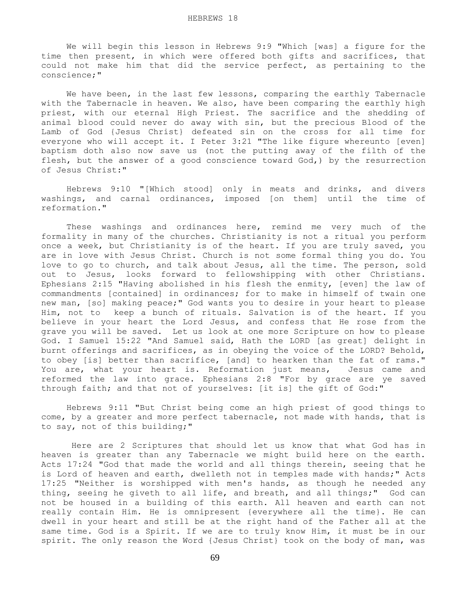We will begin this lesson in Hebrews 9:9 "Which [was] a figure for the time then present, in which were offered both gifts and sacrifices, that could not make him that did the service perfect, as pertaining to the conscience;"

 We have been, in the last few lessons, comparing the earthly Tabernacle with the Tabernacle in heaven. We also, have been comparing the earthly high priest, with our eternal High Priest. The sacrifice and the shedding of animal blood could never do away with sin, but the precious Blood of the Lamb of God {Jesus Christ} defeated sin on the cross for all time for everyone who will accept it. I Peter 3:21 "The like figure whereunto [even] baptism doth also now save us (not the putting away of the filth of the flesh, but the answer of a good conscience toward God,) by the resurrection of Jesus Christ:"

 Hebrews 9:10 "[Which stood] only in meats and drinks, and divers washings, and carnal ordinances, imposed [on them] until the time of reformation."

 These washings and ordinances here, remind me very much of the formality in many of the churches. Christianity is not a ritual you perform once a week, but Christianity is of the heart. If you are truly saved, you are in love with Jesus Christ. Church is not some formal thing you do. You love to go to church, and talk about Jesus, all the time. The person, sold out to Jesus, looks forward to fellowshipping with other Christians. Ephesians 2:15 "Having abolished in his flesh the enmity, [even] the law of commandments [contained] in ordinances; for to make in himself of twain one new man, [so] making peace;" God wants you to desire in your heart to please Him, not to keep a bunch of rituals. Salvation is of the heart. If you believe in your heart the Lord Jesus, and confess that He rose from the grave you will be saved. Let us look at one more Scripture on how to please God. I Samuel 15:22 "And Samuel said, Hath the LORD [as great] delight in burnt offerings and sacrifices, as in obeying the voice of the LORD? Behold, to obey [is] better than sacrifice, [and] to hearken than the fat of rams." You are, what your heart is. Reformation just means, Jesus came and reformed the law into grace. Ephesians 2:8 "For by grace are ye saved through faith; and that not of yourselves: [it is] the gift of God:"

 Hebrews 9:11 "But Christ being come an high priest of good things to come, by a greater and more perfect tabernacle, not made with hands, that is to say, not of this building;"

 Here are 2 Scriptures that should let us know that what God has in heaven is greater than any Tabernacle we might build here on the earth. Acts 17:24 "God that made the world and all things therein, seeing that he is Lord of heaven and earth, dwelleth not in temples made with hands;" Acts 17:25 "Neither is worshipped with men's hands, as though he needed any thing, seeing he giveth to all life, and breath, and all things;" God can not be housed in a building of this earth. All heaven and earth can not really contain Him. He is omnipresent {everywhere all the time}. He can dwell in your heart and still be at the right hand of the Father all at the same time. God is a Spirit. If we are to truly know Him, it must be in our spirit. The only reason the Word {Jesus Christ} took on the body of man, was

69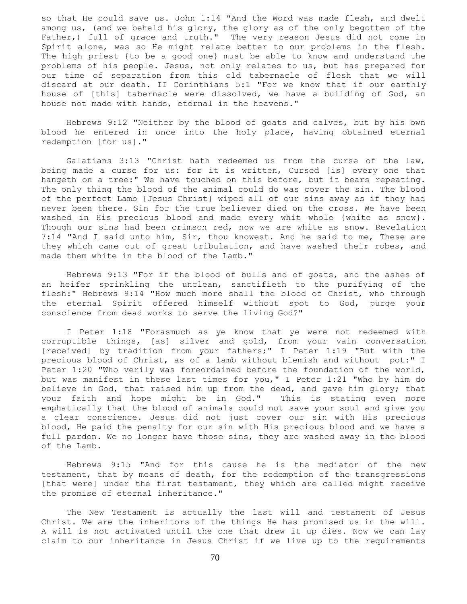so that He could save us. John 1:14 "And the Word was made flesh, and dwelt among us, (and we beheld his glory, the glory as of the only begotten of the Father,) full of grace and truth." The very reason Jesus did not come in Spirit alone, was so He might relate better to our problems in the flesh. The high priest {to be a good one} must be able to know and understand the problems of his people. Jesus, not only relates to us, but has prepared for our time of separation from this old tabernacle of flesh that we will discard at our death. II Corinthians 5:1 "For we know that if our earthly house of [this] tabernacle were dissolved, we have a building of God, an house not made with hands, eternal in the heavens."

 Hebrews 9:12 "Neither by the blood of goats and calves, but by his own blood he entered in once into the holy place, having obtained eternal redemption [for us]."

 Galatians 3:13 "Christ hath redeemed us from the curse of the law, being made a curse for us: for it is written, Cursed [is] every one that hangeth on a tree:" We have touched on this before, but it bears repeating. The only thing the blood of the animal could do was cover the sin. The blood of the perfect Lamb {Jesus Christ} wiped all of our sins away as if they had never been there. Sin for the true believer died on the cross. We have been washed in His precious blood and made every whit whole {white as snow}. Though our sins had been crimson red, now we are white as snow. Revelation 7:14 "And I said unto him, Sir, thou knowest. And he said to me, These are they which came out of great tribulation, and have washed their robes, and made them white in the blood of the Lamb."

 Hebrews 9:13 "For if the blood of bulls and of goats, and the ashes of an heifer sprinkling the unclean, sanctifieth to the purifying of the flesh:" Hebrews 9:14 "How much more shall the blood of Christ, who through the eternal Spirit offered himself without spot to God, purge your conscience from dead works to serve the living God?"

 I Peter 1:18 "Forasmuch as ye know that ye were not redeemed with corruptible things, [as] silver and gold, from your vain conversation [received] by tradition from your fathers;" I Peter 1:19 "But with the precious blood of Christ, as of a lamb without blemish and without pot:" I Peter 1:20 "Who verily was foreordained before the foundation of the world, but was manifest in these last times for you," I Peter 1:21 "Who by him do believe in God, that raised him up from the dead, and gave him glory; that your faith and hope might be in God." This is stating even more emphatically that the blood of animals could not save your soul and give you a clear conscience. Jesus did not just cover our sin with His precious blood, He paid the penalty for our sin with His precious blood and we have a full pardon. We no longer have those sins, they are washed away in the blood of the Lamb.

 Hebrews 9:15 "And for this cause he is the mediator of the new testament, that by means of death, for the redemption of the transgressions [that were] under the first testament, they which are called might receive the promise of eternal inheritance."

 The New Testament is actually the last will and testament of Jesus Christ. We are the inheritors of the things He has promised us in the will. A will is not activated until the one that drew it up dies. Now we can lay claim to our inheritance in Jesus Christ if we live up to the requirements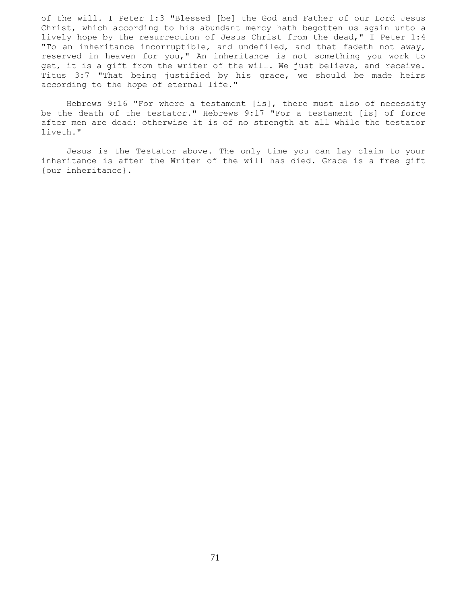of the will. I Peter 1:3 "Blessed [be] the God and Father of our Lord Jesus Christ, which according to his abundant mercy hath begotten us again unto a lively hope by the resurrection of Jesus Christ from the dead," I Peter 1:4 "To an inheritance incorruptible, and undefiled, and that fadeth not away, reserved in heaven for you," An inheritance is not something you work to get, it is a gift from the writer of the will. We just believe, and receive. Titus 3:7 "That being justified by his grace, we should be made heirs according to the hope of eternal life."

 Hebrews 9:16 "For where a testament [is], there must also of necessity be the death of the testator." Hebrews 9:17 "For a testament [is] of force after men are dead: otherwise it is of no strength at all while the testator liveth."

 Jesus is the Testator above. The only time you can lay claim to your inheritance is after the Writer of the will has died. Grace is a free gift {our inheritance}.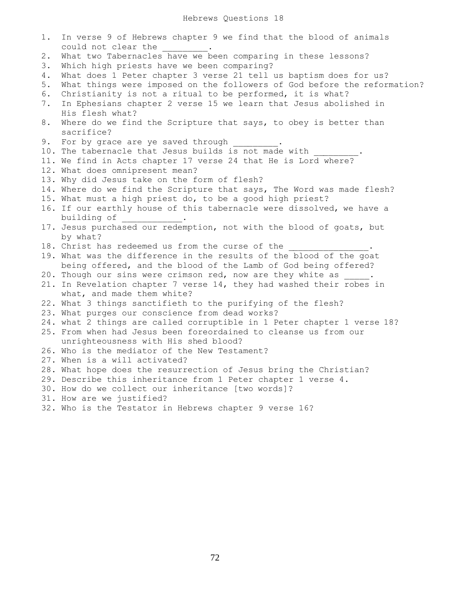| 1. | In verse 9 of Hebrews chapter 9 we find that the blood of animals              |
|----|--------------------------------------------------------------------------------|
|    | could not clear the                                                            |
| 2. | What two Tabernacles have we been comparing in these lessons?                  |
| 3. | Which high priests have we been comparing?                                     |
| 4. | What does 1 Peter chapter 3 verse 21 tell us baptism does for us?              |
| 5. | What things were imposed on the followers of God before the reformation?       |
| 6. | Christianity is not a ritual to be performed, it is what?                      |
| 7. | In Ephesians chapter 2 verse 15 we learn that Jesus abolished in               |
|    | His flesh what?                                                                |
| 8. | Where do we find the Scripture that says, to obey is better than<br>sacrifice? |
| 9. | For by grace are ye saved through                                              |
|    | 10. The tabernacle that Jesus builds is not made with                          |
|    | 11. We find in Acts chapter 17 verse 24 that He is Lord where?                 |
|    | 12. What does omnipresent mean?                                                |
|    | 13. Why did Jesus take on the form of flesh?                                   |
|    | 14. Where do we find the Scripture that says, The Word was made flesh?         |
|    | 15. What must a high priest do, to be a good high priest?                      |
|    | 16. If our earthly house of this tabernacle were dissolved, we have a          |
|    | building of                                                                    |
|    | 17. Jesus purchased our redemption, not with the blood of goats, but           |
|    | by what?                                                                       |
|    | 18. Christ has redeemed us from the curse of the                               |
|    | 19. What was the difference in the results of the blood of the goat            |
|    | being offered, and the blood of the Lamb of God being offered?                 |
|    | 20. Though our sins were crimson red, now are they white as .                  |
|    | 21. In Revelation chapter 7 verse 14, they had washed their robes in           |
|    | what, and made them white?                                                     |
|    | 22. What 3 things sanctifieth to the purifying of the flesh?                   |
|    | 23. What purges our conscience from dead works?                                |
|    | 24. what 2 things are called corruptible in 1 Peter chapter 1 verse 18?        |
|    | 25. From when had Jesus been foreordained to cleanse us from our               |
|    | unrighteousness with His shed blood?                                           |
|    | 26. Who is the mediator of the New Testament?                                  |
|    | 27. When is a will activated?                                                  |
|    | 28. What hope does the resurrection of Jesus bring the Christian?              |
|    | 29. Describe this inheritance from 1 Peter chapter 1 verse 4.                  |
|    | 30. How do we collect our inheritance [two words]?                             |
|    | 31. How are we justified?                                                      |
|    | 32. Who is the Testator in Hebrews chapter 9 verse 16?                         |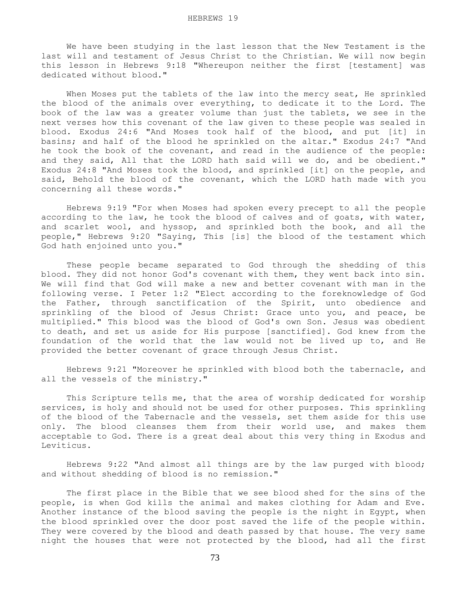We have been studying in the last lesson that the New Testament is the last will and testament of Jesus Christ to the Christian. We will now begin this lesson in Hebrews 9:18 "Whereupon neither the first [testament] was dedicated without blood."

 When Moses put the tablets of the law into the mercy seat, He sprinkled the blood of the animals over everything, to dedicate it to the Lord. The book of the law was a greater volume than just the tablets, we see in the next verses how this covenant of the law given to these people was sealed in blood. Exodus 24:6 "And Moses took half of the blood, and put [it] in basins; and half of the blood he sprinkled on the altar." Exodus 24:7 "And he took the book of the covenant, and read in the audience of the people: and they said, All that the LORD hath said will we do, and be obedient." Exodus 24:8 "And Moses took the blood, and sprinkled [it] on the people, and said, Behold the blood of the covenant, which the LORD hath made with you concerning all these words."

 Hebrews 9:19 "For when Moses had spoken every precept to all the people according to the law, he took the blood of calves and of goats, with water, and scarlet wool, and hyssop, and sprinkled both the book, and all the people," Hebrews 9:20 "Saying, This [is] the blood of the testament which God hath enjoined unto you."

 These people became separated to God through the shedding of this blood. They did not honor God's covenant with them, they went back into sin. We will find that God will make a new and better covenant with man in the following verse. I Peter 1:2 "Elect according to the foreknowledge of God the Father, through sanctification of the Spirit, unto obedience and sprinkling of the blood of Jesus Christ: Grace unto you, and peace, be multiplied." This blood was the blood of God's own Son. Jesus was obedient to death, and set us aside for His purpose [sanctified]. God knew from the foundation of the world that the law would not be lived up to, and He provided the better covenant of grace through Jesus Christ.

 Hebrews 9:21 "Moreover he sprinkled with blood both the tabernacle, and all the vessels of the ministry."

 This Scripture tells me, that the area of worship dedicated for worship services, is holy and should not be used for other purposes. This sprinkling of the blood of the Tabernacle and the vessels, set them aside for this use only. The blood cleanses them from their world use, and makes them acceptable to God. There is a great deal about this very thing in Exodus and Leviticus.

 Hebrews 9:22 "And almost all things are by the law purged with blood; and without shedding of blood is no remission."

 The first place in the Bible that we see blood shed for the sins of the people, is when God kills the animal and makes clothing for Adam and Eve. Another instance of the blood saving the people is the night in Egypt, when the blood sprinkled over the door post saved the life of the people within. They were covered by the blood and death passed by that house. The very same night the houses that were not protected by the blood, had all the first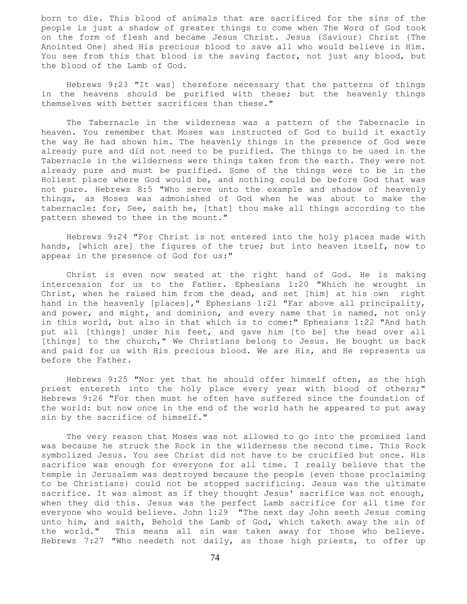born to die. This blood of animals that are sacrificed for the sins of the people is just a shadow of greater things to come when The Word of God took on the form of flesh and became Jesus Christ. Jesus {Saviour} Christ {The Anointed One} shed His precious blood to save all who would believe in Him. You see from this that blood is the saving factor, not just any blood, but the blood of the Lamb of God.

 Hebrews 9:23 "It was] therefore necessary that the patterns of things in the heavens should be purified with these; but the heavenly things themselves with better sacrifices than these."

 The Tabernacle in the wilderness was a pattern of the Tabernacle in heaven. You remember that Moses was instructed of God to build it exactly the way He had shown him. The heavenly things in the presence of God were already pure and did not need to be purified. The things to be used in the Tabernacle in the wilderness were things taken from the earth. They were not already pure and must be purified. Some of the things were to be in the Holiest place where God would be, and nothing could be before God that was not pure. Hebrews 8:5 "Who serve unto the example and shadow of heavenly things, as Moses was admonished of God when he was about to make the tabernacle: for, See, saith he, [that] thou make all things according to the pattern shewed to thee in the mount."

 Hebrews 9:24 "For Christ is not entered into the holy places made with hands, [which are] the figures of the true; but into heaven itself, now to appear in the presence of God for us:"

 Christ is even now seated at the right hand of God. He is making intercession for us to the Father. Ephesians 1:20 "Which he wrought in Christ, when he raised him from the dead, and set [him] at his own right hand in the heavenly [places]," Ephesians 1:21 "Far above all principality, and power, and might, and dominion, and every name that is named, not only in this world, but also in that which is to come:" Ephesians 1:22 "And hath put all [things] under his feet, and gave him [to be] the head over all [things] to the church," We Christians belong to Jesus. He bought us back and paid for us with His precious blood. We are His, and He represents us before the Father.

 Hebrews 9:25 "Nor yet that he should offer himself often, as the high priest entereth into the holy place every year with blood of others;" Hebrews 9:26 "For then must he often have suffered since the foundation of the world: but now once in the end of the world hath he appeared to put away sin by the sacrifice of himself."

 The very reason that Moses was not allowed to go into the promised land was because he struck the Rock in the wilderness the second time. This Rock symbolized Jesus. You see Christ did not have to be crucified but once. His sacrifice was enough for everyone for all time. I really believe that the temple in Jerusalem was destroyed because the people {even those proclaiming to be Christians} could not be stopped sacrificing. Jesus was the ultimate sacrifice. It was almost as if they thought Jesus' sacrifice was not enough, when they did this. Jesus was the perfect Lamb sacrifice for all time for everyone who would believe. John 1:29 "The next day John seeth Jesus coming unto him, and saith, Behold the Lamb of God, which taketh away the sin of the world." This means all sin was taken away for those who believe. Hebrews 7:27 "Who needeth not daily, as those high priests, to offer up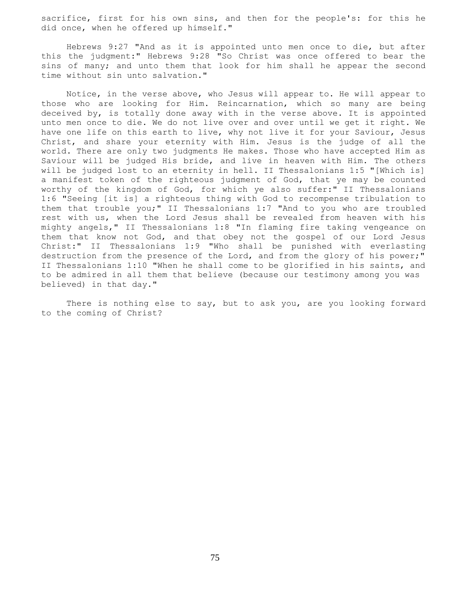sacrifice, first for his own sins, and then for the people's: for this he did once, when he offered up himself."

 Hebrews 9:27 "And as it is appointed unto men once to die, but after this the judgment:" Hebrews 9:28 "So Christ was once offered to bear the sins of many; and unto them that look for him shall he appear the second time without sin unto salvation."

 Notice, in the verse above, who Jesus will appear to. He will appear to those who are looking for Him. Reincarnation, which so many are being deceived by, is totally done away with in the verse above. It is appointed unto men once to die. We do not live over and over until we get it right. We have one life on this earth to live, why not live it for your Saviour, Jesus Christ, and share your eternity with Him. Jesus is the judge of all the world. There are only two judgments He makes. Those who have accepted Him as Saviour will be judged His bride, and live in heaven with Him. The others will be judged lost to an eternity in hell. II Thessalonians 1:5 "[Which is] a manifest token of the righteous judgment of God, that ye may be counted worthy of the kingdom of God, for which ye also suffer:" II Thessalonians 1:6 "Seeing [it is] a righteous thing with God to recompense tribulation to them that trouble you;" II Thessalonians 1:7 "And to you who are troubled rest with us, when the Lord Jesus shall be revealed from heaven with his mighty angels," II Thessalonians 1:8 "In flaming fire taking vengeance on them that know not God, and that obey not the gospel of our Lord Jesus Christ:" II Thessalonians 1:9 "Who shall be punished with everlasting destruction from the presence of the Lord, and from the glory of his power;" II Thessalonians 1:10 "When he shall come to be glorified in his saints, and to be admired in all them that believe (because our testimony among you was believed) in that day."

 There is nothing else to say, but to ask you, are you looking forward to the coming of Christ?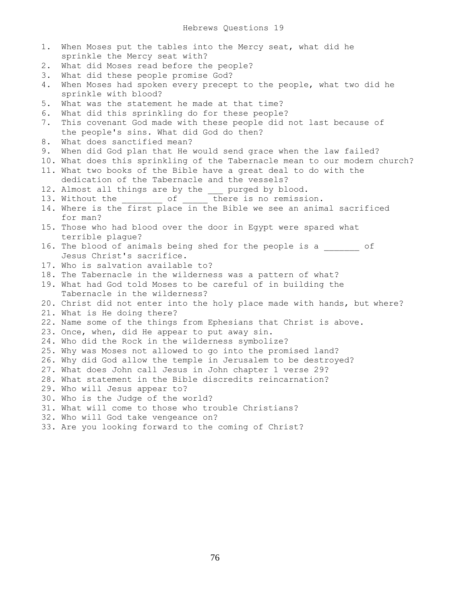1. When Moses put the tables into the Mercy seat, what did he sprinkle the Mercy seat with? 2. What did Moses read before the people? 3. What did these people promise God? 4. When Moses had spoken every precept to the people, what two did he sprinkle with blood? 5. What was the statement he made at that time? 6. What did this sprinkling do for these people? 7. This covenant God made with these people did not last because of the people's sins. What did God do then? 8. What does sanctified mean? 9. When did God plan that He would send grace when the law failed? 10. What does this sprinkling of the Tabernacle mean to our modern church? 11. What two books of the Bible have a great deal to do with the dedication of the Tabernacle and the vessels? 12. Almost all things are by the \_\_\_ purged by blood. 13. Without the  $\overline{C}$  of  $\overline{C}$  there is no remission. 14. Where is the first place in the Bible we see an animal sacrificed for man? 15. Those who had blood over the door in Egypt were spared what terrible plague? 16. The blood of animals being shed for the people is a  $\qquad \qquad$  of Jesus Christ's sacrifice. 17. Who is salvation available to? 18. The Tabernacle in the wilderness was a pattern of what? 19. What had God told Moses to be careful of in building the Tabernacle in the wilderness? 20. Christ did not enter into the holy place made with hands, but where? 21. What is He doing there? 22. Name some of the things from Ephesians that Christ is above. 23. Once, when, did He appear to put away sin. 24. Who did the Rock in the wilderness symbolize? 25. Why was Moses not allowed to go into the promised land? 26. Why did God allow the temple in Jerusalem to be destroyed? 27. What does John call Jesus in John chapter 1 verse 29? 28. What statement in the Bible discredits reincarnation? 29. Who will Jesus appear to? 30. Who is the Judge of the world? 31. What will come to those who trouble Christians? 32. Who will God take vengeance on? 33. Are you looking forward to the coming of Christ?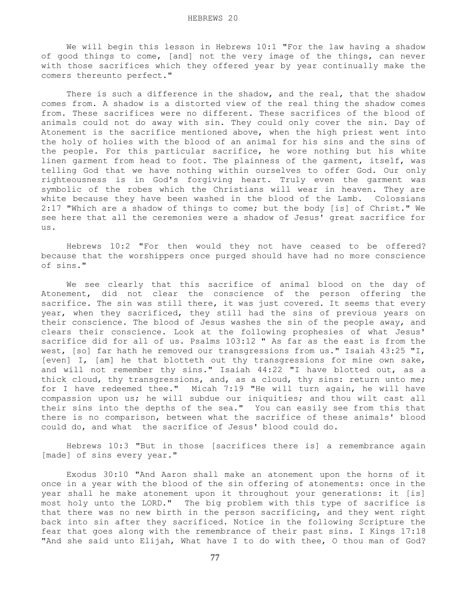We will begin this lesson in Hebrews 10:1 "For the law having a shadow of good things to come, [and] not the very image of the things, can never with those sacrifices which they offered year by year continually make the comers thereunto perfect."

There is such a difference in the shadow, and the real, that the shadow comes from. A shadow is a distorted view of the real thing the shadow comes from. These sacrifices were no different. These sacrifices of the blood of animals could not do away with sin. They could only cover the sin. Day of Atonement is the sacrifice mentioned above, when the high priest went into the holy of holies with the blood of an animal for his sins and the sins of the people. For this particular sacrifice, he wore nothing but his white linen garment from head to foot. The plainness of the garment, itself, was telling God that we have nothing within ourselves to offer God. Our only righteousness is in God's forgiving heart. Truly even the garment was symbolic of the robes which the Christians will wear in heaven. They are white because they have been washed in the blood of the Lamb. Colossians 2:17 "Which are a shadow of things to come; but the body [is] of Christ." We see here that all the ceremonies were a shadow of Jesus' great sacrifice for us.

 Hebrews 10:2 "For then would they not have ceased to be offered? because that the worshippers once purged should have had no more conscience of sins."

 We see clearly that this sacrifice of animal blood on the day of Atonement, did not clear the conscience of the person offering the sacrifice. The sin was still there, it was just covered. It seems that every year, when they sacrificed, they still had the sins of previous years on their conscience. The blood of Jesus washes the sin of the people away, and clears their conscience. Look at the following prophesies of what Jesus' sacrifice did for all of us. Psalms 103:12 " As far as the east is from the west, [so] far hath he removed our transgressions from us." Isaiah 43:25 "I, [even] I, [am] he that blotteth out thy transgressions for mine own sake, and will not remember thy sins." Isaiah 44:22 "I have blotted out, as a thick cloud, thy transgressions, and, as a cloud, thy sins: return unto me; for I have redeemed thee." Micah 7:19 "He will turn again, he will have compassion upon us; he will subdue our iniquities; and thou wilt cast all their sins into the depths of the sea." You can easily see from this that there is no comparison, between what the sacrifice of these animals' blood could do, and what the sacrifice of Jesus' blood could do.

 Hebrews 10:3 "But in those [sacrifices there is] a remembrance again [made] of sins every year."

 Exodus 30:10 "And Aaron shall make an atonement upon the horns of it once in a year with the blood of the sin offering of atonements: once in the year shall he make atonement upon it throughout your generations: it [is] most holy unto the LORD." The big problem with this type of sacrifice is that there was no new birth in the person sacrificing, and they went right back into sin after they sacrificed. Notice in the following Scripture the fear that goes along with the remembrance of their past sins. I Kings 17:18 "And she said unto Elijah, What have I to do with thee, O thou man of God?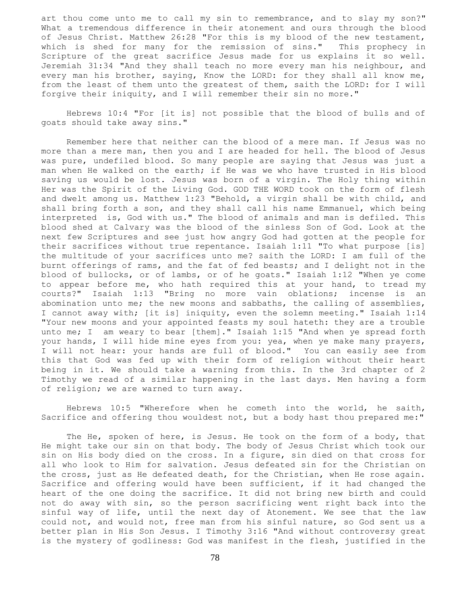art thou come unto me to call my sin to remembrance, and to slay my son?" What a tremendous difference in their atonement and ours through the blood of Jesus Christ. Matthew 26:28 "For this is my blood of the new testament, which is shed for many for the remission of sins." This prophecy in Scripture of the great sacrifice Jesus made for us explains it so well. Jeremiah 31:34 "And they shall teach no more every man his neighbour, and every man his brother, saying, Know the LORD: for they shall all know me, from the least of them unto the greatest of them, saith the LORD: for I will forgive their iniquity, and I will remember their sin no more."

 Hebrews 10:4 "For [it is] not possible that the blood of bulls and of goats should take away sins."

 Remember here that neither can the blood of a mere man. If Jesus was no more than a mere man, then you and I are headed for hell. The blood of Jesus was pure, undefiled blood. So many people are saying that Jesus was just a man when He walked on the earth; if He was we who have trusted in His blood saving us would be lost. Jesus was born of a virgin. The Holy thing within Her was the Spirit of the Living God. GOD THE WORD took on the form of flesh and dwelt among us. Matthew 1:23 "Behold, a virgin shall be with child, and shall bring forth a son, and they shall call his name Emmanuel, which being interpreted is, God with us." The blood of animals and man is defiled. This blood shed at Calvary was the blood of the sinless Son of God. Look at the next few Scriptures and see just how angry God had gotten at the people for their sacrifices without true repentance. Isaiah 1:11 "To what purpose [is] the multitude of your sacrifices unto me? saith the LORD: I am full of the burnt offerings of rams, and the fat of fed beasts; and I delight not in the blood of bullocks, or of lambs, or of he goats." Isaiah 1:12 "When ye come to appear before me, who hath required this at your hand, to tread my courts?" Isaiah 1:13 "Bring no more vain oblations; incense is an abomination unto me; the new moons and sabbaths, the calling of assemblies, I cannot away with; [it is] iniquity, even the solemn meeting." Isaiah 1:14 "Your new moons and your appointed feasts my soul hateth: they are a trouble unto me; I am weary to bear [them]." Isaiah 1:15 "And when ye spread forth your hands, I will hide mine eyes from you: yea, when ye make many prayers, I will not hear: your hands are full of blood." You can easily see from this that God was fed up with their form of religion without their heart being in it. We should take a warning from this. In the 3rd chapter of 2 Timothy we read of a similar happening in the last days. Men having a form of religion; we are warned to turn away.

 Hebrews 10:5 "Wherefore when he cometh into the world, he saith, Sacrifice and offering thou wouldest not, but a body hast thou prepared me:"

The He, spoken of here, is Jesus. He took on the form of a body, that He might take our sin on that body. The body of Jesus Christ which took our sin on His body died on the cross. In a figure, sin died on that cross for all who look to Him for salvation. Jesus defeated sin for the Christian on the cross, just as He defeated death, for the Christian, when He rose again. Sacrifice and offering would have been sufficient, if it had changed the heart of the one doing the sacrifice. It did not bring new birth and could not do away with sin, so the person sacrificing went right back into the sinful way of life, until the next day of Atonement. We see that the law could not, and would not, free man from his sinful nature, so God sent us a better plan in His Son Jesus. I Timothy 3:16 "And without controversy great is the mystery of godliness: God was manifest in the flesh, justified in the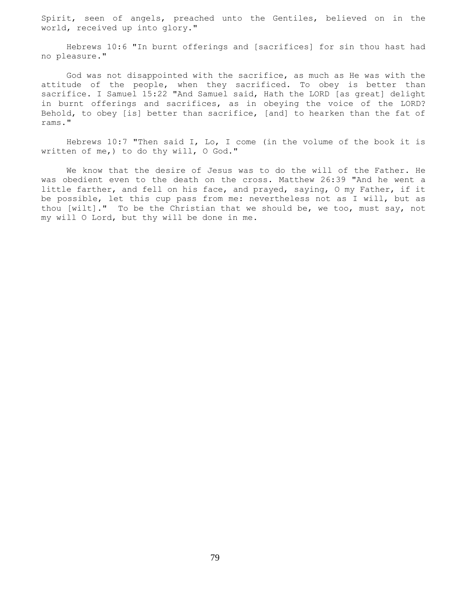Spirit, seen of angels, preached unto the Gentiles, believed on in the world, received up into glory."

 Hebrews 10:6 "In burnt offerings and [sacrifices] for sin thou hast had no pleasure."

 God was not disappointed with the sacrifice, as much as He was with the attitude of the people, when they sacrificed. To obey is better than sacrifice. I Samuel 15:22 "And Samuel said, Hath the LORD [as great] delight in burnt offerings and sacrifices, as in obeying the voice of the LORD? Behold, to obey [is] better than sacrifice, [and] to hearken than the fat of rams."

 Hebrews 10:7 "Then said I, Lo, I come (in the volume of the book it is written of me,) to do thy will, O God."

 We know that the desire of Jesus was to do the will of the Father. He was obedient even to the death on the cross. Matthew 26:39 "And he went a little farther, and fell on his face, and prayed, saying, O my Father, if it be possible, let this cup pass from me: nevertheless not as I will, but as thou [wilt]." To be the Christian that we should be, we too, must say, not my will O Lord, but thy will be done in me.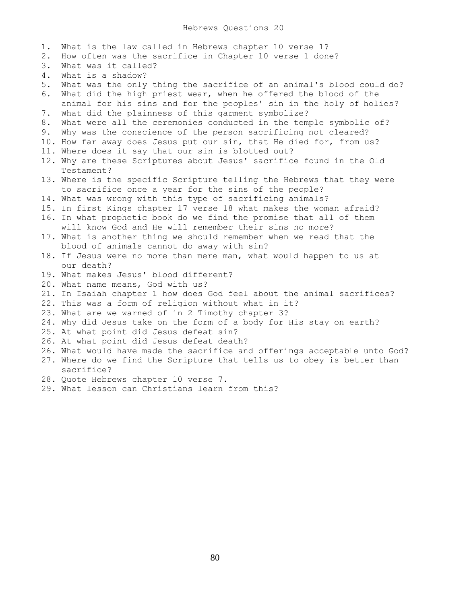1. What is the law called in Hebrews chapter 10 verse 1? 2. How often was the sacrifice in Chapter 10 verse 1 done? 3. What was it called? 4. What is a shadow? 5. What was the only thing the sacrifice of an animal's blood could do? 6. What did the high priest wear, when he offered the blood of the animal for his sins and for the peoples' sin in the holy of holies? 7. What did the plainness of this garment symbolize? 8. What were all the ceremonies conducted in the temple symbolic of? 9. Why was the conscience of the person sacrificing not cleared? 10. How far away does Jesus put our sin, that He died for, from us? 11. Where does it say that our sin is blotted out? 12. Why are these Scriptures about Jesus' sacrifice found in the Old Testament? 13. Where is the specific Scripture telling the Hebrews that they were to sacrifice once a year for the sins of the people? 14. What was wrong with this type of sacrificing animals? 15. In first Kings chapter 17 verse 18 what makes the woman afraid? 16. In what prophetic book do we find the promise that all of them will know God and He will remember their sins no more? 17. What is another thing we should remember when we read that the blood of animals cannot do away with sin? 18. If Jesus were no more than mere man, what would happen to us at our death? 19. What makes Jesus' blood different? 20. What name means, God with us? 21. In Isaiah chapter 1 how does God feel about the animal sacrifices? 22. This was a form of religion without what in it? 23. What are we warned of in 2 Timothy chapter 3? 24. Why did Jesus take on the form of a body for His stay on earth? 25. At what point did Jesus defeat sin? 26. At what point did Jesus defeat death? 26. What would have made the sacrifice and offerings acceptable unto God? 27. Where do we find the Scripture that tells us to obey is better than sacrifice? 28. Quote Hebrews chapter 10 verse 7. 29. What lesson can Christians learn from this?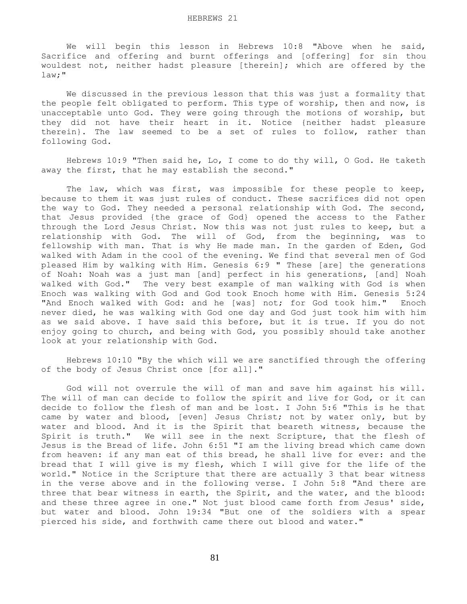We will begin this lesson in Hebrews 10:8 "Above when he said, Sacrifice and offering and burnt offerings and [offering] for sin thou wouldest not, neither hadst pleasure [therein]; which are offered by the law;"

 We discussed in the previous lesson that this was just a formality that the people felt obligated to perform. This type of worship, then and now, is unacceptable unto God. They were going through the motions of worship, but they did not have their heart in it. Notice {neither hadst pleasure therein}. The law seemed to be a set of rules to follow, rather than following God.

 Hebrews 10:9 "Then said he, Lo, I come to do thy will, O God. He taketh away the first, that he may establish the second."

The law, which was first, was impossible for these people to keep, because to them it was just rules of conduct. These sacrifices did not open the way to God. They needed a personal relationship with God. The second, that Jesus provided {the grace of God} opened the access to the Father through the Lord Jesus Christ. Now this was not just rules to keep, but a relationship with God. The will of God, from the beginning, was to fellowship with man. That is why He made man. In the garden of Eden, God walked with Adam in the cool of the evening. We find that several men of God pleased Him by walking with Him. Genesis 6:9 " These [are] the generations of Noah: Noah was a just man [and] perfect in his generations, [and] Noah walked with God." The very best example of man walking with God is when Enoch was walking with God and God took Enoch home with Him. Genesis 5:24 "And Enoch walked with God: and he [was] not; for God took him." Enoch never died, he was walking with God one day and God just took him with him as we said above. I have said this before, but it is true. If you do not enjoy going to church, and being with God, you possibly should take another look at your relationship with God.

 Hebrews 10:10 "By the which will we are sanctified through the offering of the body of Jesus Christ once [for all]."

 God will not overrule the will of man and save him against his will. The will of man can decide to follow the spirit and live for God, or it can decide to follow the flesh of man and be lost. I John 5:6 "This is he that came by water and blood, [even] Jesus Christ; not by water only, but by water and blood. And it is the Spirit that beareth witness, because the Spirit is truth." We will see in the next Scripture, that the flesh of Jesus is the Bread of life. John 6:51 "I am the living bread which came down from heaven: if any man eat of this bread, he shall live for ever: and the bread that I will give is my flesh, which I will give for the life of the world." Notice in the Scripture that there are actually 3 that bear witness in the verse above and in the following verse. I John 5:8 "And there are three that bear witness in earth, the Spirit, and the water, and the blood: and these three agree in one." Not just blood came forth from Jesus' side, but water and blood. John 19:34 "But one of the soldiers with a spear pierced his side, and forthwith came there out blood and water."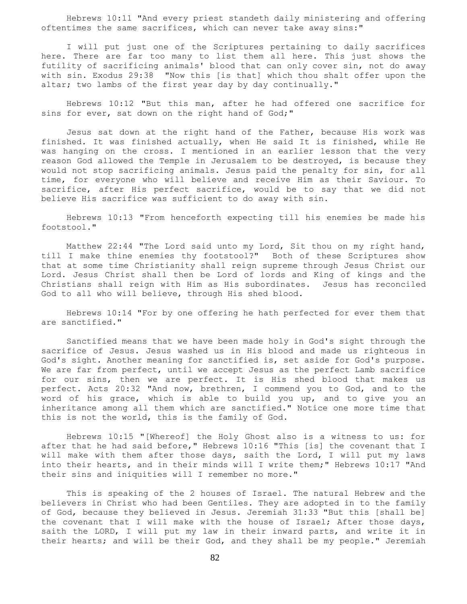Hebrews 10:11 "And every priest standeth daily ministering and offering oftentimes the same sacrifices, which can never take away sins:"

 I will put just one of the Scriptures pertaining to daily sacrifices here. There are far too many to list them all here. This just shows the futility of sacrificing animals' blood that can only cover sin, not do away with sin. Exodus 29:38 "Now this [is that] which thou shalt offer upon the altar; two lambs of the first year day by day continually."

 Hebrews 10:12 "But this man, after he had offered one sacrifice for sins for ever, sat down on the right hand of God;"

 Jesus sat down at the right hand of the Father, because His work was finished. It was finished actually, when He said It is finished, while He was hanging on the cross. I mentioned in an earlier lesson that the very reason God allowed the Temple in Jerusalem to be destroyed, is because they would not stop sacrificing animals. Jesus paid the penalty for sin, for all time, for everyone who will believe and receive Him as their Saviour. To sacrifice, after His perfect sacrifice, would be to say that we did not believe His sacrifice was sufficient to do away with sin.

 Hebrews 10:13 "From henceforth expecting till his enemies be made his footstool."

 Matthew 22:44 "The Lord said unto my Lord, Sit thou on my right hand, till I make thine enemies thy footstool?" Both of these Scriptures show that at some time Christianity shall reign supreme through Jesus Christ our Lord. Jesus Christ shall then be Lord of lords and King of kings and the Christians shall reign with Him as His subordinates. Jesus has reconciled God to all who will believe, through His shed blood.

 Hebrews 10:14 "For by one offering he hath perfected for ever them that are sanctified."

 Sanctified means that we have been made holy in God's sight through the sacrifice of Jesus. Jesus washed us in His blood and made us righteous in God's sight. Another meaning for sanctified is, set aside for God's purpose. We are far from perfect, until we accept Jesus as the perfect Lamb sacrifice for our sins, then we are perfect. It is His shed blood that makes us perfect. Acts 20:32 "And now, brethren, I commend you to God, and to the word of his grace, which is able to build you up, and to give you an inheritance among all them which are sanctified." Notice one more time that this is not the world, this is the family of God.

 Hebrews 10:15 "[Whereof] the Holy Ghost also is a witness to us: for after that he had said before," Hebrews 10:16 "This [is] the covenant that I will make with them after those days, saith the Lord, I will put my laws into their hearts, and in their minds will I write them;" Hebrews 10:17 "And their sins and iniquities will I remember no more."

 This is speaking of the 2 houses of Israel. The natural Hebrew and the believers in Christ who had been Gentiles. They are adopted in to the family of God, because they believed in Jesus. Jeremiah 31:33 "But this [shall be] the covenant that I will make with the house of Israel; After those days, saith the LORD, I will put my law in their inward parts, and write it in their hearts; and will be their God, and they shall be my people." Jeremiah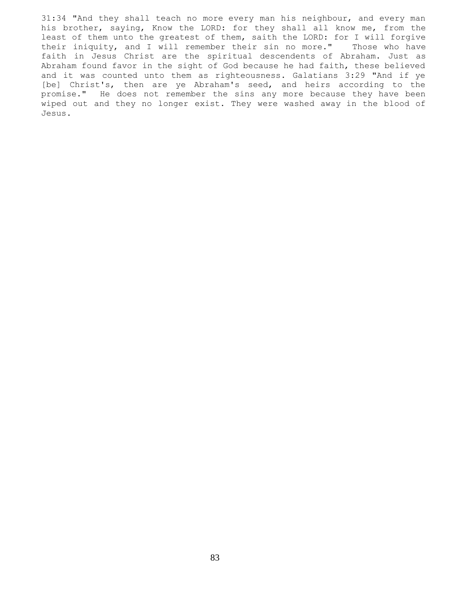31:34 "And they shall teach no more every man his neighbour, and every man his brother, saying, Know the LORD: for they shall all know me, from the least of them unto the greatest of them, saith the LORD: for I will forgive their iniquity, and I will remember their sin no more." Those who have faith in Jesus Christ are the spiritual descendents of Abraham. Just as Abraham found favor in the sight of God because he had faith, these believed and it was counted unto them as righteousness. Galatians 3:29 "And if ye [be] Christ's, then are ye Abraham's seed, and heirs according to the promise." He does not remember the sins any more because they have been wiped out and they no longer exist. They were washed away in the blood of Jesus.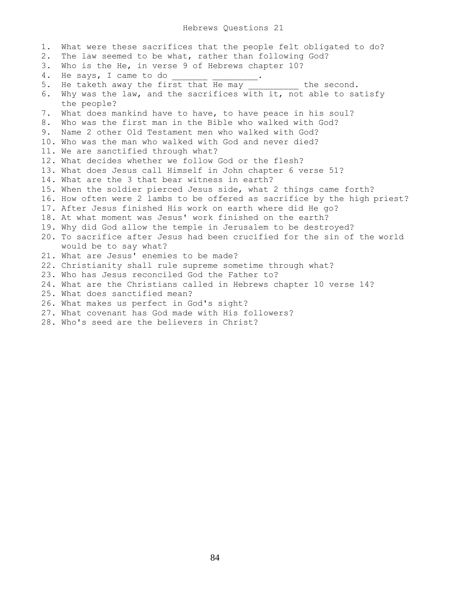1. What were these sacrifices that the people felt obligated to do? 2. The law seemed to be what, rather than following God? 3. Who is the He, in verse 9 of Hebrews chapter 10?<br>4. He says, I came to do 4. He says, I came to do **with the says**, I came to do 5. He taketh away the first that He may \_\_\_\_\_\_\_\_\_ the second. 6. Why was the law, and the sacrifices with it, not able to satisfy the people? 7. What does mankind have to have, to have peace in his soul? 8. Who was the first man in the Bible who walked with God? 9. Name 2 other Old Testament men who walked with God? 10. Who was the man who walked with God and never died? 11. We are sanctified through what? 12. What decides whether we follow God or the flesh? 13. What does Jesus call Himself in John chapter 6 verse 51? 14. What are the 3 that bear witness in earth? 15. When the soldier pierced Jesus side, what 2 things came forth? 16. How often were 2 lambs to be offered as sacrifice by the high priest? 17. After Jesus finished His work on earth where did He go? 18. At what moment was Jesus' work finished on the earth? 19. Why did God allow the temple in Jerusalem to be destroyed? 20. To sacrifice after Jesus had been crucified for the sin of the world would be to say what? 21. What are Jesus' enemies to be made? 22. Christianity shall rule supreme sometime through what? 23. Who has Jesus reconciled God the Father to? 24. What are the Christians called in Hebrews chapter 10 verse 14? 25. What does sanctified mean? 26. What makes us perfect in God's sight? 27. What covenant has God made with His followers?

28. Who's seed are the believers in Christ?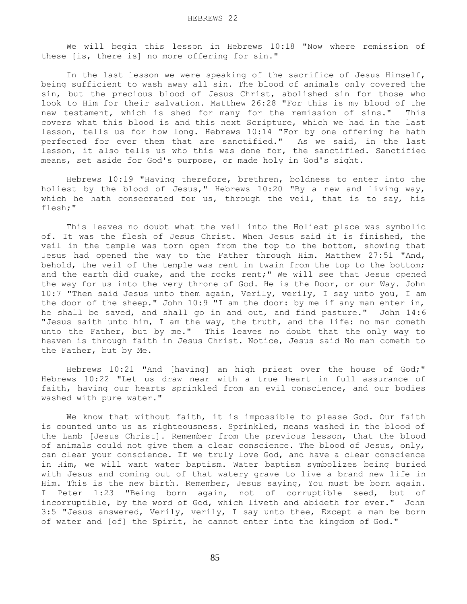We will begin this lesson in Hebrews 10:18 "Now where remission of these [is, there is] no more offering for sin."

 In the last lesson we were speaking of the sacrifice of Jesus Himself, being sufficient to wash away all sin. The blood of animals only covered the sin, but the precious blood of Jesus Christ, abolished sin for those who look to Him for their salvation. Matthew 26:28 "For this is my blood of the new testament, which is shed for many for the remission of sins." This covers what this blood is and this next Scripture, which we had in the last lesson, tells us for how long. Hebrews 10:14 "For by one offering he hath perfected for ever them that are sanctified." As we said, in the last lesson, it also tells us who this was done for, the sanctified. Sanctified means, set aside for God's purpose, or made holy in God's sight.

 Hebrews 10:19 "Having therefore, brethren, boldness to enter into the holiest by the blood of Jesus," Hebrews 10:20 "By a new and living way, which he hath consecrated for us, through the veil, that is to say, his flesh;"

 This leaves no doubt what the veil into the Holiest place was symbolic of. It was the flesh of Jesus Christ. When Jesus said it is finished, the veil in the temple was torn open from the top to the bottom, showing that Jesus had opened the way to the Father through Him. Matthew 27:51 "And, behold, the veil of the temple was rent in twain from the top to the bottom; and the earth did quake, and the rocks rent;" We will see that Jesus opened the way for us into the very throne of God. He is the Door, or our Way. John 10:7 "Then said Jesus unto them again, Verily, verily, I say unto you, I am the door of the sheep." John 10:9 "I am the door: by me if any man enter in, he shall be saved, and shall go in and out, and find pasture." John 14:6 "Jesus saith unto him, I am the way, the truth, and the life: no man cometh unto the Father, but by me." This leaves no doubt that the only way to heaven is through faith in Jesus Christ. Notice, Jesus said No man cometh to the Father, but by Me.

 Hebrews 10:21 "And [having] an high priest over the house of God;" Hebrews 10:22 "Let us draw near with a true heart in full assurance of faith, having our hearts sprinkled from an evil conscience, and our bodies washed with pure water."

 We know that without faith, it is impossible to please God. Our faith is counted unto us as righteousness. Sprinkled, means washed in the blood of the Lamb [Jesus Christ]. Remember from the previous lesson, that the blood of animals could not give them a clear conscience. The blood of Jesus, only, can clear your conscience. If we truly love God, and have a clear conscience in Him, we will want water baptism. Water baptism symbolizes being buried with Jesus and coming out of that watery grave to live a brand new life in Him. This is the new birth. Remember, Jesus saying, You must be born again. I Peter 1:23 "Being born again, not of corruptible seed, but of incorruptible, by the word of God, which liveth and abideth for ever." John 3:5 "Jesus answered, Verily, verily, I say unto thee, Except a man be born of water and [of] the Spirit, he cannot enter into the kingdom of God."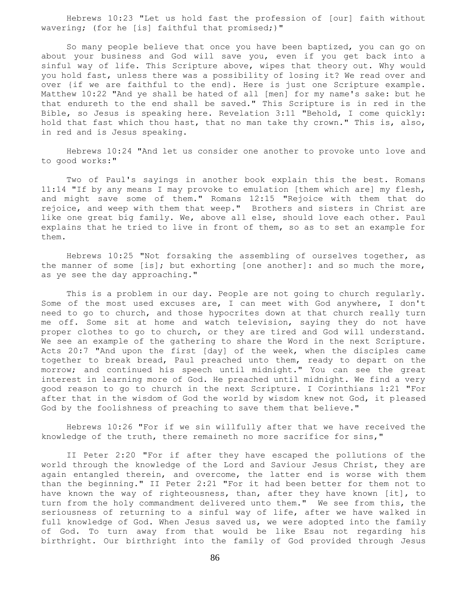Hebrews 10:23 "Let us hold fast the profession of [our] faith without wavering; (for he [is] faithful that promised;)"

 So many people believe that once you have been baptized, you can go on about your business and God will save you, even if you get back into a sinful way of life. This Scripture above, wipes that theory out. Why would you hold fast, unless there was a possibility of losing it? We read over and over {if we are faithful to the end}. Here is just one Scripture example. Matthew 10:22 "And ye shall be hated of all [men] for my name's sake: but he that endureth to the end shall be saved." This Scripture is in red in the Bible, so Jesus is speaking here. Revelation 3:11 "Behold, I come quickly: hold that fast which thou hast, that no man take thy crown." This is, also, in red and is Jesus speaking.

 Hebrews 10:24 "And let us consider one another to provoke unto love and to good works:"

 Two of Paul's sayings in another book explain this the best. Romans 11:14 "If by any means I may provoke to emulation [them which are] my flesh, and might save some of them." Romans 12:15 "Rejoice with them that do rejoice, and weep with them that weep." Brothers and sisters in Christ are like one great big family. We, above all else, should love each other. Paul explains that he tried to live in front of them, so as to set an example for them.

 Hebrews 10:25 "Not forsaking the assembling of ourselves together, as the manner of some [is]; but exhorting [one another]: and so much the more, as ye see the day approaching."

 This is a problem in our day. People are not going to church regularly. Some of the most used excuses are, I can meet with God anywhere, I don't need to go to church, and those hypocrites down at that church really turn me off. Some sit at home and watch television, saying they do not have proper clothes to go to church, or they are tired and God will understand. We see an example of the gathering to share the Word in the next Scripture. Acts 20:7 "And upon the first [day] of the week, when the disciples came together to break bread, Paul preached unto them, ready to depart on the morrow; and continued his speech until midnight." You can see the great interest in learning more of God. He preached until midnight. We find a very good reason to go to church in the next Scripture. I Corinthians 1:21 "For after that in the wisdom of God the world by wisdom knew not God, it pleased God by the foolishness of preaching to save them that believe."

 Hebrews 10:26 "For if we sin willfully after that we have received the knowledge of the truth, there remaineth no more sacrifice for sins,"

 II Peter 2:20 "For if after they have escaped the pollutions of the world through the knowledge of the Lord and Saviour Jesus Christ, they are again entangled therein, and overcome, the latter end is worse with them than the beginning." II Peter 2:21 "For it had been better for them not to have known the way of righteousness, than, after they have known [it], to turn from the holy commandment delivered unto them." We see from this, the seriousness of returning to a sinful way of life, after we have walked in full knowledge of God. When Jesus saved us, we were adopted into the family of God. To turn away from that would be like Esau not regarding his birthright. Our birthright into the family of God provided through Jesus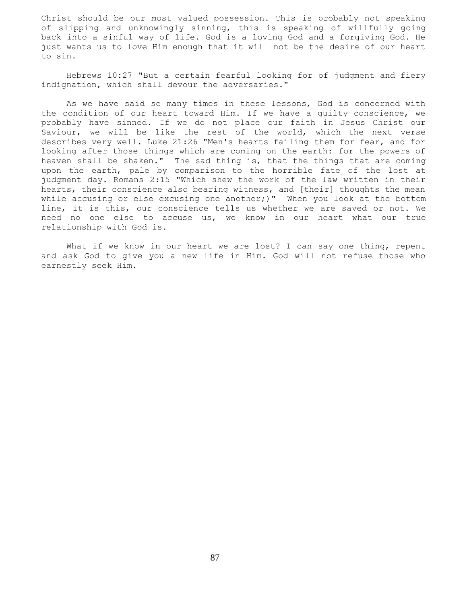Christ should be our most valued possession. This is probably not speaking of slipping and unknowingly sinning, this is speaking of willfully going back into a sinful way of life. God is a loving God and a forgiving God. He just wants us to love Him enough that it will not be the desire of our heart to sin.

 Hebrews 10:27 "But a certain fearful looking for of judgment and fiery indignation, which shall devour the adversaries."

 As we have said so many times in these lessons, God is concerned with the condition of our heart toward Him. If we have a guilty conscience, we probably have sinned. If we do not place our faith in Jesus Christ our Saviour, we will be like the rest of the world, which the next verse describes very well. Luke 21:26 "Men's hearts failing them for fear, and for looking after those things which are coming on the earth: for the powers of heaven shall be shaken." The sad thing is, that the things that are coming upon the earth, pale by comparison to the horrible fate of the lost at judgment day. Romans 2:15 "Which shew the work of the law written in their hearts, their conscience also bearing witness, and [their] thoughts the mean while accusing or else excusing one another;)" When you look at the bottom line, it is this, our conscience tells us whether we are saved or not. We need no one else to accuse us, we know in our heart what our true relationship with God is.

What if we know in our heart we are lost? I can say one thing, repent and ask God to give you a new life in Him. God will not refuse those who earnestly seek Him.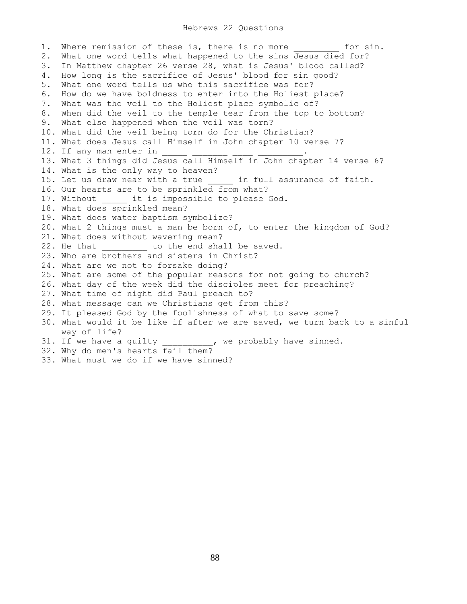## Hebrews 22 Questions

1. Where remission of these is, there is no more \_\_\_\_\_\_\_\_ for sin. 2. What one word tells what happened to the sins Jesus died for? 3. In Matthew chapter 26 verse 28, what is Jesus' blood called? 4. How long is the sacrifice of Jesus' blood for sin good? 5. What one word tells us who this sacrifice was for? 6. How do we have boldness to enter into the Holiest place? 7. What was the veil to the Holiest place symbolic of? 8. When did the veil to the temple tear from the top to bottom? 9. What else happened when the veil was torn? 10. What did the veil being torn do for the Christian? 11. What does Jesus call Himself in John chapter 10 verse 7? 12. If any man enter in 13. What 3 things did Jesus call Himself in John chapter 14 verse 6? 14. What is the only way to heaven? 15. Let us draw near with a true \_\_\_\_\_ in full assurance of faith. 16. Our hearts are to be sprinkled from what? 17. Without it is impossible to please God. 18. What does sprinkled mean? 19. What does water baptism symbolize? 20. What 2 things must a man be born of, to enter the kingdom of God? 21. What does without wavering mean? 22. He that \_\_\_\_\_\_\_ to the end shall be saved. 23. Who are brothers and sisters in Christ? 24. What are we not to forsake doing? 25. What are some of the popular reasons for not going to church? 26. What day of the week did the disciples meet for preaching? 27. What time of night did Paul preach to? 28. What message can we Christians get from this? 29. It pleased God by the foolishness of what to save some? 30. What would it be like if after we are saved, we turn back to a sinful way of life? 31. If we have a guilty \_\_\_\_\_\_\_\_\_\_, we probably have sinned. 32. Why do men's hearts fail them? 33. What must we do if we have sinned?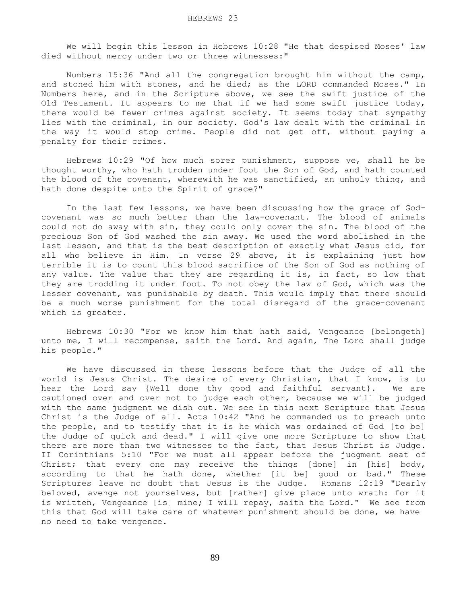We will begin this lesson in Hebrews 10:28 "He that despised Moses' law died without mercy under two or three witnesses:"

 Numbers 15:36 "And all the congregation brought him without the camp, and stoned him with stones, and he died; as the LORD commanded Moses." In Numbers here, and in the Scripture above, we see the swift justice of the Old Testament. It appears to me that if we had some swift justice today, there would be fewer crimes against society. It seems today that sympathy lies with the criminal, in our society. God's law dealt with the criminal in the way it would stop crime. People did not get off, without paying a penalty for their crimes.

 Hebrews 10:29 "Of how much sorer punishment, suppose ye, shall he be thought worthy, who hath trodden under foot the Son of God, and hath counted the blood of the covenant, wherewith he was sanctified, an unholy thing, and hath done despite unto the Spirit of grace?"

 In the last few lessons, we have been discussing how the grace of Godcovenant was so much better than the law-covenant. The blood of animals could not do away with sin, they could only cover the sin. The blood of the precious Son of God washed the sin away. We used the word abolished in the last lesson, and that is the best description of exactly what Jesus did, for all who believe in Him. In verse 29 above, it is explaining just how terrible it is to count this blood sacrifice of the Son of God as nothing of any value. The value that they are regarding it is, in fact, so low that they are trodding it under foot. To not obey the law of God, which was the lesser covenant, was punishable by death. This would imply that there should be a much worse punishment for the total disregard of the grace-covenant which is greater.

 Hebrews 10:30 "For we know him that hath said, Vengeance [belongeth] unto me, I will recompense, saith the Lord. And again, The Lord shall judge his people."

 We have discussed in these lessons before that the Judge of all the world is Jesus Christ. The desire of every Christian, that I know, is to hear the Lord say {Well done thy good and faithful servant}. We are cautioned over and over not to judge each other, because we will be judged with the same judgment we dish out. We see in this next Scripture that Jesus Christ is the Judge of all. Acts 10:42 "And he commanded us to preach unto the people, and to testify that it is he which was ordained of God [to be] the Judge of quick and dead." I will give one more Scripture to show that there are more than two witnesses to the fact, that Jesus Christ is Judge. II Corinthians 5:10 "For we must all appear before the judgment seat of Christ; that every one may receive the things [done] in [his] body, according to that he hath done, whether [it be] good or bad." These Scriptures leave no doubt that Jesus is the Judge. Romans 12:19 "Dearly beloved, avenge not yourselves, but [rather] give place unto wrath: for it is written, Vengeance [is] mine; I will repay, saith the Lord." We see from this that God will take care of whatever punishment should be done, we have no need to take vengence.

89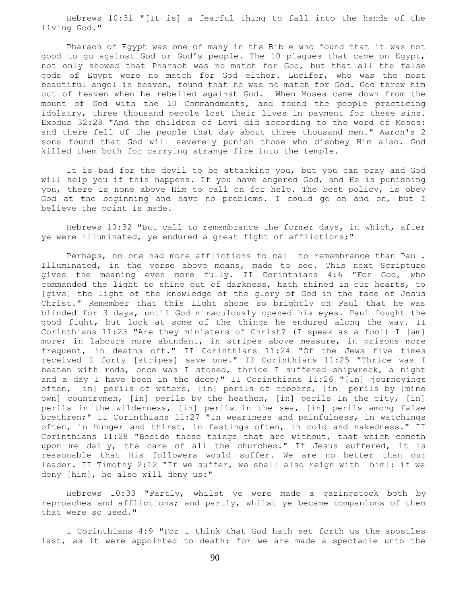Hebrews 10:31 "[It is] a fearful thing to fall into the hands of the living God."

 Pharaoh of Egypt was one of many in the Bible who found that it was not good to go against God or God's people. The 10 plagues that came on Egypt, not only showed that Pharaoh was no match for God, but that all the false gods of Egypt were no match for God either. Lucifer, who was the most beautiful angel in heaven, found that he was no match for God. God threw him out of heaven when he rebelled against God. When Moses came down from the mount of God with the 10 Commandments, and found the people practicing idolatry, three thousand people lost their lives in payment for these sins. Exodus 32:28 "And the children of Levi did according to the word of Moses: and there fell of the people that day about three thousand men." Aaron's 2 sons found that God will severely punish those who disobey Him also. God killed them both for carrying strange fire into the temple.

 It is bad for the devil to be attacking you, but you can pray and God will help you if this happens. If you have angered God, and He is punishing you, there is none above Him to call on for help. The best policy, is obey God at the beginning and have no problems. I could go on and on, but I believe the point is made.

 Hebrews 10:32 "But call to remembrance the former days, in which, after ye were illuminated, ye endured a great fight of afflictions;"

 Perhaps, no one had more afflictions to call to remembrance than Paul. Illuminated, in the verse above means, made to see. This next Scripture gives the meaning even more fully. II Corinthians 4:6 "For God, who commanded the light to shine out of darkness, hath shined in our hearts, to [give] the light of the knowledge of the glory of God in the face of Jesus Christ." Remember that this Light shone so brightly on Paul that he was blinded for 3 days, until God miraculously opened his eyes. Paul fought the good fight, but look at some of the things he endured along the way. II Corinthians 11:23 "Are they ministers of Christ? (I speak as a fool) I [am] more; in labours more abundant, in stripes above measure, in prisons more frequent, in deaths oft." II Corinthians 11:24 "Of the Jews five times received I forty [stripes] save one." II Corinthians 11:25 "Thrice was I beaten with rods, once was I stoned, thrice I suffered shipwreck, a night and a day I have been in the deep;" II Corinthians 11:26 "[In] journeyings often, [in] perils of waters, [in] perils of robbers, [in] perils by [mine own] countrymen, [in] perils by the heathen, [in] perils in the city, [in] perils in the wilderness, [in] perils in the sea, [in] perils among false brethren;" II Corinthians 11:27 "In weariness and painfulness, in watchings often, in hunger and thirst, in fastings often, in cold and nakedness." II Corinthians 11:28 "Beside those things that are without, that which cometh upon me daily, the care of all the churches." If Jesus suffered, it is reasonable that His followers would suffer. We are no better than our leader. II Timothy 2:12 "If we suffer, we shall also reign with [him]: if we deny [him], he also will deny us:"

 Hebrews 10:33 "Partly, whilst ye were made a gazingstock both by reproaches and afflictions; and partly, whilst ye became companions of them that were so used."

 I Corinthians 4:9 "For I think that God hath set forth us the apostles last, as it were appointed to death: for we are made a spectacle unto the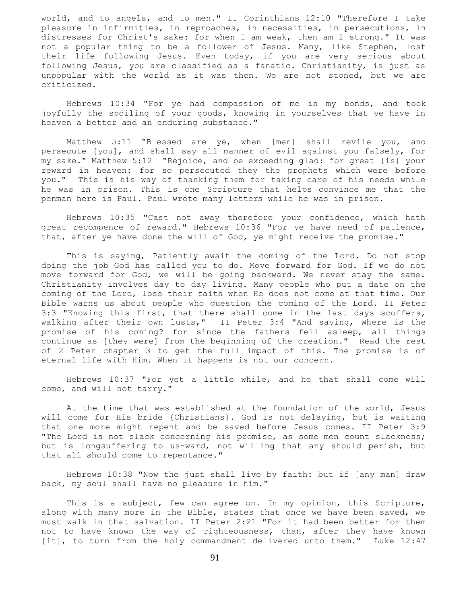world, and to angels, and to men." II Corinthians 12:10 "Therefore I take pleasure in infirmities, in reproaches, in necessities, in persecutions, in distresses for Christ's sake: for when I am weak, then am I strong." It was not a popular thing to be a follower of Jesus. Many, like Stephen, lost their life following Jesus. Even today, if you are very serious about following Jesus, you are classified as a fanatic. Christianity, is just as unpopular with the world as it was then. We are not stoned, but we are criticized.

 Hebrews 10:34 "For ye had compassion of me in my bonds, and took joyfully the spoiling of your goods, knowing in yourselves that ye have in heaven a better and an enduring substance."

 Matthew 5:11 "Blessed are ye, when [men] shall revile you, and persecute [you], and shall say all manner of evil against you falsely, for my sake." Matthew 5:12 "Rejoice, and be exceeding glad: for great [is] your reward in heaven: for so persecuted they the prophets which were before you." This is his way of thanking them for taking care of his needs while he was in prison. This is one Scripture that helps convince me that the penman here is Paul. Paul wrote many letters while he was in prison.

 Hebrews 10:35 "Cast not away therefore your confidence, which hath great recompence of reward." Hebrews 10:36 "For ye have need of patience, that, after ye have done the will of God, ye might receive the promise."

 This is saying, Patiently await the coming of the Lord. Do not stop doing the job God has called you to do. Move forward for God. If we do not move forward for God, we will be going backward. We never stay the same. Christianity involves day to day living. Many people who put a date on the coming of the Lord, lose their faith when He does not come at that time. Our Bible warns us about people who question the coming of the Lord. II Peter 3:3 "Knowing this first, that there shall come in the last days scoffers, walking after their own lusts," II Peter 3:4 "And saying, Where is the promise of his coming? for since the fathers fell asleep, all things continue as [they were] from the beginning of the creation." Read the rest of 2 Peter chapter 3 to get the full impact of this. The promise is of eternal life with Him. When it happens is not our concern.

 Hebrews 10:37 "For yet a little while, and he that shall come will come, and will not tarry."

 At the time that was established at the foundation of the world, Jesus will come for His bride {Christians}. God is not delaying, but is waiting that one more might repent and be saved before Jesus comes. II Peter 3:9 "The Lord is not slack concerning his promise, as some men count slackness; but is longsuffering to us-ward, not willing that any should perish, but that all should come to repentance."

 Hebrews 10:38 "Now the just shall live by faith: but if [any man] draw back, my soul shall have no pleasure in him."

This is a subject, few can agree on. In my opinion, this Scripture, along with many more in the Bible, states that once we have been saved, we must walk in that salvation. II Peter 2:21 "For it had been better for them not to have known the way of righteousness, than, after they have known [it], to turn from the holy commandment delivered unto them." Luke 12:47

91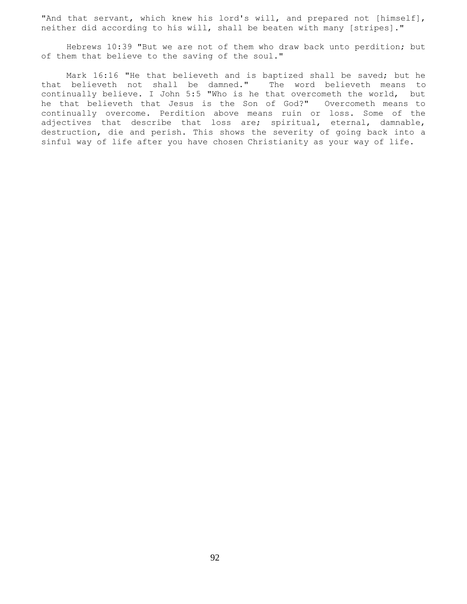"And that servant, which knew his lord's will, and prepared not [himself], neither did according to his will, shall be beaten with many [stripes]."

 Hebrews 10:39 "But we are not of them who draw back unto perdition; but of them that believe to the saving of the soul."

 Mark 16:16 "He that believeth and is baptized shall be saved; but he that believeth not shall be damned." The word believeth means to continually believe. I John 5:5 "Who is he that overcometh the world, but he that believeth that Jesus is the Son of God?" Overcometh means to continually overcome. Perdition above means ruin or loss. Some of the adjectives that describe that loss are; spiritual, eternal, damnable, destruction, die and perish. This shows the severity of going back into a sinful way of life after you have chosen Christianity as your way of life.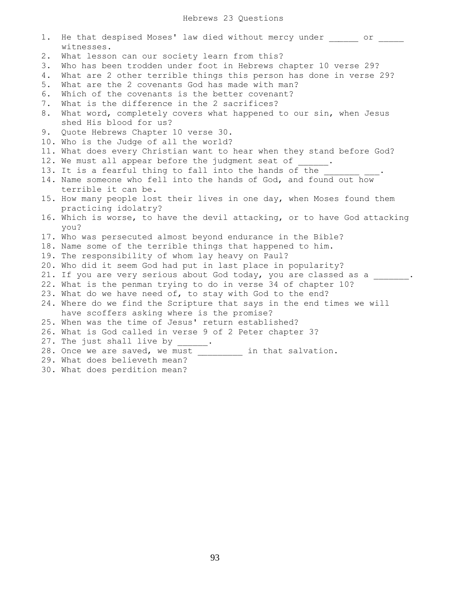| 1. | He that despised Moses' law died without mercy under or<br>witnesses.     |
|----|---------------------------------------------------------------------------|
| 2. | What lesson can our society learn from this?                              |
| 3. | Who has been trodden under foot in Hebrews chapter 10 verse 29?           |
| 4. | What are 2 other terrible things this person has done in verse 29?        |
| 5. | What are the 2 covenants God has made with man?                           |
| 6. | Which of the covenants is the better covenant?                            |
| 7. | What is the difference in the 2 sacrifices?                               |
| 8. | What word, completely covers what happened to our sin, when Jesus         |
|    | shed His blood for us?                                                    |
|    | 9. Quote Hebrews Chapter 10 verse 30.                                     |
|    | 10. Who is the Judge of all the world?                                    |
|    | 11. What does every Christian want to hear when they stand before God?    |
|    | 12. We must all appear before the judgment seat of                        |
|    | 13. It is a fearful thing to fall into the hands of the                   |
|    | 14. Name someone who fell into the hands of God, and found out how        |
|    | terrible it can be.                                                       |
|    | 15. How many people lost their lives in one day, when Moses found them    |
|    | practicing idolatry?                                                      |
|    | 16. Which is worse, to have the devil attacking, or to have God attacking |
|    | you?                                                                      |
|    | 17. Who was persecuted almost beyond endurance in the Bible?              |
|    | 18. Name some of the terrible things that happened to him.                |
|    | 19. The responsibility of whom lay heavy on Paul?                         |
|    | 20. Who did it seem God had put in last place in popularity?              |
|    | 21. If you are very serious about God today, you are classed as a         |
|    | 22. What is the penman trying to do in verse 34 of chapter 10?            |
|    | 23. What do we have need of, to stay with God to the end?                 |
|    | 24. Where do we find the Scripture that says in the end times we will     |
|    | have scoffers asking where is the promise?                                |
|    | 25. When was the time of Jesus' return established?                       |
|    | 26. What is God called in verse 9 of 2 Peter chapter 3?                   |
|    | 27. The just shall live by                                                |
|    | 28. Once we are saved, we must<br>in that salvation.                      |
|    | 29. What does believeth mean?                                             |

30. What does perdition mean?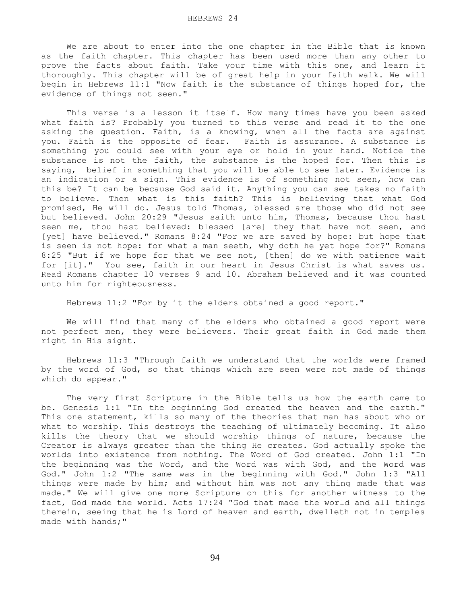We are about to enter into the one chapter in the Bible that is known as the faith chapter. This chapter has been used more than any other to prove the facts about faith. Take your time with this one, and learn it thoroughly. This chapter will be of great help in your faith walk. We will begin in Hebrews 11:1 "Now faith is the substance of things hoped for, the evidence of things not seen."

 This verse is a lesson it itself. How many times have you been asked what faith is? Probably you turned to this verse and read it to the one asking the question. Faith, is a knowing, when all the facts are against you. Faith is the opposite of fear. Faith is assurance. A substance is something you could see with your eye or hold in your hand. Notice the substance is not the faith, the substance is the hoped for. Then this is saying, belief in something that you will be able to see later. Evidence is an indication or a sign. This evidence is of something not seen, how can this be? It can be because God said it. Anything you can see takes no faith to believe. Then what is this faith? This is believing that what God promised, He will do. Jesus told Thomas, blessed are those who did not see but believed. John 20:29 "Jesus saith unto him, Thomas, because thou hast seen me, thou hast believed: blessed [are] they that have not seen, and [yet] have believed." Romans 8:24 "For we are saved by hope: but hope that is seen is not hope: for what a man seeth, why doth he yet hope for?" Romans 8:25 "But if we hope for that we see not, [then] do we with patience wait for [it]." You see, faith in our heart in Jesus Christ is what saves us. Read Romans chapter 10 verses 9 and 10. Abraham believed and it was counted unto him for righteousness.

Hebrews 11:2 "For by it the elders obtained a good report."

 We will find that many of the elders who obtained a good report were not perfect men, they were believers. Their great faith in God made them right in His sight.

 Hebrews 11:3 "Through faith we understand that the worlds were framed by the word of God, so that things which are seen were not made of things which do appear."

 The very first Scripture in the Bible tells us how the earth came to be. Genesis 1:1 "In the beginning God created the heaven and the earth." This one statement, kills so many of the theories that man has about who or what to worship. This destroys the teaching of ultimately becoming. It also kills the theory that we should worship things of nature, because the Creator is always greater than the thing He creates. God actually spoke the worlds into existence from nothing. The Word of God created. John 1:1 "In the beginning was the Word, and the Word was with God, and the Word was God." John 1:2 "The same was in the beginning with God." John 1:3 "All things were made by him; and without him was not any thing made that was made." We will give one more Scripture on this for another witness to the fact, God made the world. Acts 17:24 "God that made the world and all things therein, seeing that he is Lord of heaven and earth, dwelleth not in temples made with hands;"

94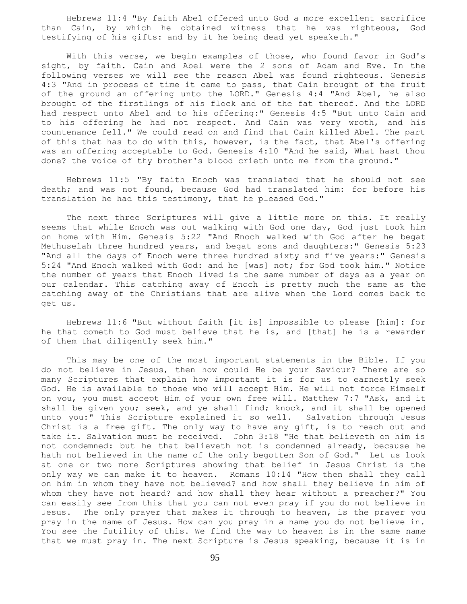Hebrews 11:4 "By faith Abel offered unto God a more excellent sacrifice than Cain, by which he obtained witness that he was righteous, God testifying of his gifts: and by it he being dead yet speaketh."

 With this verse, we begin examples of those, who found favor in God's sight, by faith. Cain and Abel were the 2 sons of Adam and Eve. In the following verses we will see the reason Abel was found righteous. Genesis 4:3 "And in process of time it came to pass, that Cain brought of the fruit of the ground an offering unto the LORD." Genesis 4:4 "And Abel, he also brought of the firstlings of his flock and of the fat thereof. And the LORD had respect unto Abel and to his offering:" Genesis 4:5 "But unto Cain and to his offering he had not respect. And Cain was very wroth, and his countenance fell." We could read on and find that Cain killed Abel. The part of this that has to do with this, however, is the fact, that Abel's offering was an offering acceptable to God. Genesis 4:10 "And he said, What hast thou done? the voice of thy brother's blood crieth unto me from the ground."

 Hebrews 11:5 "By faith Enoch was translated that he should not see death; and was not found, because God had translated him: for before his translation he had this testimony, that he pleased God."

The next three Scriptures will give a little more on this. It really seems that while Enoch was out walking with God one day, God just took him on home with Him. Genesis 5:22 "And Enoch walked with God after he begat Methuselah three hundred years, and begat sons and daughters:" Genesis 5:23 "And all the days of Enoch were three hundred sixty and five years:" Genesis 5:24 "And Enoch walked with God: and he [was] not; for God took him." Notice the number of years that Enoch lived is the same number of days as a year on our calendar. This catching away of Enoch is pretty much the same as the catching away of the Christians that are alive when the Lord comes back to get us.

 Hebrews 11:6 "But without faith [it is] impossible to please [him]: for he that cometh to God must believe that he is, and [that] he is a rewarder of them that diligently seek him."

 This may be one of the most important statements in the Bible. If you do not believe in Jesus, then how could He be your Saviour? There are so many Scriptures that explain how important it is for us to earnestly seek God. He is available to those who will accept Him. He will not force Himself on you, you must accept Him of your own free will. Matthew 7:7 "Ask, and it shall be given you; seek, and ye shall find; knock, and it shall be opened unto you:" This Scripture explained it so well. Salvation through Jesus Christ is a free gift. The only way to have any gift, is to reach out and take it. Salvation must be received. John 3:18 "He that believeth on him is not condemned: but he that believeth not is condemned already, because he hath not believed in the name of the only begotten Son of God." Let us look at one or two more Scriptures showing that belief in Jesus Christ is the only way we can make it to heaven. Romans 10:14 "How then shall they call on him in whom they have not believed? and how shall they believe in him of whom they have not heard? and how shall they hear without a preacher?" You can easily see from this that you can not even pray if you do not believe in Jesus. The only prayer that makes it through to heaven, is the prayer you pray in the name of Jesus. How can you pray in a name you do not believe in. You see the futility of this. We find the way to heaven is in the same name that we must pray in. The next Scripture is Jesus speaking, because it is in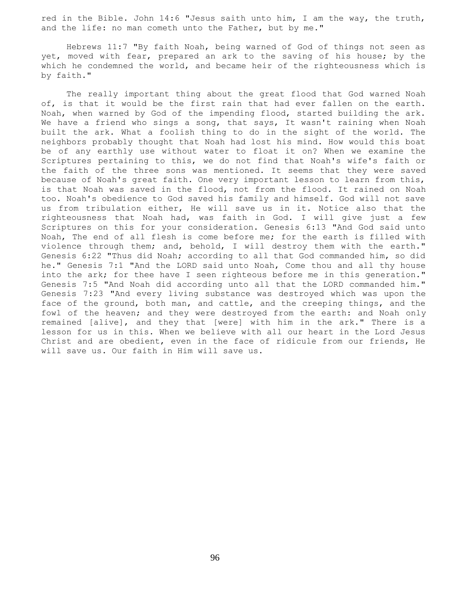red in the Bible. John 14:6 "Jesus saith unto him, I am the way, the truth, and the life: no man cometh unto the Father, but by me."

 Hebrews 11:7 "By faith Noah, being warned of God of things not seen as yet, moved with fear, prepared an ark to the saving of his house; by the which he condemned the world, and became heir of the righteousness which is by faith."

 The really important thing about the great flood that God warned Noah of, is that it would be the first rain that had ever fallen on the earth. Noah, when warned by God of the impending flood, started building the ark. We have a friend who sings a song, that says, It wasn't raining when Noah built the ark. What a foolish thing to do in the sight of the world. The neighbors probably thought that Noah had lost his mind. How would this boat be of any earthly use without water to float it on? When we examine the Scriptures pertaining to this, we do not find that Noah's wife's faith or the faith of the three sons was mentioned. It seems that they were saved because of Noah's great faith. One very important lesson to learn from this, is that Noah was saved in the flood, not from the flood. It rained on Noah too. Noah's obedience to God saved his family and himself. God will not save us from tribulation either, He will save us in it. Notice also that the righteousness that Noah had, was faith in God. I will give just a few Scriptures on this for your consideration. Genesis 6:13 "And God said unto Noah, The end of all flesh is come before me; for the earth is filled with violence through them; and, behold, I will destroy them with the earth." Genesis 6:22 "Thus did Noah; according to all that God commanded him, so did he." Genesis 7:1 "And the LORD said unto Noah, Come thou and all thy house into the ark; for thee have I seen righteous before me in this generation." Genesis 7:5 "And Noah did according unto all that the LORD commanded him." Genesis 7:23 "And every living substance was destroyed which was upon the face of the ground, both man, and cattle, and the creeping things, and the fowl of the heaven; and they were destroyed from the earth: and Noah only remained [alive], and they that [were] with him in the ark." There is a lesson for us in this. When we believe with all our heart in the Lord Jesus Christ and are obedient, even in the face of ridicule from our friends, He will save us. Our faith in Him will save us.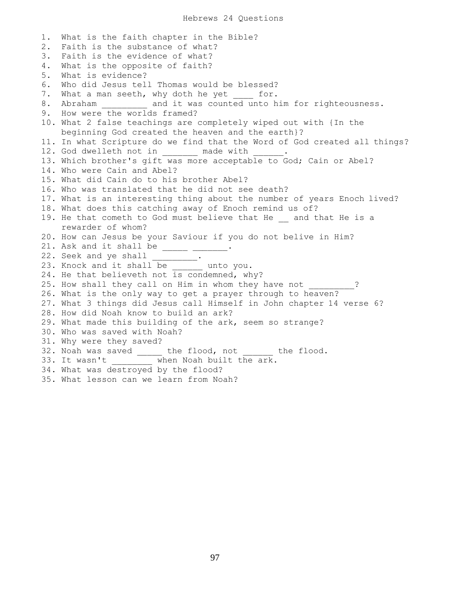1. What is the faith chapter in the Bible? 2. Faith is the substance of what? 3. Faith is the evidence of what? 4. What is the opposite of faith? 5. What is evidence? 6. Who did Jesus tell Thomas would be blessed? 7. What a man seeth, why doth he yet for. 8. Abraham and it was counted unto him for righteousness. 9. How were the worlds framed? 10. What 2 false teachings are completely wiped out with {In the beginning God created the heaven and the earth}? 11. In what Scripture do we find that the Word of God created all things? 12. God dwelleth not in The made with 13. Which brother's gift was more acceptable to God; Cain or Abel? 14. Who were Cain and Abel? 15. What did Cain do to his brother Abel? 16. Who was translated that he did not see death? 17. What is an interesting thing about the number of years Enoch lived? 18. What does this catching away of Enoch remind us of? 19. He that cometh to God must believe that He \_\_ and that He is a rewarder of whom? 20. How can Jesus be your Saviour if you do not belive in Him? 21. Ask and it shall be  $\frac{1}{2}$   $\frac{1}{2}$   $\frac{1}{2}$ . 22. Seek and ye shall \_\_\_\_\_\_\_\_. 23. Knock and it shall be \_\_\_\_\_\_ unto you. 24. He that believeth not is condemned, why? 25. How shall they call on Him in whom they have not \_\_\_\_\_\_\_\_\_? 26. What is the only way to get a prayer through to heaven? 27. What 3 things did Jesus call Himself in John chapter 14 verse 6? 28. How did Noah know to build an ark? 29. What made this building of the ark, seem so strange? 30. Who was saved with Noah? 31. Why were they saved? 32. Noah was saved \_\_\_\_\_ the flood, not \_\_\_\_\_\_ the flood. 33. It wasn't \_\_\_\_\_\_\_\_ when Noah built the ark. 34. What was destroyed by the flood? 35. What lesson can we learn from Noah?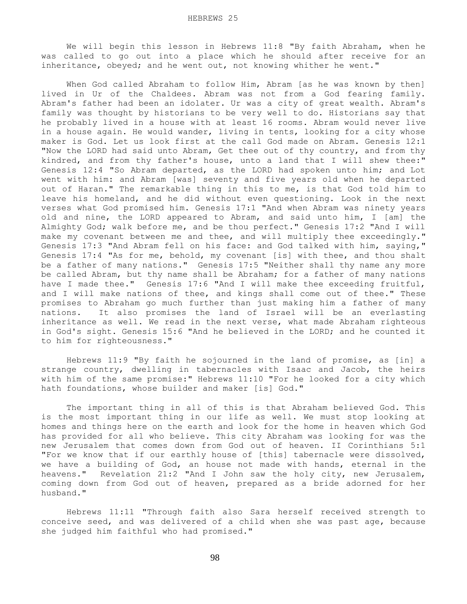We will begin this lesson in Hebrews 11:8 "By faith Abraham, when he was called to go out into a place which he should after receive for an inheritance, obeyed; and he went out, not knowing whither he went."

 When God called Abraham to follow Him, Abram [as he was known by then] lived in Ur of the Chaldees. Abram was not from a God fearing family. Abram's father had been an idolater. Ur was a city of great wealth. Abram's family was thought by historians to be very well to do. Historians say that he probably lived in a house with at least 16 rooms. Abram would never live in a house again. He would wander, living in tents, looking for a city whose maker is God. Let us look first at the call God made on Abram. Genesis 12:1 "Now the LORD had said unto Abram, Get thee out of thy country, and from thy kindred, and from thy father's house, unto a land that I will shew thee:" Genesis 12:4 "So Abram departed, as the LORD had spoken unto him; and Lot went with him: and Abram [was] seventy and five years old when he departed out of Haran." The remarkable thing in this to me, is that God told him to leave his homeland, and he did without even questioning. Look in the next verses what God promised him. Genesis 17:1 "And when Abram was ninety years old and nine, the LORD appeared to Abram, and said unto him, I [am] the Almighty God; walk before me, and be thou perfect." Genesis 17:2 "And I will make my covenant between me and thee, and will multiply thee exceedingly." Genesis 17:3 "And Abram fell on his face: and God talked with him, saying," Genesis 17:4 "As for me, behold, my covenant [is] with thee, and thou shalt be a father of many nations." Genesis 17:5 "Neither shall thy name any more be called Abram, but thy name shall be Abraham; for a father of many nations have I made thee." Genesis 17:6 "And I will make thee exceeding fruitful, and I will make nations of thee, and kings shall come out of thee." These promises to Abraham go much further than just making him a father of many nations. It also promises the land of Israel will be an everlasting inheritance as well. We read in the next verse, what made Abraham righteous in God's sight. Genesis 15:6 "And he believed in the LORD; and he counted it to him for righteousness."

 Hebrews 11:9 "By faith he sojourned in the land of promise, as [in] a strange country, dwelling in tabernacles with Isaac and Jacob, the heirs with him of the same promise:" Hebrews 11:10 "For he looked for a city which hath foundations, whose builder and maker [is] God."

 The important thing in all of this is that Abraham believed God. This is the most important thing in our life as well. We must stop looking at homes and things here on the earth and look for the home in heaven which God has provided for all who believe. This city Abraham was looking for was the new Jerusalem that comes down from God out of heaven. II Corinthians 5:1 "For we know that if our earthly house of [this] tabernacle were dissolved, we have a building of God, an house not made with hands, eternal in the heavens." Revelation 21:2 "And I John saw the holy city, new Jerusalem, coming down from God out of heaven, prepared as a bride adorned for her husband."

 Hebrews 11:11 "Through faith also Sara herself received strength to conceive seed, and was delivered of a child when she was past age, because she judged him faithful who had promised."

98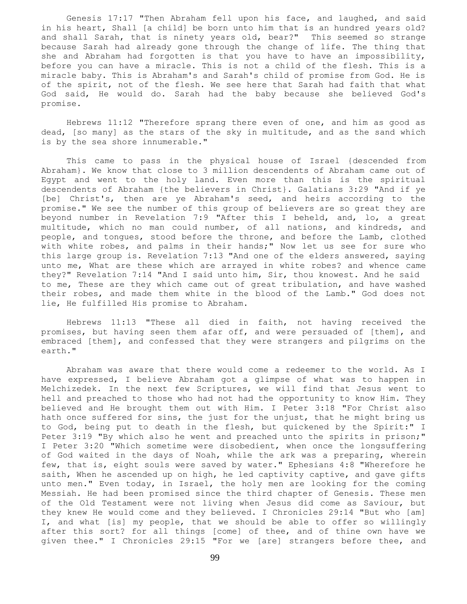Genesis 17:17 "Then Abraham fell upon his face, and laughed, and said in his heart, Shall [a child] be born unto him that is an hundred years old? and shall Sarah, that is ninety years old, bear?" This seemed so strange because Sarah had already gone through the change of life. The thing that she and Abraham had forgotten is that you have to have an impossibility, before you can have a miracle. This is not a child of the flesh. This is a miracle baby. This is Abraham's and Sarah's child of promise from God. He is of the spirit, not of the flesh. We see here that Sarah had faith that what God said, He would do. Sarah had the baby because she believed God's promise.

 Hebrews 11:12 "Therefore sprang there even of one, and him as good as dead, [so many] as the stars of the sky in multitude, and as the sand which is by the sea shore innumerable."

 This came to pass in the physical house of Israel {descended from Abraham}. We know that close to 3 million descendents of Abraham came out of Egypt and went to the holy land. Even more than this is the spiritual descendents of Abraham {the believers in Christ}. Galatians 3:29 "And if ye [be] Christ's, then are ye Abraham's seed, and heirs according to the promise." We see the number of this group of believers are so great they are beyond number in Revelation 7:9 "After this I beheld, and, lo, a great multitude, which no man could number, of all nations, and kindreds, and people, and tongues, stood before the throne, and before the Lamb, clothed with white robes, and palms in their hands;" Now let us see for sure who this large group is. Revelation 7:13 "And one of the elders answered, saying unto me, What are these which are arrayed in white robes? and whence came they?" Revelation 7:14 "And I said unto him, Sir, thou knowest. And he said to me, These are they which came out of great tribulation, and have washed their robes, and made them white in the blood of the Lamb." God does not lie, He fulfilled His promise to Abraham.

 Hebrews 11:13 "These all died in faith, not having received the promises, but having seen them afar off, and were persuaded of [them], and embraced [them], and confessed that they were strangers and pilgrims on the earth."

 Abraham was aware that there would come a redeemer to the world. As I have expressed, I believe Abraham got a glimpse of what was to happen in Melchizedek. In the next few Scriptures, we will find that Jesus went to hell and preached to those who had not had the opportunity to know Him. They believed and He brought them out with Him. I Peter 3:18 "For Christ also hath once suffered for sins, the just for the unjust, that he might bring us to God, being put to death in the flesh, but quickened by the Spirit:" I Peter 3:19 "By which also he went and preached unto the spirits in prison;" I Peter 3:20 "Which sometime were disobedient, when once the longsuffering of God waited in the days of Noah, while the ark was a preparing, wherein few, that is, eight souls were saved by water." Ephesians 4:8 "Wherefore he saith, When he ascended up on high, he led captivity captive, and gave gifts unto men." Even today, in Israel, the holy men are looking for the coming Messiah. He had been promised since the third chapter of Genesis. These men of the Old Testament were not living when Jesus did come as Saviour, but they knew He would come and they believed. I Chronicles 29:14 "But who [am] I, and what [is] my people, that we should be able to offer so willingly after this sort? for all things [come] of thee, and of thine own have we given thee." I Chronicles 29:15 "For we [are] strangers before thee, and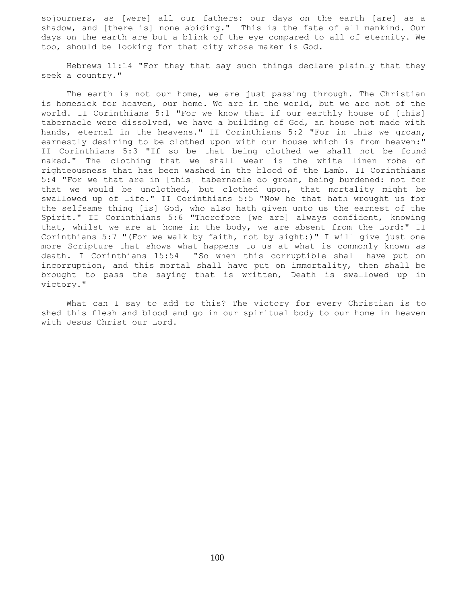sojourners, as [were] all our fathers: our days on the earth [are] as a shadow, and [there is] none abiding." This is the fate of all mankind. Our days on the earth are but a blink of the eye compared to all of eternity. We too, should be looking for that city whose maker is God.

 Hebrews 11:14 "For they that say such things declare plainly that they seek a country."

 The earth is not our home, we are just passing through. The Christian is homesick for heaven, our home. We are in the world, but we are not of the world. II Corinthians 5:1 "For we know that if our earthly house of [this] tabernacle were dissolved, we have a building of God, an house not made with hands, eternal in the heavens." II Corinthians 5:2 "For in this we groan, earnestly desiring to be clothed upon with our house which is from heaven:" II Corinthians 5:3 "If so be that being clothed we shall not be found naked." The clothing that we shall wear is the white linen robe of righteousness that has been washed in the blood of the Lamb. II Corinthians 5:4 "For we that are in [this] tabernacle do groan, being burdened: not for that we would be unclothed, but clothed upon, that mortality might be swallowed up of life." II Corinthians 5:5 "Now he that hath wrought us for the selfsame thing [is] God, who also hath given unto us the earnest of the Spirit." II Corinthians 5:6 "Therefore [we are] always confident, knowing that, whilst we are at home in the body, we are absent from the Lord:" II Corinthians 5:7 "(For we walk by faith, not by sight:)" I will give just one more Scripture that shows what happens to us at what is commonly known as death. I Corinthians 15:54 "So when this corruptible shall have put on incorruption, and this mortal shall have put on immortality, then shall be brought to pass the saying that is written, Death is swallowed up in victory."

 What can I say to add to this? The victory for every Christian is to shed this flesh and blood and go in our spiritual body to our home in heaven with Jesus Christ our Lord.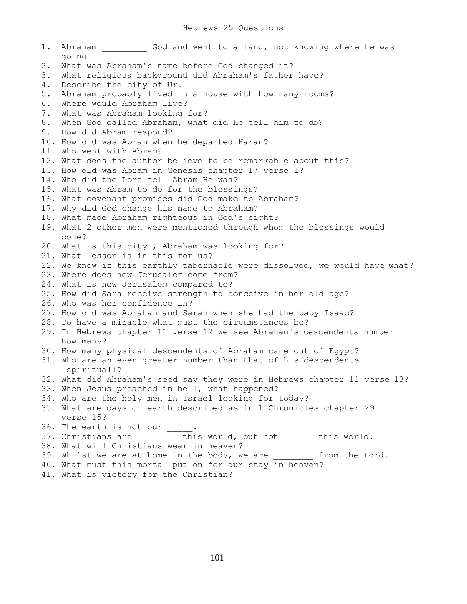1. Abraham 6od and went to a land, not knowing where he was going. 2. What was Abraham's name before God changed it? 3. What religious background did Abraham's father have? 4. Describe the city of Ur. 5. Abraham probably lived in a house with how many rooms? 6. Where would Abraham live? 7. What was Abraham looking for? 8. When God called Abraham, what did He tell him to do? 9. How did Abram respond? 10. How old was Abram when he departed Haran? 11. Who went with Abram? 12. What does the author believe to be remarkable about this? 13. How old was Abram in Genesis chapter 17 verse 1? 14. Who did the Lord tell Abram He was? 15. What was Abram to do for the blessings? 16. What covenant promises did God make to Abraham? 17. Why did God change his name to Abraham? 18. What made Abraham righteous in God's sight? 19. What 2 other men were mentioned through whom the blessings would come? 20. What is this city , Abraham was looking for? 21. What lesson is in this for us? 22. We know if this earthly tabernacle were dissolved, we would have what? 23. Where does new Jerusalem come from? 24. What is new Jerusalem compared to? 25. How did Sara receive strength to conceive in her old age? 26. Who was her confidence in? 27. How old was Abraham and Sarah when she had the baby Isaac? 28. To have a miracle what must the circumstances be? 29. In Hebrews chapter 11 verse 12 we see Abraham's descendents number how many? 30. How many physical descendents of Abraham came out of Egypt? 31. Who are an even greater number than that of his descendents {spiritual}? 32. What did Abraham's seed say they were in Hebrews chapter 11 verse 13? 33. When Jesus preached in hell, what happened? 34. Who are the holy men in Israel looking for today? 35. What are days on earth described as in 1 Chronicles chapter 29 verse 15? 36. The earth is not our \_\_\_\_ 37. Christians are \_\_\_\_\_\_\_\_ this world, but not \_\_\_\_\_ this world. 38. What will Christians wear in heaven? 39. Whilst we are at home in the body, we are from the Lord. 40. What must this mortal put on for our stay in heaven?

41. What is victory for the Christian?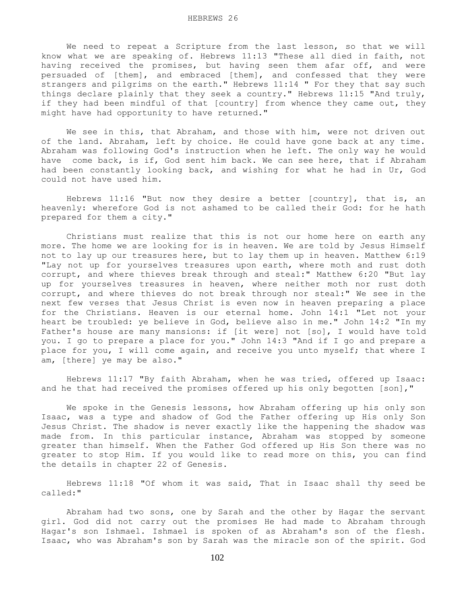We need to repeat a Scripture from the last lesson, so that we will know what we are speaking of. Hebrews 11:13 "These all died in faith, not having received the promises, but having seen them afar off, and were persuaded of [them], and embraced [them], and confessed that they were strangers and pilgrims on the earth." Hebrews 11:14 " For they that say such things declare plainly that they seek a country." Hebrews 11:15 "And truly, if they had been mindful of that [country] from whence they came out, they might have had opportunity to have returned."

We see in this, that Abraham, and those with him, were not driven out of the land. Abraham, left by choice. He could have gone back at any time. Abraham was following God's instruction when he left. The only way he would have come back, is if, God sent him back. We can see here, that if Abraham had been constantly looking back, and wishing for what he had in Ur, God could not have used him.

 Hebrews 11:16 "But now they desire a better [country], that is, an heavenly: wherefore God is not ashamed to be called their God: for he hath prepared for them a city."

 Christians must realize that this is not our home here on earth any more. The home we are looking for is in heaven. We are told by Jesus Himself not to lay up our treasures here, but to lay them up in heaven. Matthew 6:19 "Lay not up for yourselves treasures upon earth, where moth and rust doth corrupt, and where thieves break through and steal:" Matthew 6:20 "But lay up for yourselves treasures in heaven, where neither moth nor rust doth corrupt, and where thieves do not break through nor steal:" We see in the next few verses that Jesus Christ is even now in heaven preparing a place for the Christians. Heaven is our eternal home. John 14:1 "Let not your heart be troubled: ye believe in God, believe also in me." John 14:2 "In my Father's house are many mansions: if [it were] not [so], I would have told you. I go to prepare a place for you." John 14:3 "And if I go and prepare a place for you, I will come again, and receive you unto myself; that where I am, [there] ye may be also."

 Hebrews 11:17 "By faith Abraham, when he was tried, offered up Isaac: and he that had received the promises offered up his only begotten [son],"

 We spoke in the Genesis lessons, how Abraham offering up his only son Isaac, was a type and shadow of God the Father offering up His only Son Jesus Christ. The shadow is never exactly like the happening the shadow was made from. In this particular instance, Abraham was stopped by someone greater than himself. When the Father God offered up His Son there was no greater to stop Him. If you would like to read more on this, you can find the details in chapter 22 of Genesis.

 Hebrews 11:18 "Of whom it was said, That in Isaac shall thy seed be called:"

 Abraham had two sons, one by Sarah and the other by Hagar the servant girl. God did not carry out the promises He had made to Abraham through Hagar's son Ishmael. Ishmael is spoken of as Abraham's son of the flesh. Isaac, who was Abraham's son by Sarah was the miracle son of the spirit. God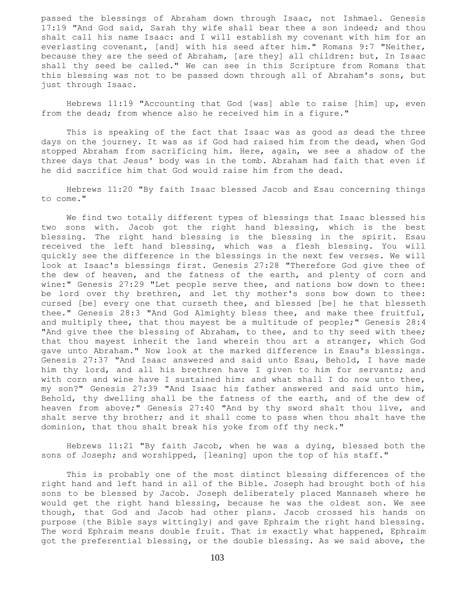passed the blessings of Abraham down through Isaac, not Ishmael. Genesis 17:19 "And God said, Sarah thy wife shall bear thee a son indeed; and thou shalt call his name Isaac: and I will establish my covenant with him for an everlasting covenant, [and] with his seed after him." Romans 9:7 "Neither, because they are the seed of Abraham, [are they] all children: but, In Isaac shall thy seed be called." We can see in this Scripture from Romans that this blessing was not to be passed down through all of Abraham's sons, but just through Isaac.

 Hebrews 11:19 "Accounting that God [was] able to raise [him] up, even from the dead; from whence also he received him in a figure."

 This is speaking of the fact that Isaac was as good as dead the three days on the journey. It was as if God had raised him from the dead, when God stopped Abraham from sacrificing him. Here, again, we see a shadow of the three days that Jesus' body was in the tomb. Abraham had faith that even if he did sacrifice him that God would raise him from the dead.

 Hebrews 11:20 "By faith Isaac blessed Jacob and Esau concerning things to come."

 We find two totally different types of blessings that Isaac blessed his two sons with. Jacob got the right hand blessing, which is the best blessing. The right hand blessing is the blessing in the spirit. Esau received the left hand blessing, which was a flesh blessing. You will quickly see the difference in the blessings in the next few verses. We will look at Isaac's blessings first. Genesis 27:28 "Therefore God give thee of the dew of heaven, and the fatness of the earth, and plenty of corn and wine:" Genesis 27:29 "Let people serve thee, and nations bow down to thee: be lord over thy brethren, and let thy mother's sons bow down to thee: cursed [be] every one that curseth thee, and blessed [be] he that blesseth thee." Genesis 28:3 "And God Almighty bless thee, and make thee fruitful, and multiply thee, that thou mayest be a multitude of people;" Genesis 28:4 "And give thee the blessing of Abraham, to thee, and to thy seed with thee; that thou mayest inherit the land wherein thou art a stranger, which God gave unto Abraham." Now look at the marked difference in Esau's blessings. Genesis 27:37 "And Isaac answered and said unto Esau, Behold, I have made him thy lord, and all his brethren have I given to him for servants; and with corn and wine have I sustained him: and what shall I do now unto thee, my son?" Genesis 27:39 "And Isaac his father answered and said unto him, Behold, thy dwelling shall be the fatness of the earth, and of the dew of heaven from above;" Genesis 27:40 "And by thy sword shalt thou live, and shalt serve thy brother; and it shall come to pass when thou shalt have the dominion, that thou shalt break his yoke from off thy neck."

 Hebrews 11:21 "By faith Jacob, when he was a dying, blessed both the sons of Joseph; and worshipped, [leaning] upon the top of his staff."

 This is probably one of the most distinct blessing differences of the right hand and left hand in all of the Bible. Joseph had brought both of his sons to be blessed by Jacob. Joseph deliberately placed Mannaseh where he would get the right hand blessing, because he was the oldest son. We see though, that God and Jacob had other plans. Jacob crossed his hands on purpose {the Bible says wittingly} and gave Ephraim the right hand blessing. The word Ephraim means double fruit. That is exactly what happened, Ephraim got the preferential blessing, or the double blessing. As we said above, the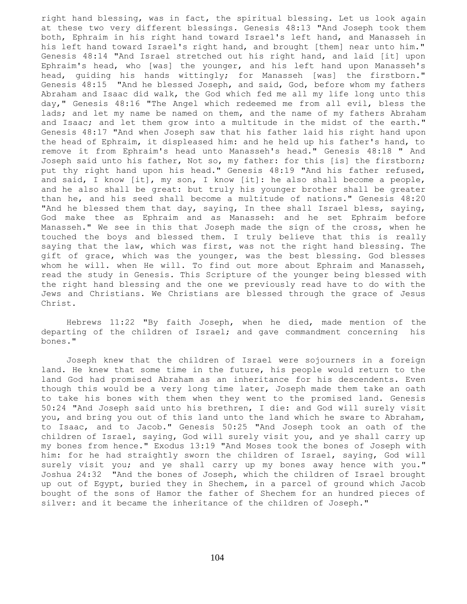right hand blessing, was in fact, the spiritual blessing. Let us look again at these two very different blessings. Genesis 48:13 "And Joseph took them both, Ephraim in his right hand toward Israel's left hand, and Manasseh in his left hand toward Israel's right hand, and brought [them] near unto him." Genesis 48:14 "And Israel stretched out his right hand, and laid [it] upon Ephraim's head, who [was] the younger, and his left hand upon Manasseh's head, guiding his hands wittingly; for Manasseh [was] the firstborn." Genesis 48:15 "And he blessed Joseph, and said, God, before whom my fathers Abraham and Isaac did walk, the God which fed me all my life long unto this day," Genesis 48:16 "The Angel which redeemed me from all evil, bless the lads; and let my name be named on them, and the name of my fathers Abraham and Isaac; and let them grow into a multitude in the midst of the earth." Genesis 48:17 "And when Joseph saw that his father laid his right hand upon the head of Ephraim, it displeased him: and he held up his father's hand, to remove it from Ephraim's head unto Manasseh's head." Genesis 48:18 " And Joseph said unto his father, Not so, my father: for this [is] the firstborn; put thy right hand upon his head." Genesis 48:19 "And his father refused, and said, I know [it], my son, I know [it]: he also shall become a people, and he also shall be great: but truly his younger brother shall be greater than he, and his seed shall become a multitude of nations." Genesis 48:20 "And he blessed them that day, saying, In thee shall Israel bless, saying, God make thee as Ephraim and as Manasseh: and he set Ephraim before Manasseh." We see in this that Joseph made the sign of the cross, when he touched the boys and blessed them. I truly believe that this is really saying that the law, which was first, was not the right hand blessing. The gift of grace, which was the younger, was the best blessing. God blesses whom he will. when He will. To find out more about Ephraim and Manasseh, read the study in Genesis. This Scripture of the younger being blessed with the right hand blessing and the one we previously read have to do with the Jews and Christians. We Christians are blessed through the grace of Jesus Christ.

 Hebrews 11:22 "By faith Joseph, when he died, made mention of the departing of the children of Israel; and gave commandment concerning his bones."

 Joseph knew that the children of Israel were sojourners in a foreign land. He knew that some time in the future, his people would return to the land God had promised Abraham as an inheritance for his descendents. Even though this would be a very long time later, Joseph made them take an oath to take his bones with them when they went to the promised land. Genesis 50:24 "And Joseph said unto his brethren, I die: and God will surely visit you, and bring you out of this land unto the land which he sware to Abraham, to Isaac, and to Jacob." Genesis 50:25 "And Joseph took an oath of the children of Israel, saying, God will surely visit you, and ye shall carry up my bones from hence." Exodus 13:19 "And Moses took the bones of Joseph with him: for he had straightly sworn the children of Israel, saying, God will surely visit you; and ye shall carry up my bones away hence with you." Joshua 24:32 "And the bones of Joseph, which the children of Israel brought up out of Egypt, buried they in Shechem, in a parcel of ground which Jacob bought of the sons of Hamor the father of Shechem for an hundred pieces of silver: and it became the inheritance of the children of Joseph."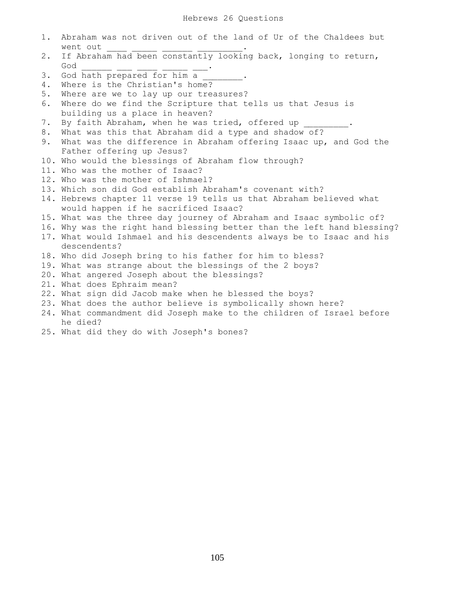| 1. | Abraham was not driven out of the land of Ur of the Chaldees but<br>went out |
|----|------------------------------------------------------------------------------|
| 2. | If Abraham had been constantly looking back, longing to return,              |
|    | God                                                                          |
| 3. | God hath prepared for him a                                                  |
| 4. | Where is the Christian's home?                                               |
| 5. | Where are we to lay up our treasures?                                        |
| 6. | Where do we find the Scripture that tells us that Jesus is                   |
|    | building us a place in heaven?                                               |
| 7. | By faith Abraham, when he was tried, offered up                              |
| 8. | What was this that Abraham did a type and shadow of?                         |
| 9. | What was the difference in Abraham offering Isaac up, and God the            |
|    | Father offering up Jesus?                                                    |
|    | 10. Who would the blessings of Abraham flow through?                         |
|    | 11. Who was the mother of Isaac?                                             |
|    | 12. Who was the mother of Ishmael?                                           |
|    | 13. Which son did God establish Abraham's covenant with?                     |
|    | 14. Hebrews chapter 11 verse 19 tells us that Abraham believed what          |
|    | would happen if he sacrificed Isaac?                                         |
|    | 15. What was the three day journey of Abraham and Isaac symbolic of?         |
|    | 16. Why was the right hand blessing better than the left hand blessing?      |
|    | 17. What would Ishmael and his descendents always be to Isaac and his        |
|    | descendents?                                                                 |
|    | 18. Who did Joseph bring to his father for him to bless?                     |
|    | 19. What was strange about the blessings of the 2 boys?                      |
|    | 20. What angered Joseph about the blessings?                                 |
|    | 21. What does Ephraim mean?                                                  |
|    | 22. What sign did Jacob make when he blessed the boys?                       |
|    | 23. What does the author believe is symbolically shown here?                 |
|    | 24. What commandment did Joseph make to the children of Israel before        |
|    |                                                                              |
|    | he died?                                                                     |

25. What did they do with Joseph's bones?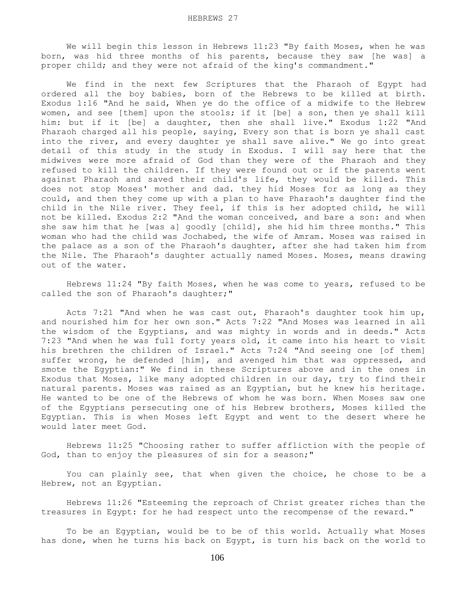We will begin this lesson in Hebrews 11:23 "By faith Moses, when he was born, was hid three months of his parents, because they saw [he was] a proper child; and they were not afraid of the king's commandment."

 We find in the next few Scriptures that the Pharaoh of Egypt had ordered all the boy babies, born of the Hebrews to be killed at birth. Exodus 1:16 "And he said, When ye do the office of a midwife to the Hebrew women, and see [them] upon the stools; if it [be] a son, then ye shall kill him: but if it [be] a daughter, then she shall live." Exodus 1:22 "And Pharaoh charged all his people, saying, Every son that is born ye shall cast into the river, and every daughter ye shall save alive." We go into great detail of this study in the study in Exodus. I will say here that the midwives were more afraid of God than they were of the Pharaoh and they refused to kill the children. If they were found out or if the parents went against Pharaoh and saved their child's life, they would be killed. This does not stop Moses' mother and dad. they hid Moses for as long as they could, and then they come up with a plan to have Pharaoh's daughter find the child in the Nile river. They feel, if this is her adopted child, he will not be killed. Exodus 2:2 "And the woman conceived, and bare a son: and when she saw him that he [was a] goodly [child], she hid him three months." This woman who had the child was Jochabed, the wife of Amram. Moses was raised in the palace as a son of the Pharaoh's daughter, after she had taken him from the Nile. The Pharaoh's daughter actually named Moses. Moses, means drawing out of the water.

 Hebrews 11:24 "By faith Moses, when he was come to years, refused to be called the son of Pharaoh's daughter;"

 Acts 7:21 "And when he was cast out, Pharaoh's daughter took him up, and nourished him for her own son." Acts 7:22 "And Moses was learned in all the wisdom of the Egyptians, and was mighty in words and in deeds." Acts 7:23 "And when he was full forty years old, it came into his heart to visit his brethren the children of Israel." Acts 7:24 "And seeing one [of them] suffer wrong, he defended [him], and avenged him that was oppressed, and smote the Egyptian:" We find in these Scriptures above and in the ones in Exodus that Moses, like many adopted children in our day, try to find their natural parents. Moses was raised as an Egyptian, but he knew his heritage. He wanted to be one of the Hebrews of whom he was born. When Moses saw one of the Egyptians persecuting one of his Hebrew brothers, Moses killed the Egyptian. This is when Moses left Egypt and went to the desert where he would later meet God.

 Hebrews 11:25 "Choosing rather to suffer affliction with the people of God, than to enjoy the pleasures of sin for a season;"

 You can plainly see, that when given the choice, he chose to be a Hebrew, not an Egyptian.

 Hebrews 11:26 "Esteeming the reproach of Christ greater riches than the treasures in Egypt: for he had respect unto the recompense of the reward."

 To be an Egyptian, would be to be of this world. Actually what Moses has done, when he turns his back on Egypt, is turn his back on the world to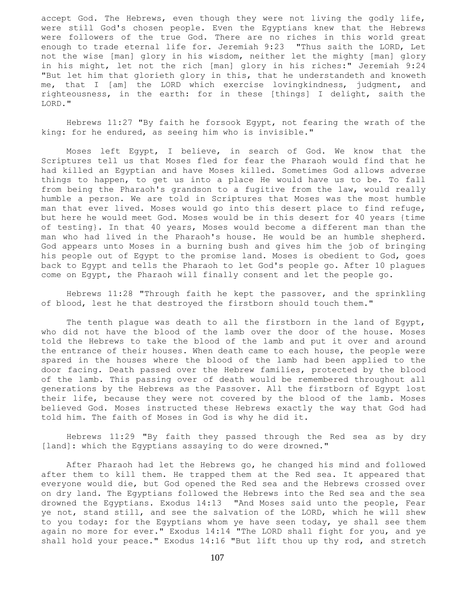accept God. The Hebrews, even though they were not living the godly life, were still God's chosen people. Even the Egyptians knew that the Hebrews were followers of the true God. There are no riches in this world great enough to trade eternal life for. Jeremiah 9:23 "Thus saith the LORD, Let not the wise [man] glory in his wisdom, neither let the mighty [man] glory in his might, let not the rich [man] glory in his riches:" Jeremiah 9:24 "But let him that glorieth glory in this, that he understandeth and knoweth me, that I [am] the LORD which exercise lovingkindness, judgment, and righteousness, in the earth: for in these [things] I delight, saith the LORD."

 Hebrews 11:27 "By faith he forsook Egypt, not fearing the wrath of the king: for he endured, as seeing him who is invisible."

 Moses left Egypt, I believe, in search of God. We know that the Scriptures tell us that Moses fled for fear the Pharaoh would find that he had killed an Egyptian and have Moses killed. Sometimes God allows adverse things to happen, to get us into a place He would have us to be. To fall from being the Pharaoh's grandson to a fugitive from the law, would really humble a person. We are told in Scriptures that Moses was the most humble man that ever lived. Moses would go into this desert place to find refuge, but here he would meet God. Moses would be in this desert for 40 years {time of testing}. In that 40 years, Moses would become a different man than the man who had lived in the Pharaoh's house. He would be an humble shepherd. God appears unto Moses in a burning bush and gives him the job of bringing his people out of Egypt to the promise land. Moses is obedient to God, goes back to Egypt and tells the Pharaoh to let God's people go. After 10 plagues come on Egypt, the Pharaoh will finally consent and let the people go.

 Hebrews 11:28 "Through faith he kept the passover, and the sprinkling of blood, lest he that destroyed the firstborn should touch them."

The tenth plague was death to all the firstborn in the land of Egypt, who did not have the blood of the lamb over the door of the house. Moses told the Hebrews to take the blood of the lamb and put it over and around the entrance of their houses. When death came to each house, the people were spared in the houses where the blood of the lamb had been applied to the door facing. Death passed over the Hebrew families, protected by the blood of the lamb. This passing over of death would be remembered throughout all generations by the Hebrews as the Passover. All the firstborn of Egypt lost their life, because they were not covered by the blood of the lamb. Moses believed God. Moses instructed these Hebrews exactly the way that God had told him. The faith of Moses in God is why he did it.

 Hebrews 11:29 "By faith they passed through the Red sea as by dry [land]: which the Egyptians assaying to do were drowned."

 After Pharaoh had let the Hebrews go, he changed his mind and followed after them to kill them. He trapped them at the Red sea. It appeared that everyone would die, but God opened the Red sea and the Hebrews crossed over on dry land. The Egyptians followed the Hebrews into the Red sea and the sea drowned the Egyptians. Exodus 14:13 "And Moses said unto the people, Fear ye not, stand still, and see the salvation of the LORD, which he will shew to you today: for the Egyptians whom ye have seen today, ye shall see them again no more for ever." Exodus 14:14 "The LORD shall fight for you, and ye shall hold your peace." Exodus 14:16 "But lift thou up thy rod, and stretch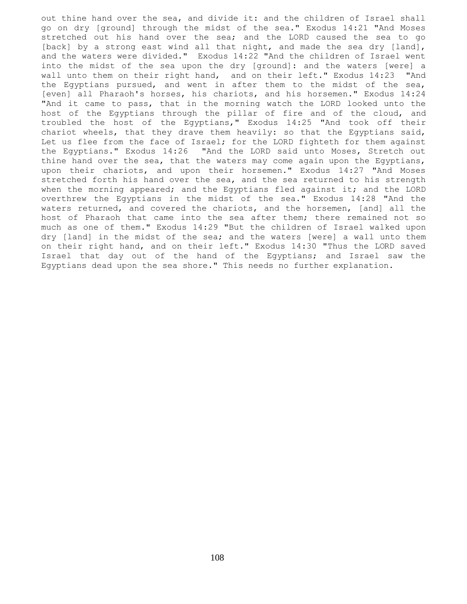out thine hand over the sea, and divide it: and the children of Israel shall go on dry [ground] through the midst of the sea." Exodus 14:21 "And Moses stretched out his hand over the sea; and the LORD caused the sea to go [back] by a strong east wind all that night, and made the sea dry [land], and the waters were divided." Exodus 14:22 "And the children of Israel went into the midst of the sea upon the dry [ground]: and the waters [were] a wall unto them on their right hand, and on their left." Exodus 14:23 "And the Egyptians pursued, and went in after them to the midst of the sea, [even] all Pharaoh's horses, his chariots, and his horsemen." Exodus 14:24 "And it came to pass, that in the morning watch the LORD looked unto the host of the Egyptians through the pillar of fire and of the cloud, and troubled the host of the Egyptians," Exodus 14:25 "And took off their chariot wheels, that they drave them heavily: so that the Egyptians said, Let us flee from the face of Israel; for the LORD fighteth for them against the Egyptians." Exodus 14:26 "And the LORD said unto Moses, Stretch out thine hand over the sea, that the waters may come again upon the Egyptians, upon their chariots, and upon their horsemen." Exodus 14:27 "And Moses stretched forth his hand over the sea, and the sea returned to his strength when the morning appeared; and the Egyptians fled against it; and the LORD overthrew the Egyptians in the midst of the sea." Exodus 14:28 "And the waters returned, and covered the chariots, and the horsemen, [and] all the host of Pharaoh that came into the sea after them; there remained not so much as one of them." Exodus 14:29 "But the children of Israel walked upon dry [land] in the midst of the sea; and the waters [were] a wall unto them on their right hand, and on their left." Exodus 14:30 "Thus the LORD saved Israel that day out of the hand of the Egyptians; and Israel saw the Egyptians dead upon the sea shore." This needs no further explanation.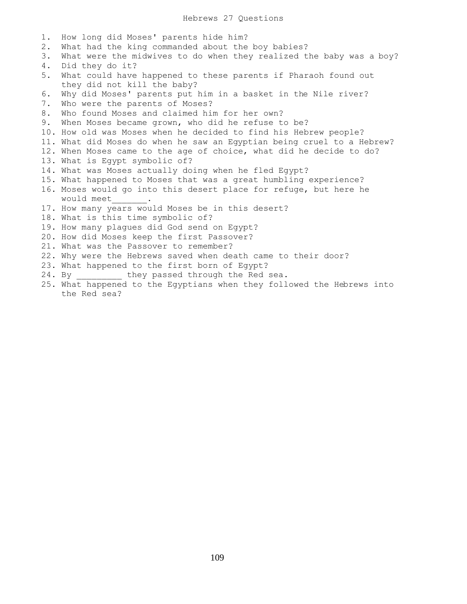| 1.    | How long did Moses' parents hide him?                                  |
|-------|------------------------------------------------------------------------|
| $2$ . | What had the king commanded about the boy babies?                      |
| 3.    | What were the midwives to do when they realized the baby was a boy?    |
| 4.    | Did they do it?                                                        |
| 5.    | What could have happened to these parents if Pharaoh found out         |
|       | they did not kill the baby?                                            |
| 6.    | Why did Moses' parents put him in a basket in the Nile river?          |
| 7.    | Who were the parents of Moses?                                         |
| 8.    | Who found Moses and claimed him for her own?                           |
| 9.    | When Moses became grown, who did he refuse to be?                      |
|       | 10. How old was Moses when he decided to find his Hebrew people?       |
|       | 11. What did Moses do when he saw an Egyptian being cruel to a Hebrew? |
|       | 12. When Moses came to the age of choice, what did he decide to do?    |
|       | 13. What is Egypt symbolic of?                                         |
|       | 14. What was Moses actually doing when he fled Egypt?                  |
|       | 15. What happened to Moses that was a great humbling experience?       |
|       | 16. Moses would go into this desert place for refuge, but here he      |
|       | would meet .                                                           |
|       | 17. How many years would Moses be in this desert?                      |
|       | 18. What is this time symbolic of?                                     |
|       | 19. How many plagues did God send on Egypt?                            |
|       | 20. How did Moses keep the first Passover?                             |
|       | 21. What was the Passover to remember?                                 |
|       | 22. Why were the Hebrews saved when death came to their door?          |
|       | 23. What happened to the first born of Egypt?                          |
|       | 24. By they passed through the Red sea.                                |
|       | 25. What happened to the Egyptians when they followed the Hebrews into |
|       | the Red sea?                                                           |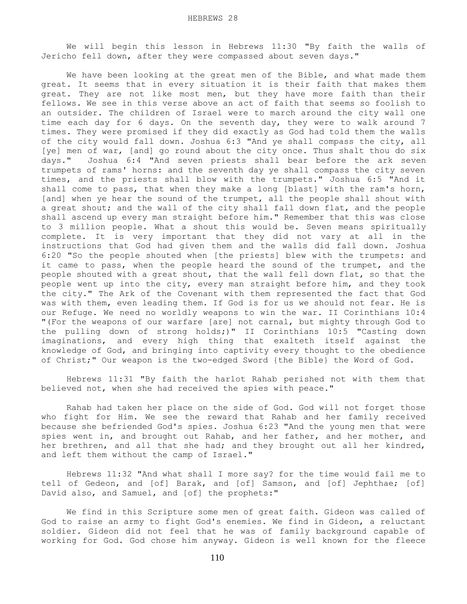We will begin this lesson in Hebrews 11:30 "By faith the walls of Jericho fell down, after they were compassed about seven days."

 We have been looking at the great men of the Bible, and what made them great. It seems that in every situation it is their faith that makes them great. They are not like most men, but they have more faith than their fellows. We see in this verse above an act of faith that seems so foolish to an outsider. The children of Israel were to march around the city wall one time each day for 6 days. On the seventh day, they were to walk around 7 times. They were promised if they did exactly as God had told them the walls of the city would fall down. Joshua 6:3 "And ye shall compass the city, all [ye] men of war, [and] go round about the city once. Thus shalt thou do six days." Joshua 6:4 "And seven priests shall bear before the ark seven trumpets of rams' horns: and the seventh day ye shall compass the city seven times, and the priests shall blow with the trumpets." Joshua 6:5 "And it shall come to pass, that when they make a long [blast] with the ram's horn, [and] when ye hear the sound of the trumpet, all the people shall shout with a great shout; and the wall of the city shall fall down flat, and the people shall ascend up every man straight before him." Remember that this was close to 3 million people. What a shout this would be. Seven means spiritually complete. It is very important that they did not vary at all in the instructions that God had given them and the walls did fall down. Joshua 6:20 "So the people shouted when [the priests] blew with the trumpets: and it came to pass, when the people heard the sound of the trumpet, and the people shouted with a great shout, that the wall fell down flat, so that the people went up into the city, every man straight before him, and they took the city." The Ark of the Covenant with them represented the fact that God was with them, even leading them. If God is for us we should not fear. He is our Refuge. We need no worldly weapons to win the war. II Corinthians 10:4 "(For the weapons of our warfare [are] not carnal, but mighty through God to the pulling down of strong holds;)" II Corinthians 10:5 "Casting down imaginations, and every high thing that exalteth itself against the knowledge of God, and bringing into captivity every thought to the obedience of Christ;" Our weapon is the two-edged Sword {the Bible} the Word of God.

 Hebrews 11:31 "By faith the harlot Rahab perished not with them that believed not, when she had received the spies with peace."

 Rahab had taken her place on the side of God. God will not forget those who fight for Him. We see the reward that Rahab and her family received because she befriended God's spies. Joshua 6:23 "And the young men that were spies went in, and brought out Rahab, and her father, and her mother, and her brethren, and all that she had; and they brought out all her kindred, and left them without the camp of Israel."

 Hebrews 11:32 "And what shall I more say? for the time would fail me to tell of Gedeon, and [of] Barak, and [of] Samson, and [of] Jephthae; [of] David also, and Samuel, and [of] the prophets:"

 We find in this Scripture some men of great faith. Gideon was called of God to raise an army to fight God's enemies. We find in Gideon, a reluctant soldier. Gideon did not feel that he was of family background capable of working for God. God chose him anyway. Gideon is well known for the fleece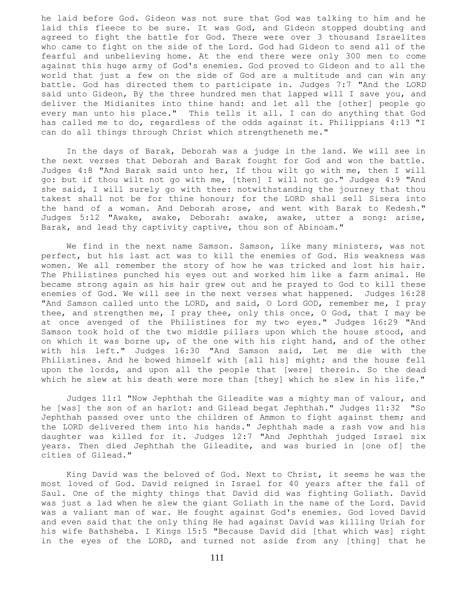he laid before God. Gideon was not sure that God was talking to him and he laid this fleece to be sure. It was God, and Gideon stopped doubting and agreed to fight the battle for God. There were over 3 thousand Israelites who came to fight on the side of the Lord. God had Gideon to send all of the fearful and unbelieving home. At the end there were only 300 men to come against this huge army of God's enemies. God proved to Gideon and to all the world that just a few on the side of God are a multitude and can win any battle. God has directed them to participate in. Judges 7:7 "And the LORD said unto Gideon, By the three hundred men that lapped will I save you, and deliver the Midianites into thine hand: and let all the [other] people go every man unto his place." This tells it all. I can do anything that God has called me to do, regardless of the odds against it. Philippians 4:13 "I can do all things through Christ which strengtheneth me."

 In the days of Barak, Deborah was a judge in the land. We will see in the next verses that Deborah and Barak fought for God and won the battle. Judges 4:8 "And Barak said unto her, If thou wilt go with me, then I will go: but if thou wilt not go with me, [then] I will not go." Judges 4:9 "And she said, I will surely go with thee: notwithstanding the journey that thou takest shall not be for thine honour; for the LORD shall sell Sisera into the hand of a woman. And Deborah arose, and went with Barak to Kedesh." Judges 5:12 "Awake, awake, Deborah: awake, awake, utter a song: arise, Barak, and lead thy captivity captive, thou son of Abinoam."

 We find in the next name Samson. Samson, like many ministers, was not perfect, but his last act was to kill the enemies of God. His weakness was women. We all remember the story of how he was tricked and lost his hair. The Philistines punched his eyes out and worked him like a farm animal. He became strong again as his hair grew out and he prayed to God to kill these enemies of God. We will see in the next verses what happened. Judges 16:28 "And Samson called unto the LORD, and said, O Lord GOD, remember me, I pray thee, and strengthen me, I pray thee, only this once, O God, that I may be at once avenged of the Philistines for my two eyes." Judges 16:29 "And Samson took hold of the two middle pillars upon which the house stood, and on which it was borne up, of the one with his right hand, and of the other with his left." Judges 16:30 "And Samson said, Let me die with the Philistines. And he bowed himself with [all his] might; and the house fell upon the lords, and upon all the people that [were] therein. So the dead which he slew at his death were more than [they] which he slew in his life."

 Judges 11:1 "Now Jephthah the Gileadite was a mighty man of valour, and he [was] the son of an harlot: and Gilead begat Jephthah." Judges 11:32 "So Jephthah passed over unto the children of Ammon to fight against them; and the LORD delivered them into his hands." Jephthah made a rash vow and his daughter was killed for it. Judges 12:7 "And Jephthah judged Israel six years. Then died Jephthah the Gileadite, and was buried in [one of] the cities of Gilead."

 King David was the beloved of God. Next to Christ, it seems he was the most loved of God. David reigned in Israel for 40 years after the fall of Saul. One of the mighty things that David did was fighting Goliath. David was just a lad when he slew the giant Goliath in the name of the Lord. David was a valiant man of war. He fought against God's enemies. God loved David and even said that the only thing He had against David was killing Uriah for his wife Bathsheba. I Kings 15:5 "Because David did [that which was] right in the eyes of the LORD, and turned not aside from any [thing] that he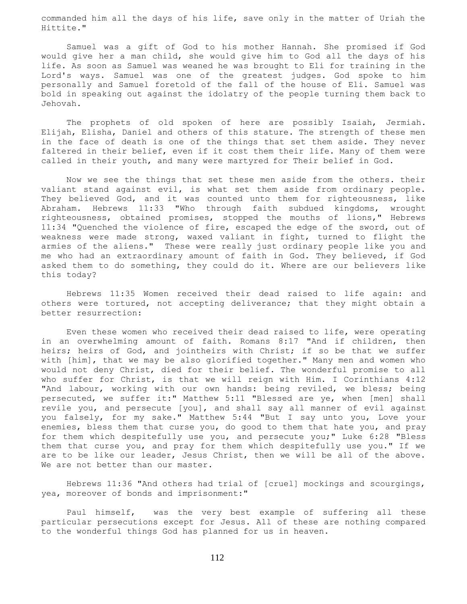commanded him all the days of his life, save only in the matter of Uriah the Hittite."

 Samuel was a gift of God to his mother Hannah. She promised if God would give her a man child, she would give him to God all the days of his life. As soon as Samuel was weaned he was brought to Eli for training in the Lord's ways. Samuel was one of the greatest judges. God spoke to him personally and Samuel foretold of the fall of the house of Eli. Samuel was bold in speaking out against the idolatry of the people turning them back to Jehovah.

 The prophets of old spoken of here are possibly Isaiah, Jermiah. Elijah, Elisha, Daniel and others of this stature. The strength of these men in the face of death is one of the things that set them aside. They never faltered in their belief, even if it cost them their life. Many of them were called in their youth, and many were martyred for Their belief in God.

 Now we see the things that set these men aside from the others. their valiant stand against evil, is what set them aside from ordinary people. They believed God, and it was counted unto them for righteousness, like Abraham. Hebrews 11:33 "Who through faith subdued kingdoms, wrought righteousness, obtained promises, stopped the mouths of lions," Hebrews 11:34 "Quenched the violence of fire, escaped the edge of the sword, out of weakness were made strong, waxed valiant in fight, turned to flight the armies of the aliens." These were really just ordinary people like you and me who had an extraordinary amount of faith in God. They believed, if God asked them to do something, they could do it. Where are our believers like this today?

 Hebrews 11:35 Women received their dead raised to life again: and others were tortured, not accepting deliverance; that they might obtain a better resurrection:

 Even these women who received their dead raised to life, were operating in an overwhelming amount of faith. Romans 8:17 "And if children, then heirs; heirs of God, and jointheirs with Christ; if so be that we suffer with [him], that we may be also glorified together." Many men and women who would not deny Christ, died for their belief. The wonderful promise to all who suffer for Christ, is that we will reign with Him. I Corinthians 4:12 "And labour, working with our own hands: being reviled, we bless; being persecuted, we suffer it:" Matthew 5:11 "Blessed are ye, when [men] shall revile you, and persecute [you], and shall say all manner of evil against you falsely, for my sake." Matthew 5:44 "But I say unto you, Love your enemies, bless them that curse you, do good to them that hate you, and pray for them which despitefully use you, and persecute you;" Luke 6:28 "Bless them that curse you, and pray for them which despitefully use you." If we are to be like our leader, Jesus Christ, then we will be all of the above. We are not better than our master.

 Hebrews 11:36 "And others had trial of [cruel] mockings and scourgings, yea, moreover of bonds and imprisonment:"

 Paul himself, was the very best example of suffering all these particular persecutions except for Jesus. All of these are nothing compared to the wonderful things God has planned for us in heaven.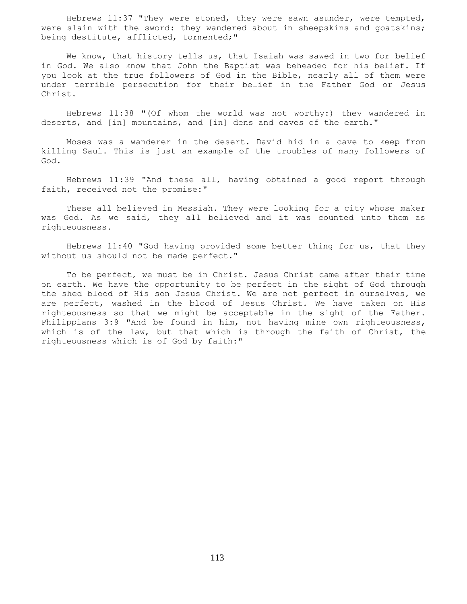Hebrews 11:37 "They were stoned, they were sawn asunder, were tempted, were slain with the sword: they wandered about in sheepskins and goatskins; being destitute, afflicted, tormented;"

 We know, that history tells us, that Isaiah was sawed in two for belief in God. We also know that John the Baptist was beheaded for his belief. If you look at the true followers of God in the Bible, nearly all of them were under terrible persecution for their belief in the Father God or Jesus Christ.

 Hebrews 11:38 "(Of whom the world was not worthy:) they wandered in deserts, and [in] mountains, and [in] dens and caves of the earth."

 Moses was a wanderer in the desert. David hid in a cave to keep from killing Saul. This is just an example of the troubles of many followers of God.

 Hebrews 11:39 "And these all, having obtained a good report through faith, received not the promise:"

 These all believed in Messiah. They were looking for a city whose maker was God. As we said, they all believed and it was counted unto them as righteousness.

 Hebrews 11:40 "God having provided some better thing for us, that they without us should not be made perfect."

 To be perfect, we must be in Christ. Jesus Christ came after their time on earth. We have the opportunity to be perfect in the sight of God through the shed blood of His son Jesus Christ. We are not perfect in ourselves, we are perfect, washed in the blood of Jesus Christ. We have taken on His righteousness so that we might be acceptable in the sight of the Father. Philippians 3:9 "And be found in him, not having mine own righteousness, which is of the law, but that which is through the faith of Christ, the righteousness which is of God by faith:"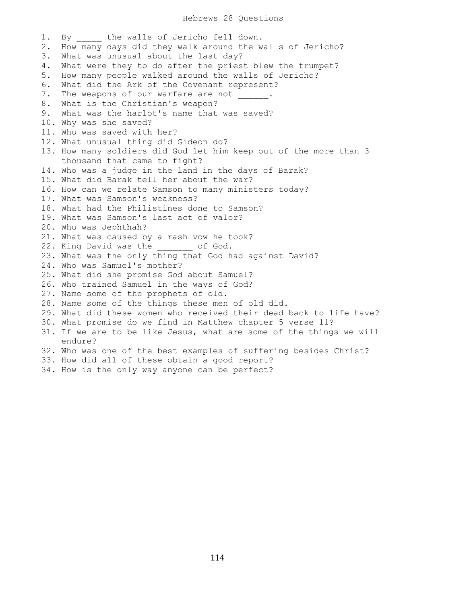## Hebrews 28 Questions

1. By the walls of Jericho fell down. 2. How many days did they walk around the walls of Jericho? 3. What was unusual about the last day? 4. What were they to do after the priest blew the trumpet? 5. How many people walked around the walls of Jericho? 6. What did the Ark of the Covenant represent? 7. The weapons of our warfare are not 8. What is the Christian's weapon? 9. What was the harlot's name that was saved? 10. Why was she saved? 11. Who was saved with her? 12. What unusual thing did Gideon do? 13. How many soldiers did God let him keep out of the more than 3 thousand that came to fight? 14. Who was a judge in the land in the days of Barak? 15. What did Barak tell her about the war? 16. How can we relate Samson to many ministers today? 17. What was Samson's weakness? 18. What had the Philistines done to Samson? 19. What was Samson's last act of valor? 20. Who was Jephthah? 21. What was caused by a rash vow he took? 22. King David was the of God. 23. What was the only thing that God had against David? 24. Who was Samuel's mother? 25. What did she promise God about Samuel? 26. Who trained Samuel in the ways of God? 27. Name some of the prophets of old. 28. Name some of the things these men of old did. 29. What did these women who received their dead back to life have? 30. What promise do we find in Matthew chapter 5 verse 11? 31. If we are to be like Jesus, what are some of the things we will endure? 32. Who was one of the best examples of suffering besides Christ? 33. How did all of these obtain a good report?

34. How is the only way anyone can be perfect?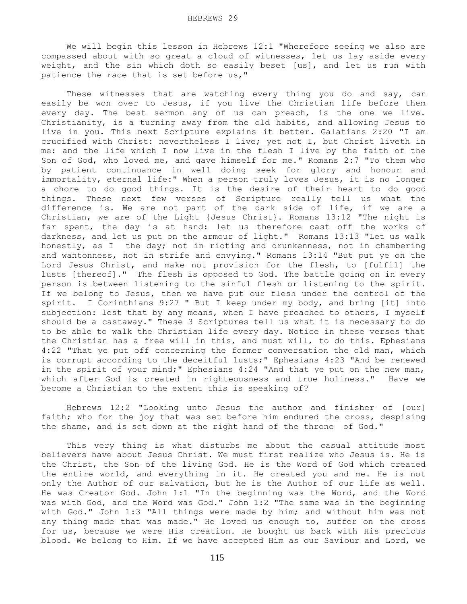We will begin this lesson in Hebrews 12:1 "Wherefore seeing we also are compassed about with so great a cloud of witnesses, let us lay aside every weight, and the sin which doth so easily beset [us], and let us run with patience the race that is set before us,"

These witnesses that are watching every thing you do and say, can easily be won over to Jesus, if you live the Christian life before them every day. The best sermon any of us can preach, is the one we live. Christianity, is a turning away from the old habits, and allowing Jesus to live in you. This next Scripture explains it better. Galatians 2:20 "I am crucified with Christ: nevertheless I live; yet not I, but Christ liveth in me: and the life which I now live in the flesh I live by the faith of the Son of God, who loved me, and gave himself for me." Romans 2:7 "To them who by patient continuance in well doing seek for glory and honour and immortality, eternal life:" When a person truly loves Jesus, it is no longer a chore to do good things. It is the desire of their heart to do good things. These next few verses of Scripture really tell us what the difference is. We are not part of the dark side of life, if we are a Christian, we are of the Light {Jesus Christ}. Romans 13:12 "The night is far spent, the day is at hand: let us therefore cast off the works of darkness, and let us put on the armour of light." Romans 13:13 "Let us walk honestly, as I the day; not in rioting and drunkenness, not in chambering and wantonness, not in strife and envying." Romans 13:14 "But put ye on the Lord Jesus Christ, and make not provision for the flesh, to [fulfil] the lusts [thereof]." The flesh is opposed to God. The battle going on in every person is between listening to the sinful flesh or listening to the spirit. If we belong to Jesus, then we have put our flesh under the control of the spirit. I Corinthians 9:27 " But I keep under my body, and bring [it] into subjection: lest that by any means, when I have preached to others, I myself should be a castaway." These 3 Scriptures tell us what it is necessary to do to be able to walk the Christian life every day. Notice in these verses that the Christian has a free will in this, and must will, to do this. Ephesians 4:22 "That ye put off concerning the former conversation the old man, which is corrupt according to the deceitful lusts;" Ephesians 4:23 "And be renewed in the spirit of your mind;" Ephesians 4:24 "And that ye put on the new man, which after God is created in righteousness and true holiness." Have we become a Christian to the extent this is speaking of?

 Hebrews 12:2 "Looking unto Jesus the author and finisher of [our] faith; who for the joy that was set before him endured the cross, despising the shame, and is set down at the right hand of the throne of God."

 This very thing is what disturbs me about the casual attitude most believers have about Jesus Christ. We must first realize who Jesus is. He is the Christ, the Son of the living God. He is the Word of God which created the entire world, and everything in it. He created you and me. He is not only the Author of our salvation, but he is the Author of our life as well. He was Creator God. John 1:1 "In the beginning was the Word, and the Word was with God, and the Word was God." John 1:2 "The same was in the beginning with God." John 1:3 "All things were made by him; and without him was not any thing made that was made." He loved us enough to, suffer on the cross for us, because we were His creation. He bought us back with His precious blood. We belong to Him. If we have accepted Him as our Saviour and Lord, we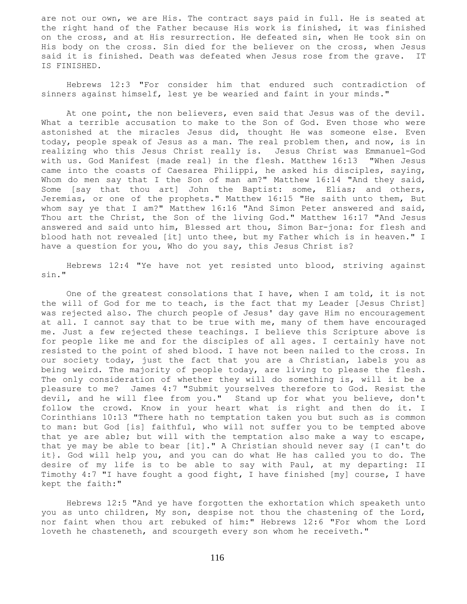are not our own, we are His. The contract says paid in full. He is seated at the right hand of the Father because His work is finished, it was finished on the cross, and at His resurrection. He defeated sin, when He took sin on His body on the cross. Sin died for the believer on the cross, when Jesus said it is finished. Death was defeated when Jesus rose from the grave. IT IS FINISHED.

 Hebrews 12:3 "For consider him that endured such contradiction of sinners against himself, lest ye be wearied and faint in your minds."

 At one point, the non believers, even said that Jesus was of the devil. What a terrible accusation to make to the Son of God. Even those who were astonished at the miracles Jesus did, thought He was someone else. Even today, people speak of Jesus as a man. The real problem then, and now, is in realizing who this Jesus Christ really is. Jesus Christ was Emmanuel-God with us. God Manifest {made real} in the flesh. Matthew 16:13 "When Jesus came into the coasts of Caesarea Philippi, he asked his disciples, saying, Whom do men say that I the Son of man am?" Matthew 16:14 "And they said, Some [say that thou art] John the Baptist: some, Elias; and others, Jeremias, or one of the prophets." Matthew 16:15 "He saith unto them, But whom say ye that I am?" Matthew 16:16 "And Simon Peter answered and said, Thou art the Christ, the Son of the living God." Matthew 16:17 "And Jesus answered and said unto him, Blessed art thou, Simon Bar-jona: for flesh and blood hath not revealed [it] unto thee, but my Father which is in heaven." I have a question for you, Who do you say, this Jesus Christ is?

 Hebrews 12:4 "Ye have not yet resisted unto blood, striving against sin."

 One of the greatest consolations that I have, when I am told, it is not the will of God for me to teach, is the fact that my Leader [Jesus Christ] was rejected also. The church people of Jesus' day gave Him no encouragement at all. I cannot say that to be true with me, many of them have encouraged me. Just a few rejected these teachings. I believe this Scripture above is for people like me and for the disciples of all ages. I certainly have not resisted to the point of shed blood. I have not been nailed to the cross. In our society today, just the fact that you are a Christian, labels you as being weird. The majority of people today, are living to please the flesh. The only consideration of whether they will do something is, will it be a pleasure to me? James 4:7 "Submit yourselves therefore to God. Resist the devil, and he will flee from you." Stand up for what you believe, don't follow the crowd. Know in your heart what is right and then do it. I Corinthians 10:13 "There hath no temptation taken you but such as is common to man: but God [is] faithful, who will not suffer you to be tempted above that ye are able; but will with the temptation also make a way to escape, that ye may be able to bear [it]." A Christian should never say {I can't do it}. God will help you, and you can do what He has called you to do. The desire of my life is to be able to say with Paul, at my departing: II Timothy 4:7 "I have fought a good fight, I have finished [my] course, I have kept the faith:"

 Hebrews 12:5 "And ye have forgotten the exhortation which speaketh unto you as unto children, My son, despise not thou the chastening of the Lord, nor faint when thou art rebuked of him:" Hebrews 12:6 "For whom the Lord loveth he chasteneth, and scourgeth every son whom he receiveth."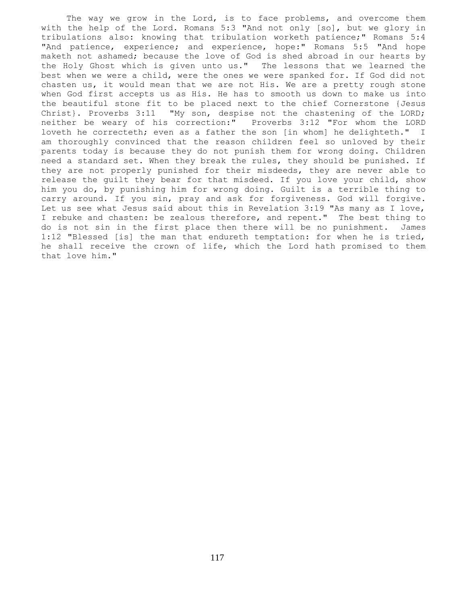The way we grow in the Lord, is to face problems, and overcome them with the help of the Lord. Romans 5:3 "And not only [so], but we glory in tribulations also: knowing that tribulation worketh patience;" Romans 5:4 "And patience, experience; and experience, hope:" Romans 5:5 "And hope maketh not ashamed; because the love of God is shed abroad in our hearts by the Holy Ghost which is given unto us." The lessons that we learned the best when we were a child, were the ones we were spanked for. If God did not chasten us, it would mean that we are not His. We are a pretty rough stone when God first accepts us as His. He has to smooth us down to make us into the beautiful stone fit to be placed next to the chief Cornerstone {Jesus Christ}. Proverbs 3:11 "My son, despise not the chastening of the LORD; neither be weary of his correction:" Proverbs 3:12 "For whom the LORD loveth he correcteth; even as a father the son [in whom] he delighteth." I am thoroughly convinced that the reason children feel so unloved by their parents today is because they do not punish them for wrong doing. Children need a standard set. When they break the rules, they should be punished. If they are not properly punished for their misdeeds, they are never able to release the guilt they bear for that misdeed. If you love your child, show him you do, by punishing him for wrong doing. Guilt is a terrible thing to carry around. If you sin, pray and ask for forgiveness. God will forgive. Let us see what Jesus said about this in Revelation 3:19 "As many as I love, I rebuke and chasten: be zealous therefore, and repent." The best thing to do is not sin in the first place then there will be no punishment. James 1:12 "Blessed [is] the man that endureth temptation: for when he is tried, he shall receive the crown of life, which the Lord hath promised to them that love him."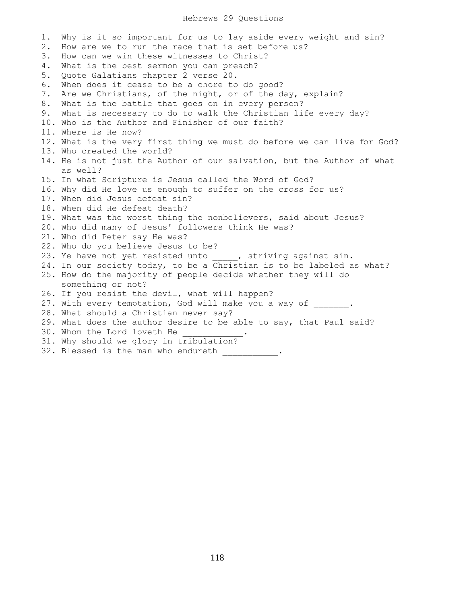## Hebrews 29 Questions

1. Why is it so important for us to lay aside every weight and sin? 2. How are we to run the race that is set before us? 3. How can we win these witnesses to Christ? 4. What is the best sermon you can preach? 5. Quote Galatians chapter 2 verse 20. 6. When does it cease to be a chore to do good? 7. Are we Christians, of the night, or of the day, explain? 8. What is the battle that goes on in every person? 9. What is necessary to do to walk the Christian life every day? 10. Who is the Author and Finisher of our faith? 11. Where is He now? 12. What is the very first thing we must do before we can live for God? 13. Who created the world? 14. He is not just the Author of our salvation, but the Author of what as well? 15. In what Scripture is Jesus called the Word of God? 16. Why did He love us enough to suffer on the cross for us? 17. When did Jesus defeat sin? 18. When did He defeat death? 19. What was the worst thing the nonbelievers, said about Jesus? 20. Who did many of Jesus' followers think He was? 21. Who did Peter say He was? 22. Who do you believe Jesus to be? 23. Ye have not yet resisted unto , striving against sin. 24. In our society today, to be a Christian is to be labeled as what? 25. How do the majority of people decide whether they will do something or not? 26. If you resist the devil, what will happen? 27. With every temptation, God will make you a way of  $\qquad \qquad$ . 28. What should a Christian never say? 29. What does the author desire to be able to say, that Paul said? 30. Whom the Lord loveth He 31. Why should we glory in tribulation? 32. Blessed is the man who endureth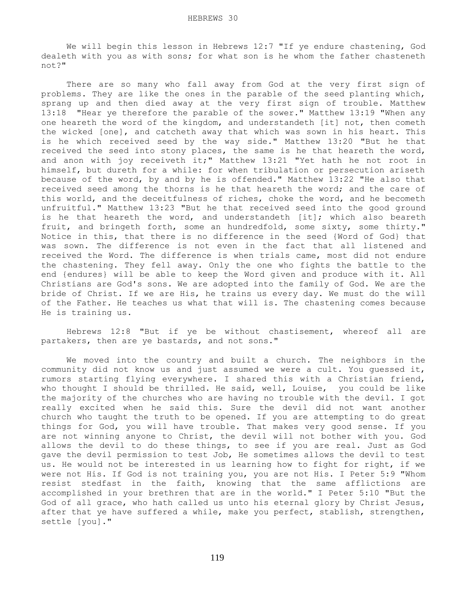We will begin this lesson in Hebrews 12:7 "If ye endure chastening, God dealeth with you as with sons; for what son is he whom the father chasteneth not?"

 There are so many who fall away from God at the very first sign of problems. They are like the ones in the parable of the seed planting which, sprang up and then died away at the very first sign of trouble. Matthew 13:18 "Hear ye therefore the parable of the sower." Matthew 13:19 "When any one heareth the word of the kingdom, and understandeth [it] not, then cometh the wicked [one], and catcheth away that which was sown in his heart. This is he which received seed by the way side." Matthew 13:20 "But he that received the seed into stony places, the same is he that heareth the word, and anon with joy receiveth it;" Matthew 13:21 "Yet hath he not root in himself, but dureth for a while: for when tribulation or persecution ariseth because of the word, by and by he is offended." Matthew 13:22 "He also that received seed among the thorns is he that heareth the word; and the care of this world, and the deceitfulness of riches, choke the word, and he becometh unfruitful." Matthew 13:23 "But he that received seed into the good ground is he that heareth the word, and understandeth [it]; which also beareth fruit, and bringeth forth, some an hundredfold, some sixty, some thirty." Notice in this, that there is no difference in the seed {Word of God} that was sown. The difference is not even in the fact that all listened and received the Word. The difference is when trials came, most did not endure the chastening. They fell away. Only the one who fights the battle to the end {endures} will be able to keep the Word given and produce with it. All Christians are God's sons. We are adopted into the family of God. We are the bride of Christ. If we are His, he trains us every day. We must do the will of the Father. He teaches us what that will is. The chastening comes because He is training us.

 Hebrews 12:8 "But if ye be without chastisement, whereof all are partakers, then are ye bastards, and not sons."

 We moved into the country and built a church. The neighbors in the community did not know us and just assumed we were a cult. You guessed it, rumors starting flying everywhere. I shared this with a Christian friend, who thought I should be thrilled. He said, well, Louise, you could be like the majority of the churches who are having no trouble with the devil. I got really excited when he said this. Sure the devil did not want another church who taught the truth to be opened. If you are attempting to do great things for God, you will have trouble. That makes very good sense. If you are not winning anyone to Christ, the devil will not bother with you. God allows the devil to do these things, to see if you are real. Just as God gave the devil permission to test Job, He sometimes allows the devil to test us. He would not be interested in us learning how to fight for right, if we were not His. If God is not training you, you are not His. I Peter 5:9 "Whom resist stedfast in the faith, knowing that the same afflictions are accomplished in your brethren that are in the world." I Peter 5:10 "But the God of all grace, who hath called us unto his eternal glory by Christ Jesus, after that ye have suffered a while, make you perfect, stablish, strengthen, settle [you]."

119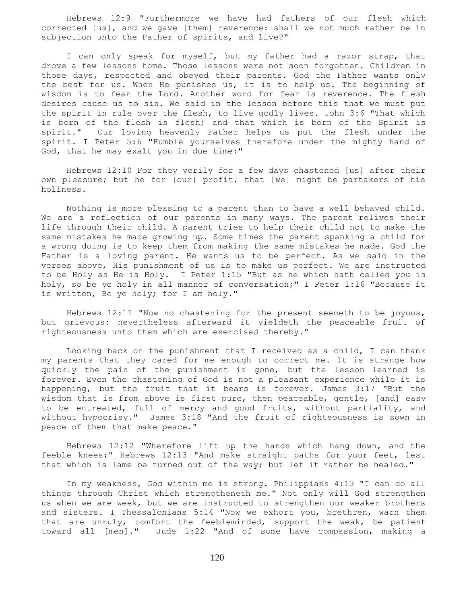Hebrews 12:9 "Furthermore we have had fathers of our flesh which corrected [us], and we gave [them] reverence: shall we not much rather be in subjection unto the Father of spirits, and live?"

 I can only speak for myself, but my father had a razor strap, that drove a few lessons home. Those lessons were not soon forgotten. Children in those days, respected and obeyed their parents. God the Father wants only the best for us. When He punishes us, it is to help us. The beginning of wisdom is to fear the Lord. Another word for fear is reverence. The flesh desires cause us to sin. We said in the lesson before this that we must put the spirit in rule over the flesh, to live godly lives. John 3:6 "That which is born of the flesh is flesh; and that which is born of the Spirit is spirit." Our loving heavenly Father helps us put the flesh under the spirit. I Peter 5:6 "Humble yourselves therefore under the mighty hand of God, that he may exalt you in due time:"

 Hebrews 12:10 For they verily for a few days chastened [us] after their own pleasure; but he for [our] profit, that [we] might be partakers of his holiness.

 Nothing is more pleasing to a parent than to have a well behaved child. We are a reflection of our parents in many ways. The parent relives their life through their child. A parent tries to help their child not to make the same mistakes he made growing up. Some times the parent spanking a child for a wrong doing is to keep them from making the same mistakes he made. God the Father is a loving parent. He wants us to be perfect. As we said in the verses above, His punishment of us is to make us perfect. We are instructed to be Holy as He is Holy. I Peter 1:15 "But as he which hath called you is holy, so be ye holy in all manner of conversation;" I Peter 1:16 "Because it is written, Be ye holy; for I am holy."

 Hebrews 12:11 "Now no chastening for the present seemeth to be joyous, but grievous: nevertheless afterward it yieldeth the peaceable fruit of righteousness unto them which are exercised thereby."

 Looking back on the punishment that I received as a child, I can thank my parents that they cared for me enough to correct me. It is strange how quickly the pain of the punishment is gone, but the lesson learned is forever. Even the chastening of God is not a pleasant experience while it is happening, but the fruit that it bears is forever. James 3:17 "But the wisdom that is from above is first pure, then peaceable, gentle, [and] easy to be entreated, full of mercy and good fruits, without partiality, and without hypocrisy." James 3:18 "And the fruit of righteousness is sown in peace of them that make peace."

 Hebrews 12:12 "Wherefore lift up the hands which hang down, and the feeble knees;" Hebrews 12:13 "And make straight paths for your feet, lest that which is lame be turned out of the way; but let it rather be healed."

 In my weakness, God within me is strong. Philippians 4:13 "I can do all things through Christ which strengtheneth me." Not only will God strengthen us when we are week, but we are instructed to strengthen our weaker brothers and sisters. I Thessalonians 5:14 "Now we exhort you, brethren, warn them that are unruly, comfort the feebleminded, support the weak, be patient toward all [men]." Jude 1:22 "And of some have compassion, making a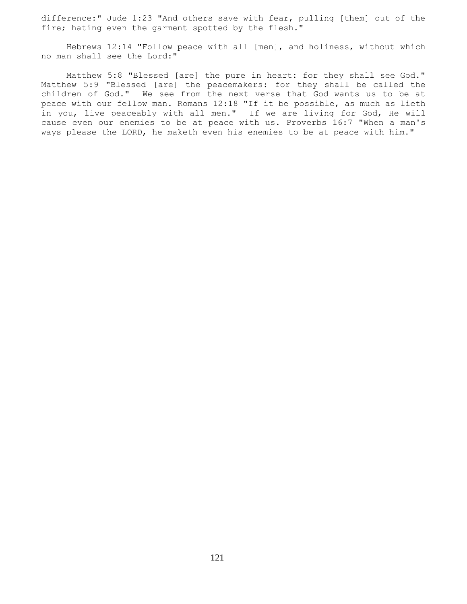difference:" Jude 1:23 "And others save with fear, pulling [them] out of the fire; hating even the garment spotted by the flesh."

 Hebrews 12:14 "Follow peace with all [men], and holiness, without which no man shall see the Lord:"

 Matthew 5:8 "Blessed [are] the pure in heart: for they shall see God." Matthew 5:9 "Blessed [are] the peacemakers: for they shall be called the children of God." We see from the next verse that God wants us to be at peace with our fellow man. Romans 12:18 "If it be possible, as much as lieth in you, live peaceably with all men." If we are living for God, He will cause even our enemies to be at peace with us. Proverbs 16:7 "When a man's ways please the LORD, he maketh even his enemies to be at peace with him."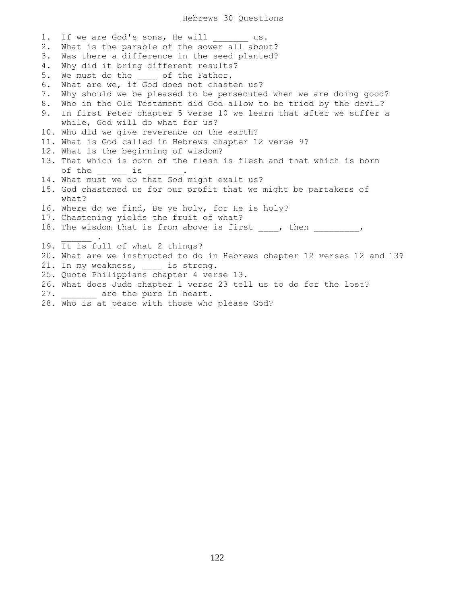1. If we are God's sons, He will us. 2. What is the parable of the sower all about? 3. Was there a difference in the seed planted? 4. Why did it bring different results? 5. We must do the \_\_\_\_ of the Father. 6. What are we, if God does not chasten us? 7. Why should we be pleased to be persecuted when we are doing good? 8. Who in the Old Testament did God allow to be tried by the devil? 9. In first Peter chapter 5 verse 10 we learn that after we suffer a while, God will do what for us? 10. Who did we give reverence on the earth? 11. What is God called in Hebrews chapter 12 verse 9? 12. What is the beginning of wisdom? 13. That which is born of the flesh is flesh and that which is born of the \_\_\_\_\_\_\_\_\_ is 14. What must we do that God might exalt us? 15. God chastened us for our profit that we might be partakers of what? 16. Where do we find, Be ye holy, for He is holy? 17. Chastening yields the fruit of what? 18. The wisdom that is from above is first \_\_\_\_, then \_\_\_\_\_\_\_\_\_\_,  $\overline{\phantom{a}}$ 19. It is full of what 2 things? 20. What are we instructed to do in Hebrews chapter 12 verses 12 and 13? 21. In my weakness, is strong. 25. Quote Philippians chapter 4 verse 13. 26. What does Jude chapter 1 verse 23 tell us to do for the lost? 27. \_\_\_\_\_\_\_ are the pure in heart.

28. Who is at peace with those who please God?

122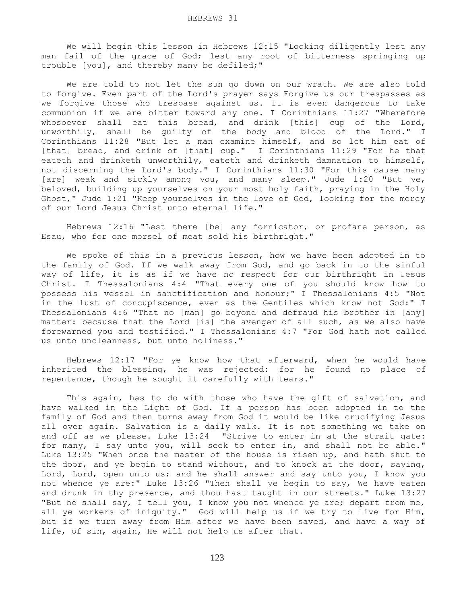We will begin this lesson in Hebrews 12:15 "Looking diligently lest any man fail of the grace of God; lest any root of bitterness springing up trouble [you], and thereby many be defiled;"

 We are told to not let the sun go down on our wrath. We are also told to forgive. Even part of the Lord's prayer says Forgive us our trespasses as we forgive those who trespass against us. It is even dangerous to take communion if we are bitter toward any one. I Corinthians 11:27 "Wherefore whosoever shall eat this bread, and drink [this] cup of the Lord, unworthily, shall be guilty of the body and blood of the Lord." I Corinthians 11:28 "But let a man examine himself, and so let him eat of [that] bread, and drink of [that] cup." I Corinthians 11:29 "For he that eateth and drinketh unworthily, eateth and drinketh damnation to himself, not discerning the Lord's body." I Corinthians 11:30 "For this cause many [are] weak and sickly among you, and many sleep." Jude 1:20 "But ye, beloved, building up yourselves on your most holy faith, praying in the Holy Ghost," Jude 1:21 "Keep yourselves in the love of God, looking for the mercy of our Lord Jesus Christ unto eternal life."

 Hebrews 12:16 "Lest there [be] any fornicator, or profane person, as Esau, who for one morsel of meat sold his birthright."

 We spoke of this in a previous lesson, how we have been adopted in to the family of God. If we walk away from God, and go back in to the sinful way of life, it is as if we have no respect for our birthright in Jesus Christ. I Thessalonians 4:4 "That every one of you should know how to possess his vessel in sanctification and honour;" I Thessalonians 4:5 "Not in the lust of concupiscence, even as the Gentiles which know not God:" I Thessalonians 4:6 "That no [man] go beyond and defraud his brother in [any] matter: because that the Lord [is] the avenger of all such, as we also have forewarned you and testified." I Thessalonians 4:7 "For God hath not called us unto uncleanness, but unto holiness."

 Hebrews 12:17 "For ye know how that afterward, when he would have inherited the blessing, he was rejected: for he found no place of repentance, though he sought it carefully with tears."

 This again, has to do with those who have the gift of salvation, and have walked in the Light of God. If a person has been adopted in to the family of God and then turns away from God it would be like crucifying Jesus all over again. Salvation is a daily walk. It is not something we take on and off as we please. Luke 13:24 "Strive to enter in at the strait gate: for many, I say unto you, will seek to enter in, and shall not be able." Luke 13:25 "When once the master of the house is risen up, and hath shut to the door, and ye begin to stand without, and to knock at the door, saying, Lord, Lord, open unto us; and he shall answer and say unto you, I know you not whence ye are:" Luke 13:26 "Then shall ye begin to say, We have eaten and drunk in thy presence, and thou hast taught in our streets." Luke 13:27 "But he shall say, I tell you, I know you not whence ye are; depart from me, all ye workers of iniquity." God will help us if we try to live for Him, but if we turn away from Him after we have been saved, and have a way of life, of sin, again, He will not help us after that.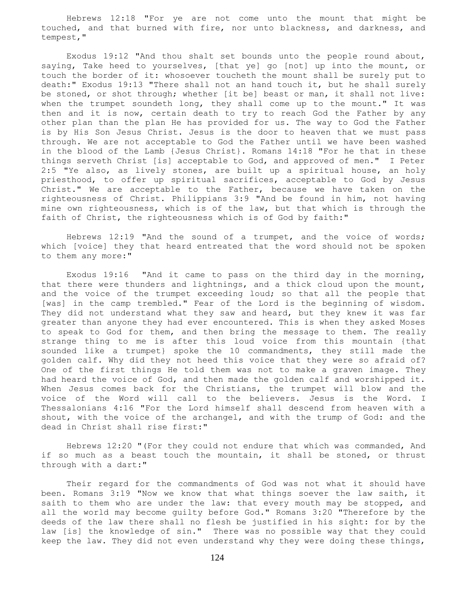Hebrews 12:18 "For ye are not come unto the mount that might be touched, and that burned with fire, nor unto blackness, and darkness, and tempest,"

 Exodus 19:12 "And thou shalt set bounds unto the people round about, saying, Take heed to yourselves, [that ye] go [not] up into the mount, or touch the border of it: whosoever toucheth the mount shall be surely put to death:" Exodus 19:13 "There shall not an hand touch it, but he shall surely be stoned, or shot through; whether [it be] beast or man, it shall not live: when the trumpet soundeth long, they shall come up to the mount." It was then and it is now, certain death to try to reach God the Father by any other plan than the plan He has provided for us. The way to God the Father is by His Son Jesus Christ. Jesus is the door to heaven that we must pass through. We are not acceptable to God the Father until we have been washed in the blood of the Lamb {Jesus Christ}. Romans 14:18 "For he that in these things serveth Christ [is] acceptable to God, and approved of men." I Peter 2:5 "Ye also, as lively stones, are built up a spiritual house, an holy priesthood, to offer up spiritual sacrifices, acceptable to God by Jesus Christ." We are acceptable to the Father, because we have taken on the righteousness of Christ. Philippians 3:9 "And be found in him, not having mine own righteousness, which is of the law, but that which is through the faith of Christ, the righteousness which is of God by faith:"

 Hebrews 12:19 "And the sound of a trumpet, and the voice of words; which [voice] they that heard entreated that the word should not be spoken to them any more:"

 Exodus 19:16 "And it came to pass on the third day in the morning, that there were thunders and lightnings, and a thick cloud upon the mount, and the voice of the trumpet exceeding loud; so that all the people that [was] in the camp trembled." Fear of the Lord is the beginning of wisdom. They did not understand what they saw and heard, but they knew it was far greater than anyone they had ever encountered. This is when they asked Moses to speak to God for them, and then bring the message to them. The really strange thing to me is after this loud voice from this mountain {that sounded like a trumpet} spoke the 10 commandments, they still made the golden calf. Why did they not heed this voice that they were so afraid of? One of the first things He told them was not to make a graven image. They had heard the voice of God, and then made the golden calf and worshipped it. When Jesus comes back for the Christians, the trumpet will blow and the voice of the Word will call to the believers. Jesus is the Word. I Thessalonians 4:16 "For the Lord himself shall descend from heaven with a shout, with the voice of the archangel, and with the trump of God: and the dead in Christ shall rise first:"

 Hebrews 12:20 "(For they could not endure that which was commanded, And if so much as a beast touch the mountain, it shall be stoned, or thrust through with a dart:"

 Their regard for the commandments of God was not what it should have been. Romans 3:19 "Now we know that what things soever the law saith, it saith to them who are under the law: that every mouth may be stopped, and all the world may become guilty before God." Romans 3:20 "Therefore by the deeds of the law there shall no flesh be justified in his sight: for by the law [is] the knowledge of sin." There was no possible way that they could keep the law. They did not even understand why they were doing these things,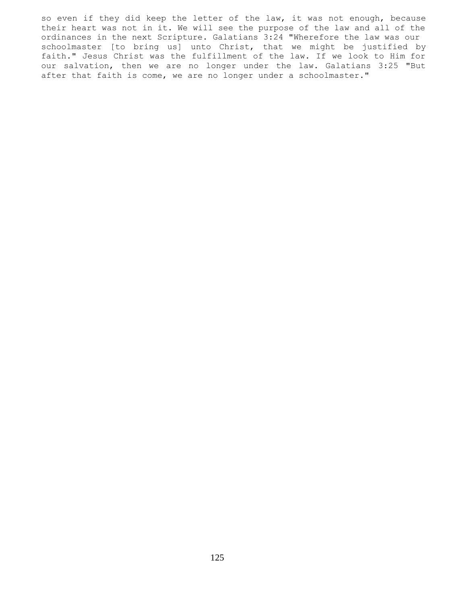so even if they did keep the letter of the law, it was not enough, because their heart was not in it. We will see the purpose of the law and all of the ordinances in the next Scripture. Galatians 3:24 "Wherefore the law was our schoolmaster [to bring us] unto Christ, that we might be justified by faith." Jesus Christ was the fulfillment of the law. If we look to Him for our salvation, then we are no longer under the law. Galatians 3:25 "But after that faith is come, we are no longer under a schoolmaster."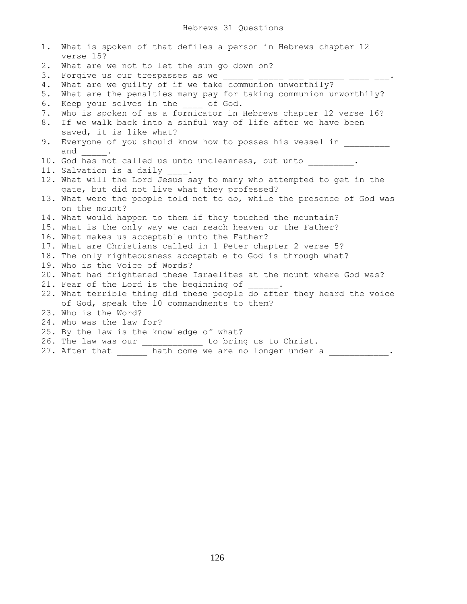| 1. | What is spoken of that defiles a person in Hebrews chapter 12<br>verse 15? |
|----|----------------------------------------------------------------------------|
| 2. | What are we not to let the sun go down on?                                 |
| 3. | Forgive us our trespasses as we                                            |
| 4. | What are we guilty of if we take communion unworthily? ----- ----          |
| 5. | What are the penalties many pay for taking communion unworthily?           |
| 6. | Keep your selves in the ____ of God.                                       |
| 7. | Who is spoken of as a fornicator in Hebrews chapter 12 verse 16?           |
| 8. | If we walk back into a sinful way of life after we have been               |
|    | saved, it is like what?                                                    |
| 9. | Everyone of you should know how to posses his vessel in                    |
|    | and $\qquad$ .                                                             |
|    | 10. God has not called us unto uncleanness, but unto ________.             |
|    | 11. Salvation is a daily .                                                 |
|    | 12. What will the Lord Jesus say to many who attempted to get in the       |
|    | gate, but did not live what they professed?                                |
|    | 13. What were the people told not to do, while the presence of God was     |
|    | on the mount?                                                              |
|    | 14. What would happen to them if they touched the mountain?                |
|    | 15. What is the only way we can reach heaven or the Father?                |
|    | 16. What makes us acceptable unto the Father?                              |
|    | 17. What are Christians called in 1 Peter chapter 2 verse 5?               |
|    | 18. The only righteousness acceptable to God is through what?              |
|    | 19. Who is the Voice of Words?                                             |
|    | 20. What had frightened these Israelites at the mount where God was?       |
|    | 21. Fear of the Lord is the beginning of                                   |
|    | 22. What terrible thing did these people do after they heard the voice     |
|    | of God, speak the 10 commandments to them?                                 |
|    | 23. Who is the Word?                                                       |
|    | 24. Who was the law for?                                                   |
|    | 25. By the law is the knowledge of what?                                   |
|    | 26. The law was our _____________ to bring us to Christ.                   |
|    | 27. After that bath come we are no longer under a                          |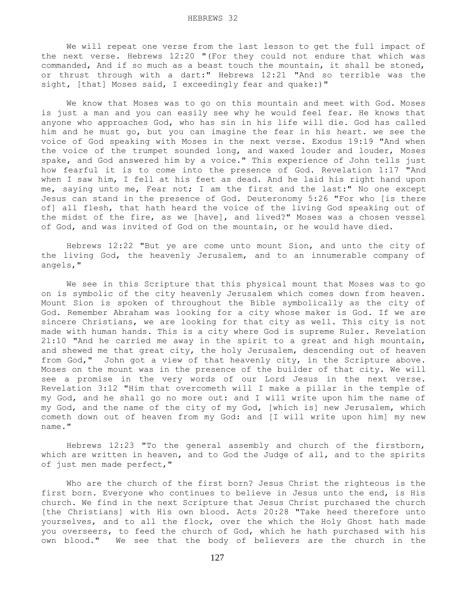We will repeat one verse from the last lesson to get the full impact of the next verse. Hebrews 12:20 "(For they could not endure that which was commanded, And if so much as a beast touch the mountain, it shall be stoned, or thrust through with a dart:" Hebrews 12:21 "And so terrible was the sight, [that] Moses said, I exceedingly fear and quake:)"

 We know that Moses was to go on this mountain and meet with God. Moses is just a man and you can easily see why he would feel fear. He knows that anyone who approaches God, who has sin in his life will die. God has called him and he must go, but you can imagine the fear in his heart. we see the voice of God speaking with Moses in the next verse. Exodus 19:19 "And when the voice of the trumpet sounded long, and waxed louder and louder, Moses spake, and God answered him by a voice." This experience of John tells just how fearful it is to come into the presence of God. Revelation 1:17 "And when I saw him, I fell at his feet as dead. And he laid his right hand upon me, saying unto me, Fear not; I am the first and the last:" No one except Jesus can stand in the presence of God. Deuteronomy 5:26 "For who [is there of] all flesh, that hath heard the voice of the living God speaking out of the midst of the fire, as we [have], and lived?" Moses was a chosen vessel of God, and was invited of God on the mountain, or he would have died.

 Hebrews 12:22 "But ye are come unto mount Sion, and unto the city of the living God, the heavenly Jerusalem, and to an innumerable company of angels,"

 We see in this Scripture that this physical mount that Moses was to go on is symbolic of the city heavenly Jerusalem which comes down from heaven. Mount Sion is spoken of throughout the Bible symbolically as the city of God. Remember Abraham was looking for a city whose maker is God. If we are sincere Christians, we are looking for that city as well. This city is not made with human hands. This is a city where God is supreme Ruler. Revelation 21:10 "And he carried me away in the spirit to a great and high mountain, and shewed me that great city, the holy Jerusalem, descending out of heaven from God," John got a view of that heavenly city, in the Scripture above. Moses on the mount was in the presence of the builder of that city. We will see a promise in the very words of our Lord Jesus in the next verse. Revelation 3:12 "Him that overcometh will I make a pillar in the temple of my God, and he shall go no more out: and I will write upon him the name of my God, and the name of the city of my God, [which is] new Jerusalem, which cometh down out of heaven from my God: and [I will write upon him] my new name."

 Hebrews 12:23 "To the general assembly and church of the firstborn, which are written in heaven, and to God the Judge of all, and to the spirits of just men made perfect,"

 Who are the church of the first born? Jesus Christ the righteous is the first born. Everyone who continues to believe in Jesus unto the end, is His church. We find in the next Scripture that Jesus Christ purchased the church [the Christians] with His own blood. Acts 20:28 "Take heed therefore unto yourselves, and to all the flock, over the which the Holy Ghost hath made you overseers, to feed the church of God, which he hath purchased with his own blood." We see that the body of believers are the church in the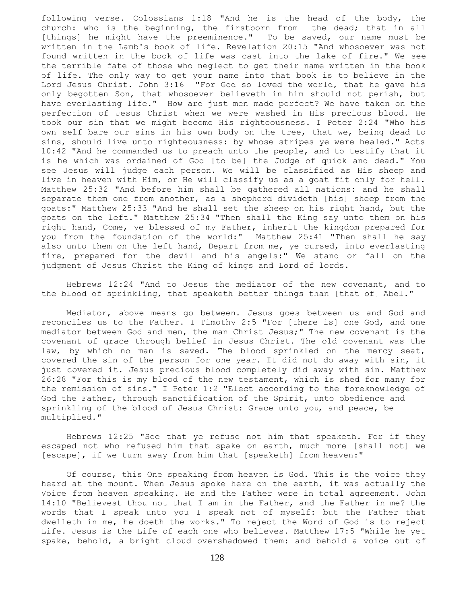following verse. Colossians 1:18 "And he is the head of the body, the church: who is the beginning, the firstborn from the dead; that in all [things] he might have the preeminence." To be saved, our name must be written in the Lamb's book of life. Revelation 20:15 "And whosoever was not found written in the book of life was cast into the lake of fire." We see the terrible fate of those who neglect to get their name written in the book of life. The only way to get your name into that book is to believe in the Lord Jesus Christ. John 3:16 "For God so loved the world, that he gave his only begotten Son, that whosoever believeth in him should not perish, but have everlasting life." How are just men made perfect? We have taken on the perfection of Jesus Christ when we were washed in His precious blood. He took our sin that we might become His righteousness. I Peter 2:24 "Who his own self bare our sins in his own body on the tree, that we, being dead to sins, should live unto righteousness: by whose stripes ye were healed." Acts 10:42 "And he commanded us to preach unto the people, and to testify that it is he which was ordained of God [to be] the Judge of quick and dead." You see Jesus will judge each person. We will be classified as His sheep and live in heaven with Him, or He will classify us as a goat fit only for hell. Matthew 25:32 "And before him shall be gathered all nations: and he shall separate them one from another, as a shepherd divideth [his] sheep from the goats:" Matthew 25:33 "And he shall set the sheep on his right hand, but the goats on the left." Matthew 25:34 "Then shall the King say unto them on his right hand, Come, ye blessed of my Father, inherit the kingdom prepared for you from the foundation of the world:" Matthew 25:41 "Then shall he say also unto them on the left hand, Depart from me, ye cursed, into everlasting fire, prepared for the devil and his angels:" We stand or fall on the judgment of Jesus Christ the King of kings and Lord of lords.

 Hebrews 12:24 "And to Jesus the mediator of the new covenant, and to the blood of sprinkling, that speaketh better things than [that of] Abel."

 Mediator, above means go between. Jesus goes between us and God and reconciles us to the Father. I Timothy 2:5 "For [there is] one God, and one mediator between God and men, the man Christ Jesus;" The new covenant is the covenant of grace through belief in Jesus Christ. The old covenant was the law, by which no man is saved. The blood sprinkled on the mercy seat, covered the sin of the person for one year. It did not do away with sin, it just covered it. Jesus precious blood completely did away with sin. Matthew 26:28 "For this is my blood of the new testament, which is shed for many for the remission of sins." I Peter 1:2 "Elect according to the foreknowledge of God the Father, through sanctification of the Spirit, unto obedience and sprinkling of the blood of Jesus Christ: Grace unto you, and peace, be multiplied."

 Hebrews 12:25 "See that ye refuse not him that speaketh. For if they escaped not who refused him that spake on earth, much more [shall not] we [escape], if we turn away from him that [speaketh] from heaven:"

 Of course, this One speaking from heaven is God. This is the voice they heard at the mount. When Jesus spoke here on the earth, it was actually the Voice from heaven speaking. He and the Father were in total agreement. John 14:10 "Believest thou not that I am in the Father, and the Father in me? the words that I speak unto you I speak not of myself: but the Father that dwelleth in me, he doeth the works." To reject the Word of God is to reject Life. Jesus is the Life of each one who believes. Matthew 17:5 "While he yet spake, behold, a bright cloud overshadowed them: and behold a voice out of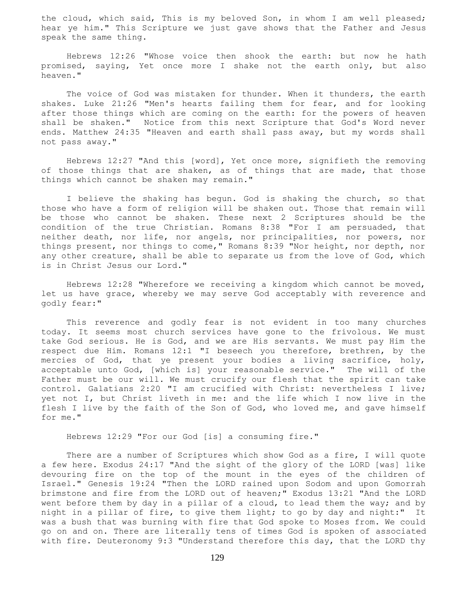the cloud, which said, This is my beloved Son, in whom I am well pleased; hear ye him." This Scripture we just gave shows that the Father and Jesus speak the same thing.

 Hebrews 12:26 "Whose voice then shook the earth: but now he hath promised, saying, Yet once more I shake not the earth only, but also heaven."

 The voice of God was mistaken for thunder. When it thunders, the earth shakes. Luke 21:26 "Men's hearts failing them for fear, and for looking after those things which are coming on the earth: for the powers of heaven shall be shaken." Notice from this next Scripture that God's Word never ends. Matthew 24:35 "Heaven and earth shall pass away, but my words shall not pass away."

 Hebrews 12:27 "And this [word], Yet once more, signifieth the removing of those things that are shaken, as of things that are made, that those things which cannot be shaken may remain."

 I believe the shaking has begun. God is shaking the church, so that those who have a form of religion will be shaken out. Those that remain will be those who cannot be shaken. These next 2 Scriptures should be the condition of the true Christian. Romans 8:38 "For I am persuaded, that neither death, nor life, nor angels, nor principalities, nor powers, nor things present, nor things to come," Romans 8:39 "Nor height, nor depth, nor any other creature, shall be able to separate us from the love of God, which is in Christ Jesus our Lord."

 Hebrews 12:28 "Wherefore we receiving a kingdom which cannot be moved, let us have grace, whereby we may serve God acceptably with reverence and godly fear:"

 This reverence and godly fear is not evident in too many churches today. It seems most church services have gone to the frivolous. We must take God serious. He is God, and we are His servants. We must pay Him the respect due Him. Romans 12:1 "I beseech you therefore, brethren, by the mercies of God, that ye present your bodies a living sacrifice, holy, acceptable unto God, [which is] your reasonable service." The will of the Father must be our will. We must crucify our flesh that the spirit can take control. Galatians 2:20 "I am crucified with Christ: nevertheless I live; yet not I, but Christ liveth in me: and the life which I now live in the flesh I live by the faith of the Son of God, who loved me, and gave himself for me."

Hebrews 12:29 "For our God [is] a consuming fire."

 There are a number of Scriptures which show God as a fire, I will quote a few here. Exodus 24:17 "And the sight of the glory of the LORD [was] like devouring fire on the top of the mount in the eyes of the children of Israel." Genesis 19:24 "Then the LORD rained upon Sodom and upon Gomorrah brimstone and fire from the LORD out of heaven;" Exodus 13:21 "And the LORD went before them by day in a pillar of a cloud, to lead them the way; and by night in a pillar of fire, to give them light; to go by day and night:" It was a bush that was burning with fire that God spoke to Moses from. We could go on and on. There are literally tens of times God is spoken of associated with fire. Deuteronomy 9:3 "Understand therefore this day, that the LORD thy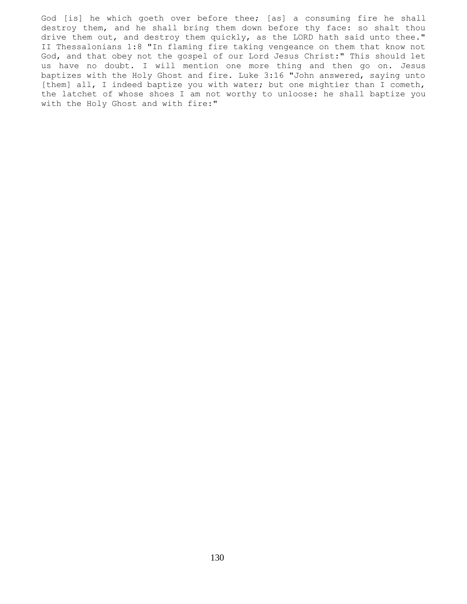God [is] he which goeth over before thee; [as] a consuming fire he shall destroy them, and he shall bring them down before thy face: so shalt thou drive them out, and destroy them quickly, as the LORD hath said unto thee." II Thessalonians 1:8 "In flaming fire taking vengeance on them that know not God, and that obey not the gospel of our Lord Jesus Christ:" This should let us have no doubt. I will mention one more thing and then go on. Jesus baptizes with the Holy Ghost and fire. Luke 3:16 "John answered, saying unto [them] all, I indeed baptize you with water; but one mightier than I cometh, the latchet of whose shoes I am not worthy to unloose: he shall baptize you with the Holy Ghost and with fire:"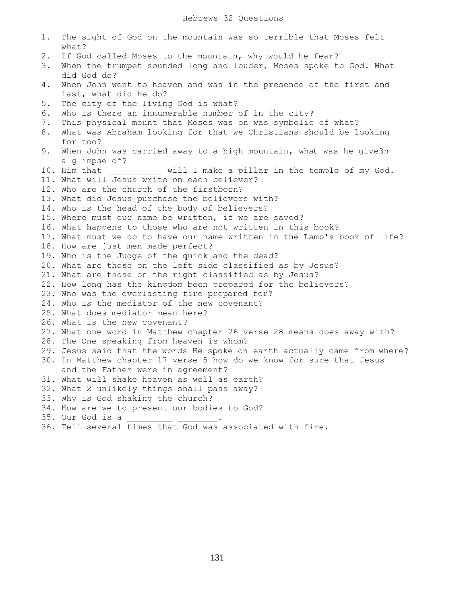1. The sight of God on the mountain was so terrible that Moses felt what? 2. If God called Moses to the mountain, why would he fear? 3. When the trumpet sounded long and louder, Moses spoke to God. What did God do? 4. When John went to heaven and was in the presence of the first and last, what did he do? 5. The city of the living God is what? 6. Who is there an innumerable number of in the city? 7. This physical mount that Moses was on was symbolic of what? 8. What was Abraham looking for that we Christians should be looking for too? 9. When John was carried away to a high mountain, what was he give3n a glimpse of? 10. Him that  $\qquad \qquad$  will I make a pillar in the temple of my God. 11. What will Jesus write on each believer? 12. Who are the church of the firstborn? 13. What did Jesus purchase the believers with? 14. Who is the head of the body of believers? 15. Where must our name be written, if we are saved? 16. What happens to those who are not written in this book? 17. What must we do to have our name written in the Lamb's book of life? 18. How are just men made perfect? 19. Who is the Judge of the quick and the dead? 20. What are those on the left side classified as by Jesus? 21. What are those on the right classified as by Jesus? 22. How long has the kingdom been prepared for the believers? 23. Who was the everlasting fire prepared for? 24. Who is the mediator of the new covenant? 25. What does mediator mean here? 26. What is the new covenant? 27. What one word in Matthew chapter 26 verse 28 means does away with? 28. The One speaking from heaven is whom? 29. Jesus said that the words He spoke on earth actually came from where? 30. In Matthew chapter 17 verse 5 how do we know for sure that Jesus and the Father were in agreement? 31. What will shake heaven as well as earth? 32. What 2 unlikely things shall pass away? 33. Why is God shaking the church? 34. How are we to present our bodies to God? 35. Our God is a 36. Tell several times that God was associated with fire.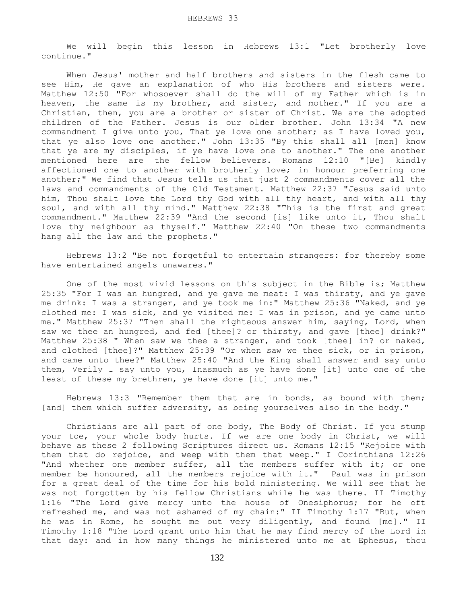We will begin this lesson in Hebrews 13:1 "Let brotherly love continue."

 When Jesus' mother and half brothers and sisters in the flesh came to see Him, He gave an explanation of who His brothers and sisters were. Matthew 12:50 "For whosoever shall do the will of my Father which is in heaven, the same is my brother, and sister, and mother." If you are a Christian, then, you are a brother or sister of Christ. We are the adopted children of the Father. Jesus is our older brother. John 13:34 "A new commandment I give unto you, That ye love one another; as I have loved you, that ye also love one another." John 13:35 "By this shall all [men] know that ye are my disciples, if ye have love one to another." The one another mentioned here are the fellow believers. Romans 12:10 "[Be] kindly affectioned one to another with brotherly love; in honour preferring one another;" We find that Jesus tells us that just 2 commandments cover all the laws and commandments of the Old Testament. Matthew 22:37 "Jesus said unto him, Thou shalt love the Lord thy God with all thy heart, and with all thy soul, and with all thy mind." Matthew 22:38 "This is the first and great commandment." Matthew 22:39 "And the second [is] like unto it, Thou shalt love thy neighbour as thyself." Matthew 22:40 "On these two commandments hang all the law and the prophets."

 Hebrews 13:2 "Be not forgetful to entertain strangers: for thereby some have entertained angels unawares."

 One of the most vivid lessons on this subject in the Bible is; Matthew 25:35 "For I was an hungred, and ye gave me meat: I was thirsty, and ye gave me drink: I was a stranger, and ye took me in:" Matthew 25:36 "Naked, and ye clothed me: I was sick, and ye visited me: I was in prison, and ye came unto me." Matthew 25:37 "Then shall the righteous answer him, saying, Lord, when saw we thee an hungred, and fed [thee]? or thirsty, and gave [thee] drink?" Matthew 25:38 " When saw we thee a stranger, and took [thee] in? or naked, and clothed [thee]?" Matthew 25:39 "Or when saw we thee sick, or in prison, and came unto thee?" Matthew 25:40 "And the King shall answer and say unto them, Verily I say unto you, Inasmuch as ye have done [it] unto one of the least of these my brethren, ye have done [it] unto me."

 Hebrews 13:3 "Remember them that are in bonds, as bound with them; [and] them which suffer adversity, as being yourselves also in the body."

 Christians are all part of one body, The Body of Christ. If you stump your toe, your whole body hurts. If we are one body in Christ, we will behave as these 2 following Scriptures direct us. Romans 12:15 "Rejoice with them that do rejoice, and weep with them that weep." I Corinthians 12:26 "And whether one member suffer, all the members suffer with it; or one member be honoured, all the members rejoice with it." Paul was in prison for a great deal of the time for his bold ministering. We will see that he was not forgotten by his fellow Christians while he was there. II Timothy 1:16 "The Lord give mercy unto the house of Onesiphorus; for he oft refreshed me, and was not ashamed of my chain:" II Timothy 1:17 "But, when he was in Rome, he sought me out very diligently, and found [me]." II Timothy 1:18 "The Lord grant unto him that he may find mercy of the Lord in that day: and in how many things he ministered unto me at Ephesus, thou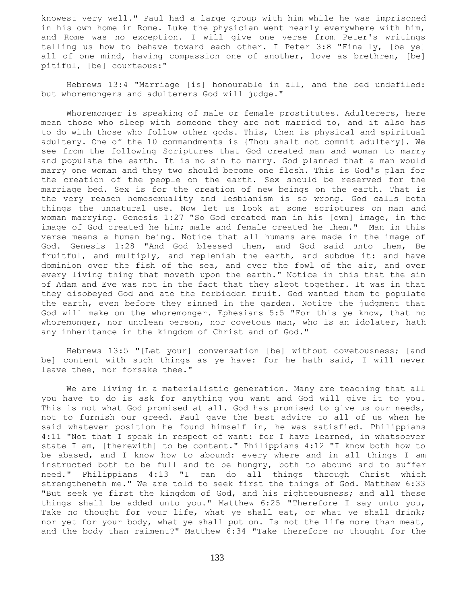knowest very well." Paul had a large group with him while he was imprisoned in his own home in Rome. Luke the physician went nearly everywhere with him, and Rome was no exception. I will give one verse from Peter's writings telling us how to behave toward each other. I Peter 3:8 "Finally, [be ye] all of one mind, having compassion one of another, love as brethren, [be] pitiful, [be] courteous:"

 Hebrews 13:4 "Marriage [is] honourable in all, and the bed undefiled: but whoremongers and adulterers God will judge."

 Whoremonger is speaking of male or female prostitutes. Adulterers, here mean those who sleep with someone they are not married to, and it also has to do with those who follow other gods. This, then is physical and spiritual adultery. One of the 10 commandments is {Thou shalt not commit adultery}. We see from the following Scriptures that God created man and woman to marry and populate the earth. It is no sin to marry. God planned that a man would marry one woman and they two should become one flesh. This is God's plan for the creation of the people on the earth. Sex should be reserved for the marriage bed. Sex is for the creation of new beings on the earth. That is the very reason homosexuality and lesbianism is so wrong. God calls both things the unnatural use. Now let us look at some scriptures on man and woman marrying. Genesis 1:27 "So God created man in his [own] image, in the image of God created he him; male and female created he them." Man in this verse means a human being. Notice that all humans are made in the image of God. Genesis 1:28 "And God blessed them, and God said unto them, Be fruitful, and multiply, and replenish the earth, and subdue it: and have dominion over the fish of the sea, and over the fowl of the air, and over every living thing that moveth upon the earth." Notice in this that the sin of Adam and Eve was not in the fact that they slept together. It was in that they disobeyed God and ate the forbidden fruit. God wanted them to populate the earth, even before they sinned in the garden. Notice the judgment that God will make on the whoremonger. Ephesians 5:5 "For this ye know, that no whoremonger, nor unclean person, nor covetous man, who is an idolater, hath any inheritance in the kingdom of Christ and of God."

 Hebrews 13:5 "[Let your] conversation [be] without covetousness; [and be] content with such things as ye have: for he hath said, I will never leave thee, nor forsake thee."

 We are living in a materialistic generation. Many are teaching that all you have to do is ask for anything you want and God will give it to you. This is not what God promised at all. God has promised to give us our needs, not to furnish our greed. Paul gave the best advice to all of us when he said whatever position he found himself in, he was satisfied. Philippians 4:11 "Not that I speak in respect of want: for I have learned, in whatsoever state I am, [therewith] to be content." Philippians 4:12 "I know both how to be abased, and I know how to abound: every where and in all things I am instructed both to be full and to be hungry, both to abound and to suffer need." Philippians 4:13 "I can do all things through Christ which strengtheneth me." We are told to seek first the things of God. Matthew 6:33 "But seek ye first the kingdom of God, and his righteousness; and all these things shall be added unto you." Matthew 6:25 "Therefore I say unto you, Take no thought for your life, what ye shall eat, or what ye shall drink; nor yet for your body, what ye shall put on. Is not the life more than meat, and the body than raiment?" Matthew 6:34 "Take therefore no thought for the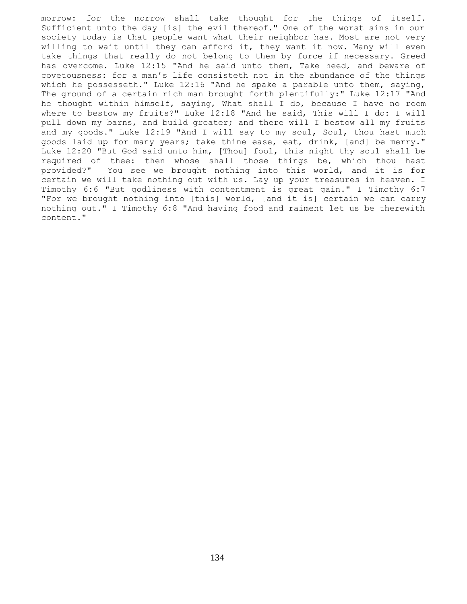morrow: for the morrow shall take thought for the things of itself. Sufficient unto the day [is] the evil thereof." One of the worst sins in our society today is that people want what their neighbor has. Most are not very willing to wait until they can afford it, they want it now. Many will even take things that really do not belong to them by force if necessary. Greed has overcome. Luke 12:15 "And he said unto them, Take heed, and beware of covetousness: for a man's life consisteth not in the abundance of the things which he possesseth." Luke  $12:16$  "And he spake a parable unto them, saying, The ground of a certain rich man brought forth plentifully:" Luke 12:17 "And he thought within himself, saying, What shall I do, because I have no room where to bestow my fruits?" Luke 12:18 "And he said, This will I do: I will pull down my barns, and build greater; and there will I bestow all my fruits and my goods." Luke 12:19 "And I will say to my soul, Soul, thou hast much goods laid up for many years; take thine ease, eat, drink, [and] be merry." Luke 12:20 "But God said unto him, [Thou] fool, this night thy soul shall be required of thee: then whose shall those things be, which thou hast provided?" You see we brought nothing into this world, and it is for certain we will take nothing out with us. Lay up your treasures in heaven. I Timothy 6:6 "But godliness with contentment is great gain." I Timothy 6:7 "For we brought nothing into [this] world, [and it is] certain we can carry nothing out." I Timothy 6:8 "And having food and raiment let us be therewith content."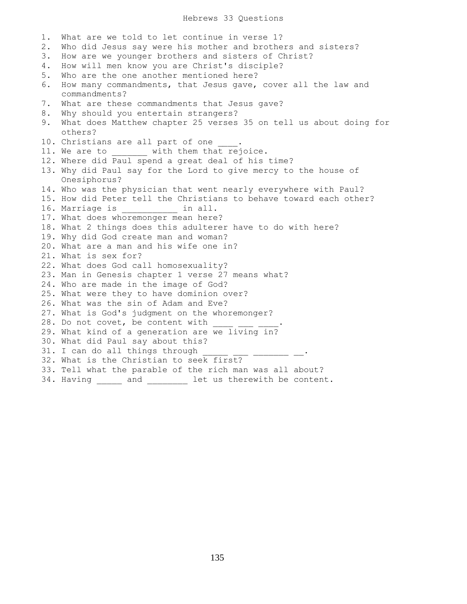## Hebrews 33 Questions

1. What are we told to let continue in verse 1? 2. Who did Jesus say were his mother and brothers and sisters? 3. How are we younger brothers and sisters of Christ? 4. How will men know you are Christ's disciple? 5. Who are the one another mentioned here? 6. How many commandments, that Jesus gave, cover all the law and commandments? 7. What are these commandments that Jesus gave? 8. Why should you entertain strangers? 9. What does Matthew chapter 25 verses 35 on tell us about doing for others? 10. Christians are all part of one 11. We are to with them that rejoice. 12. Where did Paul spend a great deal of his time? 13. Why did Paul say for the Lord to give mercy to the house of Onesiphorus? 14. Who was the physician that went nearly everywhere with Paul? 15. How did Peter tell the Christians to behave toward each other? 16. Marriage is \_\_\_\_\_\_\_\_\_\_\_ in all. 17. What does whoremonger mean here? 18. What 2 things does this adulterer have to do with here? 19. Why did God create man and woman? 20. What are a man and his wife one in? 21. What is sex for? 22. What does God call homosexuality? 23. Man in Genesis chapter 1 verse 27 means what? 24. Who are made in the image of God? 25. What were they to have dominion over? 26. What was the sin of Adam and Eve? 27. What is God's judgment on the whoremonger? 28. Do not covet, be content with 29. What kind of a generation are we living in? 30. What did Paul say about this? 31. I can do all things through 32. What is the Christian to seek first? 33. Tell what the parable of the rich man was all about? 34. Having \_\_\_\_\_ and \_\_\_\_\_\_\_\_ let us therewith be content.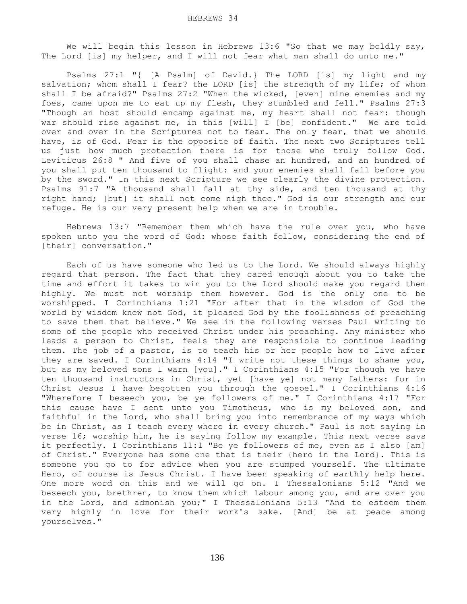We will begin this lesson in Hebrews 13:6 "So that we may boldly say, The Lord [is] my helper, and I will not fear what man shall do unto me."

 Psalms 27:1 "{ [A Psalm] of David.} The LORD [is] my light and my salvation; whom shall I fear? the LORD [is] the strength of my life; of whom shall I be afraid?" Psalms 27:2 "When the wicked, [even] mine enemies and my foes, came upon me to eat up my flesh, they stumbled and fell." Psalms 27:3 "Though an host should encamp against me, my heart shall not fear: though war should rise against me, in this [will] I [be] confident." We are told over and over in the Scriptures not to fear. The only fear, that we should have, is of God. Fear is the opposite of faith. The next two Scriptures tell us just how much protection there is for those who truly follow God. Leviticus 26:8 " And five of you shall chase an hundred, and an hundred of you shall put ten thousand to flight: and your enemies shall fall before you by the sword." In this next Scripture we see clearly the divine protection. Psalms 91:7 "A thousand shall fall at thy side, and ten thousand at thy right hand; [but] it shall not come nigh thee." God is our strength and our refuge. He is our very present help when we are in trouble.

 Hebrews 13:7 "Remember them which have the rule over you, who have spoken unto you the word of God: whose faith follow, considering the end of [their] conversation."

 Each of us have someone who led us to the Lord. We should always highly regard that person. The fact that they cared enough about you to take the time and effort it takes to win you to the Lord should make you regard them highly. We must not worship them however. God is the only one to be worshipped. I Corinthians 1:21 "For after that in the wisdom of God the world by wisdom knew not God, it pleased God by the foolishness of preaching to save them that believe." We see in the following verses Paul writing to some of the people who received Christ under his preaching. Any minister who leads a person to Christ, feels they are responsible to continue leading them. The job of a pastor, is to teach his or her people how to live after they are saved. I Corinthians 4:14 "I write not these things to shame you, but as my beloved sons I warn [you]." I Corinthians 4:15 "For though ye have ten thousand instructors in Christ, yet [have ye] not many fathers: for in Christ Jesus I have begotten you through the gospel." I Corinthians 4:16 "Wherefore I beseech you, be ye followers of me." I Corinthians 4:17 "For this cause have I sent unto you Timotheus, who is my beloved son, and faithful in the Lord, who shall bring you into remembrance of my ways which be in Christ, as I teach every where in every church." Paul is not saying in verse 16; worship him, he is saying follow my example. This next verse says it perfectly. I Corinthians 11:1 "Be ye followers of me, even as I also [am] of Christ." Everyone has some one that is their {hero in the Lord}. This is someone you go to for advice when you are stumped yourself. The ultimate Hero, of course is Jesus Christ. I have been speaking of earthly help here. One more word on this and we will go on. I Thessalonians 5:12 "And we beseech you, brethren, to know them which labour among you, and are over you in the Lord, and admonish you;" I Thessalonians 5:13 "And to esteem them very highly in love for their work's sake. [And] be at peace among yourselves."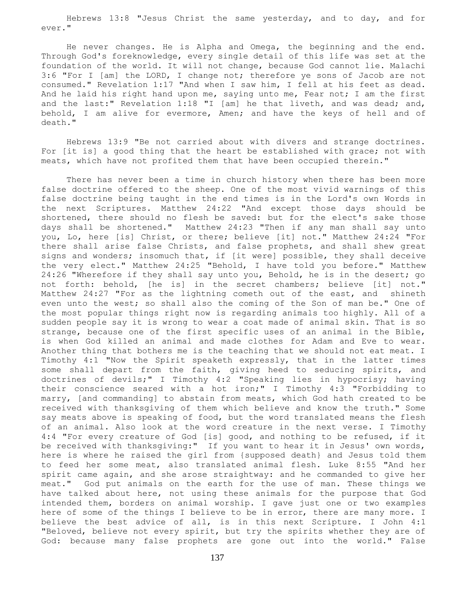Hebrews 13:8 "Jesus Christ the same yesterday, and to day, and for ever."

 He never changes. He is Alpha and Omega, the beginning and the end. Through God's foreknowledge, every single detail of this life was set at the foundation of the world. It will not change, because God cannot lie. Malachi 3:6 "For I [am] the LORD, I change not; therefore ye sons of Jacob are not consumed." Revelation 1:17 "And when I saw him, I fell at his feet as dead. And he laid his right hand upon me, saying unto me, Fear not; I am the first and the last:" Revelation 1:18 "I [am] he that liveth, and was dead; and, behold, I am alive for evermore, Amen; and have the keys of hell and of death."

 Hebrews 13:9 "Be not carried about with divers and strange doctrines. For [it is] a good thing that the heart be established with grace; not with meats, which have not profited them that have been occupied therein."

 There has never been a time in church history when there has been more false doctrine offered to the sheep. One of the most vivid warnings of this false doctrine being taught in the end times is in the Lord's own Words in the next Scriptures. Matthew 24:22 "And except those days should be shortened, there should no flesh be saved: but for the elect's sake those days shall be shortened." Matthew 24:23 "Then if any man shall say unto you, Lo, here [is] Christ, or there; believe [it] not." Matthew 24:24 "For there shall arise false Christs, and false prophets, and shall shew great signs and wonders; insomuch that, if [it were] possible, they shall deceive the very elect." Matthew 24:25 "Behold, I have told you before." Matthew 24:26 "Wherefore if they shall say unto you, Behold, he is in the desert; go not forth: behold, [he is] in the secret chambers; believe [it] not." Matthew 24:27 "For as the lightning cometh out of the east, and shineth even unto the west; so shall also the coming of the Son of man be." One of the most popular things right now is regarding animals too highly. All of a sudden people say it is wrong to wear a coat made of animal skin. That is so strange, because one of the first specific uses of an animal in the Bible, is when God killed an animal and made clothes for Adam and Eve to wear. Another thing that bothers me is the teaching that we should not eat meat. I Timothy 4:1 "Now the Spirit speaketh expressly, that in the latter times some shall depart from the faith, giving heed to seducing spirits, and doctrines of devils;" I Timothy 4:2 "Speaking lies in hypocrisy; having their conscience seared with a hot iron;" I Timothy 4:3 "Forbidding to marry, [and commanding] to abstain from meats, which God hath created to be received with thanksgiving of them which believe and know the truth." Some say meats above is speaking of food, but the word translated means the flesh of an animal. Also look at the word creature in the next verse. I Timothy 4:4 "For every creature of God [is] good, and nothing to be refused, if it be received with thanksgiving:" If you want to hear it in Jesus' own words, here is where he raised the girl from {supposed death} and Jesus told them to feed her some meat, also translated animal flesh. Luke 8:55 "And her spirit came again, and she arose straightway: and he commanded to give her meat." God put animals on the earth for the use of man. These things we have talked about here, not using these animals for the purpose that God intended them, borders on animal worship. I gave just one or two examples here of some of the things I believe to be in error, there are many more. I believe the best advice of all, is in this next Scripture. I John 4:1 "Beloved, believe not every spirit, but try the spirits whether they are of God: because many false prophets are gone out into the world." False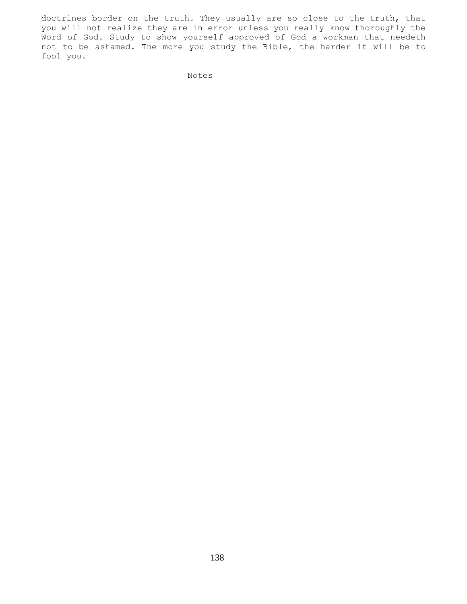doctrines border on the truth. They usually are so close to the truth, that you will not realize they are in error unless you really know thoroughly the Word of God. Study to show yourself approved of God a workman that needeth not to be ashamed. The more you study the Bible, the harder it will be to fool you.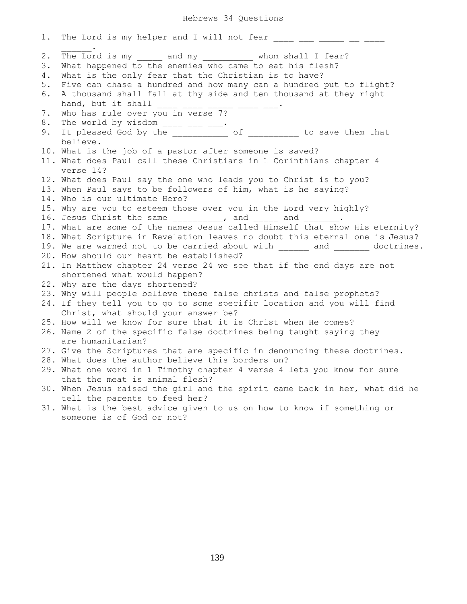Hebrews 34 Questions

| 1.                   | The Lord is my helper and I will not fear                                                                                                                                                                                         |
|----------------------|-----------------------------------------------------------------------------------------------------------------------------------------------------------------------------------------------------------------------------------|
| 2.<br>3.<br>4.<br>5. | The Lord is my and my whom shall I fear?<br>What happened to the enemies who came to eat his flesh?<br>What is the only fear that the Christian is to have?<br>Five can chase a hundred and how many can a hundred put to flight? |
| 6.                   | A thousand shall fall at thy side and ten thousand at they right<br>hand, but it shall                                                                                                                                            |
| 7.<br>8.             | Who has rule over you in verse 7?                                                                                                                                                                                                 |
| 9.                   | The world by wisdom _____ ____ ____.<br>It pleased God by the ______________ of ___________ to save them that<br>believe.                                                                                                         |
|                      | 10. What is the job of a pastor after someone is saved?<br>11. What does Paul call these Christians in 1 Corinthians chapter 4<br>verse 14?                                                                                       |
|                      | 12. What does Paul say the one who leads you to Christ is to you?<br>13. When Paul says to be followers of him, what is he saying?<br>14. Who is our ultimate Hero?                                                               |
|                      | 15. Why are you to esteem those over you in the Lord very highly?<br>16. Jesus Christ the same _________, and _____ and ______                                                                                                    |
|                      | 17. What are some of the names Jesus called Himself that show His eternity?<br>18. What Scripture in Revelation leaves no doubt this eternal one is Jesus?<br>19. We are warned not to be carried about with and and doctrines.   |
|                      | 20. How should our heart be established?<br>21. In Matthew chapter 24 verse 24 we see that if the end days are not<br>shortened what would happen?                                                                                |
|                      | 22. Why are the days shortened?<br>23. Why will people believe these false christs and false prophets?<br>24. If they tell you to go to some specific location and you will find<br>Christ, what should your answer be?           |
|                      | 25. How will we know for sure that it is Christ when He comes?<br>26. Name 2 of the specific false doctrines being taught saying they                                                                                             |
|                      | are humanitarian?                                                                                                                                                                                                                 |
|                      | 27. Give the Scriptures that are specific in denouncing these doctrines.<br>28. What does the author believe this borders on?                                                                                                     |
|                      | 29. What one word in 1 Timothy chapter 4 verse 4 lets you know for sure<br>that the meat is animal flesh?                                                                                                                         |
|                      | 30. When Jesus raised the girl and the spirit came back in her, what did he<br>tell the parents to feed her?                                                                                                                      |
|                      | 31. What is the best advice given to us on how to know if something or<br>someone is of God or not?                                                                                                                               |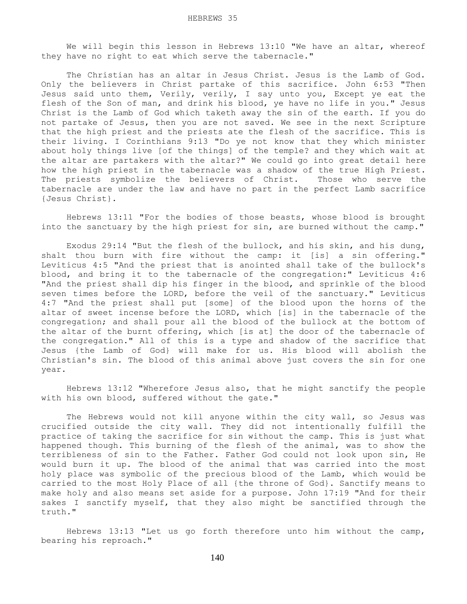We will begin this lesson in Hebrews 13:10 "We have an altar, whereof they have no right to eat which serve the tabernacle."

 The Christian has an altar in Jesus Christ. Jesus is the Lamb of God. Only the believers in Christ partake of this sacrifice. John 6:53 "Then Jesus said unto them, Verily, verily, I say unto you, Except ye eat the flesh of the Son of man, and drink his blood, ye have no life in you." Jesus Christ is the Lamb of God which taketh away the sin of the earth. If you do not partake of Jesus, then you are not saved. We see in the next Scripture that the high priest and the priests ate the flesh of the sacrifice. This is their living. I Corinthians 9:13 "Do ye not know that they which minister about holy things live [of the things] of the temple? and they which wait at the altar are partakers with the altar?" We could go into great detail here how the high priest in the tabernacle was a shadow of the true High Priest. The priests symbolize the believers of Christ. Those who serve the tabernacle are under the law and have no part in the perfect Lamb sacrifice {Jesus Christ}.

 Hebrews 13:11 "For the bodies of those beasts, whose blood is brought into the sanctuary by the high priest for sin, are burned without the camp."

 Exodus 29:14 "But the flesh of the bullock, and his skin, and his dung, shalt thou burn with fire without the camp: it [is] a sin offering." Leviticus 4:5 "And the priest that is anointed shall take of the bullock's blood, and bring it to the tabernacle of the congregation:" Leviticus 4:6 "And the priest shall dip his finger in the blood, and sprinkle of the blood seven times before the LORD, before the veil of the sanctuary." Leviticus 4:7 "And the priest shall put [some] of the blood upon the horns of the altar of sweet incense before the LORD, which [is] in the tabernacle of the congregation; and shall pour all the blood of the bullock at the bottom of the altar of the burnt offering, which [is at] the door of the tabernacle of the congregation." All of this is a type and shadow of the sacrifice that Jesus {the Lamb of God} will make for us. His blood will abolish the Christian's sin. The blood of this animal above just covers the sin for one year.

 Hebrews 13:12 "Wherefore Jesus also, that he might sanctify the people with his own blood, suffered without the gate."

The Hebrews would not kill anyone within the city wall, so Jesus was crucified outside the city wall. They did not intentionally fulfill the practice of taking the sacrifice for sin without the camp. This is just what happened though. This burning of the flesh of the animal, was to show the terribleness of sin to the Father. Father God could not look upon sin, He would burn it up. The blood of the animal that was carried into the most holy place was symbolic of the precious blood of the Lamb, which would be carried to the most Holy Place of all {the throne of God}. Sanctify means to make holy and also means set aside for a purpose. John 17:19 "And for their sakes I sanctify myself, that they also might be sanctified through the truth."

 Hebrews 13:13 "Let us go forth therefore unto him without the camp, bearing his reproach."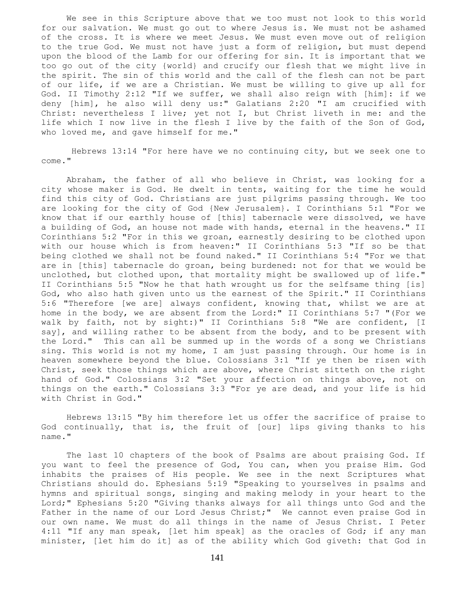We see in this Scripture above that we too must not look to this world for our salvation. We must go out to where Jesus is. We must not be ashamed of the cross. It is where we meet Jesus. We must even move out of religion to the true God. We must not have just a form of religion, but must depend upon the blood of the Lamb for our offering for sin. It is important that we too go out of the city {world} and crucify our flesh that we might live in the spirit. The sin of this world and the call of the flesh can not be part of our life, if we are a Christian. We must be willing to give up all for God. II Timothy 2:12 "If we suffer, we shall also reign with [him]: if we deny [him], he also will deny us:" Galatians 2:20 "I am crucified with Christ: nevertheless I live; yet not I, but Christ liveth in me: and the life which I now live in the flesh I live by the faith of the Son of God, who loved me, and gave himself for me."

 Hebrews 13:14 "For here have we no continuing city, but we seek one to come."

 Abraham, the father of all who believe in Christ, was looking for a city whose maker is God. He dwelt in tents, waiting for the time he would find this city of God. Christians are just pilgrims passing through. We too are looking for the city of God {New Jerusalem}. I Corinthians 5:1 "For we know that if our earthly house of [this] tabernacle were dissolved, we have a building of God, an house not made with hands, eternal in the heavens." II Corinthians 5:2 "For in this we groan, earnestly desiring to be clothed upon with our house which is from heaven:" II Corinthians 5:3 "If so be that being clothed we shall not be found naked." II Corinthians 5:4 "For we that are in [this] tabernacle do groan, being burdened: not for that we would be unclothed, but clothed upon, that mortality might be swallowed up of life." II Corinthians 5:5 "Now he that hath wrought us for the selfsame thing [is] God, who also hath given unto us the earnest of the Spirit." II Corinthians 5:6 "Therefore [we are] always confident, knowing that, whilst we are at home in the body, we are absent from the Lord:" II Corinthians 5:7 "(For we walk by faith, not by sight:)" II Corinthians 5:8 "We are confident, [I say], and willing rather to be absent from the body, and to be present with the Lord." This can all be summed up in the words of a song we Christians sing. This world is not my home, I am just passing through. Our home is in heaven somewhere beyond the blue. Colossians 3:1 "If ye then be risen with Christ, seek those things which are above, where Christ sitteth on the right hand of God." Colossians 3:2 "Set your affection on things above, not on things on the earth." Colossians 3:3 "For ye are dead, and your life is hid with Christ in God."

 Hebrews 13:15 "By him therefore let us offer the sacrifice of praise to God continually, that is, the fruit of [our] lips giving thanks to his name."

 The last 10 chapters of the book of Psalms are about praising God. If you want to feel the presence of God, You can, when you praise Him. God inhabits the praises of His people. We see in the next Scriptures what Christians should do. Ephesians 5:19 "Speaking to yourselves in psalms and hymns and spiritual songs, singing and making melody in your heart to the Lord;" Ephesians 5:20 "Giving thanks always for all things unto God and the Father in the name of our Lord Jesus Christ;" We cannot even praise God in our own name. We must do all things in the name of Jesus Christ. I Peter 4:11 "If any man speak, [let him speak] as the oracles of God; if any man minister, [let him do it] as of the ability which God giveth: that God in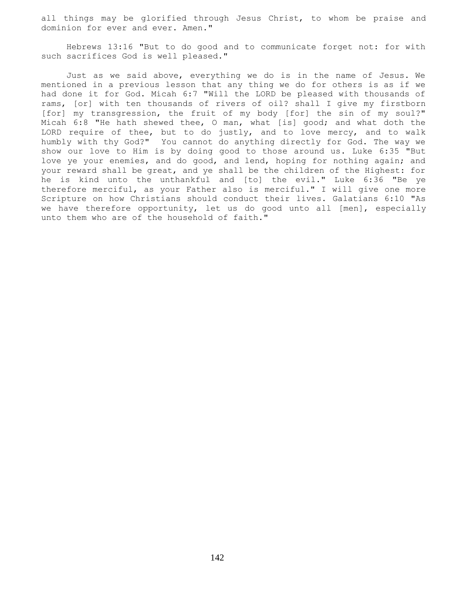all things may be glorified through Jesus Christ, to whom be praise and dominion for ever and ever. Amen."

 Hebrews 13:16 "But to do good and to communicate forget not: for with such sacrifices God is well pleased."

 Just as we said above, everything we do is in the name of Jesus. We mentioned in a previous lesson that any thing we do for others is as if we had done it for God. Micah 6:7 "Will the LORD be pleased with thousands of rams, [or] with ten thousands of rivers of oil? shall I give my firstborn [for] my transgression, the fruit of my body [for] the sin of my soul?" Micah 6:8 "He hath shewed thee, O man, what [is] good; and what doth the LORD require of thee, but to do justly, and to love mercy, and to walk humbly with thy God?" You cannot do anything directly for God. The way we show our love to Him is by doing good to those around us. Luke 6:35 "But love ye your enemies, and do good, and lend, hoping for nothing again; and your reward shall be great, and ye shall be the children of the Highest: for he is kind unto the unthankful and [to] the evil." Luke 6:36 "Be ye therefore merciful, as your Father also is merciful." I will give one more Scripture on how Christians should conduct their lives. Galatians 6:10 "As we have therefore opportunity, let us do good unto all [men], especially unto them who are of the household of faith."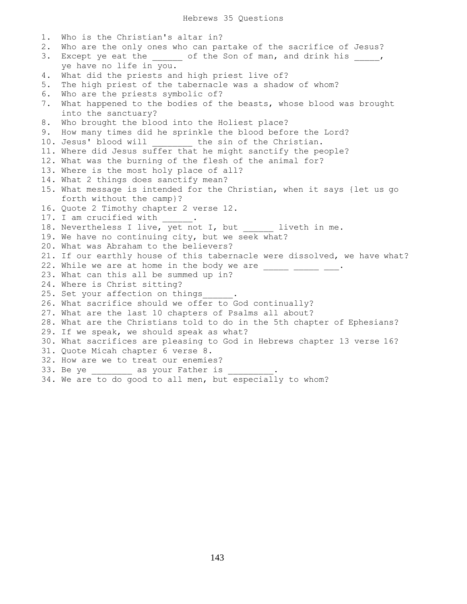1. Who is the Christian's altar in? 2. Who are the only ones who can partake of the sacrifice of Jesus? 3. Except ye eat the \_\_\_\_\_\_ of the Son of man, and drink his \_\_\_\_\_, ye have no life in you. 4. What did the priests and high priest live of? 5. The high priest of the tabernacle was a shadow of whom? 6. Who are the priests symbolic of? 7. What happened to the bodies of the beasts, whose blood was brought into the sanctuary? 8. Who brought the blood into the Holiest place? 9. How many times did he sprinkle the blood before the Lord? 10. Jesus' blood will \_\_\_\_\_\_\_\_\_\_ the sin of the Christian. 11. Where did Jesus suffer that he might sanctify the people? 12. What was the burning of the flesh of the animal for? 13. Where is the most holy place of all? 14. What 2 things does sanctify mean? 15. What message is intended for the Christian, when it says {let us go forth without the camp}? 16. Quote 2 Timothy chapter 2 verse 12. 17. I am crucified with . 18. Nevertheless I live, yet not I, but liveth in me. 19. We have no continuing city, but we seek what? 20. What was Abraham to the believers? 21. If our earthly house of this tabernacle were dissolved, we have what? 22. While we are at home in the body we are  $\frac{1}{\sqrt{2}}$  =  $\frac{1}{\sqrt{2}}$ . 23. What can this all be summed up in? 24. Where is Christ sitting? 25. Set your affection on things . 26. What sacrifice should we offer to God continually? 27. What are the last 10 chapters of Psalms all about? 28. What are the Christians told to do in the 5th chapter of Ephesians? 29. If we speak, we should speak as what? 30. What sacrifices are pleasing to God in Hebrews chapter 13 verse 16? 31. Quote Micah chapter 6 verse 8. 32. How are we to treat our enemies? 33. Be ye \_\_\_\_\_\_\_\_\_\_\_ as your Father is \_ 34. We are to do good to all men, but especially to whom?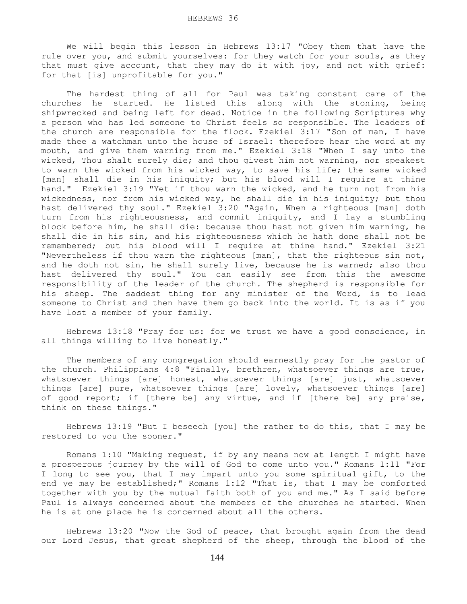We will begin this lesson in Hebrews 13:17 "Obey them that have the rule over you, and submit yourselves: for they watch for your souls, as they that must give account, that they may do it with joy, and not with grief: for that [is] unprofitable for you."

 The hardest thing of all for Paul was taking constant care of the churches he started. He listed this along with the stoning, being shipwrecked and being left for dead. Notice in the following Scriptures why a person who has led someone to Christ feels so responsible. The leaders of the church are responsible for the flock. Ezekiel 3:17 "Son of man, I have made thee a watchman unto the house of Israel: therefore hear the word at my mouth, and give them warning from me." Ezekiel 3:18 "When I say unto the wicked, Thou shalt surely die; and thou givest him not warning, nor speakest to warn the wicked from his wicked way, to save his life; the same wicked [man] shall die in his iniquity; but his blood will I require at thine hand." Ezekiel 3:19 "Yet if thou warn the wicked, and he turn not from his wickedness, nor from his wicked way, he shall die in his iniquity; but thou hast delivered thy soul." Ezekiel 3:20 "Again, When a righteous [man] doth turn from his righteousness, and commit iniquity, and I lay a stumbling block before him, he shall die: because thou hast not given him warning, he shall die in his sin, and his righteousness which he hath done shall not be remembered; but his blood will I require at thine hand." Ezekiel 3:21 "Nevertheless if thou warn the righteous [man], that the righteous sin not, and he doth not sin, he shall surely live, because he is warned; also thou hast delivered thy soul." You can easily see from this the awesome responsibility of the leader of the church. The shepherd is responsible for his sheep. The saddest thing for any minister of the Word, is to lead someone to Christ and then have them go back into the world. It is as if you have lost a member of your family.

 Hebrews 13:18 "Pray for us: for we trust we have a good conscience, in all things willing to live honestly."

 The members of any congregation should earnestly pray for the pastor of the church. Philippians 4:8 "Finally, brethren, whatsoever things are true, whatsoever things [are] honest, whatsoever things [are] just, whatsoever things [are] pure, whatsoever things [are] lovely, whatsoever things [are] of good report; if [there be] any virtue, and if [there be] any praise, think on these things."

 Hebrews 13:19 "But I beseech [you] the rather to do this, that I may be restored to you the sooner."

 Romans 1:10 "Making request, if by any means now at length I might have a prosperous journey by the will of God to come unto you." Romans 1:11 "For I long to see you, that I may impart unto you some spiritual gift, to the end ye may be established;" Romans 1:12 "That is, that I may be comforted together with you by the mutual faith both of you and me." As I said before Paul is always concerned about the members of the churches he started. When he is at one place he is concerned about all the others.

 Hebrews 13:20 "Now the God of peace, that brought again from the dead our Lord Jesus, that great shepherd of the sheep, through the blood of the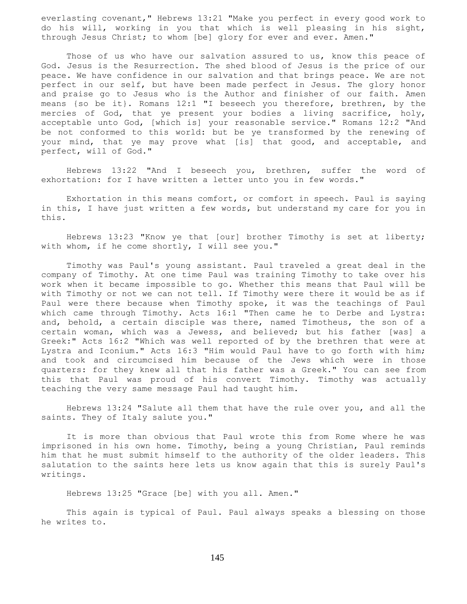everlasting covenant," Hebrews 13:21 "Make you perfect in every good work to do his will, working in you that which is well pleasing in his sight, through Jesus Christ; to whom [be] glory for ever and ever. Amen."

Those of us who have our salvation assured to us, know this peace of God. Jesus is the Resurrection. The shed blood of Jesus is the price of our peace. We have confidence in our salvation and that brings peace. We are not perfect in our self, but have been made perfect in Jesus. The glory honor and praise go to Jesus who is the Author and finisher of our faith. Amen means {so be it}. Romans 12:1 "I beseech you therefore, brethren, by the mercies of God, that ye present your bodies a living sacrifice, holy, acceptable unto God, [which is] your reasonable service." Romans 12:2 "And be not conformed to this world: but be ye transformed by the renewing of your mind, that ye may prove what [is] that good, and acceptable, and perfect, will of God."

 Hebrews 13:22 "And I beseech you, brethren, suffer the word of exhortation: for I have written a letter unto you in few words."

 Exhortation in this means comfort, or comfort in speech. Paul is saying in this, I have just written a few words, but understand my care for you in this.

 Hebrews 13:23 "Know ye that [our] brother Timothy is set at liberty; with whom, if he come shortly, I will see you."

 Timothy was Paul's young assistant. Paul traveled a great deal in the company of Timothy. At one time Paul was training Timothy to take over his work when it became impossible to go. Whether this means that Paul will be with Timothy or not we can not tell. If Timothy were there it would be as if Paul were there because when Timothy spoke, it was the teachings of Paul which came through Timothy. Acts 16:1 "Then came he to Derbe and Lystra: and, behold, a certain disciple was there, named Timotheus, the son of a certain woman, which was a Jewess, and believed; but his father [was] a Greek:" Acts 16:2 "Which was well reported of by the brethren that were at Lystra and Iconium." Acts 16:3 "Him would Paul have to go forth with him; and took and circumcised him because of the Jews which were in those quarters: for they knew all that his father was a Greek." You can see from this that Paul was proud of his convert Timothy. Timothy was actually teaching the very same message Paul had taught him.

 Hebrews 13:24 "Salute all them that have the rule over you, and all the saints. They of Italy salute you."

 It is more than obvious that Paul wrote this from Rome where he was imprisoned in his own home. Timothy, being a young Christian, Paul reminds him that he must submit himself to the authority of the older leaders. This salutation to the saints here lets us know again that this is surely Paul's writings.

Hebrews 13:25 "Grace [be] with you all. Amen."

 This again is typical of Paul. Paul always speaks a blessing on those he writes to.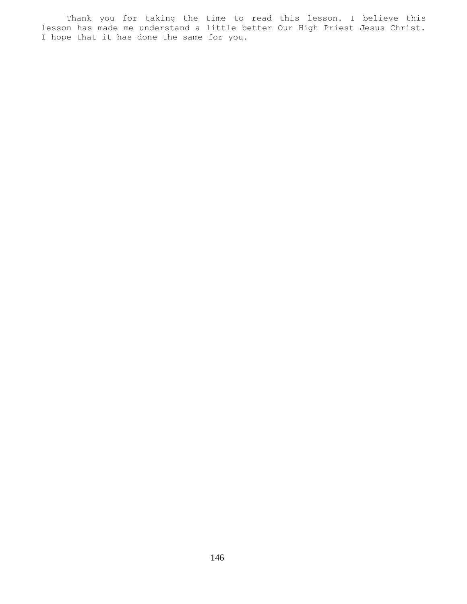Thank you for taking the time to read this lesson. I believe this lesson has made me understand a little better Our High Priest Jesus Christ. I hope that it has done the same for you.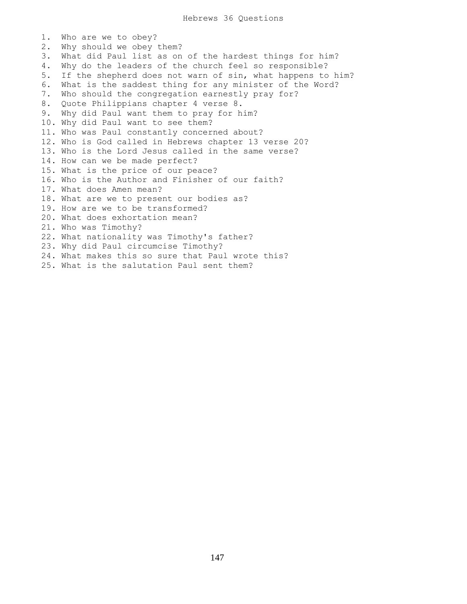1. Who are we to obey? 2. Why should we obey them? 3. What did Paul list as on of the hardest things for him? 4. Why do the leaders of the church feel so responsible? 5. If the shepherd does not warn of sin, what happens to him? 6. What is the saddest thing for any minister of the Word? 7. Who should the congregation earnestly pray for? 8. Quote Philippians chapter 4 verse 8. 9. Why did Paul want them to pray for him? 10. Why did Paul want to see them? 11. Who was Paul constantly concerned about? 12. Who is God called in Hebrews chapter 13 verse 20? 13. Who is the Lord Jesus called in the same verse? 14. How can we be made perfect? 15. What is the price of our peace? 16. Who is the Author and Finisher of our faith? 17. What does Amen mean? 18. What are we to present our bodies as? 19. How are we to be transformed? 20. What does exhortation mean? 21. Who was Timothy? 22. What nationality was Timothy's father? 23. Why did Paul circumcise Timothy? 24. What makes this so sure that Paul wrote this? 25. What is the salutation Paul sent them?